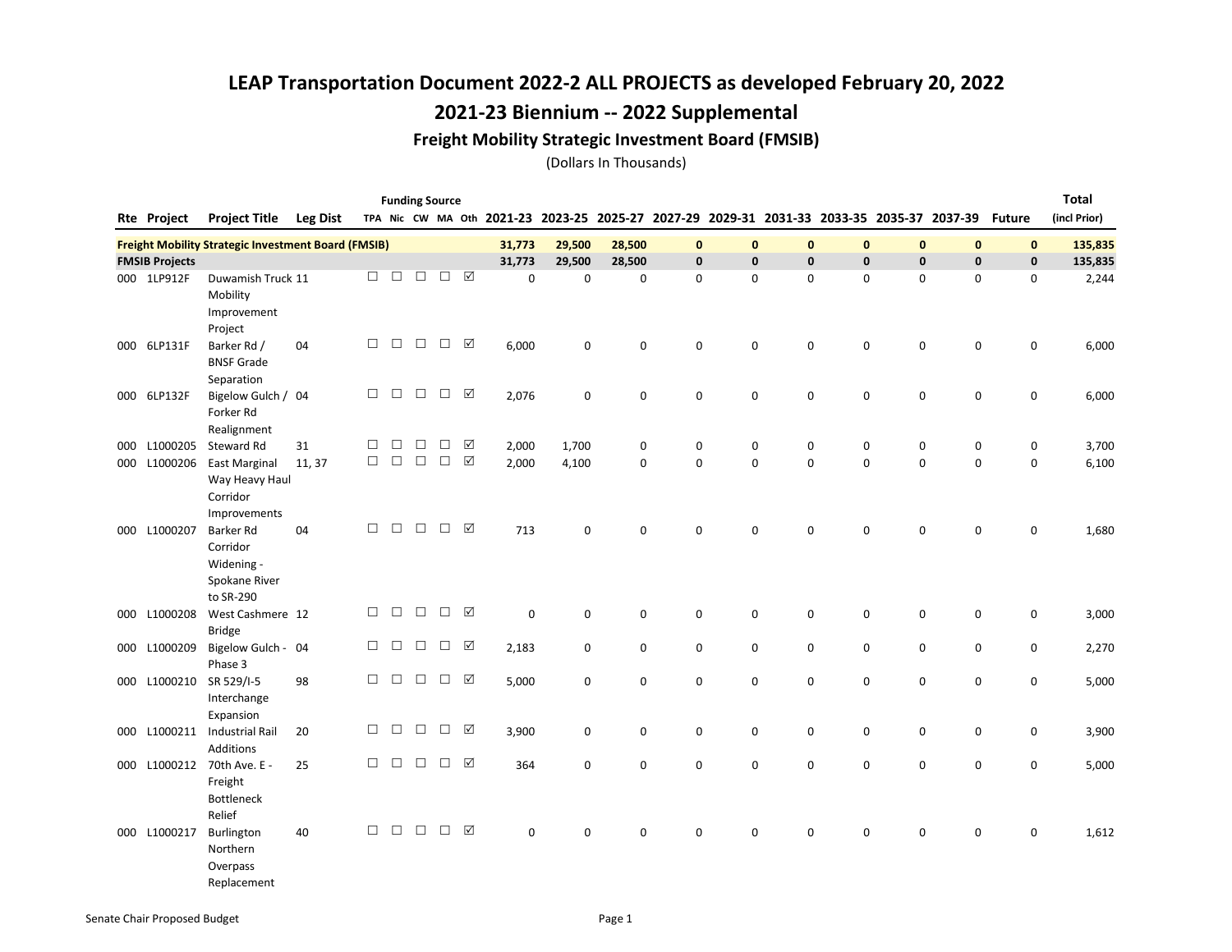### Freight Mobility Strategic Investment Board (FMSIB)

(Dollars In Thousands)

|     |                       |                                                                          |                 |        |        |        | <b>Funding Source</b> |                       |             |             |             |              |              |             |                                                                                           |              |                     |               | <b>Total</b> |
|-----|-----------------------|--------------------------------------------------------------------------|-----------------|--------|--------|--------|-----------------------|-----------------------|-------------|-------------|-------------|--------------|--------------|-------------|-------------------------------------------------------------------------------------------|--------------|---------------------|---------------|--------------|
|     | <b>Rte Project</b>    | <b>Project Title</b>                                                     | <b>Leg Dist</b> |        |        |        |                       |                       |             |             |             |              |              |             | TPA Nic CW MA Oth 2021-23 2023-25 2025-27 2027-29 2029-31 2031-33 2033-35 2035-37 2037-39 |              |                     | <b>Future</b> | (incl Prior) |
|     |                       | <b>Freight Mobility Strategic Investment Board (FMSIB)</b>               |                 |        |        |        |                       |                       | 31,773      | 29,500      | 28,500      | $\mathbf 0$  | $\mathbf{0}$ | 0           | $\mathbf{0}$                                                                              | $\mathbf{0}$ | $\mathbf{0}$        | $\mathbf 0$   | 135,835      |
|     | <b>FMSIB Projects</b> |                                                                          |                 |        |        |        |                       |                       | 31,773      | 29,500      | 28,500      | $\mathbf{0}$ | $\mathbf{0}$ | 0           | $\mathbf{0}$                                                                              | $\mathbf{0}$ | $\mathbf{0}$        | $\mathbf{0}$  | 135,835      |
|     | 000 1LP912F           | Duwamish Truck 11<br>Mobility<br>Improvement<br>Project                  |                 | п      | $\Box$ | □      | $\Box$                | ☑                     | $\mathbf 0$ | $\mathbf 0$ | $\mathbf 0$ | $\mathbf 0$  | 0            | $\mathbf 0$ | $\mathbf 0$                                                                               | 0            | $\mathbf 0$         | 0             | 2,244        |
| 000 | 6LP131F               | Barker Rd /<br><b>BNSF Grade</b><br>Separation                           | 04              | □      | $\Box$ | $\Box$ | $\Box$                | ☑                     | 6,000       | 0           | 0           | $\mathsf 0$  | $\mathbf 0$  | 0           | $\mathbf 0$                                                                               | 0            | $\mathsf{O}\xspace$ | 0             | 6,000        |
|     | 000 6LP132F           | Bigelow Gulch / 04<br>Forker Rd<br>Realignment                           |                 | $\Box$ | $\Box$ | $\Box$ | $\Box$                | ☑                     | 2,076       | 0           | 0           | $\mathbf 0$  | $\mathbf 0$  | 0           | $\mathbf 0$                                                                               | 0            | 0                   | 0             | 6,000        |
| 000 | L1000205              | Steward Rd                                                               | 31              | □      | $\Box$ | $\Box$ | $\Box$                | ☑                     | 2,000       | 1,700       | 0           | 0            | 0            | 0           | 0                                                                                         | 0            | 0                   | 0             | 3,700        |
| 000 | L1000206              | <b>East Marginal</b><br>Way Heavy Haul<br>Corridor<br>Improvements       | 11, 37          | $\Box$ | $\Box$ | $\Box$ | $\Box$                | $\boxed{\mathcal{S}}$ | 2,000       | 4,100       | $\mathbf 0$ | $\mathbf 0$  | $\mathbf 0$  | 0           | $\mathbf 0$                                                                               | $\mathbf 0$  | $\Omega$            | 0             | 6,100        |
|     | 000 L1000207          | <b>Barker Rd</b><br>Corridor<br>Widening -<br>Spokane River<br>to SR-290 | 04              | □      | $\Box$ | $\Box$ | $\Box$                | ☑                     | 713         | $\mathbf 0$ | 0           | $\mathbf 0$  | $\mathbf 0$  | 0           | $\mathbf 0$                                                                               | 0            | $\mathbf 0$         | $\mathbf 0$   | 1,680        |
|     | 000 L1000208          | West Cashmere 12<br><b>Bridge</b>                                        |                 | $\Box$ | $\Box$ | $\Box$ | $\Box$                | ☑                     | $\mathsf 0$ | 0           | 0           | $\mathsf 0$  | $\mathbf 0$  | 0           | 0                                                                                         | 0            | $\mathsf 0$         | 0             | 3,000        |
| 000 | L1000209              | Bigelow Gulch - 04<br>Phase 3                                            |                 | □      | $\Box$ | $\Box$ | $\Box$                | ☑                     | 2,183       | 0           | 0           | 0            | 0            | 0           | $\mathbf 0$                                                                               | 0            | 0                   | 0             | 2,270        |
|     | 000 L1000210          | SR 529/I-5<br>Interchange<br>Expansion                                   | 98              | □      | $\Box$ | $\Box$ | $\Box$                | ☑                     | 5,000       | 0           | 0           | $\mathbf 0$  | 0            | 0           | $\mathbf 0$                                                                               | 0            | 0                   | 0             | 5,000        |
|     |                       | 000 L1000211 Industrial Rail<br><b>Additions</b>                         | 20              | П      | $\Box$ | $\Box$ | $\Box$                | ☑                     | 3,900       | $\mathbf 0$ | 0           | $\mathbf 0$  | $\mathbf 0$  | 0           | $\mathbf 0$                                                                               | 0            | $\mathbf 0$         | 0             | 3,900        |
| 000 | L1000212              | 70th Ave. E -<br>Freight<br><b>Bottleneck</b><br>Relief                  | 25              | $\Box$ | $\Box$ | $\Box$ | $\Box$                | ☑                     | 364         | $\mathbf 0$ | 0           | $\mathbf 0$  | 0            | 0           | $\mathbf 0$                                                                               | $\mathbf 0$  | 0                   | 0             | 5,000        |
|     | 000 L1000217          | Burlington<br>Northern<br>Overpass                                       | 40              | □      | $\Box$ | $\Box$ | $\Box$                | $\boxed{\checkmark}$  | 0           | $\mathbf 0$ | 0           | 0            | 0            | 0           | $\mathbf 0$                                                                               | $\mathbf 0$  | 0                   | 0             | 1,612        |

Replacement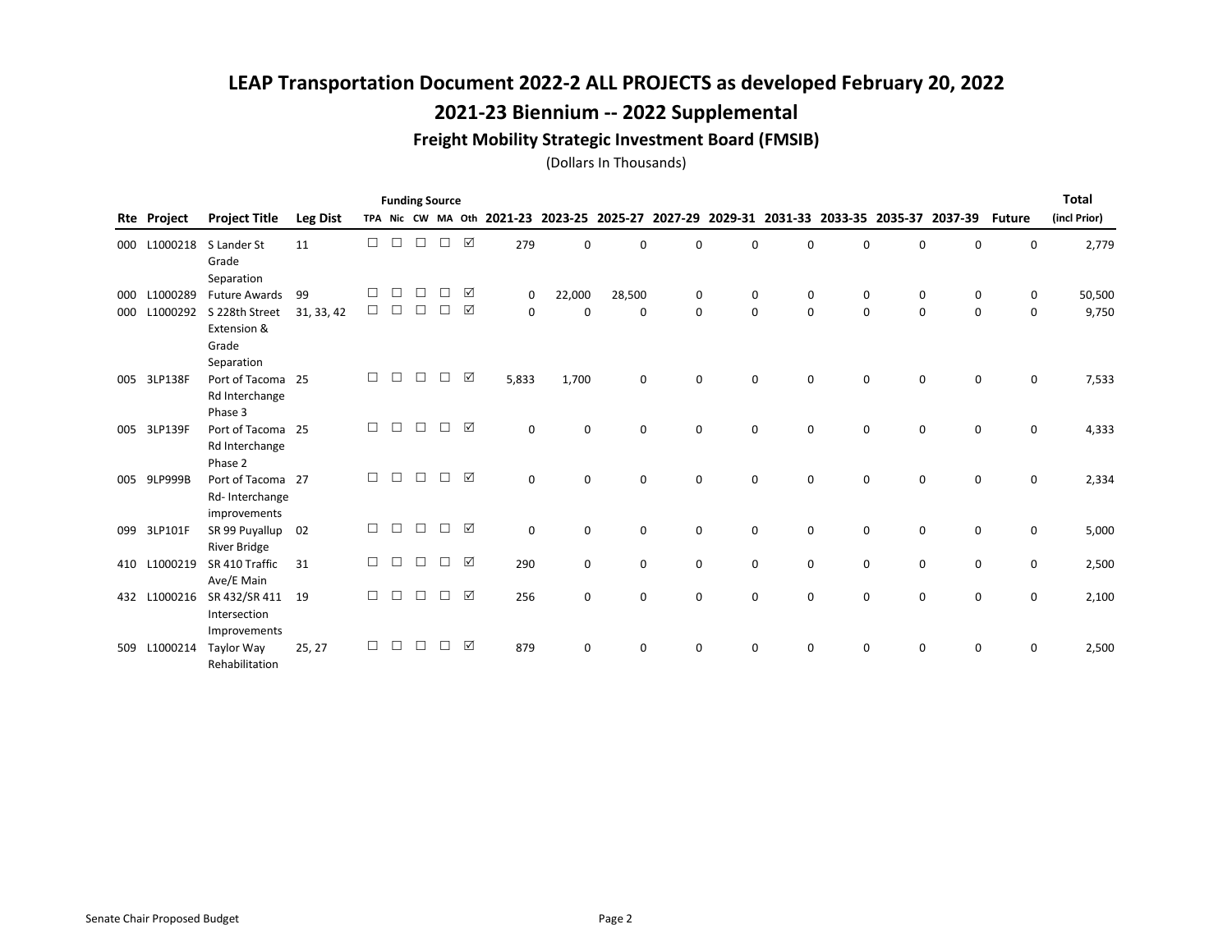### 2021-23 Biennium -- 2022 Supplemental

#### Freight Mobility Strategic Investment Board (FMSIB)

|     |              |                                                              |                 |        |        | <b>Funding Source</b> |   |   |                                                   |             |             |             |             |                                         |          |             |             |               | <b>Total</b> |
|-----|--------------|--------------------------------------------------------------|-----------------|--------|--------|-----------------------|---|---|---------------------------------------------------|-------------|-------------|-------------|-------------|-----------------------------------------|----------|-------------|-------------|---------------|--------------|
| Rte | Project      | <b>Project Title</b>                                         | <b>Leg Dist</b> |        |        |                       |   |   | TPA Nic CW MA Oth 2021-23 2023-25 2025-27 2027-29 |             |             |             |             | 2029-31 2031-33 2033-35 2035-37 2037-39 |          |             |             | <b>Future</b> | (incl Prior) |
| 000 | L1000218     | S Lander St<br>Grade<br>Separation                           | 11              | □      | П      | $\Box$                | П | ☑ | 279                                               | $\Omega$    | 0           | $\Omega$    | $\Omega$    | $\Omega$                                | 0        | $\mathbf 0$ | 0           | 0             | 2,779        |
| 000 | L1000289     | <b>Future Awards</b>                                         | 99              | □      | П      | □                     |   | ☑ | 0                                                 | 22,000      | 28,500      | 0           | 0           | 0                                       | 0        | 0           | 0           | 0             | 50,500       |
| 000 | L1000292     | S 228th Street<br>Extension &<br>Grade                       | 31, 33, 42      | $\Box$ | $\Box$ | $\Box$                | П | ☑ | 0                                                 | $\Omega$    | 0           | 0           | $\mathbf 0$ | $\Omega$                                | $\Omega$ | 0           | $\Omega$    | $\mathbf 0$   | 9,750        |
|     | 005 3LP138F  | Separation<br>Port of Tacoma 25<br>Rd Interchange<br>Phase 3 |                 | П      | П      |                       |   | ☑ | 5,833                                             | 1,700       | 0           | $\Omega$    | $\Omega$    | $\Omega$                                | $\Omega$ | $\Omega$    | $\Omega$    | $\Omega$      | 7,533        |
|     | 005 3LP139F  | Port of Tacoma 25<br>Rd Interchange<br>Phase 2               |                 | п      | П      | П                     |   | ☑ | $\Omega$                                          | $\Omega$    | $\Omega$    | $\Omega$    | $\Omega$    | $\Omega$                                | $\Omega$ | $\Omega$    | $\Omega$    | $\Omega$      | 4,333        |
| 005 | 9LP999B      | Port of Tacoma 27<br>Rd-Interchange<br>improvements          |                 | п      | П      | П                     |   | ☑ | $\mathbf 0$                                       | $\Omega$    | $\mathbf 0$ | $\Omega$    | $\Omega$    | $\Omega$                                | 0        | $\Omega$    | $\Omega$    | $\mathbf 0$   | 2,334        |
| 099 | 3LP101F      | SR 99 Puyallup<br><b>River Bridge</b>                        | 02              | □      | П      | $\Box$                |   | ☑ | $\mathbf 0$                                       | $\mathbf 0$ | $\mathbf 0$ | $\mathbf 0$ | $\Omega$    | $\Omega$                                | 0        | $\mathbf 0$ | $\mathbf 0$ | 0             | 5,000        |
| 410 | L1000219     | SR 410 Traffic<br>Ave/E Main                                 | 31              | □      | $\Box$ | $\Box$                |   | ☑ | 290                                               | $\mathbf 0$ | $\mathbf 0$ | $\mathbf 0$ | 0           | 0                                       | 0        | 0           | 0           | 0             | 2,500        |
|     | 432 L1000216 | SR 432/SR 411<br>Intersection<br>Improvements                | 19              | П      | П      |                       |   | ☑ | 256                                               | $\Omega$    | $\Omega$    | $\Omega$    | $\Omega$    | $\Omega$                                | 0        | $\Omega$    | $\Omega$    | $\Omega$      | 2,100        |
| 509 | L1000214     | Taylor Way<br>Rehabilitation                                 | 25, 27          | П      |        |                       |   | ☑ | 879                                               | $\Omega$    | $\Omega$    | $\Omega$    | $\Omega$    | <sup>n</sup>                            | 0        | $\Omega$    | $\Omega$    | $\Omega$      | 2,500        |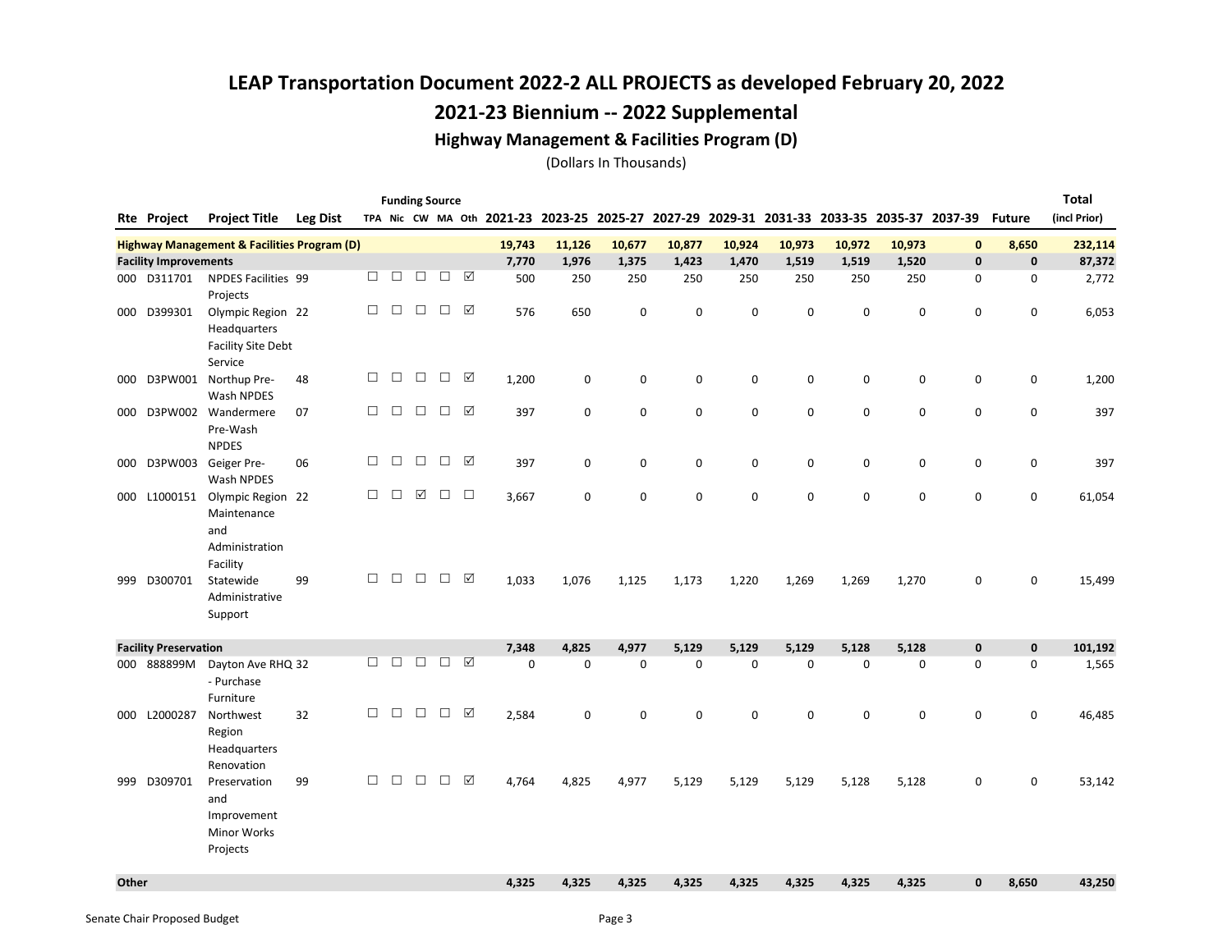### 2021-23 Biennium -- 2022 Supplemental

#### Highway Management & Facilities Program (D)

|       |                              |                                                                      |                 |        |        |        | <b>Funding Source</b> |                      |             |                                                                                           |             |             |             |             |           |             |              |               | Total        |
|-------|------------------------------|----------------------------------------------------------------------|-----------------|--------|--------|--------|-----------------------|----------------------|-------------|-------------------------------------------------------------------------------------------|-------------|-------------|-------------|-------------|-----------|-------------|--------------|---------------|--------------|
|       | <b>Rte Project</b>           | <b>Project Title</b>                                                 | <b>Leg Dist</b> |        |        |        |                       |                      |             | TPA Nic CW MA Oth 2021-23 2023-25 2025-27 2027-29 2029-31 2031-33 2033-35 2035-37 2037-39 |             |             |             |             |           |             |              | <b>Future</b> | (incl Prior) |
|       |                              | <b>Highway Management &amp; Facilities Program (D)</b>               |                 |        |        |        |                       |                      | 19,743      | 11,126                                                                                    | 10,677      | 10,877      | 10,924      | 10,973      | 10,972    | 10,973      | $\mathbf{0}$ | 8,650         | 232,114      |
|       | <b>Facility Improvements</b> |                                                                      |                 |        |        |        |                       |                      | 7,770       | 1,976                                                                                     | 1,375       | 1.423       | 1.470       | 1,519       | 1,519     | 1,520       | $\mathbf{0}$ | $\mathbf{0}$  | 87,372       |
|       | 000 D311701                  | <b>NPDES Facilities 99</b>                                           |                 | □      | $\Box$ | $\Box$ | $\Box$                | ☑                    | 500         | 250                                                                                       | 250         | 250         | 250         | 250         | 250       | 250         | 0            | 0             | 2,772        |
|       |                              | Projects                                                             |                 |        |        |        |                       |                      |             |                                                                                           |             |             |             |             |           |             |              |               |              |
| 000   | D399301                      | Olympic Region 22<br>Headquarters<br><b>Facility Site Debt</b>       |                 | $\Box$ | $\Box$ | $\Box$ | $\Box$                | ☑                    | 576         | 650                                                                                       | 0           | $\mathbf 0$ | $\mathbf 0$ | $\mathbf 0$ | 0         | $\mathsf 0$ | 0            | $\mathsf 0$   | 6,053        |
|       |                              | Service                                                              |                 | $\Box$ | $\Box$ | $\Box$ | $\Box$                | ☑                    |             |                                                                                           |             |             |             |             |           |             |              |               |              |
| 000   |                              | D3PW001 Northup Pre-                                                 | 48              |        |        |        |                       |                      | 1,200       | 0                                                                                         | $\mathsf 0$ | $\mathbf 0$ | 0           | 0           | 0         | $\mathsf 0$ | $\mathsf 0$  | $\mathsf 0$   | 1,200        |
|       |                              | Wash NPDES                                                           |                 | П      | $\Box$ | $\Box$ | $\Box$                | ☑                    |             |                                                                                           |             |             |             |             |           |             |              |               |              |
| 000   |                              | D3PW002 Wandermere<br>Pre-Wash<br><b>NPDES</b>                       | 07              |        |        |        |                       |                      | 397         | 0                                                                                         | 0           | $\mathbf 0$ | 0           | $\mathbf 0$ | 0         | $\mathbf 0$ | $\mathbf 0$  | $\mathbf 0$   | 397          |
| 000   | D3PW003                      | Geiger Pre-                                                          | 06              | $\Box$ | $\Box$ | $\Box$ | $\Box$                | ☑                    | 397         | $\mathsf 0$                                                                               | $\mathbf 0$ | $\pmb{0}$   | 0           | 0           | 0         | $\mathsf 0$ | 0            | $\mathbf 0$   | 397          |
|       |                              | Wash NPDES                                                           |                 |        |        |        |                       |                      |             |                                                                                           |             |             |             |             |           |             |              |               |              |
| 000   | L1000151                     | Olympic Region 22<br>Maintenance<br>and                              |                 | П      | П      | ☑      | $\Box$                | $\Box$               | 3,667       | $\mathbf 0$                                                                               | 0           | $\mathbf 0$ | $\Omega$    | $\mathbf 0$ | 0         | $\mathbf 0$ | $\mathbf 0$  | $\mathbf 0$   | 61,054       |
| 999   | D300701                      | Administration<br>Facility<br>Statewide<br>Administrative<br>Support | 99              | П      | $\Box$ | $\Box$ | $\Box$                | ☑                    | 1,033       | 1,076                                                                                     | 1,125       | 1,173       | 1,220       | 1,269       | 1,269     | 1,270       | $\mathbf 0$  | $\mathbf 0$   | 15,499       |
|       | <b>Facility Preservation</b> |                                                                      |                 |        |        |        |                       |                      | 7,348       | 4,825                                                                                     | 4,977       | 5,129       | 5.129       | 5,129       | 5,128     | 5,128       | $\mathbf{0}$ | $\mathbf{0}$  | 101,192      |
| 000   | 888899M                      | Dayton Ave RHQ 32                                                    |                 | $\Box$ | $\Box$ | $\Box$ | $\Box$                | $\boxed{\checkmark}$ | $\mathsf 0$ | $\mathbf 0$                                                                               | $\mathsf 0$ | $\mathbf 0$ | 0           | 0           | $\pmb{0}$ | 0           | 0            | $\mathsf 0$   | 1,565        |
|       |                              | - Purchase<br>Furniture                                              |                 |        |        |        |                       |                      |             |                                                                                           |             |             |             |             |           |             |              |               |              |
|       | 000 L2000287                 | Northwest<br>Region<br><b>Headquarters</b>                           | 32              | □      | □      | $\Box$ | $\Box$                | ☑                    | 2,584       | 0                                                                                         | 0           | $\mathbf 0$ | 0           | 0           | 0         | 0           | $\mathbf 0$  | 0             | 46,485       |
|       |                              | Renovation                                                           |                 |        |        |        |                       |                      |             |                                                                                           |             |             |             |             |           |             |              |               |              |
| 999   | D309701                      | Preservation<br>and<br>Improvement<br><b>Minor Works</b>             | 99              | $\Box$ | $\Box$ | $\Box$ | $\Box$                | ☑                    | 4,764       | 4,825                                                                                     | 4,977       | 5,129       | 5,129       | 5,129       | 5,128     | 5,128       | 0            | 0             | 53,142       |
|       |                              | Projects                                                             |                 |        |        |        |                       |                      |             |                                                                                           |             |             |             |             |           |             |              |               |              |
| Other |                              |                                                                      |                 |        |        |        |                       |                      | 4,325       | 4,325                                                                                     | 4,325       | 4,325       | 4,325       | 4,325       | 4,325     | 4,325       | $\mathbf{0}$ | 8,650         | 43,250       |
|       |                              |                                                                      |                 |        |        |        |                       |                      |             |                                                                                           |             |             |             |             |           |             |              |               |              |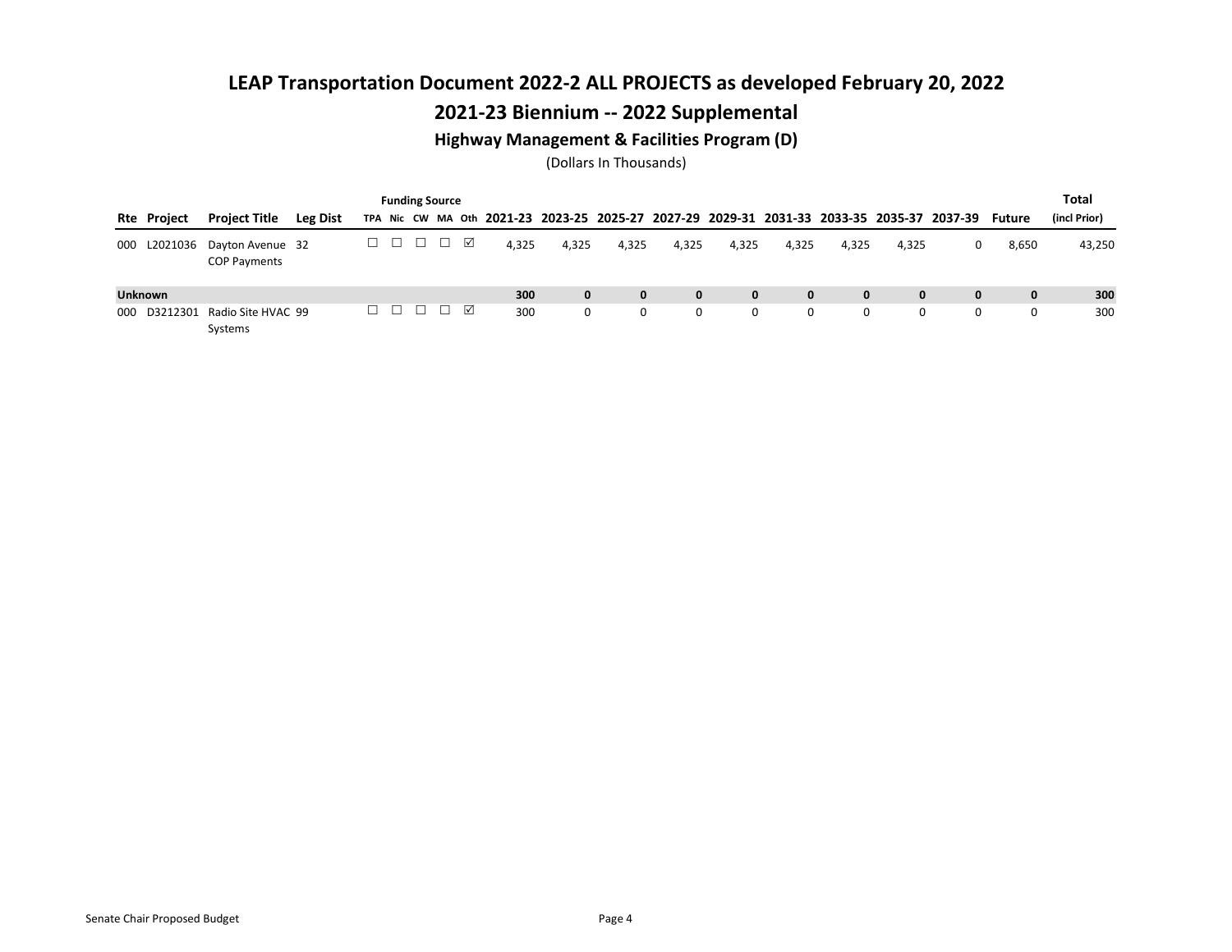### 2021-23 Biennium -- 2022 Supplemental

#### Highway Management & Facilities Program (D)

|                    |                                         |          |        |        | <b>Funding Source</b>                  |       |              |              |              |       |              |              |              |                                                                                                  |              | <b>Total</b> |
|--------------------|-----------------------------------------|----------|--------|--------|----------------------------------------|-------|--------------|--------------|--------------|-------|--------------|--------------|--------------|--------------------------------------------------------------------------------------------------|--------------|--------------|
| <b>Rte Project</b> | <b>Project Title</b>                    | Leg Dist |        |        |                                        |       |              |              |              |       |              |              |              | TPA Nic CW MA Oth 2021-23 2023-25 2025-27 2027-29 2029-31 2031-33 2033-35 2035-37 2037-39 Future |              | (incl Prior) |
| L2021036<br>000    | Dayton Avenue 32<br><b>COP Payments</b> |          | ∟      | $\Box$ | $\begin{array}{c} \square \end{array}$ | 4.325 | 4,325        | 4,325        | 4.325        | 4,325 | 4,325        | 4,325        | 4,325        | 0                                                                                                | 8,650        | 43,250       |
| <b>Unknown</b>     |                                         |          |        |        |                                        | 300   | $\mathbf{0}$ | $\mathbf{0}$ | $\mathbf{0}$ | 0     | $\mathbf{0}$ | $\mathbf{0}$ | $\mathbf{0}$ | 0                                                                                                | $\mathbf{0}$ | 300          |
| D3212301<br>000    | Radio Site HVAC 99<br>Systems           |          | $\Box$ |        | $\Box$ $\Box$ $\Box$                   | 300   | 0            | 0            | $\Omega$     | 0     | 0            | 0            | $\Omega$     | 0                                                                                                | 0            | 300          |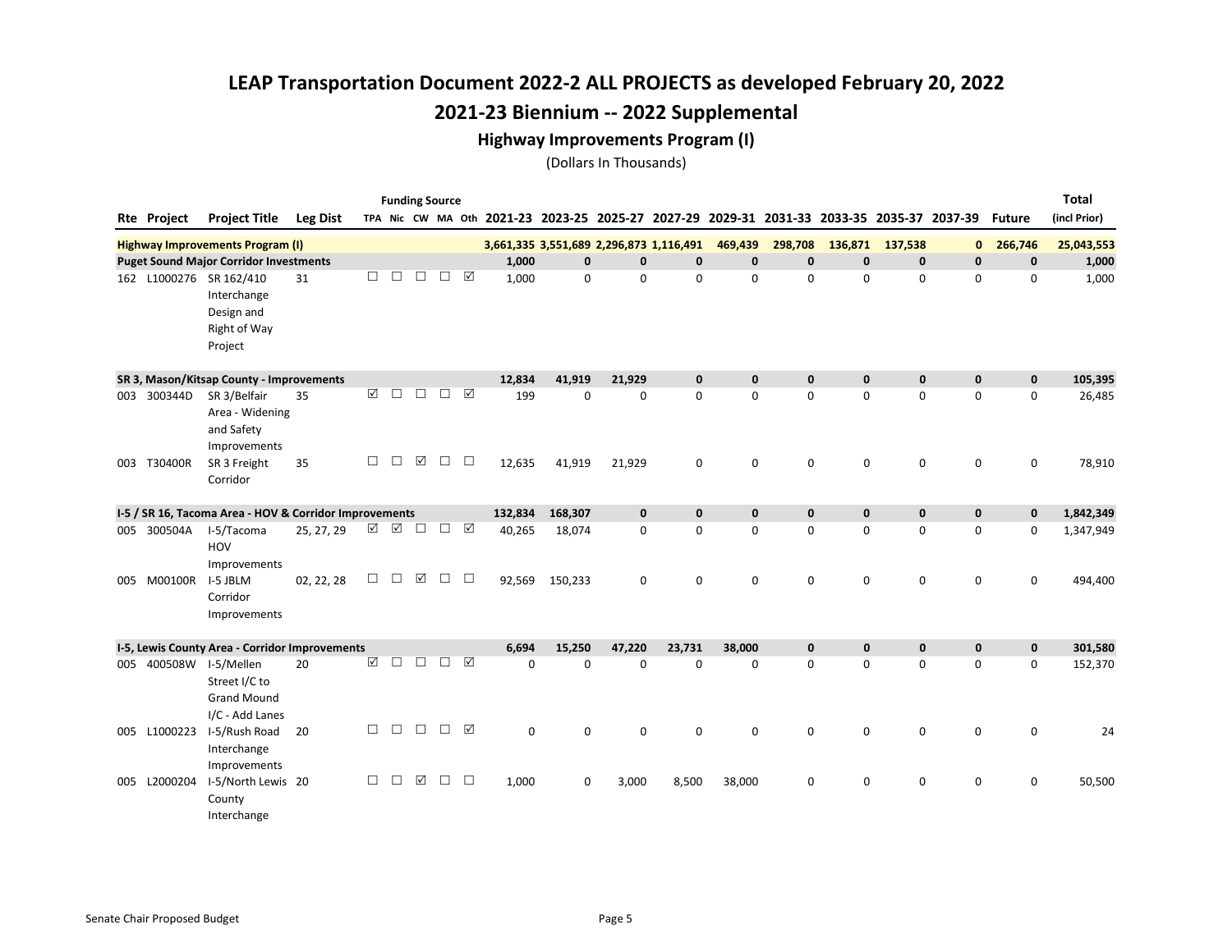#### Highway Improvements Program (I)

|                        |                                                                                 |                 |          |        | <b>Funding Source</b> |        |                      |                                         |             |             |              |              |                                                                                           |              |             |              |               | <b>Total</b> |
|------------------------|---------------------------------------------------------------------------------|-----------------|----------|--------|-----------------------|--------|----------------------|-----------------------------------------|-------------|-------------|--------------|--------------|-------------------------------------------------------------------------------------------|--------------|-------------|--------------|---------------|--------------|
| Rte Project            | <b>Project Title</b>                                                            | <b>Leg Dist</b> |          |        |                       |        |                      |                                         |             |             |              |              | TPA Nic CW MA Oth 2021-23 2023-25 2025-27 2027-29 2029-31 2031-33 2033-35 2035-37 2037-39 |              |             |              | <b>Future</b> | (incl Prior) |
|                        | <b>Highway Improvements Program (I)</b>                                         |                 |          |        |                       |        |                      | 3,661,335 3,551,689 2,296,873 1,116,491 |             |             |              | 469,439      | 298,708                                                                                   | 136,871      | 137,538     | $\mathbf{0}$ | 266,746       | 25,043,553   |
|                        | <b>Puget Sound Major Corridor Investments</b>                                   |                 |          |        |                       |        |                      | 1,000                                   | $\mathbf 0$ | $\mathbf 0$ | $\mathbf{0}$ | $\mathbf{0}$ | $\mathbf 0$                                                                               | $\pmb{0}$    | $\mathbf 0$ | $\mathbf 0$  | $\mathbf 0$   | 1,000        |
|                        | 162 L1000276 SR 162/410<br>Interchange<br>Design and<br>Right of Way<br>Project | 31              | $\Box$   | □      | $\Box$                | $\Box$ | ☑                    | 1,000                                   | 0           | 0           | $\mathbf 0$  | 0            | 0                                                                                         | 0            | 0           | 0            | 0             | 1,000        |
|                        | SR 3, Mason/Kitsap County - Improvements                                        |                 |          |        |                       |        |                      | 12,834                                  | 41,919      | 21,929      | $\mathbf 0$  | $\mathbf{0}$ | $\mathbf 0$                                                                               | $\bf{0}$     | $\mathbf 0$ | $\mathbf 0$  | $\mathbf 0$   | 105,395      |
| 003 300344D            | SR 3/Belfair<br>Area - Widening<br>and Safety<br>Improvements                   | 35              | $\Delta$ | □      | $\Box$                | □      | $\boxed{\checkmark}$ | 199                                     | $\Omega$    | $\mathbf 0$ | $\mathbf 0$  | $\Omega$     | $\Omega$                                                                                  | 0            | $\mathbf 0$ | $\mathbf 0$  | $\mathbf 0$   | 26,485       |
| 003 T30400R            | SR 3 Freight<br>Corridor                                                        | 35              | $\Box$   | □      | ☑                     | $\Box$ | $\Box$               | 12,635                                  | 41,919      | 21,929      | $\mathbf 0$  | 0            | 0                                                                                         | 0            | 0           | 0            | 0             | 78,910       |
|                        | I-5 / SR 16, Tacoma Area - HOV & Corridor Improvements                          |                 |          |        |                       |        |                      | 132,834                                 | 168,307     | $\mathbf 0$ | $\mathbf{0}$ | $\mathbf{0}$ | $\mathbf 0$                                                                               | $\pmb{0}$    | $\mathbf 0$ | $\mathbf 0$  | $\mathbf 0$   | 1,842,349    |
| 005 300504A            | I-5/Tacoma<br>HOV<br>Improvements                                               | 25, 27, 29      | ☑        | ☑      | $\Box$                | □      | ☑                    | 40,265                                  | 18,074      | 0           | $\mathbf 0$  | 0            | 0                                                                                         | 0            | $\mathsf 0$ | 0            | $\mathbf 0$   | 1,347,949    |
| 005 M00100R I-5 JBLM   | Corridor<br>Improvements                                                        | 02, 22, 28      | $\Box$   | □      | ☑                     | $\Box$ | $\Box$               | 92,569                                  | 150,233     | $\mathbf 0$ | $\Omega$     | $\Omega$     | 0                                                                                         | 0            | 0           | $\mathbf 0$  | $\mathbf 0$   | 494,400      |
|                        | I-5, Lewis County Area - Corridor Improvements                                  |                 |          |        |                       |        |                      | 6,694                                   | 15,250      | 47,220      | 23,731       | 38,000       | 0                                                                                         | $\mathbf{0}$ | $\mathbf 0$ | $\mathbf 0$  | $\mathbf{0}$  | 301,580      |
| 005 400508W I-5/Mellen | Street I/C to<br><b>Grand Mound</b><br>I/C - Add Lanes                          | 20              | ☑        | $\Box$ | $\Box$                | $\Box$ | ☑                    | $\mathbf 0$                             | 0           | 0           | $\Omega$     | 0            | $\mathbf 0$                                                                               | 0            | $\mathbf 0$ | 0            | $\mathbf 0$   | 152,370      |
| 005 L1000223           | I-5/Rush Road<br>Interchange<br>Improvements                                    | 20              | $\Box$   | □      | $\Box$                | □      | ☑                    | $\mathsf 0$                             | $\mathsf 0$ | 0           | $\mathbf 0$  | 0            | $\mathbf 0$                                                                               | 0            | $\mathsf 0$ | $\pmb{0}$    | $\pmb{0}$     | 24           |
| 005 L2000204           | I-5/North Lewis 20<br>County<br>Interchange                                     |                 | $\Box$   | □      | ☑                     | $\Box$ | □                    | 1,000                                   | $\Omega$    | 3,000       | 8,500        | 38,000       | 0                                                                                         | 0            | $\mathbf 0$ | $\mathbf 0$  | $\mathbf 0$   | 50,500       |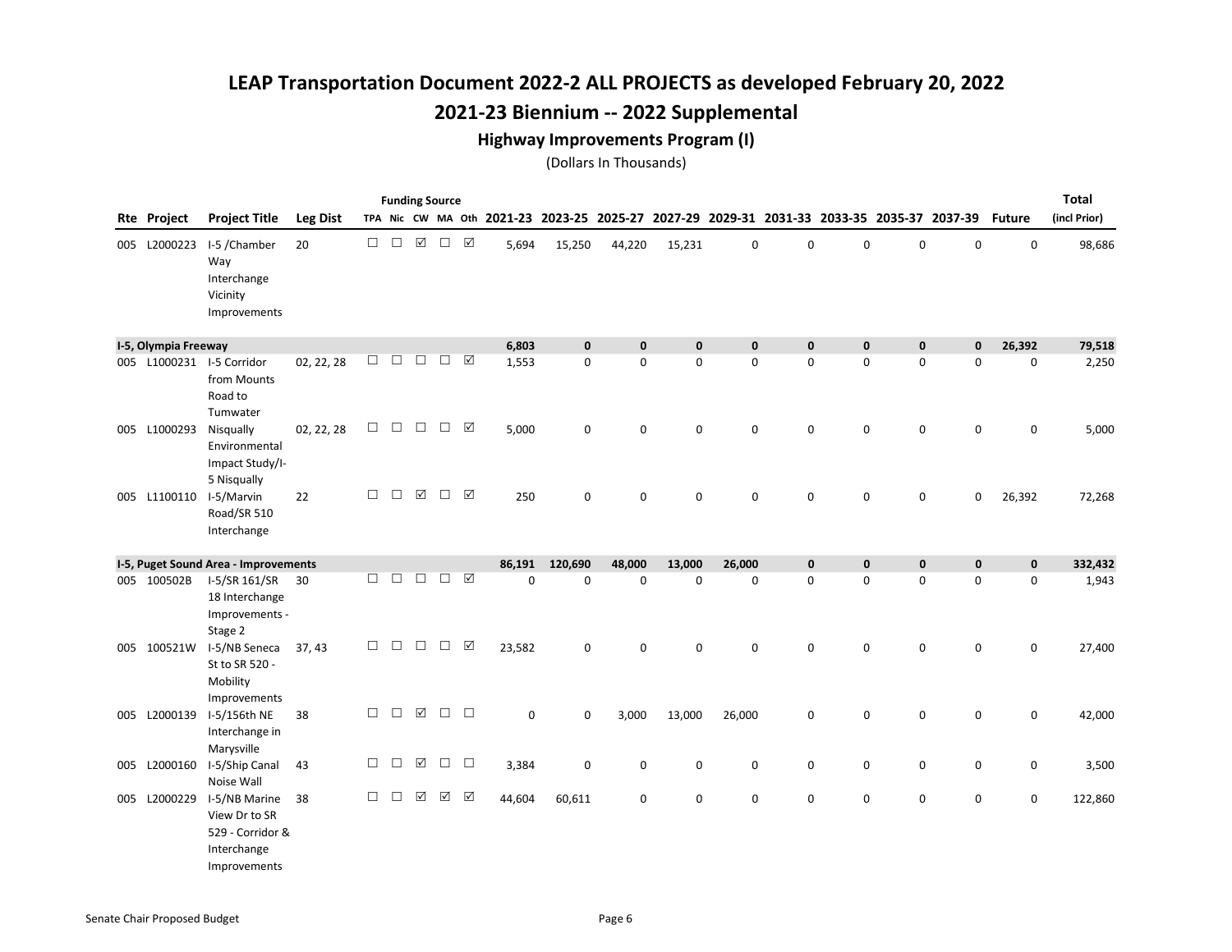#### Highway Improvements Program (I)

|     | <b>Funding Source</b><br>TPA Nic CW MA Oth 2021-23 2023-25 2025-27 2027-29 2029-31 2031-33 2033-35 2035-37 2037-39 |                                                                                   |                 |        |        |                 |          |                    |        |             |             |             |             |             | <b>Total</b> |             |             |               |              |
|-----|--------------------------------------------------------------------------------------------------------------------|-----------------------------------------------------------------------------------|-----------------|--------|--------|-----------------|----------|--------------------|--------|-------------|-------------|-------------|-------------|-------------|--------------|-------------|-------------|---------------|--------------|
|     | Rte Project                                                                                                        | <b>Project Title</b>                                                              | <b>Leg Dist</b> |        |        |                 |          |                    |        |             |             |             |             |             |              |             |             | <b>Future</b> | (incl Prior) |
|     | 005 L2000223                                                                                                       | I-5 / Chamber<br>Way<br>Interchange<br>Vicinity<br>Improvements                   | 20              | □      | $\Box$ | ☑               | $\Box$   | ☑                  | 5,694  | 15,250      | 44,220      | 15,231      | 0           | 0           | $\mathsf 0$  | 0           | $\mathbf 0$ | $\mathsf 0$   | 98,686       |
|     | I-5, Olympia Freeway                                                                                               |                                                                                   |                 |        |        |                 |          |                    | 6,803  | $\mathbf 0$ | $\mathbf 0$ | $\mathbf 0$ | $\mathbf 0$ | $\mathbf 0$ | $\pmb{0}$    | $\mathbf 0$ | $\mathbf 0$ | 26,392        | 79,518       |
|     |                                                                                                                    | 005 L1000231 I-5 Corridor<br>from Mounts<br>Road to<br>Tumwater                   | 02, 22, 28      | □      | $\Box$ | $\Box$          | $\Box$   | ☑                  | 1,553  | $\mathbf 0$ | $\mathbf 0$ | 0           | 0           | 0           | 0            | 0           | 0           | 0             | 2,250        |
|     | 005 L1000293                                                                                                       | Nisqually<br>Environmental<br>Impact Study/I-<br>5 Nisqually                      | 02, 22, 28      | $\Box$ | $\Box$ | $\Box$          | $\Box$   | ☑                  | 5,000  | $\mathbf 0$ | $\mathbf 0$ | 0           | 0           | 0           | 0            | 0           | 0           | 0             | 5,000        |
|     | 005 L1100110                                                                                                       | I-5/Marvin<br>Road/SR 510<br>Interchange                                          | 22              | $\Box$ | $\Box$ | $\triangledown$ | $\Box$   | $\triangledown$    | 250    | 0           | $\pmb{0}$   | 0           | 0           | 0           | $\mathbf 0$  | 0           | $\mathbf 0$ | 26,392        | 72,268       |
|     |                                                                                                                    | I-5, Puget Sound Area - Improvements                                              |                 |        |        |                 |          |                    | 86,191 | 120,690     | 48,000      | 13,000      | 26,000      | $\pmb{0}$   | $\pmb{0}$    | $\mathbf 0$ | $\mathbf 0$ | $\mathbf 0$   | 332,432      |
|     | 005 100502B                                                                                                        | I-5/SR 161/SR<br>18 Interchange<br>Improvements -<br>Stage 2                      | 30              | $\Box$ | $\Box$ | $\Box$          | $\Box$   | $\boxed{\text{V}}$ | 0      | $\mathbf 0$ | $\mathbf 0$ | 0           | 0           | 0           | 0            | 0           | 0           | 0             | 1,943        |
|     | 005 100521W                                                                                                        | I-5/NB Seneca<br>St to SR 520 -<br>Mobility<br>Improvements                       | 37, 43          | $\Box$ | $\Box$ | $\Box$          | $\Box$   | ☑                  | 23,582 | 0           | $\mathbf 0$ | $\mathbf 0$ | 0           | 0           | 0            | 0           | 0           | 0             | 27,400       |
|     | 005 L2000139                                                                                                       | I-5/156th NE<br>Interchange in<br>Marysville                                      | 38              | □      | $\Box$ | ☑               | $\Box$   | $\Box$             | 0      | $\mathbf 0$ | 3,000       | 13,000      | 26,000      | 0           | 0            | 0           | 0           | 0             | 42,000       |
| 005 | L2000160                                                                                                           | I-5/Ship Canal<br>Noise Wall                                                      | 43              | $\Box$ | $\Box$ | ☑               | $\Box$   | $\Box$             | 3,384  | $\mathbf 0$ | $\mathbf 0$ | 0           | 0           | 0           | 0            | 0           | 0           | 0             | 3,500        |
| 005 | L2000229                                                                                                           | I-5/NB Marine<br>View Dr to SR<br>529 - Corridor &<br>Interchange<br>Improvements | 38              | □      | $\Box$ | ☑               | $\Delta$ | $\triangledown$    | 44,604 | 60,611      | $\mathbf 0$ | 0           | 0           | 0           | 0            | 0           | $\mathbf 0$ | 0             | 122,860      |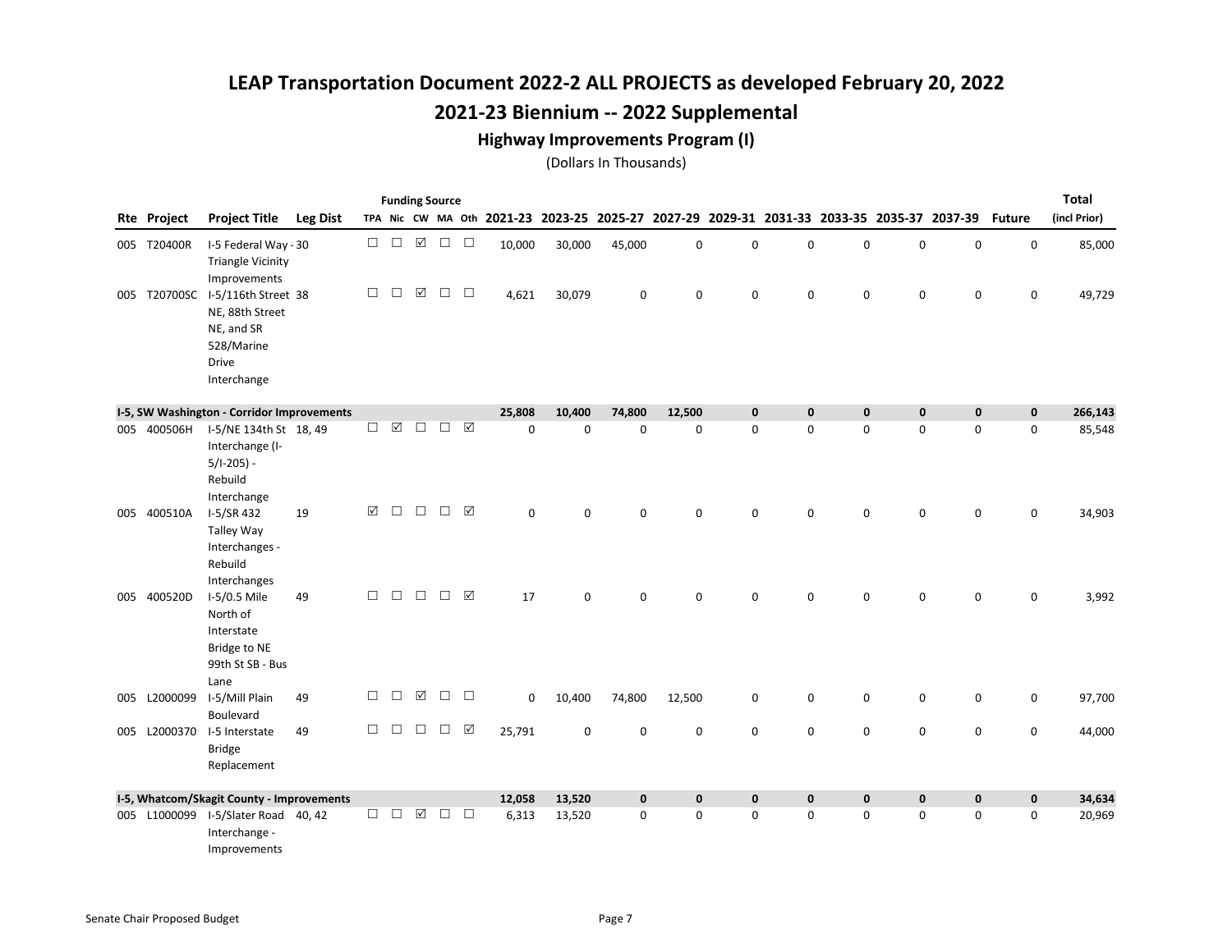#### Highway Improvements Program (I)

|     |             |                                                                                                                |                 |        |        |             | <b>Funding Source</b> |            |        |             |             |             |             |                                                                                           |             |             |                     |               | <b>Total</b> |
|-----|-------------|----------------------------------------------------------------------------------------------------------------|-----------------|--------|--------|-------------|-----------------------|------------|--------|-------------|-------------|-------------|-------------|-------------------------------------------------------------------------------------------|-------------|-------------|---------------------|---------------|--------------|
|     | Rte Project | <b>Project Title</b>                                                                                           | <b>Leg Dist</b> |        |        |             |                       |            |        |             |             |             |             | TPA Nic CW MA Oth 2021-23 2023-25 2025-27 2027-29 2029-31 2031-33 2033-35 2035-37 2037-39 |             |             |                     | <b>Future</b> | (incl Prior) |
|     | 005 T20400R | I-5 Federal Way - 30<br><b>Triangle Vicinity</b><br>Improvements                                               |                 | $\Box$ | $\Box$ | $\boxtimes$ | $\Box$                | $\Box$     | 10,000 | 30,000      | 45,000      | $\mathsf 0$ | $\mathbf 0$ | 0                                                                                         | $\mathbf 0$ | 0           | $\mathbf 0$         | $\mathsf 0$   | 85,000       |
|     |             | 005 T20700SC I-5/116th Street 38<br>NE, 88th Street<br>NE, and SR<br>528/Marine<br><b>Drive</b><br>Interchange |                 | $\Box$ | $\Box$ | $\boxtimes$ | $\Box$                | $\Box$     | 4,621  | 30,079      | $\mathbf 0$ | 0           | 0           | 0                                                                                         | $\mathbf 0$ | 0           | 0                   | 0             | 49,729       |
|     |             | I-5, SW Washington - Corridor Improvements                                                                     |                 |        |        |             |                       |            | 25,808 | 10,400      | 74,800      | 12,500      | $\mathbf 0$ | $\mathbf 0$                                                                               | $\mathbf 0$ | $\mathbf 0$ | $\mathbf 0$         | $\mathbf 0$   | 266,143      |
|     |             | 005 400506H I-5/NE 134th St 18, 49<br>Interchange (I-<br>$5/1-205$ ) -<br>Rebuild<br>Interchange               |                 | $\Box$ | ☑      | □           | $\Box$                | $\sqrt{ }$ | 0      | $\mathbf 0$ | 0           | $\mathsf 0$ | $\pmb{0}$   | 0                                                                                         | $\mathbf 0$ | 0           | $\mathsf 0$         | 0             | 85,548       |
| 005 | 400510A     | I-5/SR 432<br><b>Talley Way</b><br>Interchanges -<br>Rebuild<br>Interchanges                                   | 19              | ☑      | $\Box$ | $\Box$      | $\Box$                | ☑          | 0      | $\Omega$    | $\Omega$    | $\mathbf 0$ | 0           | 0                                                                                         | $\mathbf 0$ | 0           | 0                   | $\mathbf 0$   | 34,903       |
|     | 005 400520D | I-5/0.5 Mile<br>North of<br>Interstate<br>Bridge to NE<br>99th St SB - Bus<br>Lane                             | 49              | $\Box$ | $\Box$ | $\Box$      | $\Box$                | ☑          | 17     | $\mathbf 0$ | 0           | $\mathbf 0$ | $\mathbf 0$ | 0                                                                                         | 0           | 0           | 0                   | 0             | 3,992        |
| 005 |             | L2000099 I-5/Mill Plain<br>Boulevard                                                                           | 49              | □      | □      | ☑           | $\Box$                | $\Box$     | 0      | 10,400      | 74,800      | 12,500      | 0           | 0                                                                                         | $\mathsf 0$ | 0           | $\mathsf{O}\xspace$ | $\pmb{0}$     | 97,700       |
| 005 | L2000370    | I-5 Interstate<br><b>Bridge</b><br>Replacement                                                                 | 49              | $\Box$ | □      | $\Box$      | $\Box$                | ☑          | 25,791 | 0           | $\mathbf 0$ | 0           | 0           | 0                                                                                         | 0           | 0           | 0                   | 0             | 44,000       |
|     |             | I-5, Whatcom/Skagit County - Improvements                                                                      |                 |        |        |             |                       |            | 12,058 | 13,520      | $\pmb{0}$   | $\mathbf 0$ | $\mathbf 0$ | $\mathbf 0$                                                                               | $\mathbf 0$ | $\mathbf 0$ | $\mathbf 0$         | $\mathbf 0$   | 34,634       |
|     |             | 005 L1000099 I-5/Slater Road 40, 42<br>Interchange -<br>Improvements                                           |                 | $\Box$ | $\Box$ | ☑           | $\Box$                | $\Box$     | 6,313  | 13,520      | $\mathbf 0$ | $\mathbf 0$ | $\mathbf 0$ | 0                                                                                         | $\mathbf 0$ | 0           | 0                   | 0             | 20,969       |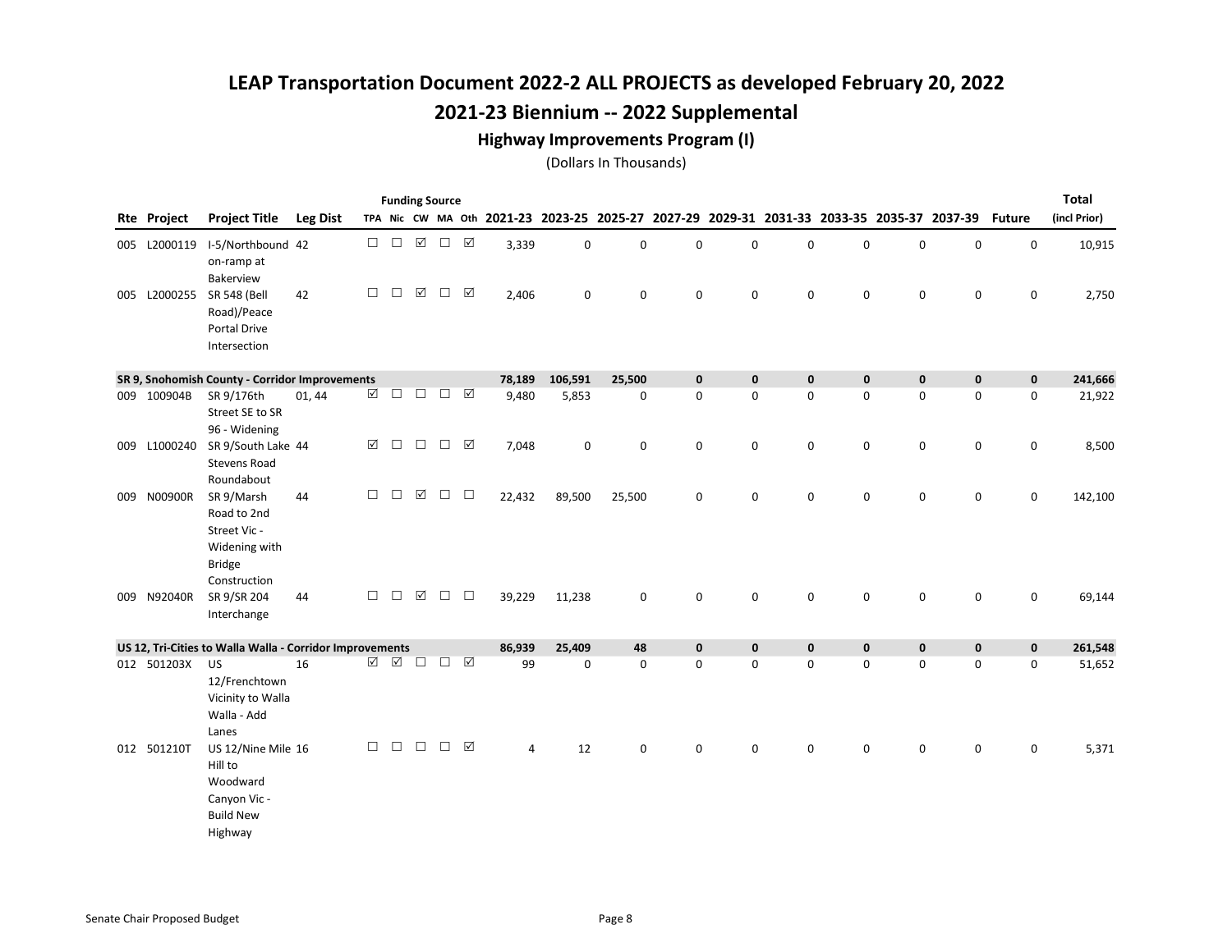#### Highway Improvements Program (I)

|              |                                                                                             |                 |          |        | <b>Funding Source</b> |        |                      |        |             |                                                                                           |             |   |             |             |             |             |               | <b>Total</b> |
|--------------|---------------------------------------------------------------------------------------------|-----------------|----------|--------|-----------------------|--------|----------------------|--------|-------------|-------------------------------------------------------------------------------------------|-------------|---|-------------|-------------|-------------|-------------|---------------|--------------|
| Rte Project  | <b>Project Title</b>                                                                        | <b>Leg Dist</b> |          |        |                       |        |                      |        |             | TPA Nic CW MA Oth 2021-23 2023-25 2025-27 2027-29 2029-31 2031-33 2033-35 2035-37 2037-39 |             |   |             |             |             |             | <b>Future</b> | (incl Prior) |
|              | 005 L2000119 I-5/Northbound 42<br>on-ramp at<br>Bakerview                                   |                 | $\Box$   | $\Box$ | $\boxed{\mathbf{N}}$  | $\Box$ | $\boxed{\checkmark}$ | 3,339  | $\pmb{0}$   | 0                                                                                         | 0           | 0 | 0           | 0           | $\mathsf 0$ | $\mathbf 0$ | $\mathsf 0$   | 10,915       |
|              | 005 L2000255 SR 548 (Bell<br>Road)/Peace<br>Portal Drive<br>Intersection                    | 42              | $\Box$   | $\Box$ | ☑                     | $\Box$ | ☑                    | 2,406  | 0           | $\mathbf 0$                                                                               | 0           | 0 | 0           | $\mathbf 0$ | $\mathsf 0$ | $\mathbf 0$ | 0             | 2,750        |
|              | SR 9, Snohomish County - Corridor Improvements                                              |                 |          |        |                       |        |                      | 78,189 | 106,591     | 25,500                                                                                    | $\mathbf 0$ | 0 | $\mathbf 0$ | $\mathbf 0$ | $\pmb{0}$   | $\mathbf 0$ | $\mathbf 0$   | 241,666      |
| 009 100904B  | SR 9/176th<br>Street SE to SR<br>96 - Widening                                              | 01, 44          | $\Delta$ | $\Box$ | $\Box$                | $\Box$ | ☑                    | 9,480  | 5,853       | 0                                                                                         | 0           | 0 | 0           | 0           | $\mathsf 0$ | 0           | 0             | 21,922       |
| 009 L1000240 | SR 9/South Lake 44<br><b>Stevens Road</b><br>Roundabout                                     |                 | ☑        | $\Box$ | $\Box$                | $\Box$ | ☑                    | 7,048  | 0           | 0                                                                                         | $\mathbf 0$ | 0 | 0           | $\mathbf 0$ | $\mathsf 0$ | $\mathbf 0$ | 0             | 8,500        |
| 009 N00900R  | SR 9/Marsh<br>Road to 2nd<br>Street Vic -<br>Widening with<br><b>Bridge</b><br>Construction | 44              | $\Box$   | $\Box$ | ☑                     | $\Box$ | $\Box$               | 22,432 | 89,500      | 25,500                                                                                    | $\mathbf 0$ | 0 | 0           | $\mathbf 0$ | $\mathbf 0$ | $\mathbf 0$ | $\mathbf 0$   | 142,100      |
| 009 N92040R  | SR 9/SR 204<br>Interchange                                                                  | 44              | $\Box$   | $\Box$ | ☑                     | $\Box$ | $\Box$               | 39,229 | 11,238      | 0                                                                                         | $\mathbf 0$ | 0 | $\mathsf 0$ | 0           | $\mathsf 0$ | $\mathbf 0$ | 0             | 69,144       |
|              | US 12, Tri-Cities to Walla Walla - Corridor Improvements                                    |                 |          |        |                       |        |                      | 86,939 | 25,409      | 48                                                                                        | $\mathbf 0$ | 0 | $\mathbf 0$ | $\mathbf 0$ | $\mathbf 0$ | $\mathbf 0$ | $\mathbf 0$   | 261,548      |
| 012 501203X  | <b>US</b><br>12/Frenchtown<br>Vicinity to Walla<br>Walla - Add<br>Lanes                     | 16              | ☑        | ☑      | $\Box$                | $\Box$ | ☑                    | 99     | $\mathbf 0$ | 0                                                                                         | $\mathbf 0$ | 0 | 0           | 0           | 0           | 0           | 0             | 51,652       |
| 012 501210T  | US 12/Nine Mile 16<br>Hill to<br>Woodward<br>Canyon Vic -<br><b>Build New</b><br>Highway    |                 | $\Box$   | $\Box$ | $\Box$                | $\Box$ | ☑                    | 4      | 12          | 0                                                                                         | $\mathbf 0$ | 0 | 0           | 0           | 0           | 0           | 0             | 5,371        |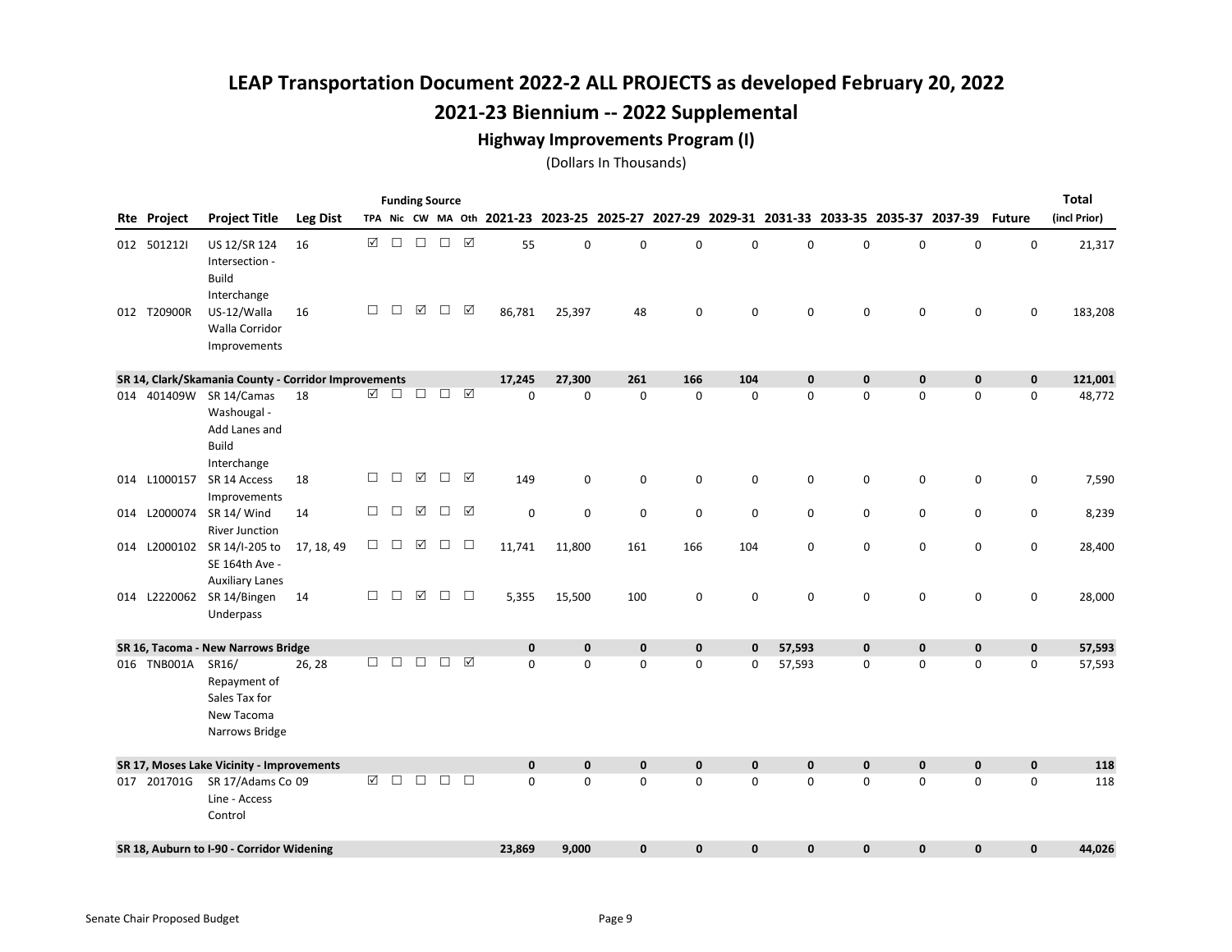#### Highway Improvements Program (I)

|                    |                                                                                        |                 |        |        |                 | <b>Funding Source</b> |                 |                                                                                           |              |              |              |              |             |             |             |             |               | <b>Total</b> |
|--------------------|----------------------------------------------------------------------------------------|-----------------|--------|--------|-----------------|-----------------------|-----------------|-------------------------------------------------------------------------------------------|--------------|--------------|--------------|--------------|-------------|-------------|-------------|-------------|---------------|--------------|
| <b>Rte Project</b> | <b>Project Title</b>                                                                   | <b>Leg Dist</b> |        |        |                 |                       |                 | TPA Nic CW MA Oth 2021-23 2023-25 2025-27 2027-29 2029-31 2031-33 2033-35 2035-37 2037-39 |              |              |              |              |             |             |             |             | <b>Future</b> | (incl Prior) |
| 012 5012121        | US 12/SR 124<br>Intersection -<br><b>Build</b>                                         | 16              | ☑      | $\Box$ | $\Box$          | $\Box$                | $\triangledown$ | 55                                                                                        | $\mathbf 0$  | 0            | $\mathbf 0$  | 0            | 0           | 0           | 0           | $\mathbf 0$ | 0             | 21,317       |
| 012 T20900R        | Interchange<br>US-12/Walla<br>Walla Corridor<br>Improvements                           | 16              | $\Box$ | $\Box$ | ☑               | $\Box$                | ☑               | 86,781                                                                                    | 25,397       | 48           | 0            | 0            | 0           | 0           | 0           | 0           | 0             | 183,208      |
|                    | SR 14, Clark/Skamania County - Corridor Improvements                                   |                 |        |        |                 |                       |                 | 17,245                                                                                    | 27,300       | 261          | 166          | 104          | $\mathbf 0$ | $\mathbf 0$ | $\mathbf 0$ | $\mathbf 0$ | $\mathbf 0$   | 121,001      |
|                    | 014 401409W SR 14/Camas<br>Washougal -<br>Add Lanes and<br><b>Build</b><br>Interchange | 18              | ☑      | $\Box$ | $\Box$          | □                     | ☑               | $\Omega$                                                                                  | $\mathbf 0$  | $\mathbf 0$  | $\mathbf 0$  | $\mathbf 0$  | 0           | $\mathbf 0$ | $\mathbf 0$ | $\mathbf 0$ | $\mathbf 0$   | 48,772       |
| 014 L1000157       | SR 14 Access<br>Improvements                                                           | 18              | $\Box$ | $\Box$ | ☑               | $\Box$                | ☑               | 149                                                                                       | 0            | $\mathsf 0$  | $\pmb{0}$    | 0            | 0           | $\pmb{0}$   | 0           | 0           | 0             | 7,590        |
|                    | 014 L2000074 SR 14/ Wind<br><b>River Junction</b>                                      | 14              | $\Box$ | $\Box$ | $\triangledown$ | □                     | ☑               | $\mathsf 0$                                                                               | 0            | 0            | 0            | 0            | 0           | 0           | 0           | 0           | 0             | 8,239        |
|                    | 014 L2000102 SR 14/I-205 to<br>SE 164th Ave -<br><b>Auxiliary Lanes</b>                | 17, 18, 49      | $\Box$ | $\Box$ | $\triangledown$ | $\Box$                | □               | 11,741                                                                                    | 11,800       | 161          | 166          | 104          | 0           | $\mathbf 0$ | 0           | $\mathbf 0$ | 0             | 28,400       |
|                    | 014 L2220062 SR 14/Bingen<br>Underpass                                                 | 14              | $\Box$ | $\Box$ | ☑               | $\Box$                | $\Box$          | 5,355                                                                                     | 15,500       | 100          | 0            | 0            | 0           | 0           | 0           | 0           | 0             | 28,000       |
|                    | SR 16, Tacoma - New Narrows Bridge                                                     |                 |        |        |                 |                       |                 | $\mathbf 0$                                                                               | $\mathbf 0$  | $\pmb{0}$    | $\pmb{0}$    | $\mathbf{0}$ | 57,593      | $\pmb{0}$   | $\pmb{0}$   | $\pmb{0}$   | $\pmb{0}$     | 57,593       |
| 016 TNB001A        | SR16/<br>Repayment of<br>Sales Tax for<br>New Tacoma<br>Narrows Bridge                 | 26, 28          | $\Box$ | П      | П               | П                     | ⊠               | $\Omega$                                                                                  | $\mathbf 0$  | $\Omega$     | $\mathbf 0$  | 0            | 57,593      | 0           | $\mathbf 0$ | $\mathbf 0$ | $\mathbf 0$   | 57,593       |
|                    | SR 17, Moses Lake Vicinity - Improvements                                              |                 |        |        |                 |                       |                 | $\mathbf{0}$                                                                              | $\mathbf{0}$ | $\pmb{0}$    | $\mathbf{0}$ | $\mathbf{0}$ | $\mathbf 0$ | $\bf{0}$    | $\mathbf 0$ | $\mathbf 0$ | $\mathbf{0}$  | 118          |
| 017 201701G        | SR 17/Adams Co 09<br>Line - Access<br>Control                                          |                 | ☑      | $\Box$ | $\Box$          | □                     | $\Box$          | $\Omega$                                                                                  | $\mathbf 0$  | 0            | $\mathbf 0$  | 0            | 0           | $\mathbf 0$ | $\mathbf 0$ | $\mathbf 0$ | $\mathbf 0$   | 118          |
|                    | SR 18, Auburn to I-90 - Corridor Widening                                              |                 |        |        |                 |                       |                 | 23,869                                                                                    | 9,000        | $\mathbf{0}$ | $\mathbf 0$  | $\mathbf{0}$ | 0           | 0           | 0           | 0           | $\mathbf 0$   | 44,026       |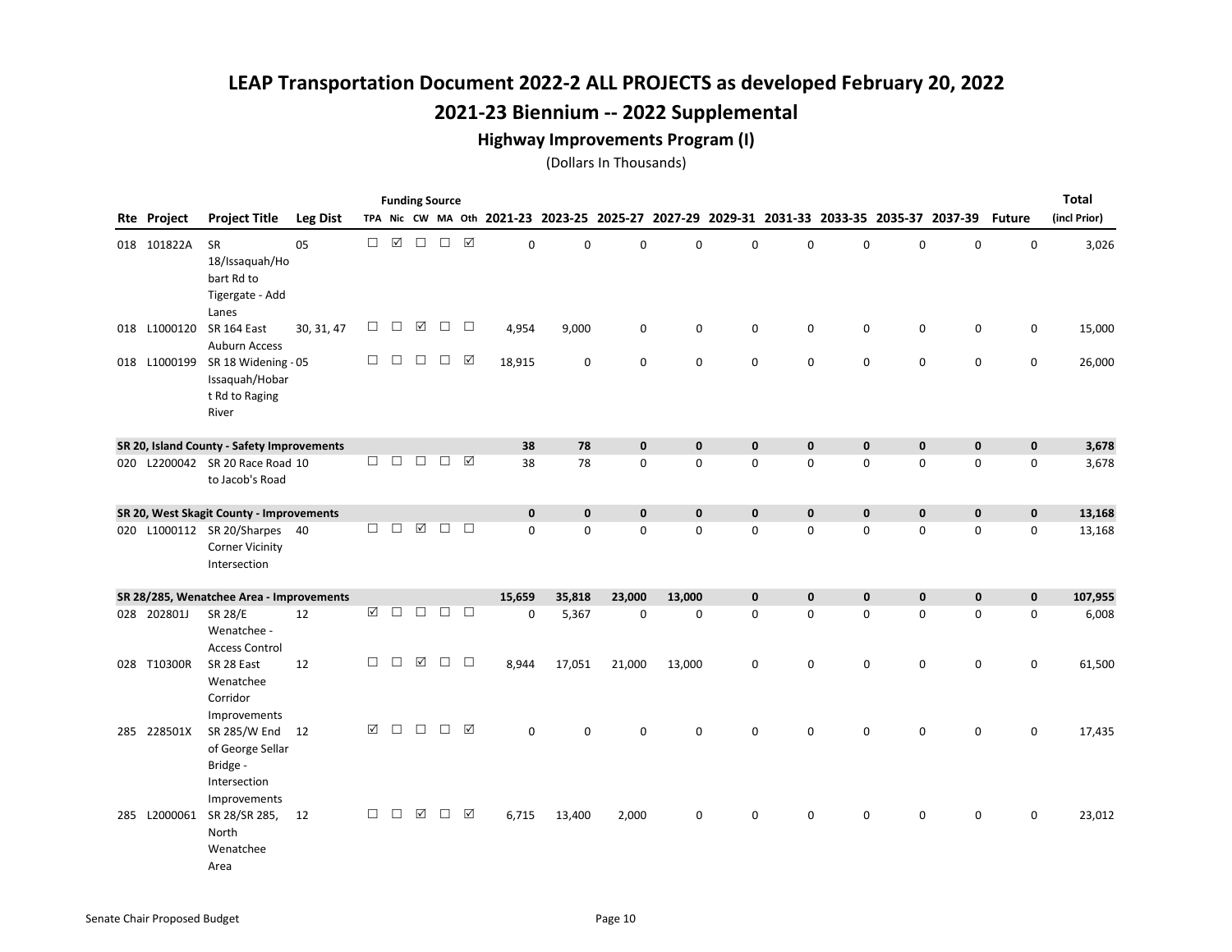#### Highway Improvements Program (I)

|              |                                                                                          |                 |        |        |                      | <b>Funding Source</b> |        |             |             |                                                                                           |              |              |              |             |              |              |               | <b>Total</b> |
|--------------|------------------------------------------------------------------------------------------|-----------------|--------|--------|----------------------|-----------------------|--------|-------------|-------------|-------------------------------------------------------------------------------------------|--------------|--------------|--------------|-------------|--------------|--------------|---------------|--------------|
| Rte Project  | <b>Project Title</b>                                                                     | <b>Leg Dist</b> |        |        |                      |                       |        |             |             | TPA Nic CW MA Oth 2021-23 2023-25 2025-27 2027-29 2029-31 2031-33 2033-35 2035-37 2037-39 |              |              |              |             |              |              | <b>Future</b> | (incl Prior) |
| 018 101822A  | <b>SR</b><br>18/Issaquah/Ho<br>bart Rd to<br>Tigergate - Add                             | 05              | $\Box$ | ☑      | $\Box$               | $\Box$                | ☑      | $\mathbf 0$ | $\mathbf 0$ | 0                                                                                         | $\mathbf 0$  | $\mathbf 0$  | 0            | $\mathbf 0$ | 0            | $\mathsf 0$  | $\pmb{0}$     | 3,026        |
|              | Lanes<br>018 L1000120 SR 164 East                                                        | 30, 31, 47      | □      | $\Box$ | $\boxed{\checkmark}$ | $\Box$                | $\Box$ | 4,954       | 9,000       | $\mathbf 0$                                                                               | $\mathbf 0$  | 0            | $\mathbf 0$  | $\mathbf 0$ | $\mathbf 0$  | $\mathbf 0$  | 0             | 15,000       |
| 018 L1000199 | <b>Auburn Access</b><br>SR 18 Widening - 05<br>Issaquah/Hobar<br>t Rd to Raging<br>River |                 | $\Box$ | $\Box$ | $\Box$               | $\Box$                | ☑      | 18,915      | $\mathbf 0$ | $\mathbf 0$                                                                               | $\mathbf 0$  | 0            | 0            | $\pmb{0}$   | 0            | $\mathbf 0$  | 0             | 26,000       |
|              | SR 20, Island County - Safety Improvements                                               |                 |        |        |                      |                       |        | 38          | 78          | $\mathbf{0}$                                                                              | $\mathbf{0}$ | $\mathbf{0}$ | $\mathbf{0}$ | $\pmb{0}$   | $\mathbf{0}$ | $\mathbf{0}$ | $\mathbf{0}$  | 3,678        |
|              | 020 L2200042 SR 20 Race Road 10<br>to Jacob's Road                                       |                 | $\Box$ | $\Box$ | $\Box$               | $\Box$                | ☑      | 38          | 78          | 0                                                                                         | $\mathsf 0$  | 0            | 0            | $\pmb{0}$   | 0            | $\mathsf 0$  | 0             | 3,678        |
|              | SR 20, West Skagit County - Improvements                                                 |                 |        |        |                      |                       |        | $\mathbf 0$ | $\mathbf 0$ | $\mathbf{0}$                                                                              | $\mathbf{0}$ | $\mathbf 0$  | 0            | $\pmb{0}$   | $\mathbf 0$  | $\mathbf 0$  | $\mathbf 0$   | 13,168       |
|              | 020 L1000112 SR 20/Sharpes 40<br><b>Corner Vicinity</b><br>Intersection                  |                 | $\Box$ | $\Box$ | $\boxed{\checkmark}$ | $\Box$                | $\Box$ | $\Omega$    | $\mathbf 0$ | 0                                                                                         | $\mathbf 0$  | $\mathbf 0$  | 0            | $\mathbf 0$ | $\mathbf 0$  | $\mathbf 0$  | $\mathbf 0$   | 13,168       |
|              | SR 28/285, Wenatchee Area - Improvements                                                 |                 |        |        |                      |                       |        | 15,659      | 35,818      | 23,000                                                                                    | 13,000       | $\mathbf 0$  | 0            | $\mathbf 0$ | $\mathbf 0$  | $\mathbf 0$  | $\mathbf 0$   | 107,955      |
| 028 202801J  | <b>SR 28/E</b><br>Wenatchee -<br><b>Access Control</b>                                   | 12              | ☑      | $\Box$ | □                    | $\Box$                | $\Box$ | $\mathbf 0$ | 5,367       | $\mathbf 0$                                                                               | $\mathbf 0$  | 0            | 0            | $\mathbf 0$ | $\mathbf 0$  | $\mathbf 0$  | 0             | 6,008        |
| 028 T10300R  | SR 28 East<br>Wenatchee<br>Corridor<br>Improvements                                      | 12              | □      | $\Box$ | ☑                    | $\Box$                | $\Box$ | 8,944       | 17,051      | 21,000                                                                                    | 13,000       | 0            | 0            | $\mathbf 0$ | $\mathbf 0$  | 0            | 0             | 61,500       |
| 285 228501X  | SR 285/W End 12<br>of George Sellar<br>Bridge -<br>Intersection                          |                 | ☑      | П      | П                    | $\Box$                | ☑      | $\Omega$    | $\Omega$    | 0                                                                                         | $\Omega$     | $\Omega$     | 0            | $\mathbf 0$ | $\mathbf 0$  | $\Omega$     | 0             | 17,435       |
| 285 L2000061 | Improvements<br>SR 28/SR 285,<br>North<br>Wenatchee<br>Area                              | 12              | $\Box$ | $\Box$ | $\triangledown$      | $\Box$                | ☑      | 6,715       | 13,400      | 2,000                                                                                     | $\mathbf 0$  | 0            | 0            | 0           | 0            | 0            | 0             | 23,012       |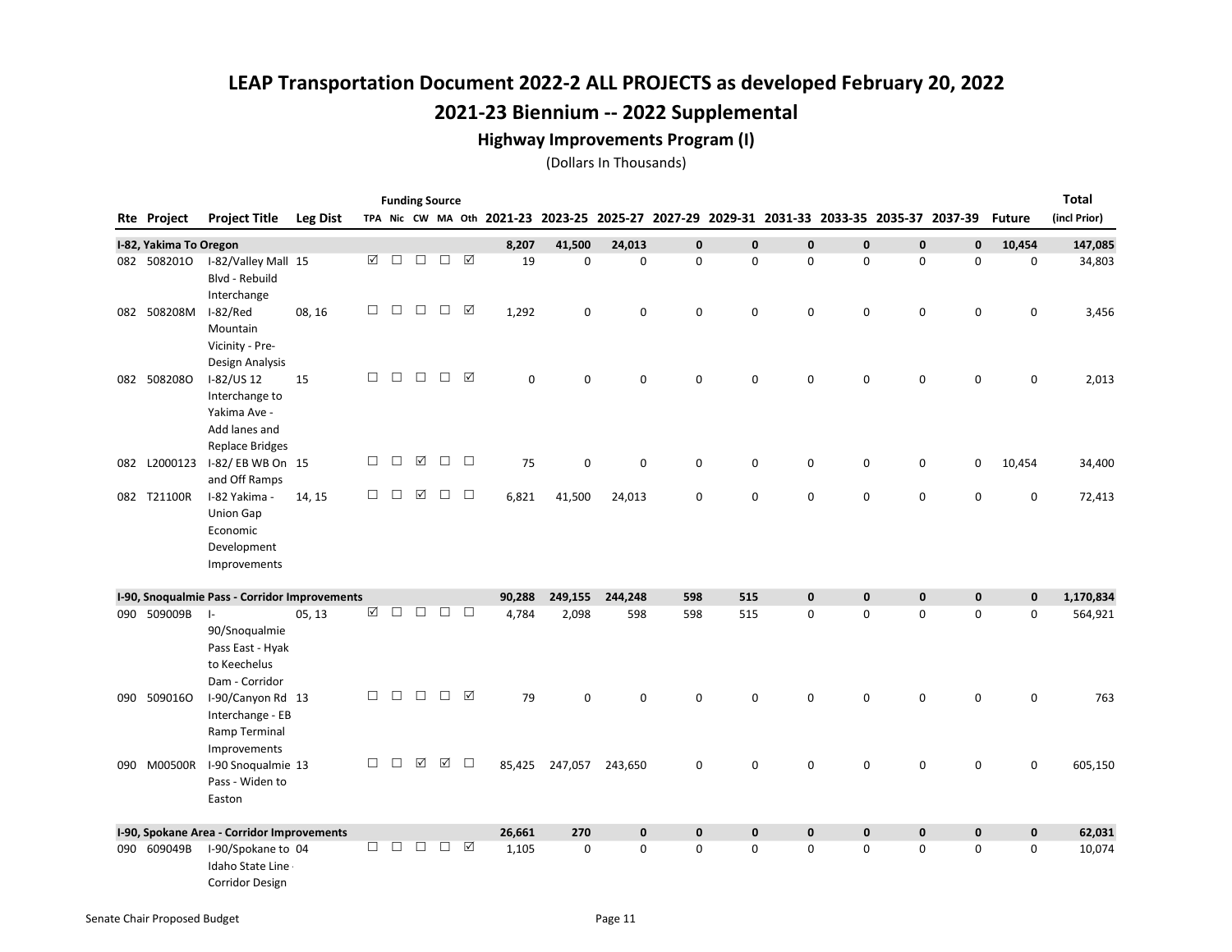#### Highway Improvements Program (I)

|     |                        |                                               |                 |        |        |        | <b>Funding Source</b> |                 |        |             |             |             |             |   |             |             |                                                                                           |               | <b>Total</b> |
|-----|------------------------|-----------------------------------------------|-----------------|--------|--------|--------|-----------------------|-----------------|--------|-------------|-------------|-------------|-------------|---|-------------|-------------|-------------------------------------------------------------------------------------------|---------------|--------------|
|     | Rte Project            | <b>Project Title</b>                          | <b>Leg Dist</b> |        |        |        |                       |                 |        |             |             |             |             |   |             |             | TPA Nic CW MA Oth 2021-23 2023-25 2025-27 2027-29 2029-31 2031-33 2033-35 2035-37 2037-39 | <b>Future</b> | (incl Prior) |
|     | I-82, Yakima To Oregon |                                               |                 |        |        |        |                       |                 | 8,207  | 41,500      | 24,013      | $\mathbf 0$ | $\mathbf 0$ | 0 | 0           | $\mathbf 0$ | $\mathbf 0$                                                                               | 10,454        | 147,085      |
|     | 082 5082010            | I-82/Valley Mall 15                           |                 | ☑      | $\Box$ | $\Box$ | $\Box$                |                 | 19     | $\mathbf 0$ | 0           | 0           | 0           | 0 | 0           | 0           | 0                                                                                         | 0             | 34,803       |
|     |                        | Blvd - Rebuild                                |                 |        |        |        |                       |                 |        |             |             |             |             |   |             |             |                                                                                           |               |              |
|     |                        | Interchange                                   |                 | □      | $\Box$ | $\Box$ | $\Box$                | ☑               |        |             |             |             |             |   |             |             |                                                                                           |               |              |
|     | 082 508208M            | I-82/Red<br>Mountain                          | 08, 16          |        |        |        |                       |                 | 1,292  | 0           | 0           | 0           | $\mathbf 0$ | 0 | $\mathbf 0$ | 0           | $\mathsf{O}\xspace$                                                                       | 0             | 3,456        |
|     |                        | Vicinity - Pre-                               |                 |        |        |        |                       |                 |        |             |             |             |             |   |             |             |                                                                                           |               |              |
|     |                        | Design Analysis                               |                 |        |        |        |                       |                 |        |             |             |             |             |   |             |             |                                                                                           |               |              |
|     | 082 5082080            | I-82/US 12                                    | 15              | □      | $\Box$ | $\Box$ | $\Box$                | ☑               | 0      | 0           | 0           | 0           | 0           | 0 | 0           | 0           | 0                                                                                         | 0             | 2,013        |
|     |                        | Interchange to                                |                 |        |        |        |                       |                 |        |             |             |             |             |   |             |             |                                                                                           |               |              |
|     |                        | Yakima Ave -                                  |                 |        |        |        |                       |                 |        |             |             |             |             |   |             |             |                                                                                           |               |              |
|     |                        | Add lanes and                                 |                 |        |        |        |                       |                 |        |             |             |             |             |   |             |             |                                                                                           |               |              |
|     |                        | <b>Replace Bridges</b>                        |                 |        |        |        |                       |                 |        |             |             |             |             |   |             |             |                                                                                           |               |              |
|     | 082 L2000123           | I-82/EBWBOn 15<br>and Off Ramps               |                 | $\Box$ | $\Box$ | ☑      | $\Box$                | $\Box$          | 75     | 0           | 0           | 0           | 0           | 0 | $\pmb{0}$   | 0           | 0                                                                                         | 10,454        | 34,400       |
|     | 082 T21100R            | I-82 Yakima -                                 | 14, 15          | $\Box$ | □      | ☑      | $\Box$                | $\Box$          | 6,821  | 41,500      | 24,013      | 0           | 0           | 0 | $\mathbf 0$ | 0           | 0                                                                                         | 0             | 72,413       |
|     |                        | Union Gap                                     |                 |        |        |        |                       |                 |        |             |             |             |             |   |             |             |                                                                                           |               |              |
|     |                        | Economic                                      |                 |        |        |        |                       |                 |        |             |             |             |             |   |             |             |                                                                                           |               |              |
|     |                        | Development                                   |                 |        |        |        |                       |                 |        |             |             |             |             |   |             |             |                                                                                           |               |              |
|     |                        | Improvements                                  |                 |        |        |        |                       |                 |        |             |             |             |             |   |             |             |                                                                                           |               |              |
|     |                        | I-90, Snoqualmie Pass - Corridor Improvements |                 |        |        |        |                       |                 | 90.288 | 249,155     | 244,248     | 598         | 515         | 0 | $\pmb{0}$   | $\mathbf 0$ | $\mathbf 0$                                                                               | $\mathbf 0$   | 1,170,834    |
|     | 090 509009B            | $\vert$ -                                     | 05, 13          | ☑      | $\Box$ | □      | $\Box$                | $\Box$          | 4,784  | 2,098       | 598         | 598         | 515         | 0 | 0           | 0           | $\mathbf 0$                                                                               | 0             | 564,921      |
|     |                        | 90/Snoqualmie                                 |                 |        |        |        |                       |                 |        |             |             |             |             |   |             |             |                                                                                           |               |              |
|     |                        | Pass East - Hyak                              |                 |        |        |        |                       |                 |        |             |             |             |             |   |             |             |                                                                                           |               |              |
|     |                        | to Keechelus                                  |                 |        |        |        |                       |                 |        |             |             |             |             |   |             |             |                                                                                           |               |              |
|     |                        | Dam - Corridor                                |                 |        |        |        |                       |                 |        |             |             |             |             |   |             |             |                                                                                           |               |              |
| 090 | 5090160                | I-90/Canyon Rd 13                             |                 | □      | $\Box$ | $\Box$ | $\Box$                | $\triangledown$ | 79     | $\mathbf 0$ | 0           | $\mathbf 0$ | 0           | 0 | 0           | 0           | 0                                                                                         | 0             | 763          |
|     |                        | Interchange - EB                              |                 |        |        |        |                       |                 |        |             |             |             |             |   |             |             |                                                                                           |               |              |
|     |                        | Ramp Terminal                                 |                 |        |        |        |                       |                 |        |             |             |             |             |   |             |             |                                                                                           |               |              |
|     | 090 M00500R            | Improvements<br>I-90 Snoqualmie 13            |                 | □      | П      | ☑      | ☑                     | $\Box$          | 85,425 | 247,057     | 243,650     | 0           | 0           | 0 | 0           | 0           | 0                                                                                         | 0             | 605,150      |
|     |                        | Pass - Widen to                               |                 |        |        |        |                       |                 |        |             |             |             |             |   |             |             |                                                                                           |               |              |
|     |                        | Easton                                        |                 |        |        |        |                       |                 |        |             |             |             |             |   |             |             |                                                                                           |               |              |
|     |                        |                                               |                 |        |        |        |                       |                 |        |             |             |             |             |   |             |             |                                                                                           |               |              |
|     |                        | I-90, Spokane Area - Corridor Improvements    |                 |        |        |        |                       |                 | 26,661 | 270         | $\mathbf 0$ | $\mathbf 0$ | $\mathbf 0$ | 0 | 0           | $\pmb{0}$   | $\pmb{0}$                                                                                 | $\mathbf 0$   | 62,031       |
|     | 090 609049B            | I-90/Spokane to 04<br>Idaho State Line        |                 | $\Box$ | $\Box$ | $\Box$ | $\Box$                | ☑               | 1,105  | $\mathbf 0$ | 0           | $\mathbf 0$ | 0           | 0 | 0           | 0           | 0                                                                                         | 0             | 10,074       |
|     |                        | <b>Corridor Design</b>                        |                 |        |        |        |                       |                 |        |             |             |             |             |   |             |             |                                                                                           |               |              |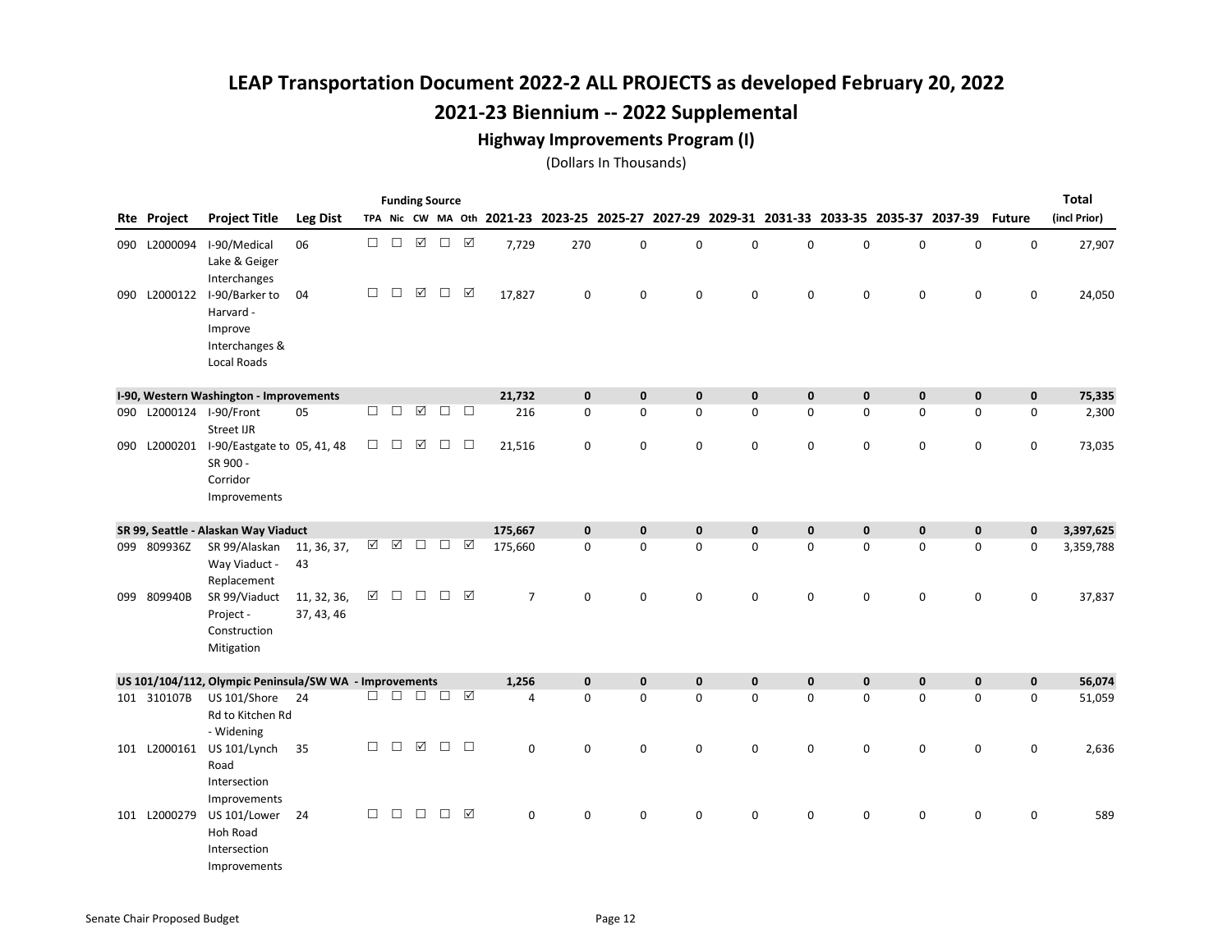#### Highway Improvements Program (I)

|     |                         |                                                                                                |                           |        |        |             | <b>Funding Source</b> |                 |                                           |              |              |              |              |             |             |             |                                                 |               | <b>Total</b> |
|-----|-------------------------|------------------------------------------------------------------------------------------------|---------------------------|--------|--------|-------------|-----------------------|-----------------|-------------------------------------------|--------------|--------------|--------------|--------------|-------------|-------------|-------------|-------------------------------------------------|---------------|--------------|
|     | Rte Project             | <b>Project Title</b>                                                                           | <b>Leg Dist</b>           |        |        |             |                       |                 | TPA Nic CW MA Oth 2021-23 2023-25 2025-27 |              |              |              |              |             |             |             | 2027-29 2029-31 2031-33 2033-35 2035-37 2037-39 | <b>Future</b> | (incl Prior) |
|     | 090 L2000094            | I-90/Medical<br>Lake & Geiger                                                                  | 06                        | $\Box$ | $\Box$ | $\boxtimes$ | $\Box$                | $\Delta$        | 7,729                                     | 270          | 0            | $\mathbf 0$  | $\mathbf 0$  | 0           | $\mathbf 0$ | $\mathbf 0$ | $\mathbf 0$                                     | 0             | 27,907       |
|     | 090 L2000122            | Interchanges<br>I-90/Barker to<br>Harvard -<br>Improve<br>Interchanges &<br><b>Local Roads</b> | 04                        | $\Box$ | $\Box$ | ☑           | $\Box$                | ☑               | 17,827                                    | $\mathbf 0$  | 0            | $\mathbf 0$  | $\mathbf 0$  | $\mathbf 0$ | $\mathbf 0$ | $\mathbf 0$ | 0                                               | $\mathbf 0$   | 24,050       |
|     |                         | I-90, Western Washington - Improvements                                                        |                           |        |        |             |                       |                 | 21,732                                    | $\mathbf 0$  | $\mathbf{0}$ | $\mathbf 0$  | $\mathbf{0}$ | 0           | $\mathbf 0$ | $\mathbf 0$ | $\mathbf 0$                                     | $\mathbf 0$   | 75,335       |
|     | 090 L2000124 I-90/Front |                                                                                                | 05                        | $\Box$ | П      | ☑           | $\Box$                | $\Box$          | 216                                       | 0            | $\mathbf 0$  | $\mathbf 0$  | 0            | 0           | 0           | 0           | 0                                               | 0             | 2,300        |
|     |                         | <b>Street IJR</b>                                                                              |                           |        |        |             |                       |                 |                                           |              |              |              |              |             |             |             |                                                 |               |              |
|     |                         | 090 L2000201 I-90/Eastgate to 05, 41, 48<br>SR 900 -<br>Corridor<br>Improvements               |                           | $\Box$ | $\Box$ | ☑           | $\Box$                | $\Box$          | 21,516                                    | $\mathbf 0$  | 0            | $\pmb{0}$    | 0            | 0           | 0           | $\mathsf 0$ | $\mathsf 0$                                     | 0             | 73,035       |
|     |                         | SR 99, Seattle - Alaskan Way Viaduct                                                           |                           |        |        |             |                       |                 | 175,667                                   | $\mathbf 0$  | $\mathbf 0$  | $\pmb{0}$    | $\pmb{0}$    | $\pmb{0}$   | $\pmb{0}$   | $\pmb{0}$   | $\mathbf 0$                                     | $\mathbf 0$   | 3,397,625    |
|     | 099 809936Z             | SR 99/Alaskan<br>Way Viaduct -<br>Replacement                                                  | 11, 36, 37,<br>43         | ☑      | ☑      | $\Box$      | $\Box$                | ☑               | 175,660                                   | $\mathbf 0$  | $\mathbf 0$  | $\mathbf 0$  | $\Omega$     | 0           | $\mathbf 0$ | 0           | $\mathbf 0$                                     | $\mathbf 0$   | 3,359,788    |
| 099 | 809940B                 | SR 99/Viaduct<br>Project -<br>Construction<br>Mitigation                                       | 11, 32, 36,<br>37, 43, 46 | ☑      | $\Box$ | $\Box$      | $\Box$                | $\triangledown$ | $\overline{7}$                            | $\mathbf 0$  | 0            | $\mathbf 0$  | $\mathbf 0$  | 0           | $\mathbf 0$ | 0           | $\mathbf 0$                                     | $\mathbf 0$   | 37,837       |
|     |                         | US 101/104/112, Olympic Peninsula/SW WA - Improvements                                         |                           |        |        |             |                       |                 | 1,256                                     | $\mathbf{0}$ | $\mathbf{0}$ | $\mathbf{0}$ | $\mathbf{0}$ | $\pmb{0}$   | $\mathbf 0$ | $\mathbf 0$ | $\mathbf 0$                                     | $\mathbf 0$   | 56,074       |
|     | 101 310107B             | US 101/Shore<br>Rd to Kitchen Rd<br>- Widening                                                 | 24                        | $\Box$ |        |             |                       |                 | 4                                         | 0            | 0            | $\pmb{0}$    | 0            | 0           | 0           | 0           | 0                                               | 0             | 51,059       |
|     |                         | 101 L2000161 US 101/Lynch<br>Road<br>Intersection<br>Improvements                              | 35                        | $\Box$ | $\Box$ | ☑           | $\Box$                | $\Box$          | $\mathbf 0$                               | $\mathbf 0$  | 0            | 0            | $\mathbf 0$  | 0           | 0           | 0           | $\mathbf 0$                                     | 0             | 2,636        |
|     | 101 L2000279            | US 101/Lower<br>Hoh Road<br>Intersection<br>Improvements                                       | 24                        | $\Box$ | $\Box$ | $\Box$      | $\Box$                | $\triangledown$ | $\mathbf 0$                               | $\mathbf 0$  | 0            | 0            | $\mathbf 0$  | 0           | 0           | 0           | 0                                               | 0             | 589          |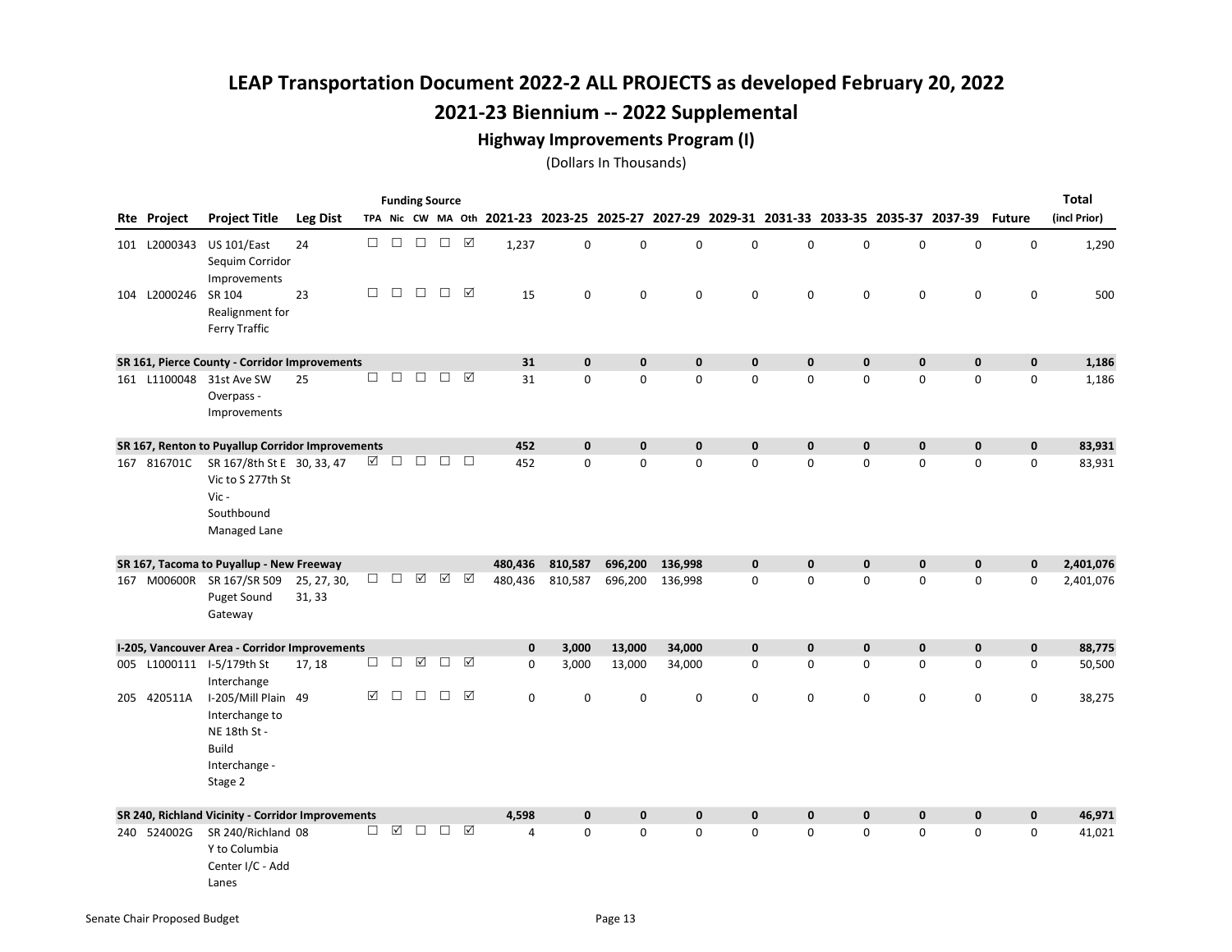#### Highway Improvements Program (I)

|                     |                                                                                                   |                       |        |                 |                      | <b>Funding Source</b> |                 |              |              |                                                                                           |              |              |              |             |             |              |               | <b>Total</b> |
|---------------------|---------------------------------------------------------------------------------------------------|-----------------------|--------|-----------------|----------------------|-----------------------|-----------------|--------------|--------------|-------------------------------------------------------------------------------------------|--------------|--------------|--------------|-------------|-------------|--------------|---------------|--------------|
| Rte Project         | <b>Project Title</b>                                                                              | <b>Leg Dist</b>       |        |                 |                      |                       |                 |              |              | TPA Nic CW MA Oth 2021-23 2023-25 2025-27 2027-29 2029-31 2031-33 2033-35 2035-37 2037-39 |              |              |              |             |             |              | <b>Future</b> | (incl Prior) |
| 101 L2000343        | <b>US 101/East</b><br>Sequim Corridor                                                             | 24                    | $\Box$ | $\Box$          | $\Box$               | $\Box$                | ☑               | 1,237        | 0            | 0                                                                                         | 0            | $\mathbf 0$  | 0            | 0           | 0           | $\mathbf 0$  | 0             | 1,290        |
| 104 L2000246 SR 104 | Improvements<br>Realignment for<br>Ferry Traffic                                                  | 23                    | $\Box$ | $\Box$          | $\Box$               | $\Box$                | ☑               | 15           | 0            | 0                                                                                         | $\mathbf 0$  | 0            | 0            | 0           | 0           | 0            | 0             | 500          |
|                     | SR 161, Pierce County - Corridor Improvements                                                     |                       |        |                 |                      |                       |                 | 31           | $\mathbf 0$  | $\mathbf 0$                                                                               | $\mathbf{0}$ | $\mathbf{0}$ | 0            | 0           | 0           | $\mathbf 0$  | $\mathbf{0}$  | 1,186        |
| 161 L1100048        | 31st Ave SW<br>Overpass -<br>Improvements                                                         | 25                    | $\Box$ | $\Box$          | $\Box$               | $\Box$                | ☑               | 31           | $\mathbf 0$  | 0                                                                                         | $\mathbf 0$  | $\mathbf 0$  | 0            | 0           | 0           | 0            | 0             | 1,186        |
|                     | SR 167, Renton to Puyallup Corridor Improvements                                                  |                       |        |                 |                      |                       |                 | 452          | $\mathbf{0}$ | $\mathbf{0}$                                                                              | $\mathbf{0}$ | $\mathbf{0}$ | $\mathbf 0$  | $\mathbf 0$ | 0           | $\mathbf 0$  | $\mathbf{0}$  | 83,931       |
| 167 816701C         | SR 167/8th St E 30, 33, 47<br>Vic to S 277th St<br>Vic-<br>Southbound<br>Managed Lane             |                       | ☑      | $\Box$          | $\Box$               | $\Box$                | $\Box$          | 452          | $\mathbf 0$  | 0                                                                                         | $\mathbf 0$  | 0            | 0            | 0           | 0           | $\mathbf 0$  | 0             | 83,931       |
|                     | SR 167, Tacoma to Puyallup - New Freeway                                                          |                       |        |                 |                      |                       |                 | 480,436      | 810,587      | 696,200                                                                                   | 136,998      | $\mathbf 0$  | $\mathbf 0$  | $\mathbf 0$ | $\pmb{0}$   | $\mathbf 0$  | $\bf{0}$      | 2,401,076    |
|                     | 167 M00600R SR 167/SR 509<br>Puget Sound<br>Gateway                                               | 25, 27, 30,<br>31, 33 | $\Box$ | $\Box$          | ☑                    | ☑                     | ☑               | 480,436      | 810,587      | 696,200                                                                                   | 136,998      | 0            | 0            | 0           | 0           | $\mathsf 0$  | $\mathbf 0$   | 2,401,076    |
|                     | I-205, Vancouver Area - Corridor Improvements                                                     |                       |        |                 |                      |                       |                 | $\mathbf{0}$ | 3,000        | 13,000                                                                                    | 34,000       | $\mathbf{0}$ | $\mathbf{0}$ | $\mathbf 0$ | $\mathbf 0$ | $\mathbf 0$  | $\pmb{0}$     | 88,775       |
|                     | 005 L1000111 I-5/179th St<br>Interchange                                                          | 17, 18                | $\Box$ | $\Box$          | $\boxed{\checkmark}$ | $\Box$                | ☑               | 0            | 3,000        | 13,000                                                                                    | 34,000       | 0            | 0            | 0           | 0           | $\mathbf 0$  | 0             | 50,500       |
| 205 420511A         | I-205/Mill Plain 49<br>Interchange to<br>NE 18th St -<br><b>Build</b><br>Interchange -<br>Stage 2 |                       | ☑      | $\Box$          | $\Box$               | $\Box$                | ☑               | 0            | $\mathbf 0$  | 0                                                                                         | $\mathbf 0$  | $\mathbf 0$  | 0            | 0           | 0           | $\mathbf 0$  | 0             | 38,275       |
|                     | SR 240, Richland Vicinity - Corridor Improvements                                                 |                       |        |                 |                      |                       |                 | 4,598        | $\mathbf{0}$ | $\mathbf{0}$                                                                              | $\mathbf{0}$ | $\mathbf{0}$ | $\mathbf{0}$ | $\mathbf 0$ | $\mathbf 0$ | $\mathbf{0}$ | $\mathbf{0}$  | 46,971       |
| 240 524002G         | SR 240/Richland 08<br>Y to Columbia<br>Center I/C - Add<br>Lanes                                  |                       | $\Box$ | $\triangledown$ | $\Box$               | $\Box$                | $\triangledown$ | 4            | $\Omega$     | $\Omega$                                                                                  | $\Omega$     | $\Omega$     | $\Omega$     | $\Omega$    | 0           | $\mathbf 0$  | $\Omega$      | 41,021       |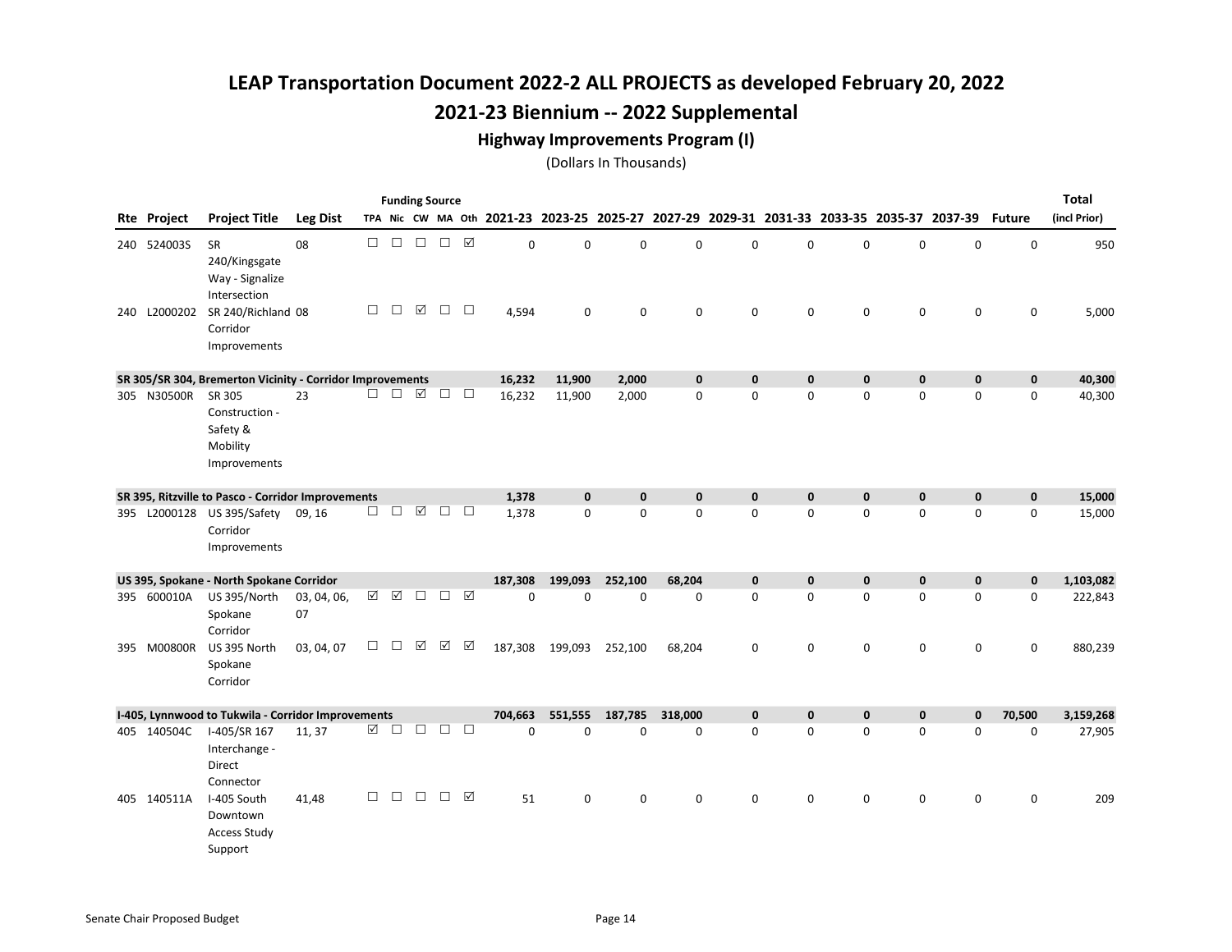#### Highway Improvements Program (I)

|                    |                                                               |                   |             |        |                      | <b>Funding Source</b> |                 |                                           |              |              |              |              |                                                 |             |             |                    |               | Total        |
|--------------------|---------------------------------------------------------------|-------------------|-------------|--------|----------------------|-----------------------|-----------------|-------------------------------------------|--------------|--------------|--------------|--------------|-------------------------------------------------|-------------|-------------|--------------------|---------------|--------------|
| Rte Project        | <b>Project Title</b>                                          | <b>Leg Dist</b>   |             |        |                      |                       |                 | TPA Nic CW MA Oth 2021-23 2023-25 2025-27 |              |              |              |              | 2027-29 2029-31 2031-33 2033-35 2035-37 2037-39 |             |             |                    | <b>Future</b> | (incl Prior) |
| 240 524003S        | <b>SR</b><br>240/Kingsgate<br>Way - Signalize<br>Intersection | 08                | $\Box$      | $\Box$ | $\Box$               | $\Box$                | $\boxed{\sqrt}$ | 0                                         | $\mathbf 0$  | 0            | $\mathbf 0$  | $\Omega$     | 0                                               | 0           | 0           | $\mathbf 0$        | $\mathbf 0$   | 950          |
| 240 L2000202       | SR 240/Richland 08<br>Corridor<br>Improvements                |                   | $\Box$      | $\Box$ | ☑                    | $\Box$                | $\Box$          | 4,594                                     | 0            | 0            | $\mathbf 0$  | $\mathbf 0$  | 0                                               | $\mathbf 0$ | 0           | 0                  | 0             | 5,000        |
|                    | SR 305/SR 304, Bremerton Vicinity - Corridor Improvements     |                   |             |        |                      |                       |                 | 16,232                                    | 11,900       | 2,000        | $\mathbf 0$  | $\mathbf 0$  | 0                                               | $\mathbf 0$ | $\pmb{0}$   | $\pmb{\mathsf{o}}$ | $\mathbf 0$   | 40,300       |
| 305 N30500R SR 305 | Construction -<br>Safety &<br>Mobility<br>Improvements        | 23                | П.          | $\Box$ | $\boxed{\checkmark}$ | $\Box$                | $\Box$          | 16,232                                    | 11,900       | 2,000        | $\mathbf 0$  | $\mathbf 0$  | 0                                               | $\mathbf 0$ | 0           | $\mathbf 0$        | $\mathbf 0$   | 40,300       |
|                    | SR 395, Ritzville to Pasco - Corridor Improvements            |                   |             |        |                      |                       |                 | 1,378                                     | $\mathbf{0}$ | $\mathbf{0}$ | $\mathbf{0}$ | $\mathbf{0}$ | 0                                               | $\mathbf 0$ | 0           | $\mathbf{0}$       | $\mathbf{0}$  | 15,000       |
|                    | 395 L2000128 US 395/Safety<br>Corridor<br>Improvements        | 09, 16            | □           | $\Box$ | $\triangledown$      | $\Box$                | $\Box$          | 1,378                                     | $\mathbf 0$  | 0            | $\mathbf 0$  | $\mathbf 0$  | 0                                               | 0           | $\mathsf 0$ | $\mathbf 0$        | $\mathbf 0$   | 15,000       |
|                    | US 395, Spokane - North Spokane Corridor                      |                   |             |        |                      |                       |                 | 187,308                                   | 199,093      | 252,100      | 68,204       | $\mathbf 0$  | 0                                               | $\mathbf 0$ | $\mathbf 0$ | $\mathbf 0$        | $\mathbf 0$   | 1,103,082    |
| 395 600010A        | US 395/North<br>Spokane<br>Corridor                           | 03, 04, 06,<br>07 | $\boxtimes$ | ☑      | $\Box$               | $\Box$ $\Box$         |                 | 0                                         | 0            | 0            | 0            | 0            | 0                                               | 0           | 0           | $\mathsf 0$        | 0             | 222,843      |
| 395 M00800R        | US 395 North<br>Spokane<br>Corridor                           | 03, 04, 07        | П           | П      | ☑                    | ☑                     | ☑               | 187,308                                   | 199,093      | 252,100      | 68,204       | $\mathbf 0$  | 0                                               | $\mathbf 0$ | 0           | $\mathbf 0$        | $\mathbf 0$   | 880,239      |
|                    | I-405, Lynnwood to Tukwila - Corridor Improvements            |                   |             |        |                      |                       |                 | 704,663                                   | 551,555      | 187,785      | 318,000      | $\mathbf{0}$ | $\mathbf{0}$                                    | $\mathbf 0$ | $\mathbf 0$ | $\mathbf{0}$       | 70,500        | 3,159,268    |
| 405 140504C        | I-405/SR 167<br>Interchange -<br><b>Direct</b><br>Connector   | 11, 37            | ☑           | $\Box$ | $\Box$               | П                     | $\Box$          | 0                                         | 0            | 0            | $\mathbf 0$  | 0            | 0                                               | $\mathbf 0$ | 0           | $\mathbf 0$        | 0             | 27,905       |
| 405 140511A        | I-405 South<br>Downtown<br><b>Access Study</b><br>Support     | 41,48             | П           | П      | $\Box$               | $\Box$                | ☑               | 51                                        | $\mathbf 0$  | 0            | $\mathbf 0$  | $\Omega$     | 0                                               | $\mathbf 0$ | 0           | $\mathbf 0$        | $\mathbf 0$   | 209          |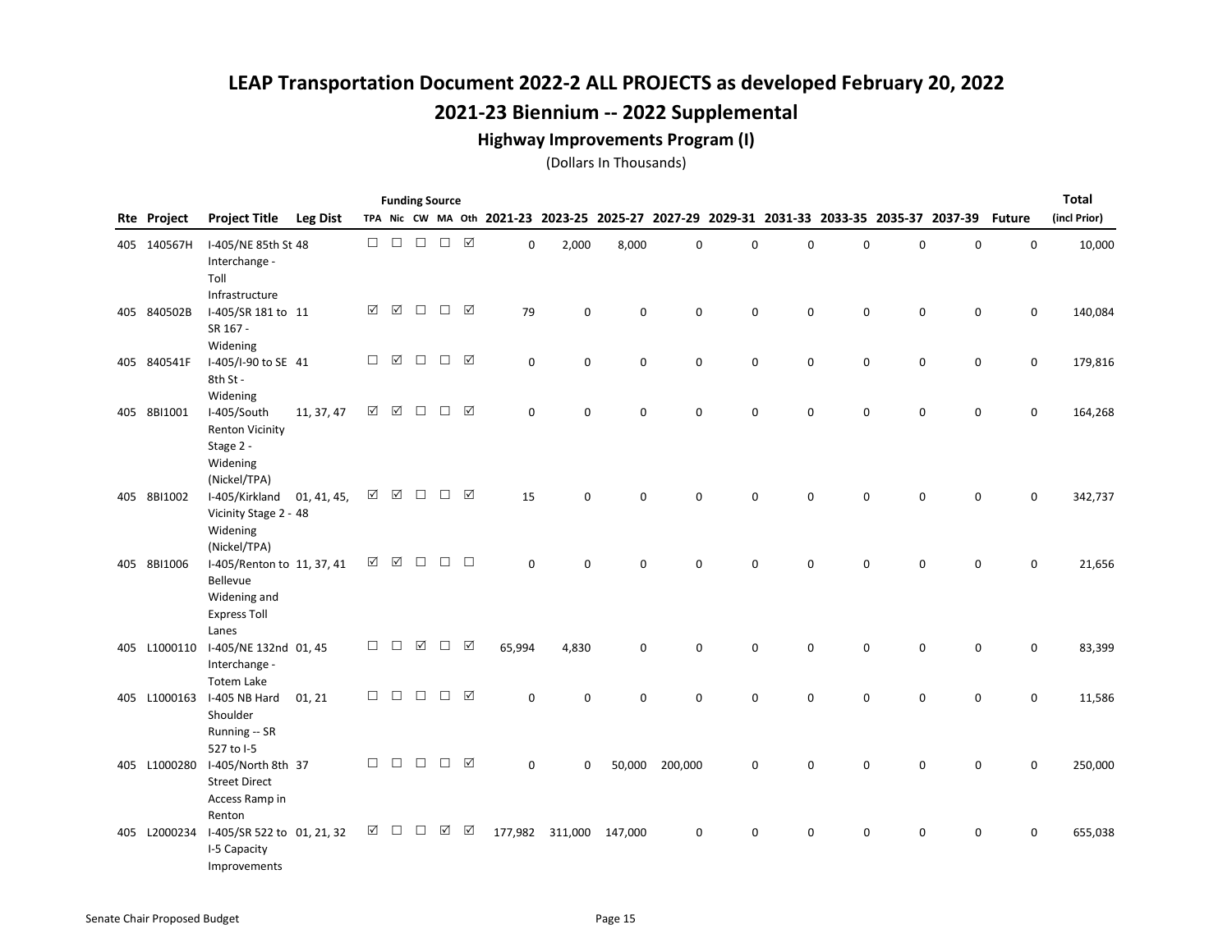#### Highway Improvements Program (I)

|                    |                                                                                        |                 |        |        |        | <b>Funding Source</b> |                 |                                                                                           |             |         |             |   |             |   |             |             |               | <b>Total</b> |
|--------------------|----------------------------------------------------------------------------------------|-----------------|--------|--------|--------|-----------------------|-----------------|-------------------------------------------------------------------------------------------|-------------|---------|-------------|---|-------------|---|-------------|-------------|---------------|--------------|
| <b>Rte Project</b> | <b>Project Title</b>                                                                   | <b>Leg Dist</b> |        |        |        |                       |                 | TPA Nic CW MA Oth 2021-23 2023-25 2025-27 2027-29 2029-31 2031-33 2033-35 2035-37 2037-39 |             |         |             |   |             |   |             |             | <b>Future</b> | (incl Prior) |
| 405 140567H        | I-405/NE 85th St 48<br>Interchange -<br>Toll                                           |                 | $\Box$ | $\Box$ | $\Box$ | $\Box$ \  \, \Box     |                 | 0                                                                                         | 2,000       | 8,000   | $\mathsf 0$ | 0 | $\mathbf 0$ | 0 | $\mathsf 0$ | $\mathsf 0$ | $\mathbf 0$   | 10,000       |
| 405 840502B        | Infrastructure<br>I-405/SR 181 to 11<br>SR 167 -<br>Widening                           |                 | ☑      | ☑      | $\Box$ | $\Box$                | $\triangledown$ | 79                                                                                        | $\mathbf 0$ | 0       | $\mathsf 0$ | 0 | 0           | 0 | $\mathsf 0$ | 0           | $\mathsf 0$   | 140,084      |
| 405 840541F        | I-405/I-90 to SE 41<br>8th St -<br>Widening                                            |                 | $\Box$ | ☑      | $\Box$ | $\Box$                | ☑               | 0                                                                                         | 0           | 0       | 0           | 0 | 0           | 0 | 0           | 0           | 0             | 179,816      |
| 405 8BI1001        | I-405/South<br><b>Renton Vicinity</b><br>Stage 2 -<br>Widening<br>(Nickel/TPA)         | 11, 37, 47      | ☑      | ☑      | $\Box$ | □                     | $\triangledown$ | 0                                                                                         | 0           | 0       | $\mathbf 0$ | 0 | 0           | 0 | 0           | 0           | 0             | 164,268      |
| 405 8BI1002        | I-405/Kirkland<br>Vicinity Stage 2 - 48<br>Widening<br>(Nickel/TPA)                    | 01, 41, 45,     | ☑      | ☑      | □      | □                     | $\triangledown$ | 15                                                                                        | $\Omega$    | 0       | $\mathbf 0$ | 0 | $\mathbf 0$ | 0 | $\mathbf 0$ | 0           | $\mathsf 0$   | 342,737      |
| 405 8BI1006        | I-405/Renton to 11, 37, 41<br>Bellevue<br>Widening and<br><b>Express Toll</b><br>Lanes |                 | ☑      | ☑      | П      | П                     | $\Box$          | $\mathbf 0$                                                                               | $\Omega$    | 0       | $\Omega$    | 0 | 0           | 0 | $\mathbf 0$ | 0           | $\mathbf 0$   | 21,656       |
| 405 L1000110       | I-405/NE 132nd 01, 45<br>Interchange -<br><b>Totem Lake</b>                            |                 | $\Box$ | $\Box$ | ☑      | $\Box$                | ☑               | 65,994                                                                                    | 4,830       | 0       | 0           | 0 | 0           | 0 | 0           | $\mathbf 0$ | 0             | 83,399       |
| 405 L1000163       | I-405 NB Hard<br>Shoulder<br>Running -- SR<br>527 to I-5                               | 01, 21          | $\Box$ | $\Box$ | $\Box$ | □                     | $\triangledown$ | 0                                                                                         | 0           | 0       | $\mathbf 0$ | 0 | $\mathbf 0$ | 0 | $\mathsf 0$ | 0           | $\mathsf 0$   | 11,586       |
| 405 L1000280       | I-405/North 8th 37<br><b>Street Direct</b><br>Access Ramp in<br>Renton                 |                 | $\Box$ | $\Box$ | $\Box$ | $\Box$                | ☑               | $\mathbf 0$                                                                               | 0           | 50,000  | 200,000     | 0 | 0           | 0 | 0           | 0           | 0             | 250,000      |
| 405 L2000234       | I-405/SR 522 to 01, 21, 32<br>I-5 Capacity<br>Improvements                             |                 | ☑      | □      | □      | ☑                     | ☑               | 177,982                                                                                   | 311,000     | 147,000 | $\mathbf 0$ | 0 | 0           | 0 | $\mathbf 0$ | 0           | $\mathbf 0$   | 655,038      |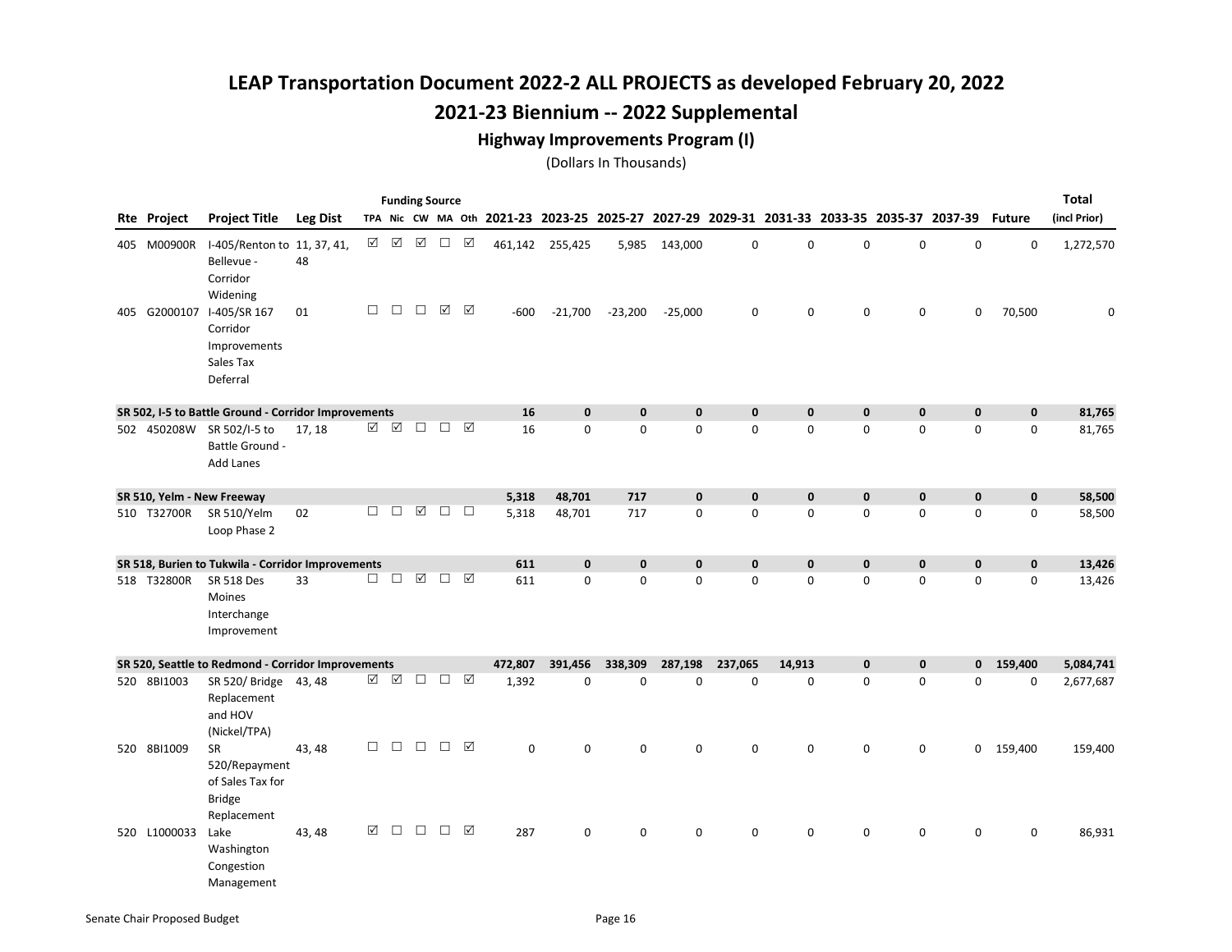#### Highway Improvements Program (I)

|              |                                                                                |                  |          |             | <b>Funding Source</b> |                 |         |                 |              |              |              |              |              |                                                                                                  |              |             | <b>Total</b> |
|--------------|--------------------------------------------------------------------------------|------------------|----------|-------------|-----------------------|-----------------|---------|-----------------|--------------|--------------|--------------|--------------|--------------|--------------------------------------------------------------------------------------------------|--------------|-------------|--------------|
| Rte Project  | <b>Project Title</b>                                                           | <b>Leg Dist</b>  |          |             |                       |                 |         |                 |              |              |              |              |              | TPA Nic CW MA Oth 2021-23 2023-25 2025-27 2027-29 2029-31 2031-33 2033-35 2035-37 2037-39 Future |              |             | (incl Prior) |
| 405 M00900R  | I-405/Renton to 11, 37, 41,<br>Bellevue -<br>Corridor<br>Widening              | ☑<br>48          | $\Delta$ | ☑           | $\Box$                | ☑               |         | 461,142 255,425 | 5,985        | 143,000      | 0            | $\mathbf 0$  | $\mathbf 0$  | 0                                                                                                | 0            | $\mathbf 0$ | 1,272,570    |
|              | 405 G2000107 I-405/SR 167<br>Corridor<br>Improvements<br>Sales Tax<br>Deferral | $\Box$<br>01     | □        | $\Box$      | ☑                     | ☑               | $-600$  | $-21,700$       | $-23,200$    | $-25,000$    | 0            | $\mathbf 0$  | $\mathbf 0$  | $\mathbf 0$                                                                                      | 0            | 70,500      | $\mathbf 0$  |
|              | SR 502, I-5 to Battle Ground - Corridor Improvements                           |                  |          |             |                       |                 | 16      | $\mathbf{0}$    | $\bf{0}$     | $\mathbf 0$  | $\mathbf 0$  | $\mathbf 0$  | $\mathbf 0$  | $\mathbf 0$                                                                                      | $\mathbf 0$  | $\mathbf 0$ | 81,765       |
|              | 502 450208W SR 502/I-5 to<br>Battle Ground -<br><b>Add Lanes</b>               | ☑<br>17, 18      | ☑        | $\Box$      | $\Box$                | ☑               | 16      | $\mathbf 0$     | 0            | 0            | $\mathbf 0$  | $\mathbf 0$  | $\mathbf 0$  | 0                                                                                                | 0            | 0           | 81,765       |
|              | SR 510, Yelm - New Freeway                                                     |                  |          |             |                       |                 | 5,318   | 48,701          | 717          | $\mathbf{0}$ | $\mathbf{0}$ | $\mathbf{0}$ | $\mathbf{0}$ | $\mathbf{0}$                                                                                     | $\mathbf{0}$ | $\mathbf 0$ | 58,500       |
| 510 T32700R  | SR 510/Yelm<br>Loop Phase 2                                                    | $\Box$<br>02     | $\Box$   | $\boxtimes$ | $\Box$ $\Box$         |                 | 5,318   | 48,701          | 717          | 0            | $\mathbf 0$  | $\Omega$     | $\Omega$     | 0                                                                                                | 0            | 0           | 58,500       |
|              | SR 518, Burien to Tukwila - Corridor Improvements                              |                  |          |             |                       |                 | 611     | $\mathbf 0$     | $\mathbf 0$  | $\mathbf 0$  | $\mathbf 0$  | $\bf{0}$     | $\mathbf 0$  | $\mathbf 0$                                                                                      | $\mathbf 0$  | $\mathbf 0$ | 13,426       |
| 518 T32800R  | <b>SR 518 Des</b><br>Moines<br>Interchange<br>Improvement                      | $\Box$<br>33     | $\Box$   | $\boxtimes$ | □                     | $\triangledown$ | 611     | $\mathbf 0$     | 0            | 0            | $\mathbf 0$  | $\mathbf 0$  | $\mathbf 0$  | $\mathbf 0$                                                                                      | 0            | 0           | 13,426       |
|              | SR 520, Seattle to Redmond - Corridor Improvements                             |                  |          |             |                       |                 | 472,807 | 391,456         | 338,309      | 287,198      | 237,065      | 14,913       | $\mathbf{0}$ | $\mathbf 0$                                                                                      | $\mathbf{0}$ | 159,400     | 5,084,741    |
| 520 8BI1003  | SR 520/ Bridge 43, 48<br>Replacement<br>and HOV<br>(Nickel/TPA)                |                  | ☑ ☑      | $\Box$      | □ ☑                   |                 | 1,392   | $\Omega$        | $\mathbf{0}$ | $\Omega$     | $\Omega$     | $\Omega$     | $\Omega$     | $\Omega$                                                                                         | 0            | $\mathbf 0$ | 2,677,687    |
| 520 8BI1009  | <b>SR</b><br>520/Repayment<br>of Sales Tax for<br><b>Bridge</b><br>Replacement | $\Box$<br>43, 48 | $\Box$   | $\Box$      | □                     | ☑               | 0       | 0               | 0            | 0            | 0            | $\mathbf 0$  | 0            | 0                                                                                                |              | 0 159,400   | 159,400      |
| 520 L1000033 | Lake<br>Washington<br>Congestion<br>Management                                 | ☑<br>43, 48      | $\Box$   | $\Box$      | П.                    | ☑               | 287     | $\mathbf 0$     | 0            | 0            | 0            | $\mathbf 0$  | 0            | 0                                                                                                | 0            | 0           | 86,931       |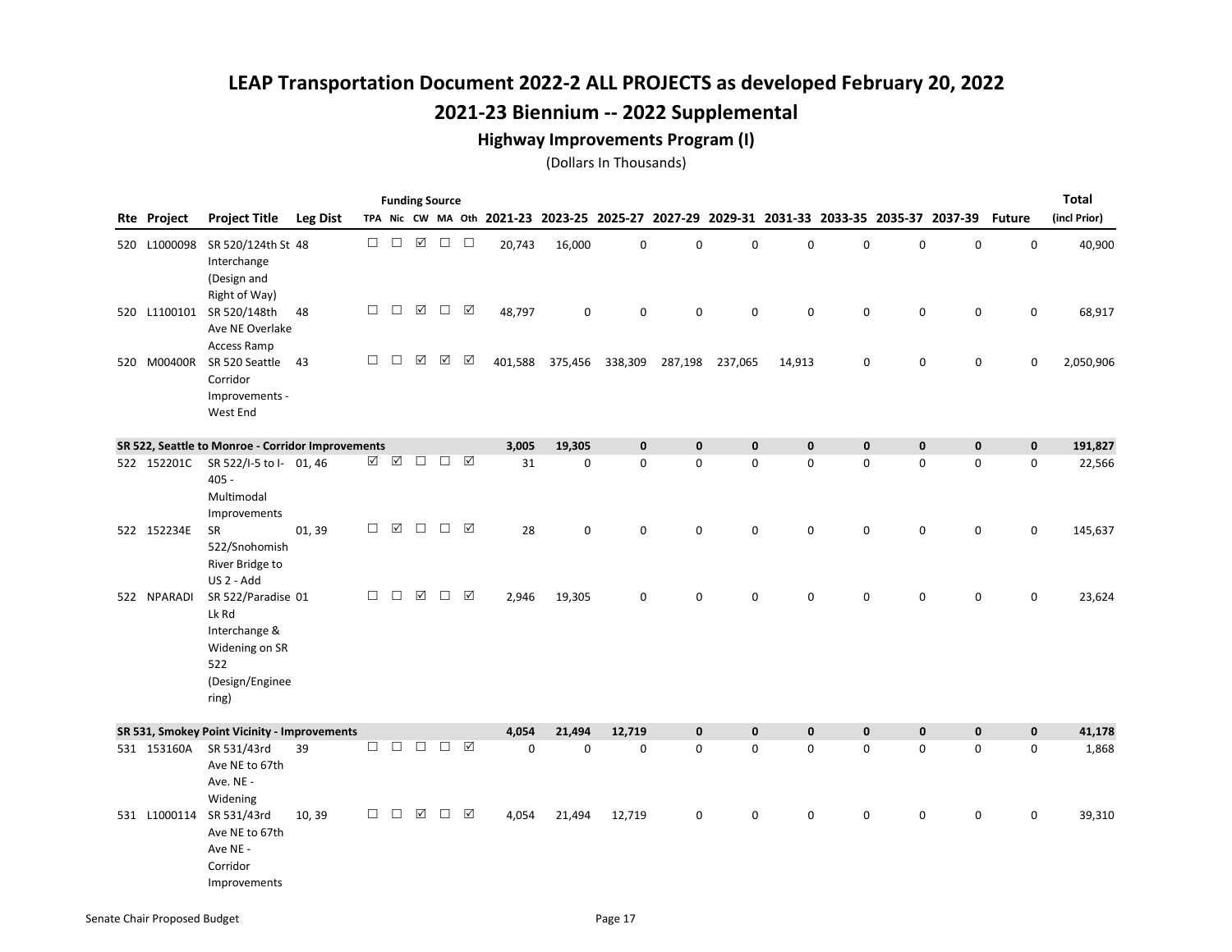#### Highway Improvements Program (I)

|     |                    |                                                                                                   |                 |        |          | <b>Funding Source</b> |                      |                 |             |             |                                                                                           |             |             |        |             |             |             |               | <b>Total</b> |
|-----|--------------------|---------------------------------------------------------------------------------------------------|-----------------|--------|----------|-----------------------|----------------------|-----------------|-------------|-------------|-------------------------------------------------------------------------------------------|-------------|-------------|--------|-------------|-------------|-------------|---------------|--------------|
|     | <b>Rte Project</b> | <b>Project Title</b>                                                                              | <b>Leg Dist</b> |        |          |                       |                      |                 |             |             | TPA Nic CW MA Oth 2021-23 2023-25 2025-27 2027-29 2029-31 2031-33 2033-35 2035-37 2037-39 |             |             |        |             |             |             | <b>Future</b> | (incl Prior) |
|     | 520 L1000098       | SR 520/124th St 48<br>Interchange<br>(Design and                                                  |                 | $\Box$ | $\Box$   | $\boxed{\mathcal{N}}$ | $\Box$               | $\Box$          | 20,743      | 16,000      | $\mathbf 0$                                                                               | $\mathbf 0$ | $\mathbf 0$ | 0      | 0           | $\mathsf 0$ | $\mathbf 0$ | $\mathsf 0$   | 40,900       |
|     |                    | Right of Way)<br>520 L1100101 SR 520/148th<br>Ave NE Overlake<br><b>Access Ramp</b>               | 48              | $\Box$ | $\Box$   | $\boxtimes$           | $\Box$               | ☑               | 48,797      | $\mathbf 0$ | $\mathbf 0$                                                                               | $\mathbf 0$ | $\mathbf 0$ | 0      | 0           | $\mathsf 0$ | $\mathbf 0$ | 0             | 68,917       |
| 520 | M00400R            | SR 520 Seattle<br>Corridor<br>Improvements -<br>West End                                          | 43              | $\Box$ | $\Box$   | $\boxtimes$           | $\boxed{\mathbf{N}}$ | ☑               | 401,588     | 375,456     | 338,309                                                                                   | 287,198     | 237,065     | 14,913 | 0           | 0           | $\mathbf 0$ | 0             | 2,050,906    |
|     |                    | SR 522, Seattle to Monroe - Corridor Improvements                                                 |                 |        |          |                       |                      |                 | 3,005       | 19,305      | $\mathbf 0$                                                                               | $\mathbf 0$ | $\mathbf 0$ | 0      | $\pmb{0}$   | 0           | $\mathbf 0$ | $\mathbf 0$   | 191,827      |
|     | 522 152201C        | SR 522/I-5 to I- 01, 46<br>$405 -$<br>Multimodal<br>Improvements                                  |                 | ☑      | ☑        | $\Box$                | $\Box$               | $\triangledown$ | 31          | $\mathbf 0$ | $\mathbf 0$                                                                               | $\mathbf 0$ | 0           | 0      | 0           | 0           | $\mathbf 0$ | $\mathbf 0$   | 22,566       |
|     | 522 152234E        | <b>SR</b><br>522/Snohomish<br>River Bridge to<br>US 2 - Add                                       | 01, 39          | $\Box$ | $\Delta$ | $\Box$                | $\Box$               | ☑               | 28          | $\mathbf 0$ | $\mathbf 0$                                                                               | 0           | 0           | 0      | 0           | 0           | 0           | 0             | 145,637      |
|     | 522 NPARADI        | SR 522/Paradise 01<br>Lk Rd<br>Interchange &<br>Widening on SR<br>522<br>(Design/Enginee<br>ring) |                 | $\Box$ | $\Box$   | $\boxtimes$           | $\Box$               | ☑               | 2,946       | 19,305      | $\mathbf 0$                                                                               | $\Omega$    | $\mathbf 0$ | 0      | $\mathbf 0$ | 0           | $\mathbf 0$ | $\mathbf 0$   | 23,624       |
|     |                    | SR 531, Smokey Point Vicinity - Improvements                                                      |                 |        |          |                       |                      |                 | 4,054       | 21,494      | 12,719                                                                                    | $\mathbf 0$ | $\mathbf 0$ | 0      | $\pmb{0}$   | 0           | $\mathbf 0$ | $\mathbf 0$   | 41,178       |
|     | 531 153160A        | SR 531/43rd<br>Ave NE to 67th<br>Ave. NE -<br>Widening                                            | 39              | $\Box$ | $\Box$   | $\Box$                | $\Box$               | ☑               | $\mathsf 0$ | $\mathbf 0$ | $\mathbf 0$                                                                               | 0           | 0           | 0      | 0           | 0           | 0           | $\mathbf 0$   | 1,868        |
|     |                    | 531 L1000114 SR 531/43rd<br>Ave NE to 67th<br>Ave NE -<br>Corridor<br>Improvements                | 10,39           | □      | П        | ☑                     | П                    | ☑               | 4,054       | 21,494      | 12,719                                                                                    | 0           | $\Omega$    | 0      | 0           | 0           | $\mathbf 0$ | $\mathbf 0$   | 39,310       |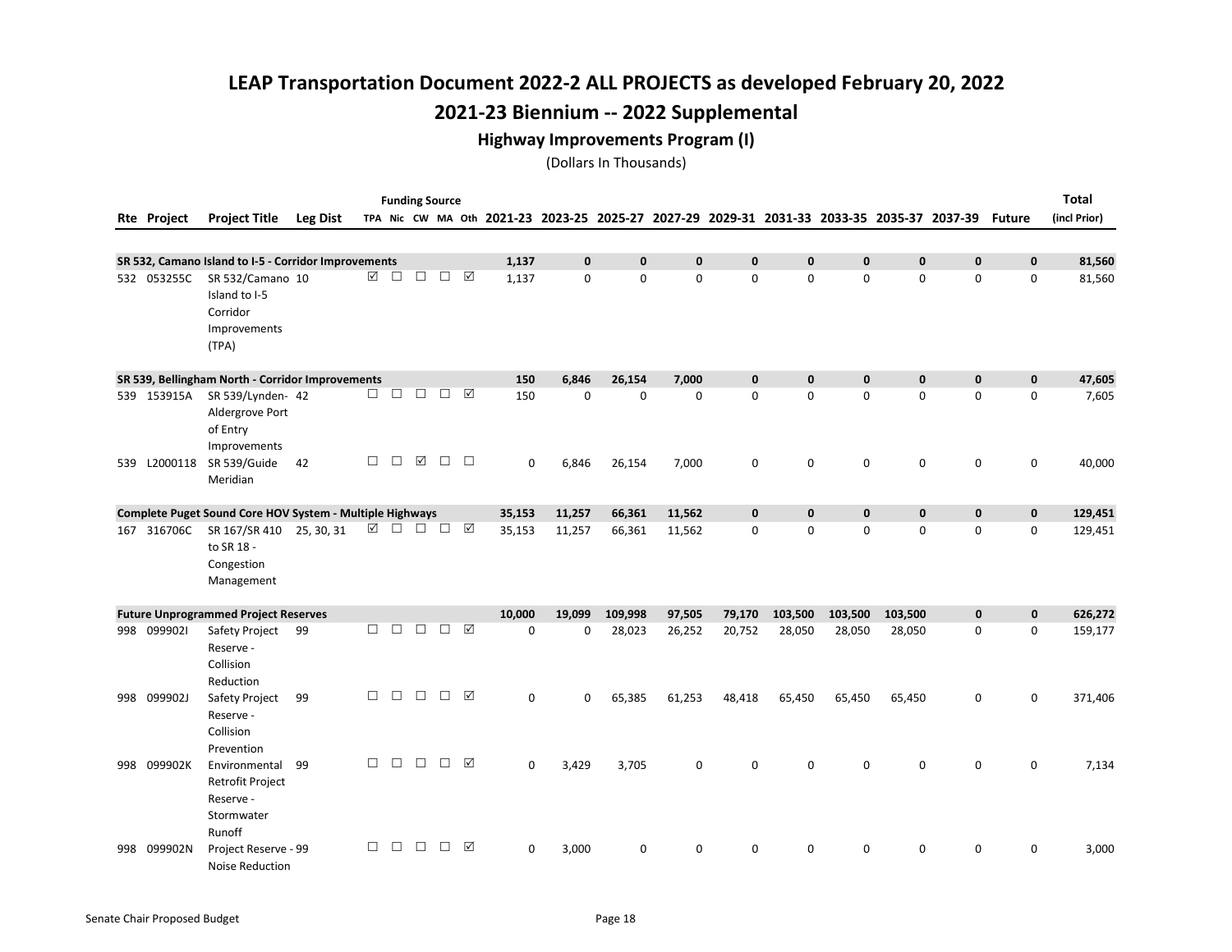#### Highway Improvements Program (I)

|                    |                                                                               |                 |        |        | <b>Funding Source</b> |        |                 |             |             |              |              |              |              |              |              |                                                                                                  |              | <b>Total</b> |
|--------------------|-------------------------------------------------------------------------------|-----------------|--------|--------|-----------------------|--------|-----------------|-------------|-------------|--------------|--------------|--------------|--------------|--------------|--------------|--------------------------------------------------------------------------------------------------|--------------|--------------|
| <b>Rte Project</b> | <b>Project Title</b>                                                          | <b>Leg Dist</b> |        |        |                       |        |                 |             |             |              |              |              |              |              |              | TPA Nic CW MA Oth 2021-23 2023-25 2025-27 2027-29 2029-31 2031-33 2033-35 2035-37 2037-39 Future |              | (incl Prior) |
|                    |                                                                               |                 |        |        |                       |        |                 |             |             |              |              |              |              |              |              |                                                                                                  |              |              |
|                    | SR 532, Camano Island to I-5 - Corridor Improvements                          |                 |        |        |                       |        |                 | 1,137       | $\mathbf 0$ | $\mathbf{0}$ | $\mathbf{0}$ | $\mathbf{0}$ | $\mathbf 0$  | $\pmb{0}$    | $\mathbf 0$  | $\mathbf 0$                                                                                      | $\mathbf 0$  | 81,560       |
| 532 053255C        | SR 532/Camano 10<br>Island to I-5<br>Corridor<br>Improvements<br>(TPA)        |                 | ☑      |        | $\Box$ $\Box$         |        | $\Box$ $\Box$   | 1,137       | $\mathbf 0$ | 0            | $\mathbf 0$  | $\Omega$     | $\mathbf 0$  | $\mathbf 0$  | $\mathbf 0$  | $\mathbf 0$                                                                                      | $\mathbf 0$  | 81,560       |
|                    | SR 539, Bellingham North - Corridor Improvements                              |                 |        |        |                       |        |                 | 150         | 6,846       | 26,154       | 7,000        | $\mathbf{0}$ | $\mathbf{0}$ | $\mathbf{0}$ | $\mathbf{0}$ | $\mathbf{0}$                                                                                     | $\mathbf{0}$ | 47,605       |
| 539 153915A        | SR 539/Lynden- 42<br>Aldergrove Port<br>of Entry<br>Improvements              |                 | $\Box$ | $\Box$ | $\Box$                | $\Box$ | ☑               | 150         | $\Omega$    | 0            | $\mathbf 0$  | 0            | $\mathbf 0$  | 0            | $\mathbf 0$  | $\mathbf 0$                                                                                      | $\mathbf 0$  | 7,605        |
| 539 L2000118       | SR 539/Guide<br>Meridian                                                      | 42              | $\Box$ | $\Box$ | ☑                     | □      | $\Box$          | $\mathbf 0$ | 6,846       | 26,154       | 7,000        | 0            | $\mathbf 0$  | 0            | $\mathbf 0$  | $\mathbf 0$                                                                                      | $\mathbf 0$  | 40,000       |
|                    | Complete Puget Sound Core HOV System - Multiple Highways                      |                 |        |        |                       |        |                 | 35,153      | 11,257      | 66,361       | 11,562       | $\mathbf{0}$ | $\mathbf{0}$ | $\pmb{0}$    | $\mathbf 0$  | $\mathbf 0$                                                                                      | $\mathbf 0$  | 129,451      |
| 167 316706C        | SR 167/SR 410 25, 30, 31<br>to SR 18 -<br>Congestion<br>Management            |                 | ☑      |        | $\Box$ $\Box$ $\Box$  |        | $\triangledown$ | 35,153      | 11,257      | 66,361       | 11,562       | 0            | 0            | 0            | $\mathbf 0$  | $\mathbf 0$                                                                                      | $\mathbf 0$  | 129,451      |
|                    | <b>Future Unprogrammed Project Reserves</b>                                   |                 |        |        |                       |        |                 | 10,000      | 19,099      | 109,998      | 97,505       | 79,170       | 103,500      | 103,500      | 103,500      | $\mathbf 0$                                                                                      | $\mathbf{0}$ | 626,272      |
| 998 0999021        | Safety Project<br>Reserve -<br>Collision<br>Reduction                         | 99              | П      | П.     | $\Box$                | $\Box$ | ⊠               | $\Omega$    | 0           | 28,023       | 26,252       | 20,752       | 28,050       | 28,050       | 28,050       | $\mathbf 0$                                                                                      | $\mathbf 0$  | 159,177      |
| 998 099902J        | Safety Project<br>Reserve -<br>Collision<br>Prevention                        | 99              | $\Box$ | $\Box$ | $\Box$                | $\Box$ | ☑               | $\mathsf 0$ | 0           | 65,385       | 61,253       | 48,418       | 65,450       | 65,450       | 65,450       | 0                                                                                                | 0            | 371,406      |
| 998 099902K        | Environmental<br><b>Retrofit Project</b><br>Reserve -<br>Stormwater<br>Runoff | 99              | $\Box$ | П      | $\Box$                | $\Box$ | ⊠               | $\Omega$    | 3,429       | 3,705        | 0            | $\Omega$     | $\Omega$     | 0            | $\mathbf 0$  | $\mathbf 0$                                                                                      | $\mathbf 0$  | 7,134        |
| 998 099902N        | Project Reserve - 99<br><b>Noise Reduction</b>                                |                 | П      | П      | П                     | $\Box$ | ⊠               | $\mathbf 0$ | 3,000       | $\mathbf 0$  | $\Omega$     | 0            | 0            | 0            | $\Omega$     | 0                                                                                                | 0            | 3,000        |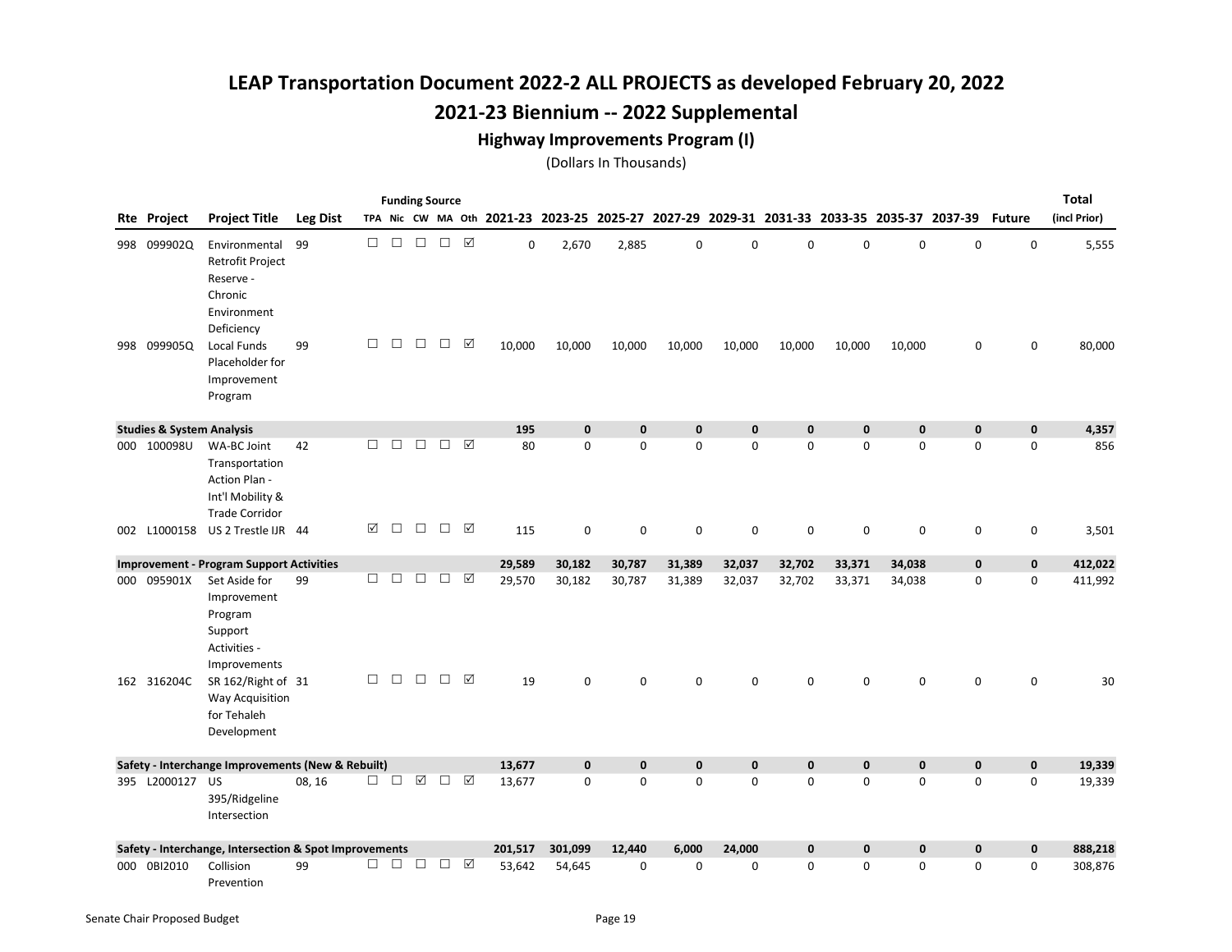#### Highway Improvements Program (I)

|     |                                      |                                                                                                       |                 |             |                  |                  | <b>Funding Source</b> |        |                                                                                           |                 |                 |             |                       |             |                       |             |                  |               | <b>Total</b>    |
|-----|--------------------------------------|-------------------------------------------------------------------------------------------------------|-----------------|-------------|------------------|------------------|-----------------------|--------|-------------------------------------------------------------------------------------------|-----------------|-----------------|-------------|-----------------------|-------------|-----------------------|-------------|------------------|---------------|-----------------|
|     | <b>Rte Project</b>                   | <b>Project Title</b>                                                                                  | <b>Leg Dist</b> |             |                  |                  |                       |        | TPA Nic CW MA Oth 2021-23 2023-25 2025-27 2027-29 2029-31 2031-33 2033-35 2035-37 2037-39 |                 |                 |             |                       |             |                       |             |                  | <b>Future</b> | (incl Prior)    |
| 998 | 998 099902Q<br>099905Q               | Environmental<br>Retrofit Project<br>Reserve -<br>Chronic<br>Environment<br>Deficiency<br>Local Funds | 99<br>99        | $\Box$<br>П | $\Box$<br>$\Box$ | $\Box$<br>$\Box$ | $\Box$<br>$\Box$      | ☑<br>☑ | 0<br>10,000                                                                               | 2,670<br>10,000 | 2,885<br>10,000 | 0<br>10,000 | $\mathbf 0$<br>10,000 | 0<br>10,000 | $\mathbf 0$<br>10,000 | 0<br>10,000 | $\mathsf 0$<br>0 | 0<br>0        | 5,555<br>80,000 |
|     |                                      | Placeholder for<br>Improvement<br>Program                                                             |                 |             |                  |                  |                       |        |                                                                                           |                 |                 |             |                       |             |                       |             |                  |               |                 |
|     | <b>Studies &amp; System Analysis</b> |                                                                                                       |                 |             |                  |                  |                       |        | 195                                                                                       | $\mathbf{0}$    | $\mathbf 0$     | $\mathbf 0$ | $\mathbf{0}$          | $\mathbf 0$ | $\pmb{0}$             | $\mathbf 0$ | $\mathbf 0$      | $\mathbf 0$   | 4,357           |
|     | 000 100098U                          | WA-BC Joint<br>Transportation<br>Action Plan -<br>Int'l Mobility &<br><b>Trade Corridor</b>           | 42              | П           | $\Box$           | $\Box$           | $\Box$                | ☑      | 80                                                                                        | $\mathbf 0$     | 0               | $\mathbf 0$ | $\Omega$              | 0           | $\mathbf 0$           | $\mathbf 0$ | 0                | 0             | 856             |
|     | 002 L1000158                         | US 2 Trestle IJR 44                                                                                   |                 | ☑           | $\Box$           | $\Box$           | $\Box$                | ☑      | 115                                                                                       | $\mathbf 0$     | 0               | $\mathbf 0$ | $\mathbf 0$           | $\mathbf 0$ | $\mathbf 0$           | $\mathbf 0$ | 0                | 0             | 3,501           |
|     |                                      | <b>Improvement - Program Support Activities</b>                                                       |                 |             |                  |                  |                       |        | 29,589                                                                                    | 30,182          | 30,787          | 31,389      | 32,037                | 32,702      | 33,371                | 34,038      | 0                | $\mathbf 0$   | 412,022         |
|     | 000 095901X                          | Set Aside for<br>Improvement<br>Program<br>Support<br>Activities -<br>Improvements                    | 99              | $\Box$      | $\Box$           | $\Box$           | $\Box$                | ☑      | 29,570                                                                                    | 30,182          | 30,787          | 31,389      | 32,037                | 32,702      | 33,371                | 34,038      | 0                | 0             | 411,992         |
|     | 162 316204C                          | SR 162/Right of 31<br><b>Way Acquisition</b><br>for Tehaleh<br>Development                            |                 | $\Box$      | $\Box$           | $\Box$           | $\Box$                | ☑      | 19                                                                                        | $\mathbf 0$     | 0               | $\mathbf 0$ | 0                     | 0           | 0                     | 0           | $\mathbf 0$      | 0             | 30              |
|     |                                      | Safety - Interchange Improvements (New & Rebuilt)                                                     |                 |             |                  |                  |                       |        | 13,677                                                                                    | $\mathbf 0$     | $\mathbf{0}$    | $\mathbf 0$ | $\mathbf 0$           | 0           | $\mathbf 0$           | $\mathbf 0$ | $\mathbf 0$      | $\mathbf 0$   | 19,339          |
|     | 395 L2000127 US                      | 395/Ridgeline<br>Intersection                                                                         | 08, 16          | □           | $\Box$           | ☑                | $\Box$                | ☑      | 13,677                                                                                    | $\mathbf 0$     | $\mathbf 0$     | $\mathbf 0$ | $\Omega$              | 0           | $\mathbf 0$           | $\mathbf 0$ | $\mathbf 0$      | 0             | 19,339          |
|     |                                      | Safety - Interchange, Intersection & Spot Improvements                                                |                 |             |                  |                  |                       |        | 201,517                                                                                   | 301,099         | 12,440          | 6,000       | 24,000                | 0           | $\mathbf 0$           | $\mathbf 0$ | $\mathbf 0$      | $\mathbf 0$   | 888,218         |
|     | 000 0BI2010                          | Collision<br>Prevention                                                                               | 99              | п           | $\Box$           | П                | $\Box$                | ☑      | 53,642                                                                                    | 54,645          | $\Omega$        | $\Omega$    | $\Omega$              | 0           | $\mathbf 0$           | $\mathbf 0$ | $\mathbf 0$      | $\Omega$      | 308,876         |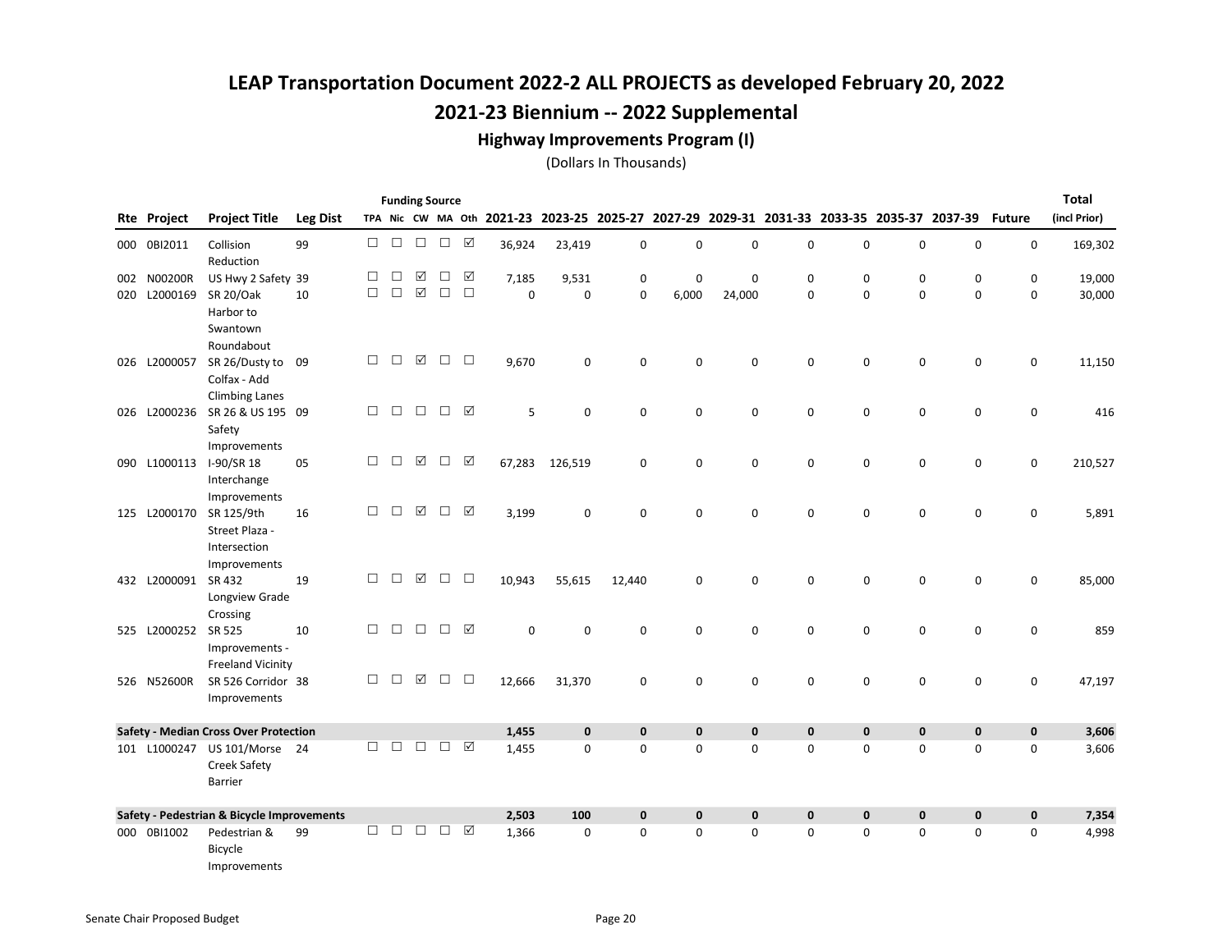#### Highway Improvements Program (I)

|     | <b>Total</b><br><b>Funding Source</b><br>2029-31 2031-33 2033-35 2035-37 2037-39<br>TPA Nic CW MA Oth 2021-23 2023-25 2025-27 |                                                                       |                 |        |        |                      |        |                 |             |             |              |              |              |             |             |             |             |               |              |
|-----|-------------------------------------------------------------------------------------------------------------------------------|-----------------------------------------------------------------------|-----------------|--------|--------|----------------------|--------|-----------------|-------------|-------------|--------------|--------------|--------------|-------------|-------------|-------------|-------------|---------------|--------------|
|     | <b>Rte Project</b>                                                                                                            | <b>Project Title</b>                                                  | <b>Leg Dist</b> |        |        |                      |        |                 |             |             |              | 2027-29      |              |             |             |             |             | <b>Future</b> | (incl Prior) |
|     | 000 0BI2011                                                                                                                   | Collision<br>Reduction                                                | 99              | $\Box$ | $\Box$ | $\Box$               | $\Box$ | ☑               | 36,924      | 23,419      | 0            | $\pmb{0}$    | 0            | $\mathsf 0$ | $\mathbf 0$ | $\pmb{0}$   | $\mathbf 0$ | $\mathbf 0$   | 169,302      |
|     | 002 N00200R                                                                                                                   | US Hwy 2 Safety 39                                                    |                 | □      | $\Box$ | ☑                    | □      | ☑               | 7,185       | 9,531       | 0            | $\mathbf 0$  | 0            | 0           | 0           | 0           | 0           | 0             | 19,000       |
| 020 | L2000169                                                                                                                      | SR 20/Oak                                                             | 10              | $\Box$ | $\Box$ | $\boxed{\checkmark}$ | $\Box$ | $\Box$          | $\mathbf 0$ | $\mathbf 0$ | 0            | 6,000        | 24,000       | 0           | $\mathbf 0$ | $\pmb{0}$   | $\mathbf 0$ | 0             | 30,000       |
|     |                                                                                                                               | Harbor to<br>Swantown<br>Roundabout                                   |                 |        |        |                      |        |                 |             |             |              |              |              |             |             |             |             |               |              |
|     | 026 L2000057                                                                                                                  | SR 26/Dusty to<br>Colfax - Add<br><b>Climbing Lanes</b>               | 09              | $\Box$ | $\Box$ | $\boxtimes$          | $\Box$ | $\Box$          | 9,670       | 0           | 0            | $\mathsf 0$  | 0            | 0           | 0           | $\mathsf 0$ | $\mathsf 0$ | $\mathsf 0$   | 11,150       |
|     | 026 L2000236                                                                                                                  | SR 26 & US 195 09<br>Safety<br>Improvements                           |                 | $\Box$ | $\Box$ | $\Box$               | $\Box$ | $\triangledown$ | 5           | $\mathbf 0$ | 0            | 0            | 0            | 0           | 0           | $\mathsf 0$ | 0           | $\mathsf 0$   | 416          |
|     | 090 L1000113                                                                                                                  | I-90/SR 18<br>Interchange<br>Improvements                             | 05              | $\Box$ | $\Box$ | ☑                    | □      | ☑               | 67,283      | 126,519     | 0            | $\mathbf 0$  | 0            | 0           | 0           | $\mathsf 0$ | $\mathbf 0$ | $\mathbf 0$   | 210,527      |
|     | 125 L2000170                                                                                                                  | SR 125/9th<br>Street Plaza -<br>Intersection                          | 16              | □      | $\Box$ | ☑                    | $\Box$ | ☑               | 3,199       | 0           | 0            | $\mathbf 0$  | 0            | 0           | 0           | $\mathbf 0$ | $\mathbf 0$ | $\mathbf 0$   | 5,891        |
|     | 432 L2000091                                                                                                                  | Improvements<br>SR 432<br>Longview Grade                              | 19              | $\Box$ | $\Box$ | ☑                    | $\Box$ | $\Box$          | 10,943      | 55,615      | 12,440       | $\mathbf 0$  | 0            | $\mathbf 0$ | 0           | 0           | 0           | 0             | 85,000       |
|     | 525 L2000252                                                                                                                  | Crossing<br>SR 525<br>Improvements -<br><b>Freeland Vicinity</b>      | 10              | $\Box$ | $\Box$ | $\Box$               | $\Box$ | ☑               | $\pmb{0}$   | $\mathbf 0$ | 0            | $\mathbf 0$  | 0            | 0           | 0           | $\mathsf 0$ | 0           | $\mathsf 0$   | 859          |
|     | 526 N52600R                                                                                                                   | SR 526 Corridor 38<br>Improvements                                    |                 | $\Box$ | $\Box$ | ☑                    | $\Box$ | $\Box$          | 12,666      | 31,370      | 0            | $\mathsf 0$  | 0            | $\mathbf 0$ | 0           | $\mathsf 0$ | $\mathsf 0$ | $\mathsf 0$   | 47,197       |
|     |                                                                                                                               | <b>Safety - Median Cross Over Protection</b>                          |                 |        |        |                      |        |                 | 1,455       | $\mathbf 0$ | $\pmb{0}$    | $\mathbf 0$  | $\pmb{0}$    | $\mathbf 0$ | 0           | $\pmb{0}$   | $\pmb{0}$   | $\mathbf 0$   | 3,606        |
|     |                                                                                                                               | 101 L1000247 US 101/Morse 24<br><b>Creek Safety</b><br><b>Barrier</b> |                 | $\Box$ | П      | $\Box$               | $\Box$ | ☑               | 1,455       | $\mathbf 0$ | $\mathbf 0$  | $\mathbf 0$  | 0            | 0           | 0           | $\mathbf 0$ | 0           | $\mathbf 0$   | 3,606        |
|     |                                                                                                                               | Safety - Pedestrian & Bicycle Improvements                            |                 |        |        |                      |        |                 | 2,503       | 100         | $\mathbf{0}$ | $\mathbf{0}$ | $\mathbf{0}$ | 0           | 0           | $\mathbf 0$ | $\mathbf 0$ | $\mathbf 0$   | 7,354        |
|     | 000 0BI1002                                                                                                                   | Pedestrian &<br>Bicycle<br>Improvements                               | 99              | $\Box$ | П      | $\Box$               | $\Box$ | ☑               | 1,366       | $\Omega$    | 0            | $\Omega$     | 0            | 0           | 0           | $\mathbf 0$ | 0           | 0             | 4,998        |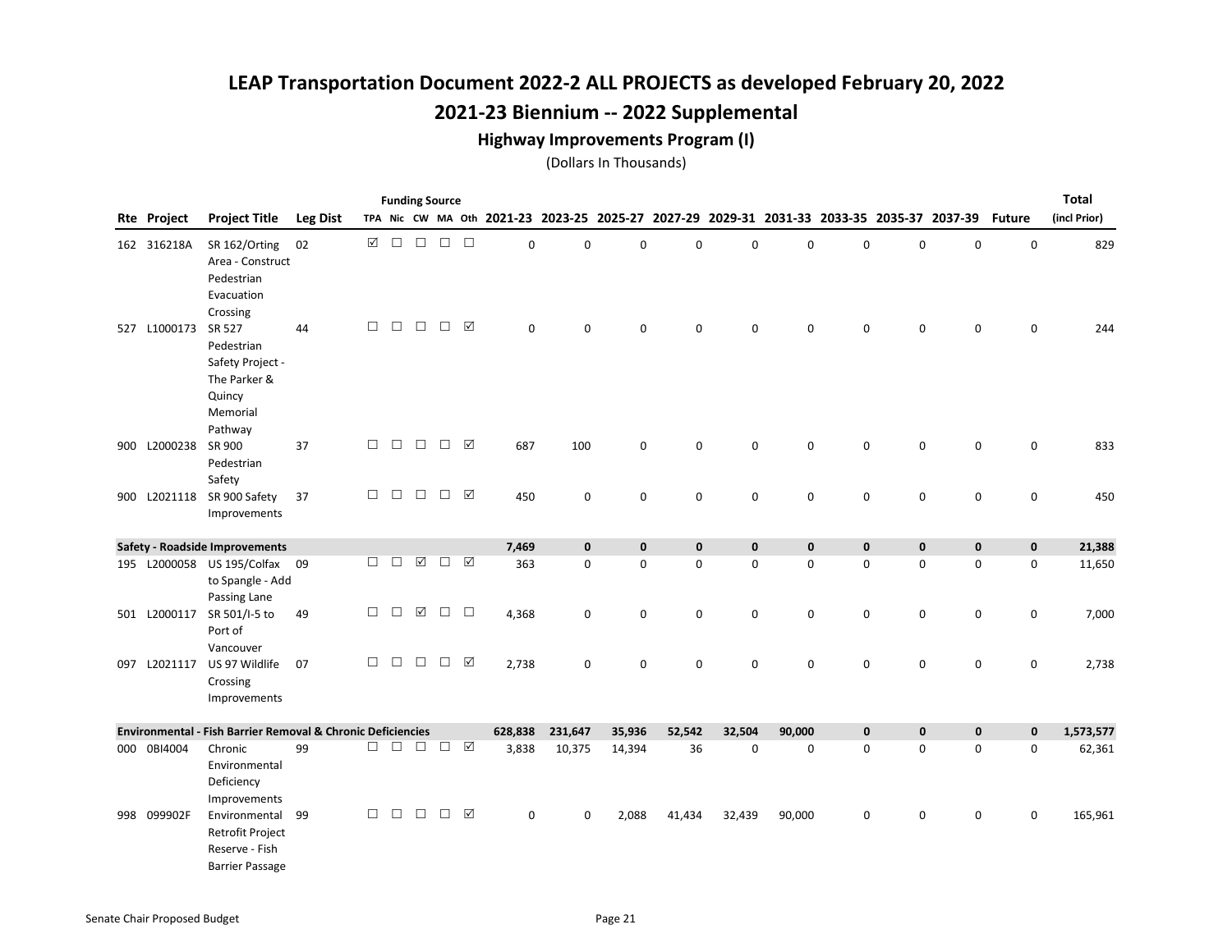#### Highway Improvements Program (I)

|                    |                                                                                           |                 |        |        |             | <b>Funding Source</b> |                    |                                           |             |             |             |             |                                                 |             |             |                     |               | <b>Total</b> |
|--------------------|-------------------------------------------------------------------------------------------|-----------------|--------|--------|-------------|-----------------------|--------------------|-------------------------------------------|-------------|-------------|-------------|-------------|-------------------------------------------------|-------------|-------------|---------------------|---------------|--------------|
| <b>Rte Project</b> | <b>Project Title</b>                                                                      | <b>Leg Dist</b> |        |        |             |                       |                    | TPA Nic CW MA Oth 2021-23 2023-25 2025-27 |             |             |             |             | 2027-29 2029-31 2031-33 2033-35 2035-37 2037-39 |             |             |                     | <b>Future</b> | (incl Prior) |
| 162 316218A        | SR 162/Orting<br>Area - Construct<br>Pedestrian                                           | 02              | ☑      | $\Box$ | $\Box$      | $\Box$                | $\Box$             | $\mathbf 0$                               | 0           | 0           | $\mathbf 0$ | $\mathbf 0$ | 0                                               | $\pmb{0}$   | 0           | $\mathsf 0$         | 0             | 829          |
|                    | Evacuation<br>Crossing                                                                    |                 |        |        |             |                       |                    |                                           |             |             |             |             |                                                 |             |             |                     |               |              |
| 527 L1000173       | SR 527<br>Pedestrian<br>Safety Project -<br>The Parker &<br>Quincy<br>Memorial<br>Pathway | 44              | П      | $\Box$ | $\Box$      | $\Box$                | ☑                  | 0                                         | $\mathbf 0$ | 0           | $\mathbf 0$ | 0           | 0                                               | $\mathbf 0$ | 0           | $\mathbf 0$         | $\mathbf 0$   | 244          |
| 900 L2000238       | SR 900<br>Pedestrian<br>Safety                                                            | 37              | $\Box$ | $\Box$ | $\Box$      | $\Box$                | ☑                  | 687                                       | 100         | 0           | 0           | 0           | 0                                               | 0           | 0           | $\mathsf{O}\xspace$ | 0             | 833          |
| 900 L2021118       | SR 900 Safety<br>Improvements                                                             | 37              | $\Box$ | $\Box$ | $\Box$      | $\Box$                | ☑                  | 450                                       | 0           | 0           | $\mathsf 0$ | 0           | 0                                               | $\pmb{0}$   | 0           | 0                   | 0             | 450          |
|                    | <b>Safety - Roadside Improvements</b>                                                     |                 |        |        |             |                       |                    | 7,469                                     | $\mathbf 0$ | $\mathbf 0$ | $\mathbf 0$ | $\mathbf 0$ | 0                                               | $\mathbf 0$ | $\mathbf 0$ | $\mathbf 0$         | $\mathbf 0$   | 21,388       |
|                    | 195 L2000058 US 195/Colfax 09<br>to Spangle - Add<br>Passing Lane                         |                 | $\Box$ | $\Box$ | $\boxtimes$ | $\Box$                | ☑                  | 363                                       | $\mathbf 0$ | 0           | $\mathbf 0$ | $\mathbf 0$ | $\mathbf 0$                                     | $\mathbf 0$ | $\mathbf 0$ | $\mathbf 0$         | $\mathbf 0$   | 11,650       |
| 501 L2000117       | SR 501/I-5 to<br>Port of<br>Vancouver                                                     | 49              | $\Box$ | $\Box$ | ☑           | $\Box$                | $\Box$             | 4,368                                     | 0           | 0           | $\mathsf 0$ | 0           | 0                                               | $\mathbf 0$ | 0           | $\mathbf 0$         | 0             | 7,000        |
| 097 L2021117       | US 97 Wildlife<br>Crossing<br>Improvements                                                | 07              | $\Box$ | $\Box$ | $\Box$      | $\Box$                | ☑                  | 2,738                                     | $\mathbf 0$ | 0           | $\mathbf 0$ | $\mathbf 0$ | 0                                               | $\mathbf 0$ | $\mathbf 0$ | $\mathsf{O}\xspace$ | 0             | 2,738        |
|                    | <b>Environmental - Fish Barrier Removal &amp; Chronic Deficiencies</b>                    |                 |        |        |             |                       |                    | 628,838                                   | 231,647     | 35,936      | 52,542      | 32,504      | 90,000                                          | $\pmb{0}$   | $\pmb{0}$   | $\mathbf 0$         | $\mathbf 0$   | 1,573,577    |
| 000 0BI4004        | Chronic<br>Environmental<br>Deficiency<br>Improvements                                    | 99              | $\Box$ | $\Box$ | $\Box$      | $\Box$                | $\boxed{\text{V}}$ | 3,838                                     | 10,375      | 14,394      | 36          | 0           | 0                                               | 0           | $\mathsf 0$ | $\mathsf{O}\xspace$ | 0             | 62,361       |
| 998 099902F        | Environmental<br><b>Retrofit Project</b><br>Reserve - Fish<br><b>Barrier Passage</b>      | 99              | $\Box$ | $\Box$ | $\Box$      | $\Box$                | ☑                  | 0                                         | $\mathbf 0$ | 2,088       | 41,434      | 32,439      | 90,000                                          | 0           | 0           | 0                   | 0             | 165,961      |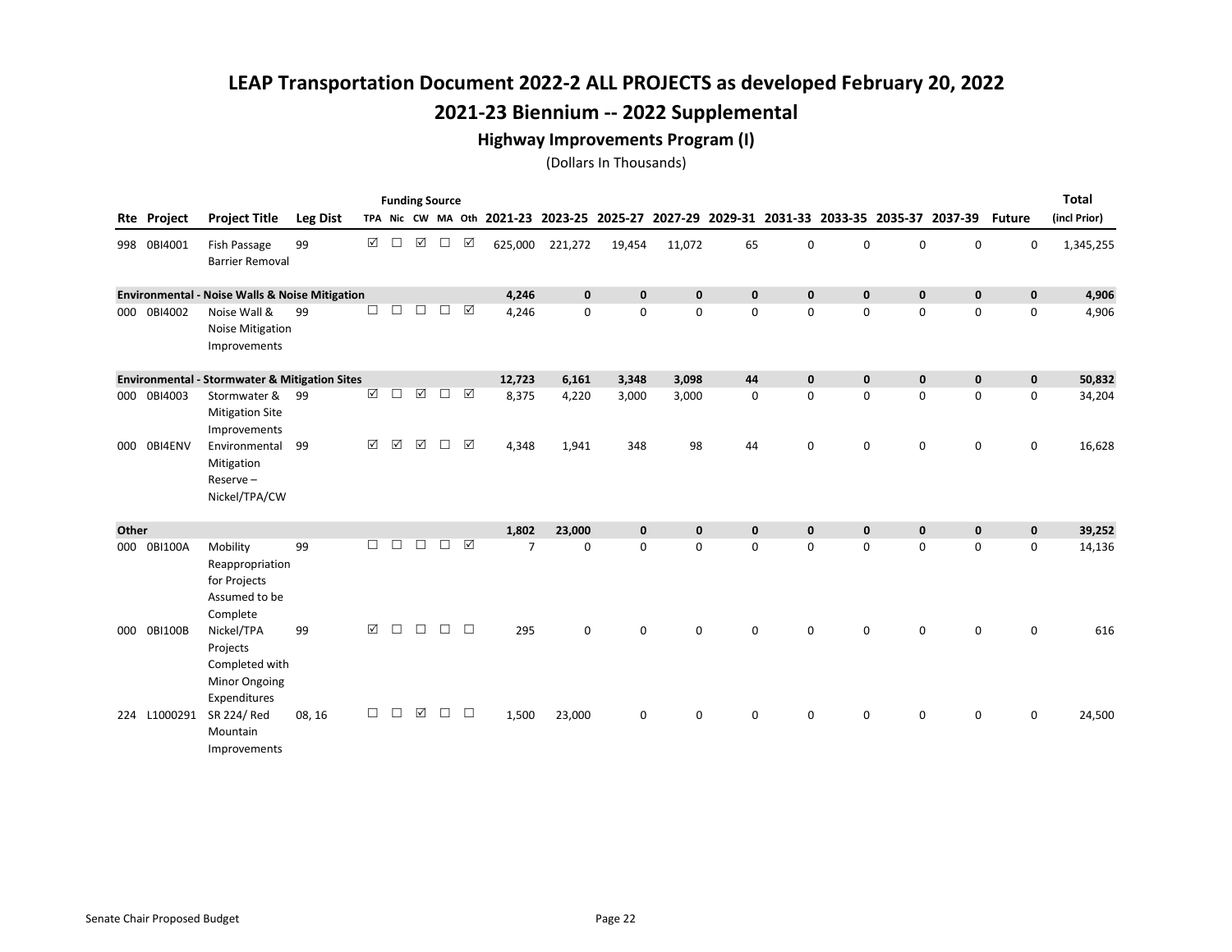#### Highway Improvements Program (I)

|       | <b>Funding Source</b><br><b>Project Title</b><br><b>Leg Dist</b><br>TPA Nic CW MA Oth 2021-23 2023-25 2025-27 2027-29 2029-31 2031-33 2033-35 2035-37 2037-39<br><b>Rte Project</b><br><b>Future</b> |                                                                                  |        |                      |             |             |        |        |                |              |              |              |              |             |             |             |             |             | <b>Total</b> |
|-------|------------------------------------------------------------------------------------------------------------------------------------------------------------------------------------------------------|----------------------------------------------------------------------------------|--------|----------------------|-------------|-------------|--------|--------|----------------|--------------|--------------|--------------|--------------|-------------|-------------|-------------|-------------|-------------|--------------|
|       |                                                                                                                                                                                                      |                                                                                  |        |                      |             |             |        |        |                |              |              |              |              |             |             |             |             |             | (incl Prior) |
|       | 998 0BI4001                                                                                                                                                                                          | Fish Passage<br><b>Barrier Removal</b>                                           | 99     | ☑                    | $\Box$      | $\boxtimes$ | $\Box$ | ☑      | 625,000        | 221,272      | 19,454       | 11,072       | 65           | $\mathbf 0$ | 0           | $\mathbf 0$ | $\mathbf 0$ | $\mathbf 0$ | 1,345,255    |
|       |                                                                                                                                                                                                      | <b>Environmental - Noise Walls &amp; Noise Mitigation</b>                        |        |                      |             |             |        |        | 4,246          | $\mathbf{0}$ | $\mathbf{0}$ | $\mathbf{0}$ | $\mathbf{0}$ | $\mathbf 0$ | $\pmb{0}$   | $\mathbf 0$ | $\mathbf 0$ | $\mathbf 0$ | 4,906        |
|       | 000 0BI4002                                                                                                                                                                                          | Noise Wall &<br><b>Noise Mitigation</b><br>Improvements                          | 99     | $\Box$               | $\Box$      | П           | П      | ☑      | 4,246          | $\mathbf 0$  | 0            | $\mathbf 0$  | $\mathbf 0$  | $\mathbf 0$ | 0           | $\mathsf 0$ | 0           | $\mathsf 0$ | 4,906        |
|       |                                                                                                                                                                                                      | <b>Environmental - Stormwater &amp; Mitigation Sites</b>                         |        |                      |             |             |        |        | 12,723         | 6,161        | 3,348        | 3,098        | 44           | $\mathbf 0$ | $\mathbf 0$ | $\mathbf 0$ | $\mathbf 0$ | $\pmb{0}$   | 50,832       |
|       | 000 0BI4003                                                                                                                                                                                          | Stormwater &<br><b>Mitigation Site</b><br>Improvements                           | 99     | $\boxtimes$          | $\Box$      | ☑           | П      | ☑      | 8,375          | 4,220        | 3,000        | 3,000        | $\mathbf 0$  | $\mathbf 0$ | 0           | $\mathbf 0$ | $\mathbf 0$ | $\mathbf 0$ | 34,204       |
|       | 000 0BI4ENV                                                                                                                                                                                          | Environmental<br>Mitigation<br>Reserve-<br>Nickel/TPA/CW                         | 99     | $\boxed{\mathbf{N}}$ | $\boxtimes$ | ☑           | П      | ☑      | 4,348          | 1,941        | 348          | 98           | 44           | 0           | 0           | 0           | 0           | 0           | 16,628       |
| Other |                                                                                                                                                                                                      |                                                                                  |        |                      |             |             |        |        | 1,802          | 23,000       | $\mathbf 0$  | $\mathbf{0}$ | $\mathbf{0}$ | $\mathbf 0$ | $\mathbf 0$ | $\mathbf 0$ | $\pmb{0}$   | $\pmb{0}$   | 39,252       |
|       | 000 0BI100A                                                                                                                                                                                          | Mobility<br>Reappropriation<br>for Projects<br>Assumed to be<br>Complete         | 99     | П                    | П           | П           | П      | ☑      | $\overline{7}$ | $\Omega$     | $\Omega$     | $\Omega$     | $\Omega$     | $\Omega$    | 0           | $\mathbf 0$ | 0           | $\mathbf 0$ | 14,136       |
|       | 000 0BI100B                                                                                                                                                                                          | Nickel/TPA<br>Projects<br>Completed with<br><b>Minor Ongoing</b><br>Expenditures | 99     | $\Delta$             | $\Box$      | $\Box$      | П      | $\Box$ | 295            | $\mathbf 0$  | $\mathbf 0$  | 0            | 0            | 0           | 0           | 0           | 0           | 0           | 616          |
|       | 224 L1000291                                                                                                                                                                                         | SR 224/Red<br>Mountain<br>Improvements                                           | 08, 16 | П                    | П           | ☑           | п      | $\Box$ | 1,500          | 23,000       | 0            | $\mathbf 0$  | 0            | 0           | 0           | 0           | 0           | 0           | 24,500       |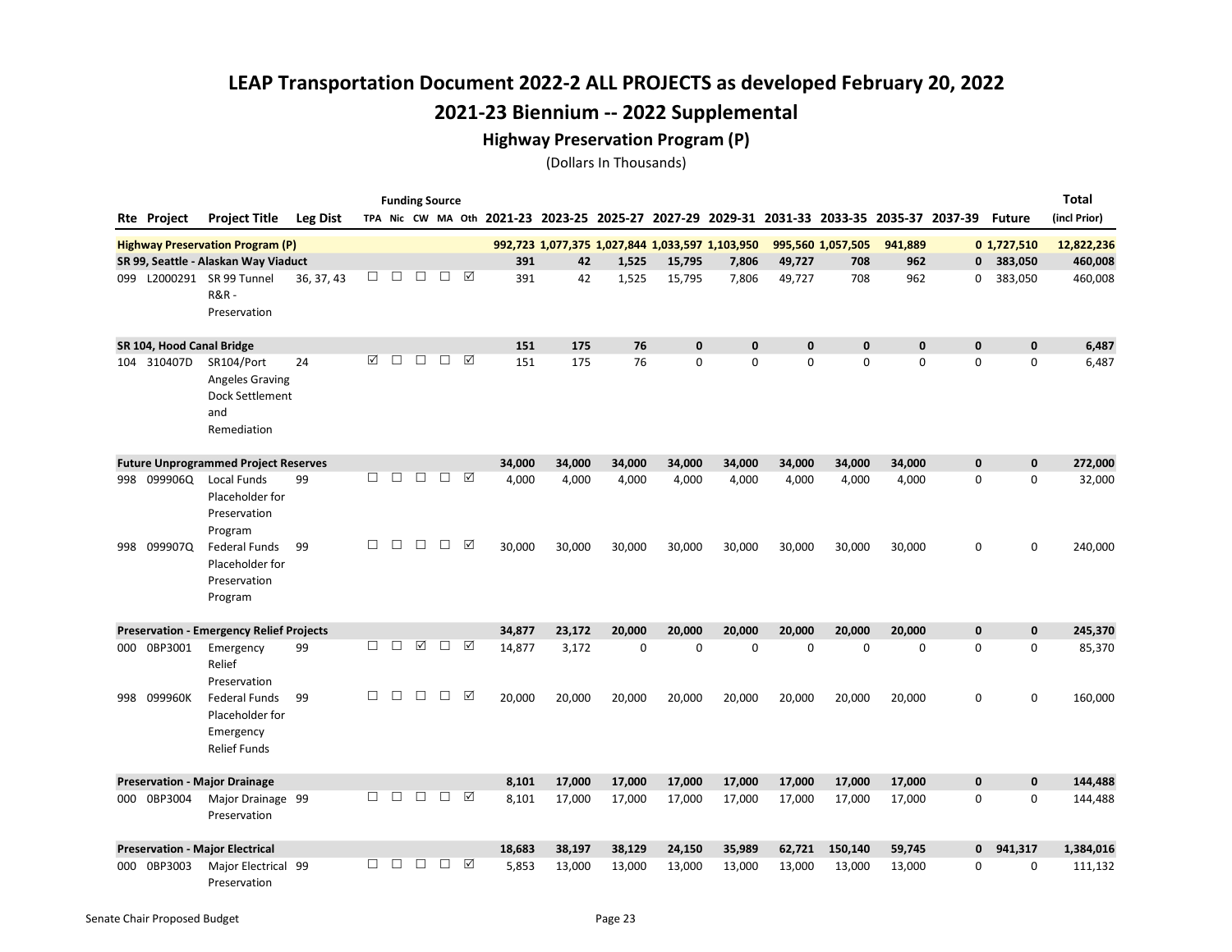#### Highway Preservation Program (P)

|     |                           |                                                                             |                 |        |        |        | <b>Funding Source</b> |   |        |                                                 |             |              |              |             |                                                                                           |             |   |                         | Total        |
|-----|---------------------------|-----------------------------------------------------------------------------|-----------------|--------|--------|--------|-----------------------|---|--------|-------------------------------------------------|-------------|--------------|--------------|-------------|-------------------------------------------------------------------------------------------|-------------|---|-------------------------|--------------|
|     | Rte Project               | <b>Project Title</b>                                                        | <b>Leg Dist</b> |        |        |        |                       |   |        |                                                 |             |              |              |             | TPA Nic CW MA Oth 2021-23 2023-25 2025-27 2027-29 2029-31 2031-33 2033-35 2035-37 2037-39 |             |   | <b>Future</b>           | (incl Prior) |
|     |                           | <b>Highway Preservation Program (P)</b>                                     |                 |        |        |        |                       |   |        | 992,723 1,077,375 1,027,844 1,033,597 1,103,950 |             |              |              |             | 995,560 1,057,505                                                                         | 941,889     |   | 0 1,727,510             | 12,822,236   |
|     |                           | SR 99, Seattle - Alaskan Way Viaduct                                        |                 |        |        |        |                       |   | 391    | 42                                              | 1,525       | 15,795       | 7,806        | 49,727      | 708                                                                                       | 962         |   | $\mathbf{0}$<br>383,050 | 460,008      |
| 099 |                           | L2000291 SR 99 Tunnel<br>$R&R$ -<br>Preservation                            | 36, 37, 43      | $\Box$ | $\Box$ | $\Box$ | □ ☑                   |   | 391    | 42                                              | 1,525       | 15,795       | 7,806        | 49,727      | 708                                                                                       | 962         | 0 | 383,050                 | 460,008      |
|     | SR 104, Hood Canal Bridge |                                                                             |                 |        |        |        |                       |   | 151    | 175                                             | 76          | $\mathbf{0}$ | $\mathbf{0}$ | $\mathbf 0$ | $\mathbf{0}$                                                                              | $\mathbf 0$ | 0 | $\mathbf 0$             | 6,487        |
|     | 104 310407D               | SR104/Port<br>Angeles Graving<br>Dock Settlement<br>and<br>Remediation      | 24              | ☑      | П      | $\Box$ | $\Box$                | ☑ | 151    | 175                                             | 76          | $\mathbf 0$  | 0            | 0           | 0                                                                                         | 0           | 0 | $\mathbf 0$             | 6,487        |
|     |                           | <b>Future Unprogrammed Project Reserves</b>                                 |                 |        |        |        |                       |   | 34,000 | 34,000                                          | 34,000      | 34,000       | 34,000       | 34,000      | 34,000                                                                                    | 34,000      | 0 | $\mathbf 0$             | 272,000      |
|     | 998 099906Q               | Local Funds<br>Placeholder for<br>Preservation<br>Program                   | 99              | П      | П      | $\Box$ | $\Box$                | ☑ | 4,000  | 4,000                                           | 4,000       | 4,000        | 4,000        | 4,000       | 4,000                                                                                     | 4,000       | 0 | $\mathbf 0$             | 32,000       |
| 998 | 099907Q                   | <b>Federal Funds</b><br>Placeholder for<br>Preservation<br>Program          | 99              | □      | $\Box$ | $\Box$ | $\Box$                | ☑ | 30,000 | 30,000                                          | 30,000      | 30,000       | 30,000       | 30,000      | 30,000                                                                                    | 30,000      | 0 | 0                       | 240,000      |
|     |                           | <b>Preservation - Emergency Relief Projects</b>                             |                 |        |        |        |                       |   | 34,877 | 23,172                                          | 20.000      | 20.000       | 20,000       | 20.000      | 20.000                                                                                    | 20.000      | 0 | $\mathbf 0$             | 245,370      |
|     | 000 0BP3001               | Emergency<br>Relief<br>Preservation                                         | 99              | П      | П      | ☑      | $\Box$                | ☑ | 14,877 | 3,172                                           | $\mathbf 0$ | $\Omega$     | $\Omega$     | $\Omega$    | 0                                                                                         | $\mathbf 0$ | 0 | $\mathbf 0$             | 85,370       |
| 998 | 099960K                   | <b>Federal Funds</b><br>Placeholder for<br>Emergency<br><b>Relief Funds</b> | 99              | □      | □      | $\Box$ | $\Box$                | ☑ | 20,000 | 20,000                                          | 20,000      | 20,000       | 20,000       | 20,000      | 20,000                                                                                    | 20,000      | 0 | 0                       | 160,000      |
|     |                           | <b>Preservation - Major Drainage</b>                                        |                 |        |        |        |                       |   | 8,101  | 17,000                                          | 17,000      | 17,000       | 17,000       | 17,000      | 17,000                                                                                    | 17,000      | 0 | $\mathbf 0$             | 144,488      |
|     | 000 0BP3004               | Major Drainage 99<br>Preservation                                           |                 | □      | $\Box$ | $\Box$ | $\Box$                | ☑ | 8,101  | 17,000                                          | 17,000      | 17,000       | 17,000       | 17,000      | 17,000                                                                                    | 17,000      | 0 | 0                       | 144,488      |
|     |                           | <b>Preservation - Major Electrical</b>                                      |                 |        |        |        |                       |   | 18,683 | 38,197                                          | 38,129      | 24,150       | 35,989       | 62,721      | 150,140                                                                                   | 59,745      | 0 | 941,317                 | 1,384,016    |
| 000 | 0BP3003                   | Major Electrical 99<br>Preservation                                         |                 | П.     | $\Box$ | $\Box$ | $\Box$                | ☑ | 5,853  | 13,000                                          | 13,000      | 13,000       | 13,000       | 13,000      | 13,000                                                                                    | 13,000      | 0 | $\mathbf 0$             | 111,132      |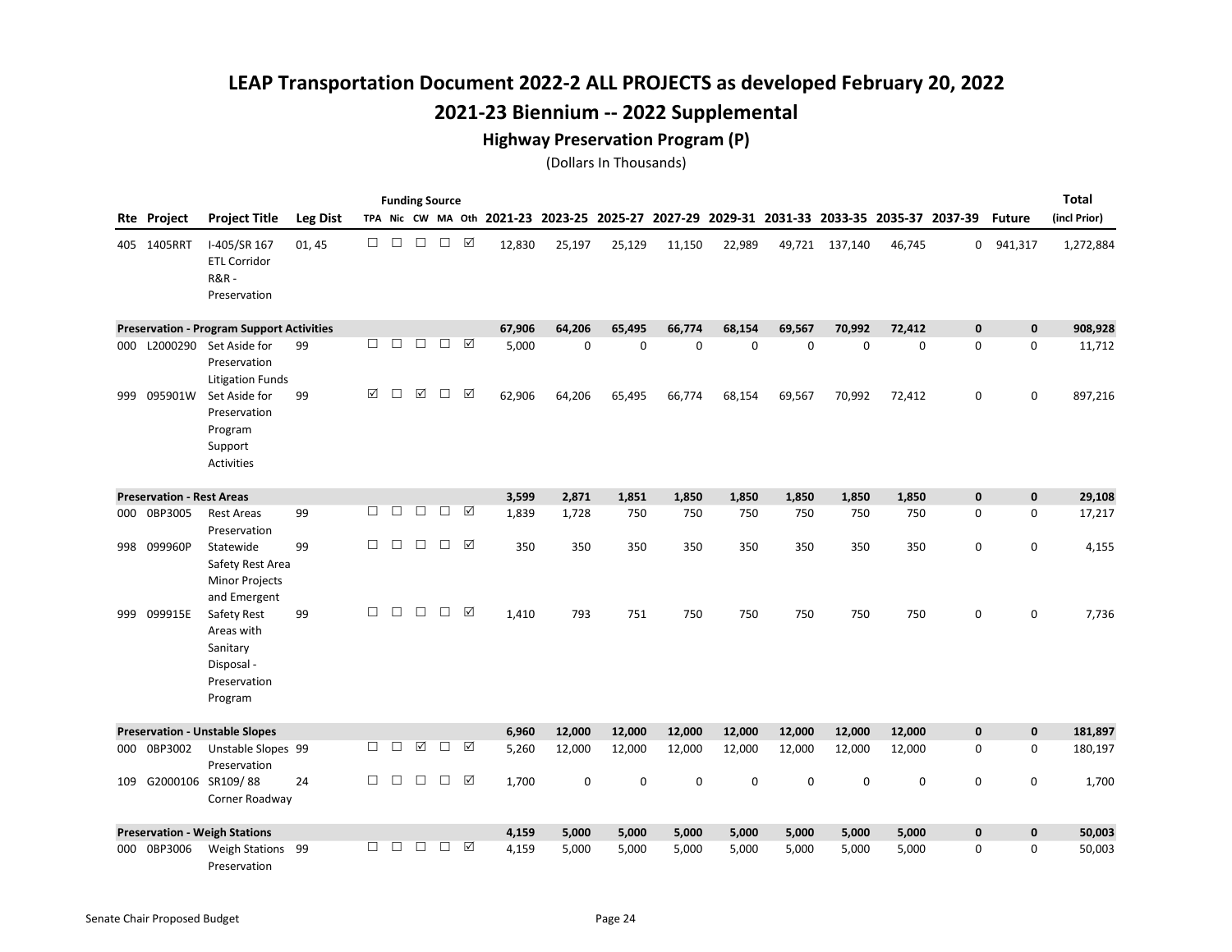#### Highway Preservation Program (P)

|     |                                  |                                                                                |                 |        |        |                      | <b>Funding Source</b> |   |                                                                                           |             |          |             |             |             |                |             |             |               | <b>Total</b> |
|-----|----------------------------------|--------------------------------------------------------------------------------|-----------------|--------|--------|----------------------|-----------------------|---|-------------------------------------------------------------------------------------------|-------------|----------|-------------|-------------|-------------|----------------|-------------|-------------|---------------|--------------|
|     | Rte Project                      | <b>Project Title</b>                                                           | <b>Leg Dist</b> |        |        |                      |                       |   | TPA Nic CW MA Oth 2021-23 2023-25 2025-27 2027-29 2029-31 2031-33 2033-35 2035-37 2037-39 |             |          |             |             |             |                |             |             | <b>Future</b> | (incl Prior) |
|     | 405 1405RRT                      | I-405/SR 167<br><b>ETL Corridor</b><br><b>R&amp;R-</b><br>Preservation         | 01, 45          | П      | $\Box$ | $\Box$               | $\Box$                | ☑ | 12,830                                                                                    | 25,197      | 25,129   | 11,150      | 22,989      |             | 49,721 137,140 | 46,745      |             | 0 941,317     | 1,272,884    |
|     |                                  | <b>Preservation - Program Support Activities</b>                               |                 |        |        |                      |                       |   | 67,906                                                                                    | 64,206      | 65,495   | 66,774      | 68,154      | 69,567      | 70,992         | 72,412      | $\bf{0}$    | $\mathbf 0$   | 908,928      |
| 000 |                                  | L2000290 Set Aside for<br>Preservation<br><b>Litigation Funds</b>              | 99              | П      | П      | $\Box$               | $\Box$                | ☑ | 5,000                                                                                     | $\Omega$    | $\Omega$ | $\Omega$    | $\mathbf 0$ | $\mathbf 0$ | 0              | $\mathbf 0$ | 0           | $\mathbf 0$   | 11,712       |
| 999 | 095901W                          | Set Aside for<br>Preservation<br>Program<br>Support<br><b>Activities</b>       | 99              | ☑      | $\Box$ | ☑                    | $\Box$                | ☑ | 62,906                                                                                    | 64,206      | 65,495   | 66,774      | 68,154      | 69,567      | 70,992         | 72,412      | 0           | $\mathbf 0$   | 897,216      |
|     | <b>Preservation - Rest Areas</b> |                                                                                |                 |        |        |                      |                       |   | 3,599                                                                                     | 2,871       | 1,851    | 1,850       | 1,850       | 1,850       | 1,850          | 1,850       | $\mathbf 0$ | $\mathbf 0$   | 29,108       |
| 000 | 0BP3005                          | <b>Rest Areas</b><br>Preservation                                              | 99              | $\Box$ | $\Box$ | $\Box$               | $\Box$                | ☑ | 1,839                                                                                     | 1,728       | 750      | 750         | 750         | 750         | 750            | 750         | 0           | $\mathbf 0$   | 17,217       |
| 998 | 099960P                          | Statewide<br>Safety Rest Area<br><b>Minor Projects</b><br>and Emergent         | 99              | $\Box$ | $\Box$ | $\Box$               | $\Box$                | ☑ | 350                                                                                       | 350         | 350      | 350         | 350         | 350         | 350            | 350         | 0           | 0             | 4,155        |
| 999 | 099915E                          | Safety Rest<br>Areas with<br>Sanitary<br>Disposal -<br>Preservation<br>Program | 99              | $\Box$ | $\Box$ | $\Box$               | $\Box$                | ☑ | 1,410                                                                                     | 793         | 751      | 750         | 750         | 750         | 750            | 750         | 0           | $\mathbf 0$   | 7,736        |
|     |                                  | <b>Preservation - Unstable Slopes</b>                                          |                 |        |        |                      |                       |   | 6,960                                                                                     | 12,000      | 12,000   | 12,000      | 12,000      | 12,000      | 12,000         | 12,000      | 0           | $\mathbf 0$   | 181,897      |
| 000 | 0BP3002                          | Unstable Slopes 99<br>Preservation                                             |                 | $\Box$ | $\Box$ | $\boxed{\checkmark}$ | $\Box$                | ☑ | 5,260                                                                                     | 12,000      | 12,000   | 12,000      | 12,000      | 12,000      | 12,000         | 12,000      | 0           | 0             | 180,197      |
| 109 |                                  | G2000106 SR109/88<br>Corner Roadway                                            | 24              | $\Box$ | $\Box$ | $\Box$               | $\Box$                | ☑ | 1,700                                                                                     | $\mathbf 0$ | 0        | $\mathbf 0$ | $\mathbf 0$ | $\mathbf 0$ | 0              | $\mathsf 0$ | $\mathsf 0$ | 0             | 1,700        |
|     |                                  | <b>Preservation - Weigh Stations</b>                                           |                 |        |        |                      |                       |   | 4,159                                                                                     | 5,000       | 5,000    | 5,000       | 5,000       | 5,000       | 5,000          | 5,000       | $\pmb{0}$   | $\mathbf 0$   | 50,003       |
| 000 | 0BP3006                          | Weigh Stations 99<br>Preservation                                              |                 | П      | П      | $\Box$               | $\Box$                | ☑ | 4,159                                                                                     | 5,000       | 5,000    | 5,000       | 5,000       | 5,000       | 5,000          | 5,000       | 0           | 0             | 50,003       |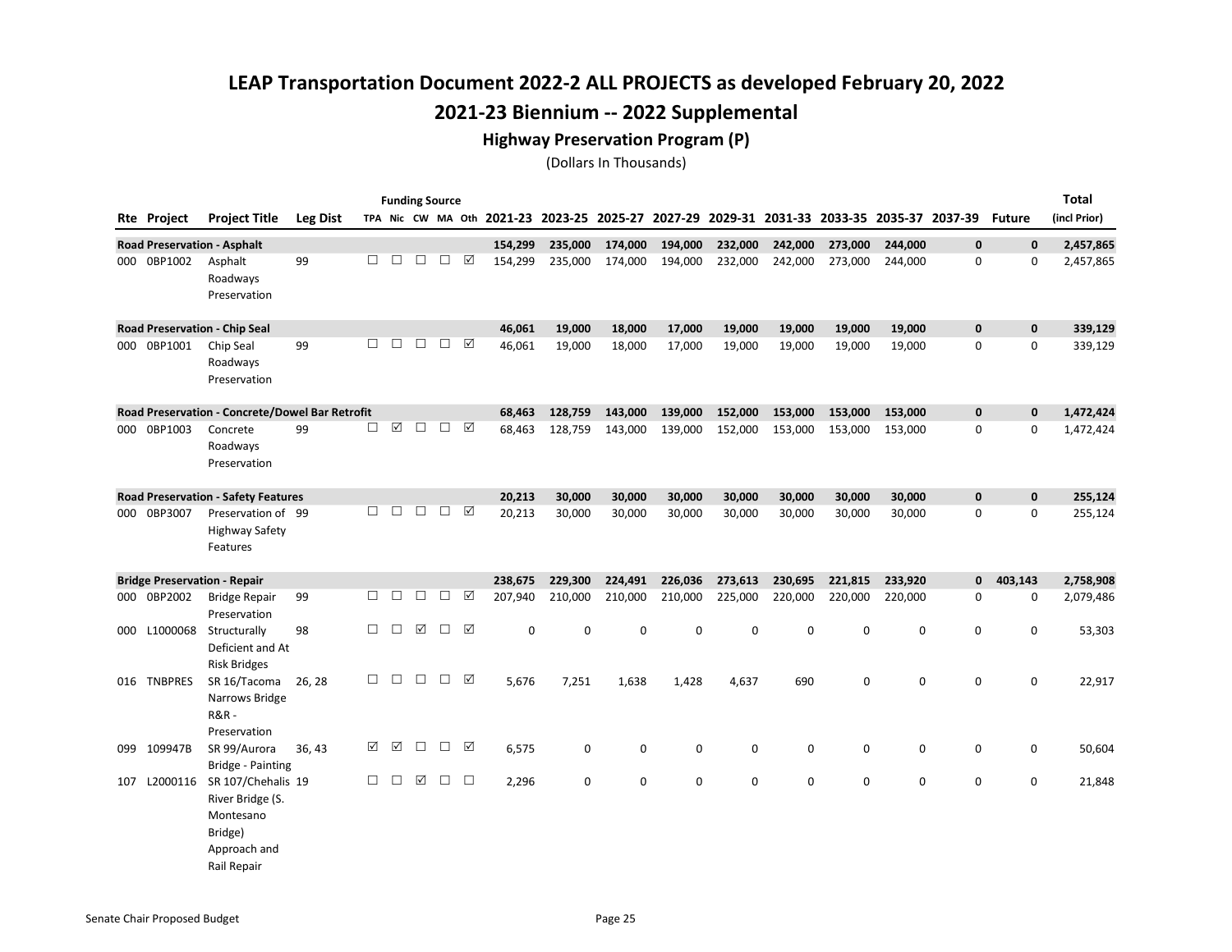#### Highway Preservation Program (P)

|     |                    |                                                                                               |                 |        |                      | <b>Funding Source</b> |        |        |                                                   |             |         |         |         |             |         |         |                                         |               | Total        |
|-----|--------------------|-----------------------------------------------------------------------------------------------|-----------------|--------|----------------------|-----------------------|--------|--------|---------------------------------------------------|-------------|---------|---------|---------|-------------|---------|---------|-----------------------------------------|---------------|--------------|
|     | <b>Rte Project</b> | <b>Project Title</b>                                                                          | <b>Leg Dist</b> |        |                      |                       |        |        | TPA Nic CW MA Oth 2021-23 2023-25 2025-27 2027-29 |             |         |         |         |             |         |         | 2029-31 2031-33 2033-35 2035-37 2037-39 | <b>Future</b> | (incl Prior) |
|     |                    | <b>Road Preservation - Asphalt</b>                                                            |                 |        |                      |                       |        |        | 154,299                                           | 235,000     | 174,000 | 194,000 | 232,000 | 242,000     | 273,000 | 244,000 | $\mathbf{0}$                            | $\mathbf 0$   | 2,457,865    |
|     | 000 0BP1002        | Asphalt<br>Roadways<br>Preservation                                                           | 99              | $\Box$ | $\Box$               | $\Box$                | $\Box$ | ☑      | 154,299                                           | 235,000     | 174,000 | 194,000 | 232,000 | 242,000     | 273,000 | 244,000 | 0                                       | $\mathbf 0$   | 2,457,865    |
|     |                    | <b>Road Preservation - Chip Seal</b>                                                          |                 |        |                      |                       |        |        | 46,061                                            | 19,000      | 18,000  | 17,000  | 19,000  | 19,000      | 19,000  | 19,000  | 0                                       | $\mathbf 0$   | 339,129      |
|     | 000 0BP1001        | Chip Seal<br>Roadways<br>Preservation                                                         | 99              | $\Box$ | $\Box$               | $\Box$                | $\Box$ | ☑      | 46,061                                            | 19,000      | 18,000  | 17,000  | 19,000  | 19,000      | 19,000  | 19,000  | 0                                       | $\mathbf 0$   | 339,129      |
|     |                    | Road Preservation - Concrete/Dowel Bar Retrofit                                               |                 |        |                      |                       |        |        | 68,463                                            | 128,759     | 143,000 | 139,000 | 152,000 | 153,000     | 153,000 | 153,000 | $\pmb{0}$                               | $\mathbf 0$   | 1,472,424    |
|     | 000 0BP1003        | Concrete<br>Roadways<br>Preservation                                                          | 99              | □      | $\boxed{\mathbf{v}}$ | $\Box$                | $\Box$ | ☑      | 68,463                                            | 128,759     | 143,000 | 139,000 | 152,000 | 153,000     | 153,000 | 153,000 | 0                                       | 0             | 1,472,424    |
|     |                    | <b>Road Preservation - Safety Features</b>                                                    |                 |        |                      |                       |        |        | 20,213                                            | 30,000      | 30,000  | 30,000  | 30,000  | 30,000      | 30,000  | 30,000  | 0                                       | $\mathbf 0$   | 255,124      |
|     | 000 0BP3007        | Preservation of 99<br><b>Highway Safety</b><br>Features                                       |                 | П      | □                    | $\Box$                | $\Box$ | ☑      | 20,213                                            | 30,000      | 30,000  | 30,000  | 30,000  | 30,000      | 30,000  | 30,000  | 0                                       | $\Omega$      | 255,124      |
|     |                    | <b>Bridge Preservation - Repair</b>                                                           |                 |        |                      |                       |        |        | 238,675                                           | 229,300     | 224,491 | 226,036 | 273,613 | 230,695     | 221,815 | 233,920 | 0                                       | 403,143       | 2,758,908    |
|     | 000 0BP2002        | <b>Bridge Repair</b><br>Preservation                                                          | 99              | $\Box$ | □                    | $\Box$                | $\Box$ | ☑      | 207,940                                           | 210,000     | 210,000 | 210,000 | 225,000 | 220,000     | 220,000 | 220,000 | 0                                       | 0             | 2,079,486    |
|     | 000 L1000068       | Structurally<br>Deficient and At<br><b>Risk Bridges</b>                                       | 98              | $\Box$ | $\Box$               | ☑                     | $\Box$ | ☑      | $\mathsf 0$                                       | 0           | 0       | 0       | 0       | 0           | 0       | 0       | 0                                       | 0             | 53,303       |
|     | 016 TNBPRES        | SR 16/Tacoma<br>Narrows Bridge<br><b>R&amp;R-</b><br>Preservation                             | 26, 28          | $\Box$ | $\Box$               | $\Box$                | $\Box$ | ⊠      | 5,676                                             | 7,251       | 1,638   | 1,428   | 4,637   | 690         | 0       | 0       | 0                                       | 0             | 22,917       |
| 099 | 109947B            | SR 99/Aurora<br><b>Bridge - Painting</b>                                                      | 36, 43          | ☑      | ☑                    | $\Box$                | $\Box$ | ☑      | 6,575                                             | 0           | 0       | 0       | 0       | 0           | 0       | 0       | 0                                       | 0             | 50,604       |
| 107 | L2000116           | SR 107/Chehalis 19<br>River Bridge (S.<br>Montesano<br>Bridge)<br>Approach and<br>Rail Repair |                 | □      | □                    | ☑                     | $\Box$ | $\Box$ | 2,296                                             | $\mathbf 0$ | 0       | 0       | 0       | $\mathbf 0$ | 0       | 0       | 0                                       | 0             | 21,848       |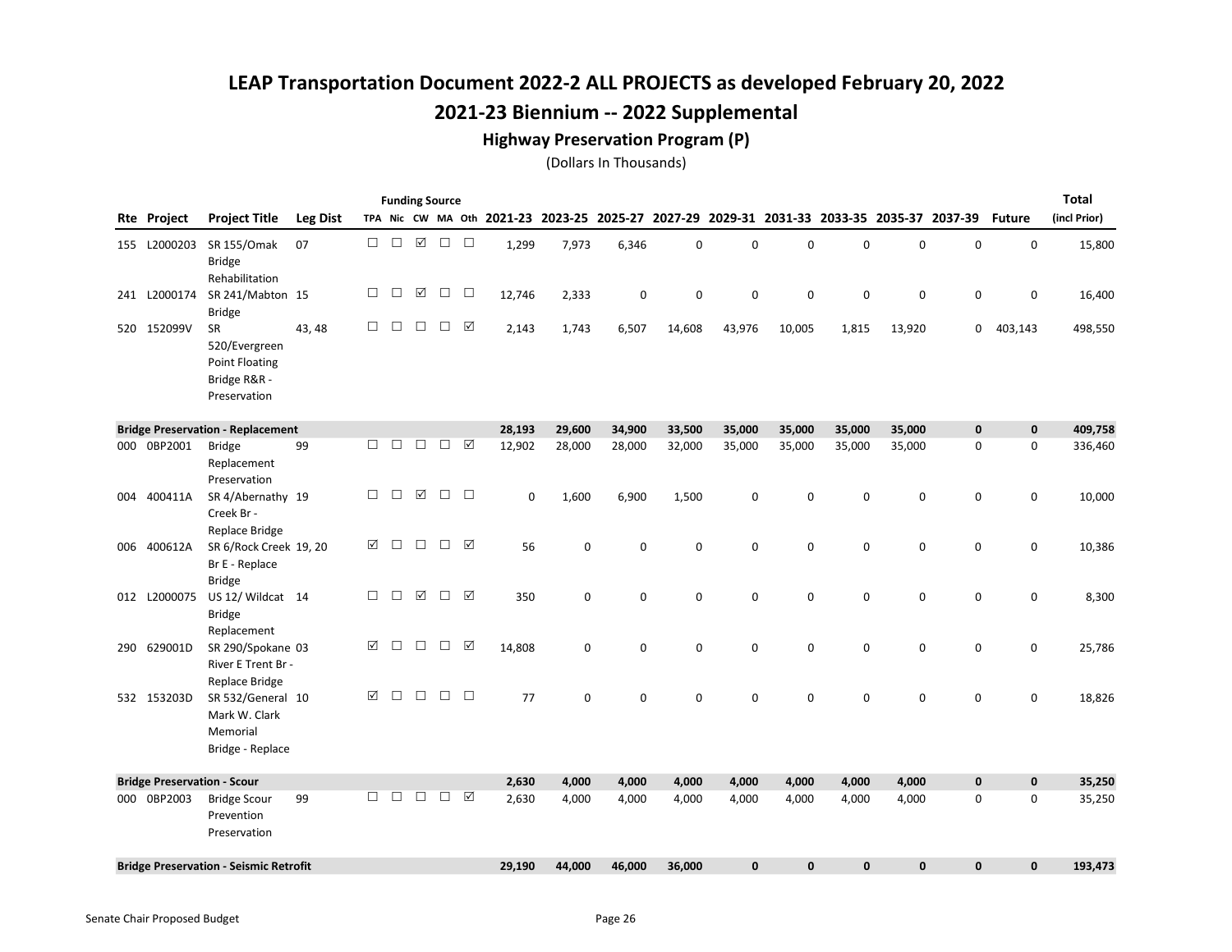#### Highway Preservation Program (P)

|                                    |                                                                                     |                 |        |        |             | <b>Funding Source</b> |           |        |             |        |             |              |              |        |             |                                                                                           |               | <b>Total</b> |
|------------------------------------|-------------------------------------------------------------------------------------|-----------------|--------|--------|-------------|-----------------------|-----------|--------|-------------|--------|-------------|--------------|--------------|--------|-------------|-------------------------------------------------------------------------------------------|---------------|--------------|
| Rte Project                        | <b>Project Title</b>                                                                | <b>Leg Dist</b> |        |        |             |                       |           |        |             |        |             |              |              |        |             | TPA Nic CW MA Oth 2021-23 2023-25 2025-27 2027-29 2029-31 2031-33 2033-35 2035-37 2037-39 | <b>Future</b> | (incl Prior) |
| 155 L2000203                       | SR 155/Omak<br><b>Bridge</b><br>Rehabilitation                                      | 07              | $\Box$ | $\Box$ | ☑           | $\Box$                | $\Box$    | 1,299  | 7,973       | 6,346  | $\mathbf 0$ | 0            | 0            | 0      | 0           | 0                                                                                         | 0             | 15,800       |
| 241 L2000174                       | SR 241/Mabton 15<br><b>Bridge</b>                                                   |                 | $\Box$ | $\Box$ | ☑           | $\Box$                | $\Box$    | 12,746 | 2,333       | 0      | 0           | 0            | 0            | 0      | 0           | 0                                                                                         | 0             | 16,400       |
| 520 152099V                        | <b>SR</b><br>520/Evergreen<br><b>Point Floating</b><br>Bridge R&R -<br>Preservation | 43, 48          | $\Box$ | $\Box$ | $\Box$      | $\Box$                | ☑         | 2,143  | 1,743       | 6,507  | 14,608      | 43,976       | 10,005       | 1,815  | 13,920      | 0                                                                                         | 403,143       | 498,550      |
|                                    | <b>Bridge Preservation - Replacement</b>                                            |                 |        |        |             |                       |           | 28,193 | 29,600      | 34,900 | 33,500      | 35,000       | 35,000       | 35,000 | 35,000      | $\mathbf 0$                                                                               | $\mathbf 0$   | 409,758      |
| 000 0BP2001                        | <b>Bridge</b><br>Replacement<br>Preservation                                        | 99              | $\Box$ | $\Box$ | $\Box$      | $\Box$                | ☑         | 12,902 | 28,000      | 28,000 | 32,000      | 35,000       | 35,000       | 35,000 | 35,000      | $\mathsf 0$                                                                               | 0             | 336,460      |
| 004 400411A                        | SR 4/Abernathy 19<br>Creek Br -<br>Replace Bridge                                   |                 | $\Box$ | $\Box$ | ☑           | $\Box$                | $\Box$    | 0      | 1,600       | 6,900  | 1,500       | 0            | 0            | 0      | 0           | 0                                                                                         | 0             | 10,000       |
| 006 400612A                        | SR 6/Rock Creek 19, 20<br>Br E - Replace<br><b>Bridge</b>                           |                 | ☑      | $\Box$ | $\Box$      | $\Box$                | ☑         | 56     | $\mathbf 0$ | 0      | $\mathbf 0$ | 0            | $\mathbf 0$  | 0      | 0           | $\mathbf 0$                                                                               | 0             | 10,386       |
| 012 L2000075                       | US 12/ Wildcat 14<br><b>Bridge</b><br>Replacement                                   |                 | $\Box$ | $\Box$ | $\boxtimes$ | $\Box$                | ☑         | 350    | 0           | 0      | 0           | 0            | 0            | 0      | 0           | 0                                                                                         | 0             | 8,300        |
| 290 629001D                        | SR 290/Spokane 03<br>River E Trent Br -<br>Replace Bridge                           |                 | ☑      | $\Box$ | $\Box$      | $\Box$                | $\sqrt{}$ | 14,808 | $\mathbf 0$ | 0      | $\mathbf 0$ | 0            | 0            | 0      | $\mathbf 0$ | 0                                                                                         | 0             | 25,786       |
| 532 153203D                        | SR 532/General 10<br>Mark W. Clark<br>Memorial<br>Bridge - Replace                  |                 | ☑      | П      | $\Box$      | $\Box$                | $\Box$    | 77     | $\mathbf 0$ | 0      | $\mathbf 0$ | 0            | $\mathbf 0$  | 0      | 0           | $\mathbf 0$                                                                               | $\mathbf 0$   | 18,826       |
| <b>Bridge Preservation - Scour</b> |                                                                                     |                 |        |        |             |                       |           | 2,630  | 4,000       | 4,000  | 4,000       | 4,000        | 4,000        | 4,000  | 4,000       | $\mathbf 0$                                                                               | $\mathbf 0$   | 35,250       |
| 000 0BP2003                        | <b>Bridge Scour</b><br>Prevention<br>Preservation                                   | 99              | П.     | $\Box$ | $\Box$      | $\Box$                | ☑         | 2,630  | 4,000       | 4,000  | 4,000       | 4,000        | 4,000        | 4,000  | 4,000       | 0                                                                                         | $\mathbf 0$   | 35,250       |
|                                    | <b>Bridge Preservation - Seismic Retrofit</b>                                       |                 |        |        |             |                       |           | 29,190 | 44,000      | 46,000 | 36,000      | $\mathbf{0}$ | $\mathbf{0}$ | 0      | $\mathbf 0$ | 0                                                                                         | $\pmb{0}$     | 193,473      |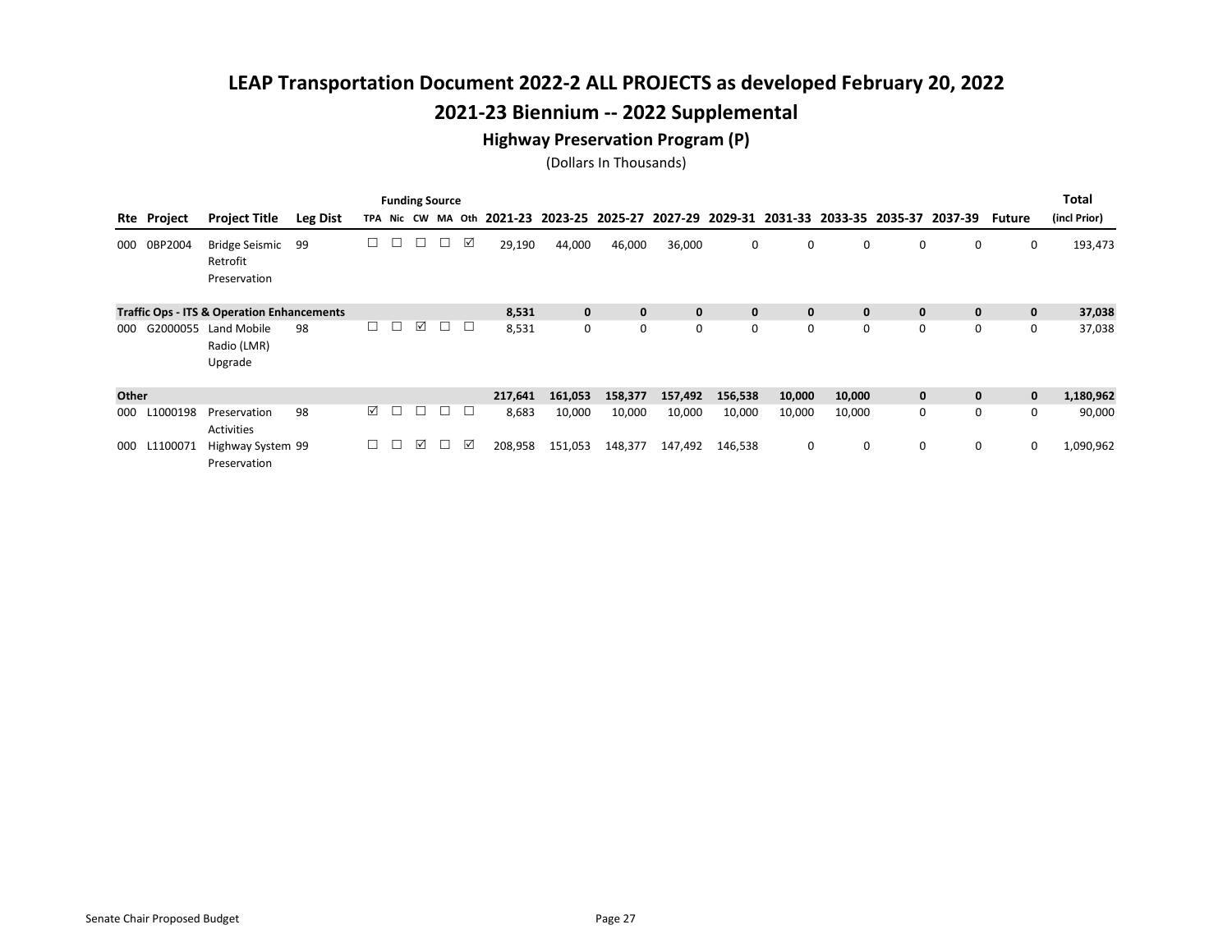#### Highway Preservation Program (P)

|       |             |                                                       |                 |        |        |   | <b>Funding Source</b> |   |         |              |              |              |              |        |        |             |                                                                         |              | Total        |
|-------|-------------|-------------------------------------------------------|-----------------|--------|--------|---|-----------------------|---|---------|--------------|--------------|--------------|--------------|--------|--------|-------------|-------------------------------------------------------------------------|--------------|--------------|
|       | Rte Project | <b>Project Title</b>                                  | <b>Leg Dist</b> |        |        |   | TPA Nic CW MA Oth     |   |         |              |              |              |              |        |        |             | 2021-23 2023-25 2025-27 2027-29 2029-31 2031-33 2033-35 2035-37 2037-39 | Future       | (incl Prior) |
| 000   | 0BP2004     | <b>Bridge Seismic</b><br>Retrofit<br>Preservation     | 99              |        | Г      | □ | □                     | ☑ | 29,190  | 44,000       | 46,000       | 36,000       | 0            | 0      | 0      | 0           | 0                                                                       | 0            | 193,473      |
|       |             | <b>Traffic Ops - ITS &amp; Operation Enhancements</b> |                 |        |        |   |                       |   | 8,531   | $\mathbf{0}$ | $\mathbf{0}$ | $\mathbf{0}$ | $\mathbf{0}$ | 0      | 0      | $\mathbf 0$ | $\mathbf{0}$                                                            | $\mathbf{0}$ | 37,038       |
| 000   | G2000055    | Land Mobile<br>Radio (LMR)<br>Upgrade                 | 98              |        | ⊔      | ☑ | □                     | □ | 8,531   | 0            | 0            | 0            | 0            | 0      | 0      | 0           | 0                                                                       | 0            | 37,038       |
| Other |             |                                                       |                 |        |        |   |                       |   | 217,641 | 161,053      | 158,377      | 157,492      | 156,538      | 10,000 | 10,000 | $\mathbf 0$ | $\mathbf{0}$                                                            | $\mathbf{0}$ | 1,180,962    |
| 000   | L1000198    | Preservation<br><b>Activities</b>                     | 98              | ☑      | □      | □ | $\Box$                | ⊔ | 8,683   | 10,000       | 10,000       | 10,000       | 10,000       | 10,000 | 10,000 | 0           | 0                                                                       | 0            | 90,000       |
| 000   | L1100071    | Highway System 99<br>Preservation                     |                 | $\Box$ | $\Box$ | ☑ | $\Box$                | ☑ | 208,958 | 151,053      | 148,377      | 147,492      | 146,538      | 0      | 0      | 0           | 0                                                                       | 0            | 1,090,962    |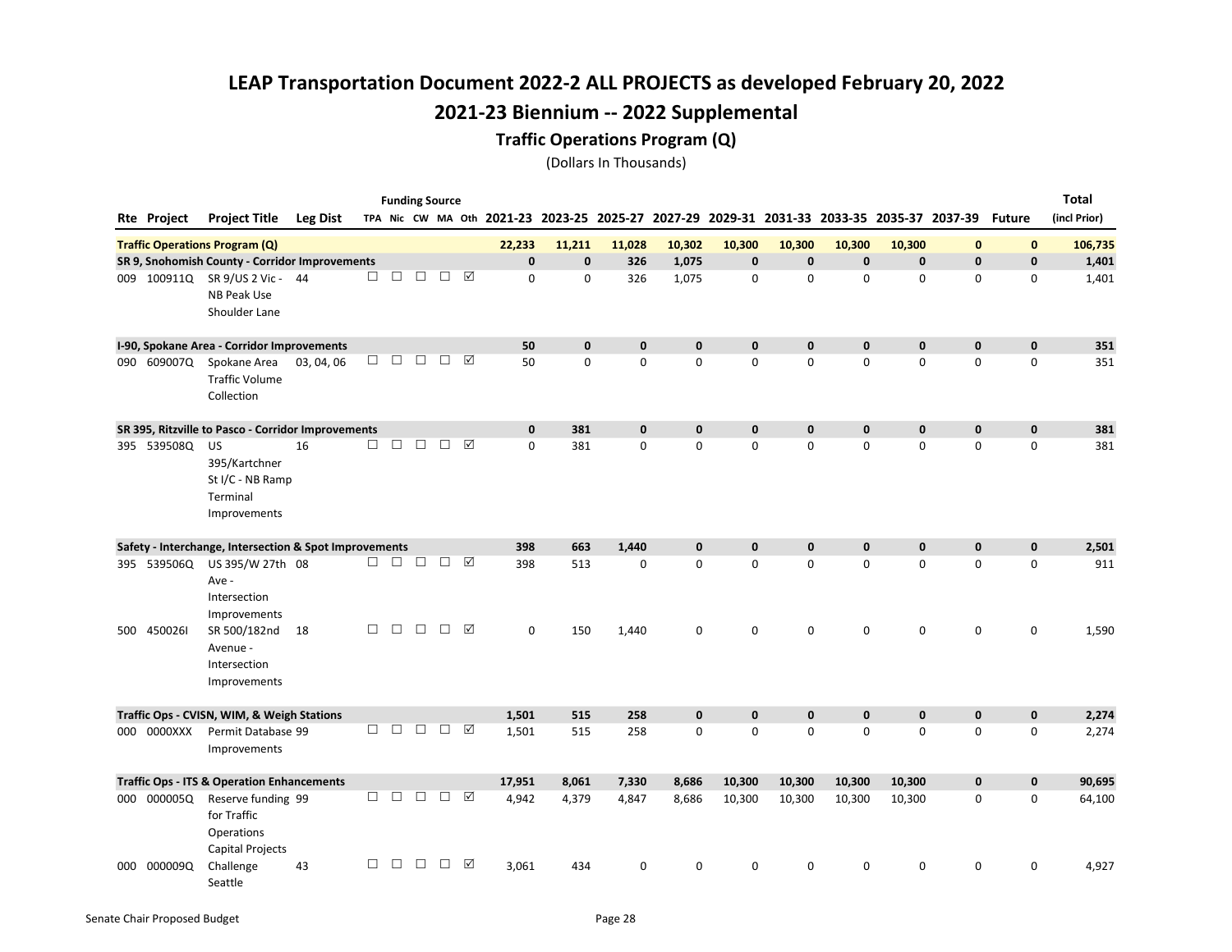#### Traffic Operations Program (Q)

|             |                                                                     |                 |        |        |        | <b>Funding Source</b> |                 |             |             |             |             |             |             |             |                                                                                                  |              |             | <b>Total</b> |
|-------------|---------------------------------------------------------------------|-----------------|--------|--------|--------|-----------------------|-----------------|-------------|-------------|-------------|-------------|-------------|-------------|-------------|--------------------------------------------------------------------------------------------------|--------------|-------------|--------------|
| Rte Project | <b>Project Title</b>                                                | <b>Leg Dist</b> |        |        |        |                       |                 |             |             |             |             |             |             |             | TPA Nic CW MA Oth 2021-23 2023-25 2025-27 2027-29 2029-31 2031-33 2033-35 2035-37 2037-39 Future |              |             | (incl Prior) |
|             | <b>Traffic Operations Program (Q)</b>                               |                 |        |        |        |                       |                 | 22,233      | 11,211      | 11,028      | 10,302      | 10,300      | 10,300      | 10,300      | 10,300                                                                                           | $\mathbf{0}$ | $\mathbf 0$ | 106,735      |
|             | SR 9, Snohomish County - Corridor Improvements                      |                 |        |        |        |                       |                 | $\mathbf 0$ | $\mathbf 0$ | 326         | 1,075       | $\pmb{0}$   | $\mathbf 0$ | $\mathbf 0$ | $\mathbf 0$                                                                                      | $\mathbf 0$  | $\mathbf 0$ | 1,401        |
|             | 009 100911Q SR 9/US 2 Vic- 44<br>NB Peak Use<br>Shoulder Lane       |                 | □      | П      | □      | □                     | ☑               | $\mathbf 0$ | $\Omega$    | 326         | 1,075       | $\mathbf 0$ | $\mathbf 0$ | $\mathbf 0$ | 0                                                                                                | $\mathbf 0$  | 0           | 1,401        |
|             | I-90, Spokane Area - Corridor Improvements                          |                 |        |        |        |                       |                 | 50          | $\mathbf 0$ | $\mathbf 0$ | $\mathbf 0$ | $\mathbf 0$ | $\mathbf 0$ | $\mathbf 0$ | $\mathbf 0$                                                                                      | $\mathbf 0$  | $\mathbf 0$ | 351          |
| 090 609007Q | Spokane Area<br><b>Traffic Volume</b><br>Collection                 | 03, 04, 06      | $\Box$ | $\Box$ | □      | □                     | ☑               | 50          | $\mathbf 0$ | $\mathbf 0$ | $\mathbf 0$ | $\mathbf 0$ | 0           | 0           | 0                                                                                                | 0            | 0           | 351          |
|             | SR 395, Ritzville to Pasco - Corridor Improvements                  |                 |        |        |        |                       |                 | $\mathbf 0$ | 381         | $\mathbf 0$ | $\mathbf 0$ | $\mathbf 0$ | $\mathbf 0$ | $\mathbf 0$ | $\mathbf 0$                                                                                      | $\mathbf 0$  | $\mathbf 0$ | 381          |
| 395 539508Q | US<br>395/Kartchner<br>St I/C - NB Ramp<br>Terminal<br>Improvements | 16              | □      | П      | □      | □                     | $\triangledown$ | $\mathbf 0$ | 381         | 0           | $\mathbf 0$ | $\mathbf 0$ | 0           | 0           | 0                                                                                                | $\mathbf 0$  | $\mathbf 0$ | 381          |
|             | Safety - Interchange, Intersection & Spot Improvements              |                 |        |        |        |                       |                 | 398         | 663         | 1,440       | $\bf{0}$    | 0           | 0           | $\mathbf 0$ | $\mathbf 0$                                                                                      | $\mathbf 0$  | $\mathbf 0$ | 2,501        |
| 395 539506Q | US 395/W 27th 08<br>Ave -<br>Intersection<br>Improvements           |                 | $\Box$ | $\Box$ | $\Box$ | $\Box$                | ☑               | 398         | 513         | 0           | 0           | $\mathbf 0$ | 0           | 0           | $\mathsf 0$                                                                                      | $\mathbf 0$  | 0           | 911          |
| 500 4500261 | SR 500/182nd<br>Avenue -<br>Intersection<br>Improvements            | 18              | □      | $\Box$ | $\Box$ | $\Box$                | ☑               | 0           | 150         | 1,440       | 0           | 0           | 0           | 0           | 0                                                                                                | 0            | 0           | 1,590        |
|             | Traffic Ops - CVISN, WIM, & Weigh Stations                          |                 |        |        |        |                       |                 | 1,501       | 515         | 258         | $\mathbf 0$ | 0           | 0           | $\pmb{0}$   | $\mathbf 0$                                                                                      | $\mathbf 0$  | $\mathbf 0$ | 2,274        |
| 000 0000XXX | Permit Database 99<br>Improvements                                  |                 | $\Box$ | $\Box$ | $\Box$ | $\Box$                | ☑               | 1,501       | 515         | 258         | 0           | 0           | 0           | 0           | $\mathsf 0$                                                                                      | 0            | 0           | 2,274        |
|             | <b>Traffic Ops - ITS &amp; Operation Enhancements</b>               |                 |        |        |        |                       |                 | 17,951      | 8,061       | 7,330       | 8,686       | 10,300      | 10,300      | 10,300      | 10,300                                                                                           | $\mathbf 0$  | $\mathbf 0$ | 90,695       |
| 000 000005Q | Reserve funding 99<br>for Traffic<br>Operations<br>Capital Projects |                 | $\Box$ | $\Box$ | $\Box$ | $\Box$                | ☑               | 4,942       | 4,379       | 4,847       | 8,686       | 10,300      | 10,300      | 10,300      | 10,300                                                                                           | 0            | 0           | 64,100       |
| 000 000009Q | Challenge<br>Seattle                                                | 43              | $\Box$ | $\Box$ | $\Box$ | $\Box$                | ☑               | 3,061       | 434         | 0           | 0           | O           | 0           | O           | 0                                                                                                | 0            | 0           | 4,927        |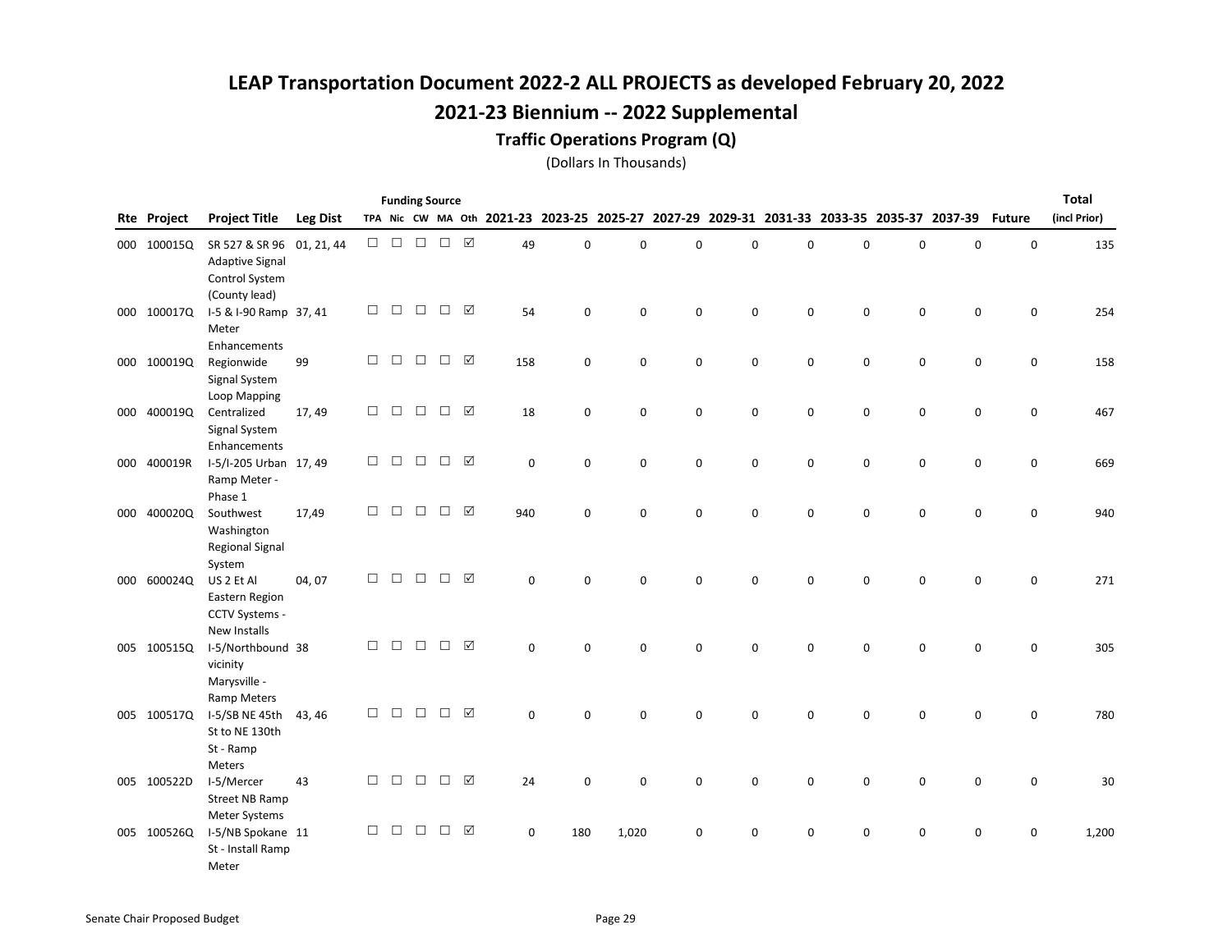#### Traffic Operations Program (Q)

|     |                    |                             |                 |        |                                                                        |               | <b>Funding Source</b> |                 |             |             |             |             |             |             |   |   |                                                                                           |               | <b>Total</b> |
|-----|--------------------|-----------------------------|-----------------|--------|------------------------------------------------------------------------|---------------|-----------------------|-----------------|-------------|-------------|-------------|-------------|-------------|-------------|---|---|-------------------------------------------------------------------------------------------|---------------|--------------|
|     | <b>Rte Project</b> | <b>Project Title</b>        | <b>Leg Dist</b> |        |                                                                        |               |                       |                 |             |             |             |             |             |             |   |   | TPA Nic CW MA Oth 2021-23 2023-25 2025-27 2027-29 2029-31 2031-33 2033-35 2035-37 2037-39 | <b>Future</b> | (incl Prior) |
|     | 000 100015Q        | SR 527 & SR 96              | 01, 21, 44      |        | $\begin{array}{ccc} \square & \square & \square & \square \end{array}$ |               | $\Box$                |                 | 49          | 0           | 0           | $\mathbf 0$ | $\mathbf 0$ | $\mathbf 0$ | 0 | 0 | $\mathsf 0$                                                                               | 0             | 135          |
|     |                    | <b>Adaptive Signal</b>      |                 |        |                                                                        |               |                       |                 |             |             |             |             |             |             |   |   |                                                                                           |               |              |
|     |                    | Control System              |                 |        |                                                                        |               |                       |                 |             |             |             |             |             |             |   |   |                                                                                           |               |              |
|     |                    | (County lead)               |                 |        |                                                                        |               |                       |                 |             |             |             |             |             |             |   |   |                                                                                           |               |              |
|     | 000 100017Q        | I-5 & I-90 Ramp 37, 41      |                 | $\Box$ | $\Box$                                                                 | $\Box$        | $\Box$                | $\triangledown$ | 54          | 0           | 0           | $\mathbf 0$ | $\mathbf 0$ | 0           | 0 | 0 | $\mathsf 0$                                                                               | 0             | 254          |
|     |                    | Meter                       |                 |        |                                                                        |               |                       |                 |             |             |             |             |             |             |   |   |                                                                                           |               |              |
|     |                    | Enhancements                |                 | $\Box$ | $\Box$                                                                 | $\Box$        | $\Box$                | ☑               |             |             |             |             |             |             |   |   |                                                                                           |               |              |
|     | 000 100019Q        | Regionwide<br>Signal System | 99              |        |                                                                        |               |                       |                 | 158         | 0           | 0           | 0           | $\mathbf 0$ | 0           | 0 | 0 | 0                                                                                         | 0             | 158          |
|     |                    | Loop Mapping                |                 |        |                                                                        |               |                       |                 |             |             |             |             |             |             |   |   |                                                                                           |               |              |
|     | 000 400019Q        | Centralized                 | 17, 49          | $\Box$ | $\Box$                                                                 | $\Box$        | $\Box$                | ☑               | 18          | $\pmb{0}$   | 0           | $\mathbf 0$ | $\mathbf 0$ | 0           | 0 | 0 | $\mathsf 0$                                                                               | 0             | 467          |
|     |                    | Signal System               |                 |        |                                                                        |               |                       |                 |             |             |             |             |             |             |   |   |                                                                                           |               |              |
|     |                    | Enhancements                |                 |        |                                                                        |               |                       |                 |             |             |             |             |             |             |   |   |                                                                                           |               |              |
|     | 000 400019R        | I-5/I-205 Urban 17, 49      |                 | $\Box$ |                                                                        | $\Box$ $\Box$ | $\Box$ $\Box$         |                 | $\mathbf 0$ | $\mathbf 0$ | 0           | $\mathbf 0$ | $\mathbf 0$ | $\mathbf 0$ | 0 | 0 | 0                                                                                         | 0             | 669          |
|     |                    | Ramp Meter -                |                 |        |                                                                        |               |                       |                 |             |             |             |             |             |             |   |   |                                                                                           |               |              |
|     |                    | Phase 1                     |                 |        |                                                                        |               |                       |                 |             |             |             |             |             |             |   |   |                                                                                           |               |              |
|     | 000 400020Q        | Southwest                   | 17,49           | $\Box$ | $\Box$                                                                 | $\Box$        | $\Box$                | ☑               | 940         | $\mathbf 0$ | 0           | $\mathbf 0$ | $\mathbf 0$ | $\mathbf 0$ | 0 | 0 | $\mathbf 0$                                                                               | 0             | 940          |
|     |                    | Washington                  |                 |        |                                                                        |               |                       |                 |             |             |             |             |             |             |   |   |                                                                                           |               |              |
|     |                    | <b>Regional Signal</b>      |                 |        |                                                                        |               |                       |                 |             |             |             |             |             |             |   |   |                                                                                           |               |              |
| 000 | 600024Q            | System<br>US 2 Et Al        | 04, 07          | $\Box$ | $\Box$                                                                 | $\Box$        | $\Box$                | $\triangledown$ | $\mathbf 0$ | $\mathbf 0$ | $\mathbf 0$ | $\mathbf 0$ | $\Omega$    | $\Omega$    | 0 | 0 | $\mathbf 0$                                                                               | $\mathbf 0$   | 271          |
|     |                    | Eastern Region              |                 |        |                                                                        |               |                       |                 |             |             |             |             |             |             |   |   |                                                                                           |               |              |
|     |                    | CCTV Systems -              |                 |        |                                                                        |               |                       |                 |             |             |             |             |             |             |   |   |                                                                                           |               |              |
|     |                    | New Installs                |                 |        |                                                                        |               |                       |                 |             |             |             |             |             |             |   |   |                                                                                           |               |              |
|     | 005 100515Q        | I-5/Northbound 38           |                 | $\Box$ | $\Box$                                                                 | $\Box$        | $\Box$                | ☑               | 0           | $\mathbf 0$ | 0           | $\Omega$    | 0           | $\Omega$    | 0 | 0 | $\Omega$                                                                                  | $\mathbf 0$   | 305          |
|     |                    | vicinity                    |                 |        |                                                                        |               |                       |                 |             |             |             |             |             |             |   |   |                                                                                           |               |              |
|     |                    | Marysville -                |                 |        |                                                                        |               |                       |                 |             |             |             |             |             |             |   |   |                                                                                           |               |              |
|     |                    | Ramp Meters                 |                 |        |                                                                        |               |                       |                 |             |             |             |             |             |             |   |   |                                                                                           |               |              |
|     | 005 100517Q        | I-5/SB NE 45th              | 43, 46          | $\Box$ | $\Box$                                                                 | $\Box$        | $\Box$                | ☑               | $\mathbf 0$ | $\Omega$    | 0           | $\mathbf 0$ | $\Omega$    | $\Omega$    | 0 | 0 | $\mathbf 0$                                                                               | $\mathbf 0$   | 780          |
|     |                    | St to NE 130th              |                 |        |                                                                        |               |                       |                 |             |             |             |             |             |             |   |   |                                                                                           |               |              |
|     |                    | St - Ramp                   |                 |        |                                                                        |               |                       |                 |             |             |             |             |             |             |   |   |                                                                                           |               |              |
|     | 005 100522D        | Meters<br>I-5/Mercer        | 43              | $\Box$ | $\Box$                                                                 | $\Box$        | $\Box$                | ☑               | 24          | 0           | 0           | $\mathbf 0$ | $\mathbf 0$ | 0           | 0 |   | $\mathsf 0$                                                                               | 0             | 30           |
|     |                    | <b>Street NB Ramp</b>       |                 |        |                                                                        |               |                       |                 |             |             |             |             |             |             |   | 0 |                                                                                           |               |              |
|     |                    | Meter Systems               |                 |        |                                                                        |               |                       |                 |             |             |             |             |             |             |   |   |                                                                                           |               |              |
|     | 005 100526Q        | I-5/NB Spokane 11           |                 | $\Box$ | $\Box$                                                                 | $\Box$        | $\Box$                | ☑               | 0           | 180         | 1,020       | $\mathbf 0$ | $\mathbf 0$ | 0           | 0 | 0 | $\mathbf 0$                                                                               | $\mathbf 0$   | 1,200        |
|     |                    | St - Install Ramp           |                 |        |                                                                        |               |                       |                 |             |             |             |             |             |             |   |   |                                                                                           |               |              |
|     |                    | Meter                       |                 |        |                                                                        |               |                       |                 |             |             |             |             |             |             |   |   |                                                                                           |               |              |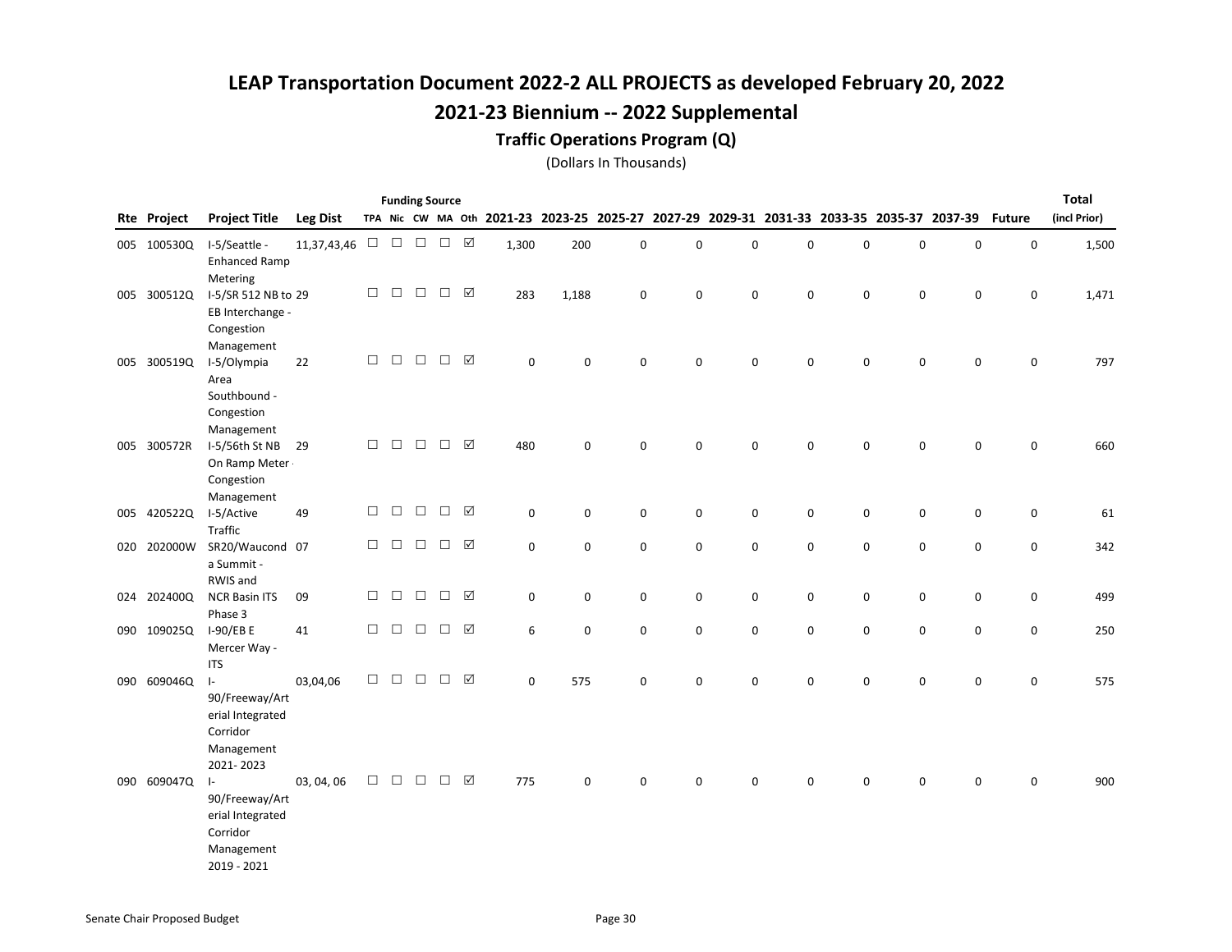#### Traffic Operations Program (Q)

|     |             |                                                                                          |                                                |        | <b>Funding Source</b> |        |        |           |             |                     |                                                                                                  |             |             |             |   |             |             |             | <b>Total</b> |
|-----|-------------|------------------------------------------------------------------------------------------|------------------------------------------------|--------|-----------------------|--------|--------|-----------|-------------|---------------------|--------------------------------------------------------------------------------------------------|-------------|-------------|-------------|---|-------------|-------------|-------------|--------------|
|     | Rte Project | <b>Project Title</b>                                                                     | <b>Leg Dist</b>                                |        |                       |        |        |           |             |                     | TPA Nic CW MA Oth 2021-23 2023-25 2025-27 2027-29 2029-31 2031-33 2033-35 2035-37 2037-39 Future |             |             |             |   |             |             |             | (incl Prior) |
|     | 005 100530Q | I-5/Seattle -<br><b>Enhanced Ramp</b><br>Metering                                        | 11,37,43,46 $\Box$ $\Box$ $\Box$ $\Box$ $\Box$ |        |                       |        |        |           | 1,300       | 200                 | 0                                                                                                | $\pmb{0}$   | $\pmb{0}$   | 0           | 0 | $\pmb{0}$   | 0           | $\mathsf 0$ | 1,500        |
|     | 005 300512Q | I-5/SR 512 NB to 29<br>EB Interchange -<br>Congestion<br>Management                      |                                                | □      | $\Box$                | $\Box$ | $\Box$ | ☑         | 283         | 1,188               | 0                                                                                                | 0           | $\mathbf 0$ | 0           | 0 | 0           | 0           | 0           | 1,471        |
| 005 | 300519Q     | I-5/Olympia<br>Area<br>Southbound -<br>Congestion<br>Management                          | 22                                             | $\Box$ | $\Box$                | $\Box$ | $\Box$ | ☑         | 0           | $\mathbf 0$         | 0                                                                                                | $\mathbf 0$ | $\mathbf 0$ | $\mathbf 0$ | 0 | $\mathbf 0$ | 0           | 0           | 797          |
|     | 005 300572R | I-5/56th St NB<br>On Ramp Meter .<br>Congestion<br>Management                            | 29                                             | $\Box$ | $\Box$                | $\Box$ | $\Box$ | ☑         | 480         | $\mathbf 0$         | 0                                                                                                | $\pmb{0}$   | 0           | 0           | 0 | $\mathsf 0$ | 0           | $\mathbf 0$ | 660          |
|     | 005 420522Q | I-5/Active<br>Traffic                                                                    | 49                                             | $\Box$ | $\Box$                | $\Box$ | $\Box$ | ☑         | 0           | $\mathbf 0$         | $\pmb{0}$                                                                                        | $\pmb{0}$   | 0           | 0           | 0 | $\mathsf 0$ | 0           | $\mathsf 0$ | 61           |
| 020 | 202000W     | SR20/Waucond 07<br>a Summit -<br>RWIS and                                                |                                                | $\Box$ | $\Box$                | $\Box$ | $\Box$ | ☑         | 0           | $\mathbf 0$         | 0                                                                                                | 0           | $\mathbf 0$ | 0           | 0 | $\pmb{0}$   | 0           | $\mathbf 0$ | 342          |
| 024 | 202400Q     | <b>NCR Basin ITS</b><br>Phase 3                                                          | 09                                             | $\Box$ | $\Box$                | $\Box$ | $\Box$ | ☑         | 0           | $\mathsf{O}\xspace$ | 0                                                                                                | 0           | 0           | 0           | 0 | $\pmb{0}$   | 0           | $\pmb{0}$   | 499          |
|     | 090 109025Q | I-90/EB E<br>Mercer Way -<br><b>ITS</b>                                                  | 41                                             | $\Box$ | $\Box$                | $\Box$ | $\Box$ | ☑         | 6           | $\mathsf{O}\xspace$ | 0                                                                                                | $\pmb{0}$   | 0           | 0           | 0 | $\mathsf 0$ | 0           | $\mathsf 0$ | 250          |
|     | 090 609046Q | $\vert$ -<br>90/Freeway/Art<br>erial Integrated<br>Corridor<br>Management<br>2021-2023   | 03,04,06                                       | $\Box$ | $\Box$                | $\Box$ | $\Box$ | ☑         | $\mathbf 0$ | 575                 | 0                                                                                                | 0           | $\mathbf 0$ | $\mathbf 0$ | 0 | $\mathsf 0$ | $\mathsf 0$ | $\mathsf 0$ | 575          |
|     | 090 609047Q | $\vert$ -<br>90/Freeway/Art<br>erial Integrated<br>Corridor<br>Management<br>2019 - 2021 | 03, 04, 06                                     | $\Box$ | $\Box$                | $\Box$ | $\Box$ | $\sqrt{}$ | 775         | $\mathbf 0$         | 0                                                                                                | 0           | $\mathbf 0$ | 0           | 0 | 0           | 0           | 0           | 900          |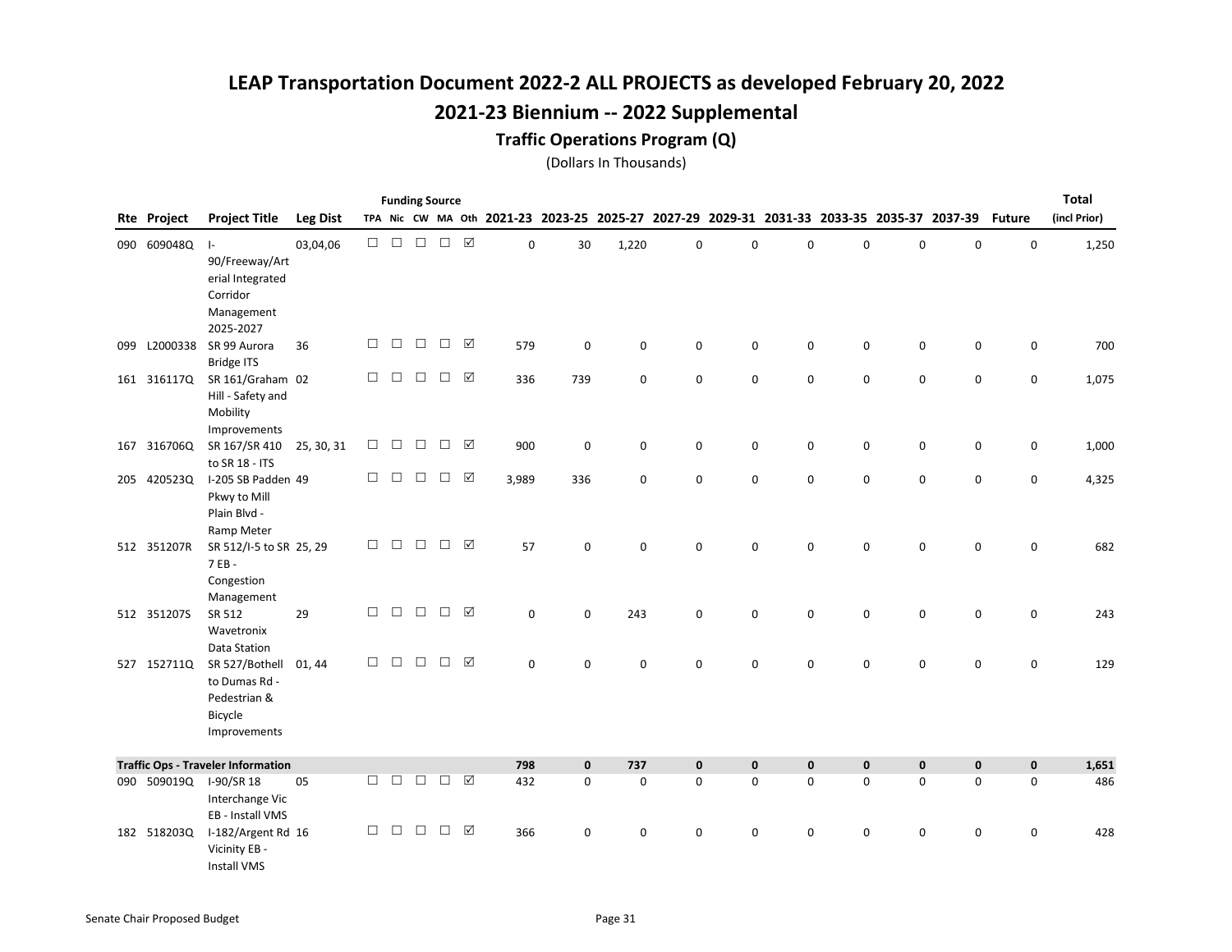### Traffic Operations Program (Q)

|     |                    |                                           |                 |        |        |               | <b>Funding Source</b> |                 |             |                                                                                           |       |             |          |             |              |             |              |               | <b>Total</b> |
|-----|--------------------|-------------------------------------------|-----------------|--------|--------|---------------|-----------------------|-----------------|-------------|-------------------------------------------------------------------------------------------|-------|-------------|----------|-------------|--------------|-------------|--------------|---------------|--------------|
|     | <b>Rte Project</b> | <b>Project Title</b>                      | <b>Leg Dist</b> |        |        |               |                       |                 |             | TPA Nic CW MA Oth 2021-23 2023-25 2025-27 2027-29 2029-31 2031-33 2033-35 2035-37 2037-39 |       |             |          |             |              |             |              | <b>Future</b> | (incl Prior) |
|     | 090 609048Q        | $\mathsf{L}$                              | 03,04,06        | $\Box$ |        | $\Box$ $\Box$ | $\Box$                |                 | 0           | 30                                                                                        | 1,220 | $\pmb{0}$   | 0        | 0           | $\mathbf 0$  | $\mathbf 0$ | 0            | $\mathsf 0$   | 1,250        |
|     |                    | 90/Freeway/Art                            |                 |        |        |               |                       |                 |             |                                                                                           |       |             |          |             |              |             |              |               |              |
|     |                    | erial Integrated                          |                 |        |        |               |                       |                 |             |                                                                                           |       |             |          |             |              |             |              |               |              |
|     |                    | Corridor                                  |                 |        |        |               |                       |                 |             |                                                                                           |       |             |          |             |              |             |              |               |              |
|     |                    | Management                                |                 |        |        |               |                       |                 |             |                                                                                           |       |             |          |             |              |             |              |               |              |
|     |                    | 2025-2027                                 |                 |        |        |               |                       |                 |             |                                                                                           |       |             |          |             |              |             |              |               |              |
| 099 | L2000338           | SR 99 Aurora                              | 36              | $\Box$ | $\Box$ | $\Box$        | $\Box$                | ☑               | 579         | 0                                                                                         | 0     | 0           | 0        | 0           | 0            | 0           | 0            | 0             | 700          |
|     |                    | <b>Bridge ITS</b>                         |                 |        |        |               |                       |                 |             |                                                                                           |       |             |          |             |              |             |              |               |              |
|     | 161 3161170        | SR 161/Graham 02                          |                 | $\Box$ | $\Box$ | $\Box$        | $\Box$                | ☑               | 336         | 739                                                                                       | 0     | $\mathbf 0$ | 0        | 0           | $\mathbf 0$  | $\mathbf 0$ | $\mathbf 0$  | $\mathbf 0$   | 1,075        |
|     |                    | Hill - Safety and                         |                 |        |        |               |                       |                 |             |                                                                                           |       |             |          |             |              |             |              |               |              |
|     |                    | Mobility                                  |                 |        |        |               |                       |                 |             |                                                                                           |       |             |          |             |              |             |              |               |              |
|     |                    | Improvements                              |                 |        | $\Box$ | $\Box$        |                       | ☑               |             |                                                                                           |       |             |          |             |              |             |              |               |              |
|     | 167 316706Q        | SR 167/SR 410                             | 25, 30, 31      | □      |        |               | □                     |                 | 900         | 0                                                                                         | 0     | 0           | 0        | 0           | $\mathbf 0$  | 0           | 0            | 0             | 1,000        |
|     | 205 420523Q        | to SR 18 - ITS<br>I-205 SB Padden 49      |                 | $\Box$ | $\Box$ | $\Box$        | $\Box$                | $\triangledown$ | 3,989       | 336                                                                                       | 0     | $\mathbf 0$ | 0        | 0           | $\mathbf 0$  | $\pmb{0}$   | 0            | $\mathbf 0$   | 4,325        |
|     |                    | Pkwy to Mill                              |                 |        |        |               |                       |                 |             |                                                                                           |       |             |          |             |              |             |              |               |              |
|     |                    | Plain Blvd -                              |                 |        |        |               |                       |                 |             |                                                                                           |       |             |          |             |              |             |              |               |              |
|     |                    | Ramp Meter                                |                 |        |        |               |                       |                 |             |                                                                                           |       |             |          |             |              |             |              |               |              |
|     | 512 351207R        | SR 512/I-5 to SR 25, 29                   |                 | $\Box$ | $\Box$ | $\Box$        | $\Box$                | ☑               | 57          | $\mathbf 0$                                                                               | 0     | 0           | 0        | 0           | $\mathbf 0$  | 0           | 0            | $\mathbf 0$   | 682          |
|     |                    | 7 EB -                                    |                 |        |        |               |                       |                 |             |                                                                                           |       |             |          |             |              |             |              |               |              |
|     |                    | Congestion                                |                 |        |        |               |                       |                 |             |                                                                                           |       |             |          |             |              |             |              |               |              |
|     |                    | Management                                |                 |        |        |               |                       |                 |             |                                                                                           |       |             |          |             |              |             |              |               |              |
|     | 512 3512075        | SR 512                                    | 29              | □      | $\Box$ | $\Box$        | $\Box$                | $\triangledown$ | $\mathbf 0$ | $\Omega$                                                                                  | 243   | $\mathbf 0$ | 0        | 0           | $\mathbf 0$  | $\mathbf 0$ | $\mathbf 0$  | $\mathbf 0$   | 243          |
|     |                    | Wavetronix                                |                 |        |        |               |                       |                 |             |                                                                                           |       |             |          |             |              |             |              |               |              |
|     |                    | Data Station                              |                 |        |        |               |                       |                 |             |                                                                                           |       |             |          |             |              |             |              |               |              |
|     | 527 152711Q        | SR 527/Bothell                            | 01, 44          | $\Box$ | $\Box$ | $\Box$        | $\Box$                | ☑               | 0           | $\mathbf 0$                                                                               | 0     | $\mathbf 0$ | $\Omega$ | $\Omega$    | $\mathbf 0$  | 0           | 0            | $\mathbf 0$   | 129          |
|     |                    | to Dumas Rd -                             |                 |        |        |               |                       |                 |             |                                                                                           |       |             |          |             |              |             |              |               |              |
|     |                    | Pedestrian &                              |                 |        |        |               |                       |                 |             |                                                                                           |       |             |          |             |              |             |              |               |              |
|     |                    | Bicycle                                   |                 |        |        |               |                       |                 |             |                                                                                           |       |             |          |             |              |             |              |               |              |
|     |                    | Improvements                              |                 |        |        |               |                       |                 |             |                                                                                           |       |             |          |             |              |             |              |               |              |
|     |                    | <b>Traffic Ops - Traveler Information</b> |                 |        |        |               |                       |                 | 798         | $\mathbf{0}$                                                                              | 737   | $\mathbf 0$ | 0        | $\mathbf 0$ | $\mathbf{0}$ | $\mathbf 0$ | $\mathbf{0}$ | $\mathbf 0$   | 1,651        |
|     | 090 509019Q        | I-90/SR 18                                | 05              | $\Box$ | $\Box$ | $\Box$        | $\Box$                | $\triangledown$ | 432         | $\mathbf 0$                                                                               | 0     | $\mathbf 0$ | 0        | $\mathbf 0$ | $\mathbf 0$  | $\mathbf 0$ | $\mathbf 0$  | $\mathbf 0$   | 486          |
|     |                    | Interchange Vic                           |                 |        |        |               |                       |                 |             |                                                                                           |       |             |          |             |              |             |              |               |              |
|     |                    | EB - Install VMS                          |                 |        |        |               |                       |                 |             |                                                                                           |       |             |          |             |              |             |              |               |              |
|     | 182 518203Q        | I-182/Argent Rd 16                        |                 | $\Box$ | $\Box$ | $\Box$        | $\Box$                | ☑               | 366         | 0                                                                                         | 0     | 0           | 0        | $\mathbf 0$ | $\mathbf 0$  | $\mathbf 0$ | 0            | 0             | 428          |
|     |                    | Vicinity EB -                             |                 |        |        |               |                       |                 |             |                                                                                           |       |             |          |             |              |             |              |               |              |
|     |                    | <b>Install VMS</b>                        |                 |        |        |               |                       |                 |             |                                                                                           |       |             |          |             |              |             |              |               |              |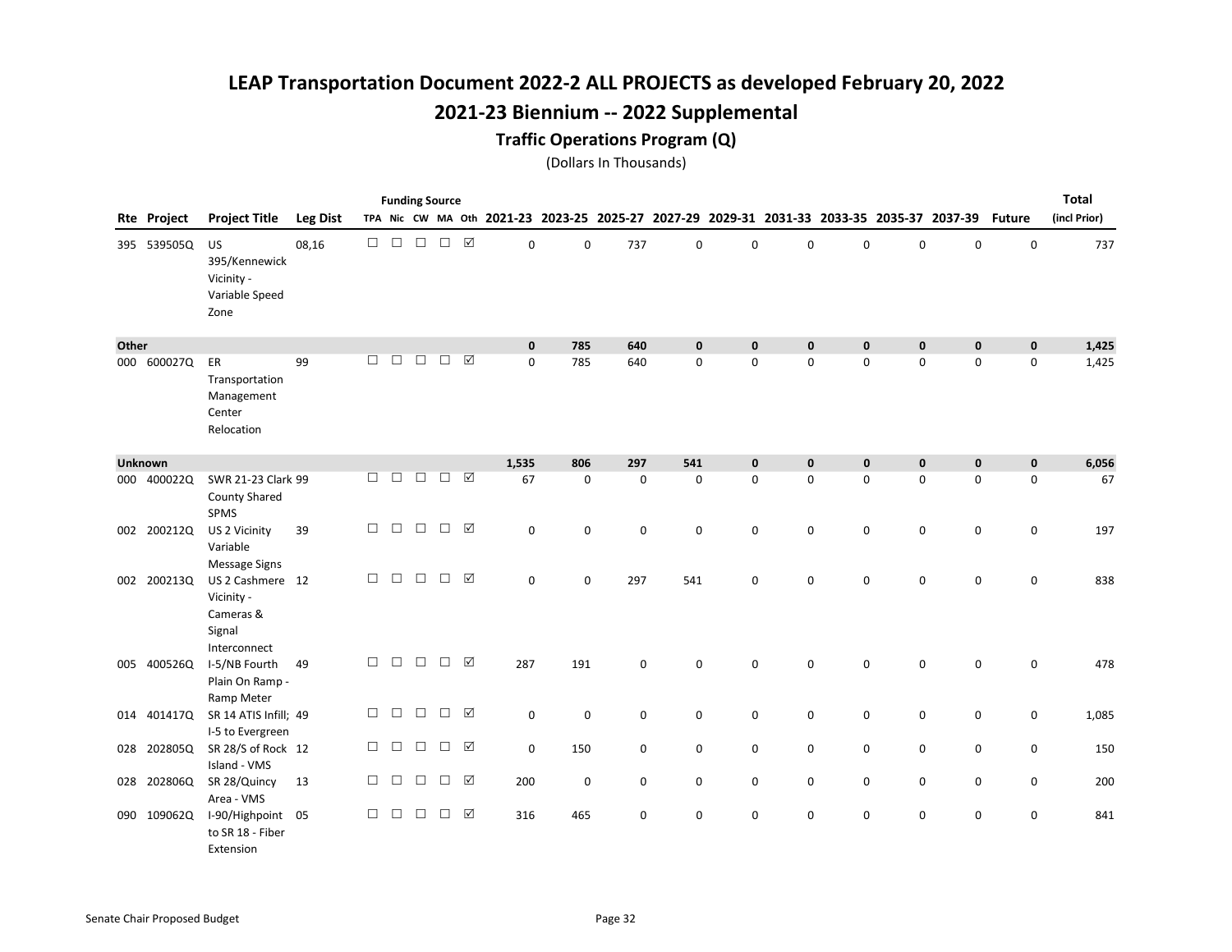# 2021-23 Biennium -- 2022 Supplemental

#### Traffic Operations Program (Q)

|       |                |                                                                       |                 |        |        |        | <b>Funding Source</b> |                 |                                           |             |             |             |              |                                                 |             |             |             |               | <b>Total</b> |
|-------|----------------|-----------------------------------------------------------------------|-----------------|--------|--------|--------|-----------------------|-----------------|-------------------------------------------|-------------|-------------|-------------|--------------|-------------------------------------------------|-------------|-------------|-------------|---------------|--------------|
|       | Rte Project    | <b>Project Title</b>                                                  | <b>Leg Dist</b> |        |        |        |                       |                 | TPA Nic CW MA Oth 2021-23 2023-25 2025-27 |             |             |             |              | 2027-29 2029-31 2031-33 2033-35 2035-37 2037-39 |             |             |             | <b>Future</b> | (incl Prior) |
|       | 395 539505Q    | US<br>395/Kennewick<br>Vicinity -<br>Variable Speed<br>Zone           | 08,16           | $\Box$ | $\Box$ | $\Box$ | $\Box$                | $\boxed{\sqrt}$ | $\mathbf 0$                               | $\mathbf 0$ | 737         | $\mathbf 0$ | $\Omega$     | 0                                               | $\mathbf 0$ | $\mathbf 0$ | $\mathbf 0$ | $\mathbf 0$   | 737          |
| Other |                |                                                                       |                 |        |        |        |                       |                 | $\mathbf 0$                               | 785         | 640         | $\mathbf 0$ | 0            | 0                                               | $\mathbf 0$ | $\pmb{0}$   | $\mathbf 0$ | $\mathbf 0$   | 1,425        |
|       | 000 600027Q    | ER<br>Transportation<br>Management<br>Center<br>Relocation            | 99              | П      | $\Box$ | $\Box$ | $\Box$                | ☑               | $\Omega$                                  | 785         | 640         | $\mathbf 0$ | $\Omega$     | $\mathbf 0$                                     | $\mathbf 0$ | $\mathbf 0$ | $\mathbf 0$ | $\mathbf 0$   | 1,425        |
|       | <b>Unknown</b> |                                                                       |                 |        |        |        |                       |                 | 1,535                                     | 806         | 297         | 541         | $\mathbf{0}$ | $\mathbf 0$                                     | $\mathbf 0$ | $\mathbf 0$ | $\mathbf 0$ | $\mathbf{0}$  | 6,056        |
| 000   | 400022Q        | SWR 21-23 Clark 99<br><b>County Shared</b><br>SPMS                    |                 | □      | $\Box$ | $\Box$ | $\Box$                | $\triangledown$ | 67                                        | $\Omega$    | $\mathbf 0$ | $\mathbf 0$ | 0            | $\mathbf 0$                                     | $\mathbf 0$ | 0           | 0           | 0             | 67           |
|       | 002 200212Q    | US 2 Vicinity<br>Variable<br><b>Message Signs</b>                     | 39              | □      | $\Box$ | $\Box$ | $\Box$                | $\triangledown$ | 0                                         | $\mathbf 0$ | 0           | 0           | 0            | 0                                               | $\mathbf 0$ | 0           | 0           | 0             | 197          |
|       | 002 2002130    | US 2 Cashmere 12<br>Vicinity -<br>Cameras &<br>Signal<br>Interconnect |                 | $\Box$ | $\Box$ | $\Box$ | $\Box$                | $\triangledown$ | $\mathbf 0$                               | $\mathbf 0$ | 297         | 541         | 0            | $\mathbf 0$                                     | $\mathbf 0$ | $\mathbf 0$ | $\mathbf 0$ | $\mathbf 0$   | 838          |
|       | 005 400526Q    | I-5/NB Fourth<br>Plain On Ramp -<br>Ramp Meter                        | 49              | $\Box$ | $\Box$ | $\Box$ | $\Box$                | ☑               | 287                                       | 191         | 0           | 0           | 0            | 0                                               | 0           | 0           | 0           | 0             | 478          |
|       | 014 401417Q    | SR 14 ATIS Infill; 49<br>I-5 to Evergreen                             |                 | $\Box$ | $\Box$ | $\Box$ | $\Box$                | $\triangledown$ | $\mathbf 0$                               | $\mathbf 0$ | 0           | $\mathsf 0$ | 0            | 0                                               | 0           | 0           | 0           | $\mathbf 0$   | 1,085        |
|       | 028 202805Q    | SR 28/S of Rock 12<br>Island - VMS                                    |                 | $\Box$ | $\Box$ | $\Box$ | $\Box$                | $\triangledown$ | $\mathbf 0$                               | 150         | $\mathbf 0$ | 0           | 0            | 0                                               | 0           | 0           | 0           | $\mathbf 0$   | 150          |
|       | 028 202806Q    | SR 28/Quincy<br>Area - VMS                                            | 13              | $\Box$ | $\Box$ | $\Box$ | $\Box$                | ☑               | 200                                       | $\mathbf 0$ | 0           | 0           | 0            | 0                                               | 0           | 0           | 0           | $\mathbf 0$   | 200          |
|       | 090 109062Q    | I-90/Highpoint 05<br>to SR 18 - Fiber<br>Extension                    |                 | □      | □      | $\Box$ | $\Box$                | $\triangledown$ | 316                                       | 465         | 0           | $\mathbf 0$ | 0            | 0                                               | 0           | 0           | 0           | $\mathbf 0$   | 841          |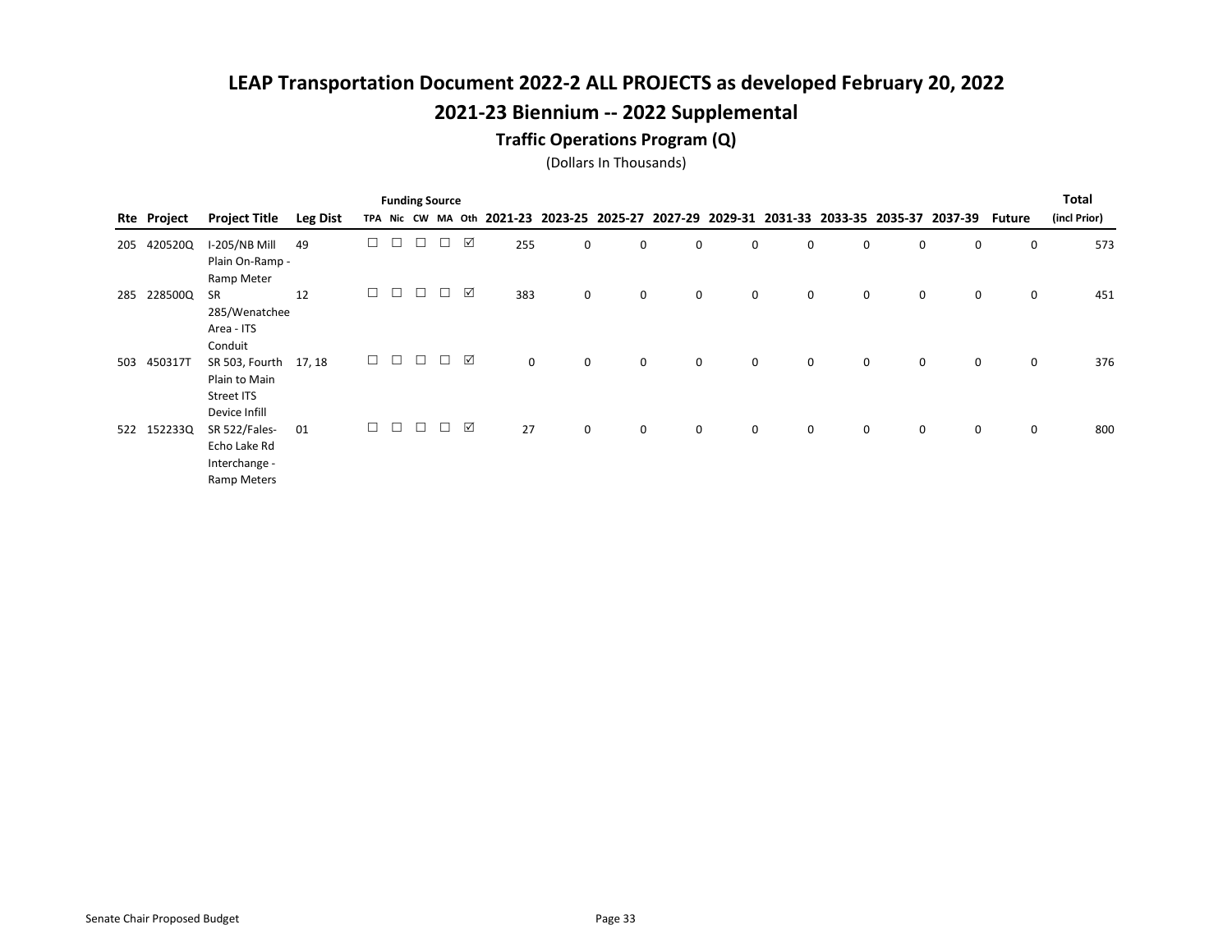#### Traffic Operations Program (Q)

|     |             |                      |                 |        |        |        | <b>Funding Source</b> |   |     |             |   |             |             |             |   |   |                                                                                           |             | Total        |
|-----|-------------|----------------------|-----------------|--------|--------|--------|-----------------------|---|-----|-------------|---|-------------|-------------|-------------|---|---|-------------------------------------------------------------------------------------------|-------------|--------------|
|     | Rte Project | <b>Project Title</b> | <b>Leg Dist</b> |        |        |        |                       |   |     |             |   |             |             |             |   |   | TPA Nic CW MA Oth 2021-23 2023-25 2025-27 2027-29 2029-31 2031-33 2033-35 2035-37 2037-39 | Future      | (incl Prior) |
| 205 | 420520Q     | I-205/NB Mill        | 49              |        | $\Box$ |        |                       | ☑ | 255 | 0           | 0 | 0           | 0           | 0           | 0 | 0 | 0                                                                                         | 0           | 573          |
|     |             | Plain On-Ramp -      |                 |        |        |        |                       |   |     |             |   |             |             |             |   |   |                                                                                           |             |              |
|     |             | Ramp Meter           |                 |        |        |        |                       |   |     |             |   |             |             |             |   |   |                                                                                           |             |              |
| 285 | 228500Q     | <b>SR</b>            | 12              | $\Box$ | $\Box$ | $\Box$ | $\Box$                | ☑ | 383 | 0           | 0 | $\mathbf 0$ | $\mathbf 0$ | $\mathbf 0$ | 0 | 0 | 0                                                                                         | 0           | 451          |
|     |             | 285/Wenatchee        |                 |        |        |        |                       |   |     |             |   |             |             |             |   |   |                                                                                           |             |              |
|     |             | Area - ITS           |                 |        |        |        |                       |   |     |             |   |             |             |             |   |   |                                                                                           |             |              |
|     |             | Conduit              |                 |        |        |        |                       |   |     |             |   |             |             |             |   |   |                                                                                           |             |              |
| 503 | 450317T     | SR 503, Fourth       | 17, 18          | $\Box$ | $\Box$ | $\Box$ | $\Box$                | ☑ | 0   | $\mathbf 0$ | 0 | 0           | 0           | 0           | 0 | 0 | $\mathsf{O}$                                                                              | 0           | 376          |
|     |             | Plain to Main        |                 |        |        |        |                       |   |     |             |   |             |             |             |   |   |                                                                                           |             |              |
|     |             | Street ITS           |                 |        |        |        |                       |   |     |             |   |             |             |             |   |   |                                                                                           |             |              |
|     |             | Device Infill        |                 |        |        |        |                       |   |     |             |   |             |             |             |   |   |                                                                                           |             |              |
|     | 522 152233Q | SR 522/Fales-        | 01              | $\Box$ | $\Box$ | $\Box$ | $\Box$                | ☑ | 27  | 0           | 0 | $\mathbf 0$ | $\mathbf 0$ | $\mathbf 0$ | 0 | 0 | $\mathsf{O}$                                                                              | $\mathbf 0$ | 800          |
|     |             | Echo Lake Rd         |                 |        |        |        |                       |   |     |             |   |             |             |             |   |   |                                                                                           |             |              |
|     |             | Interchange -        |                 |        |        |        |                       |   |     |             |   |             |             |             |   |   |                                                                                           |             |              |
|     |             | Ramp Meters          |                 |        |        |        |                       |   |     |             |   |             |             |             |   |   |                                                                                           |             |              |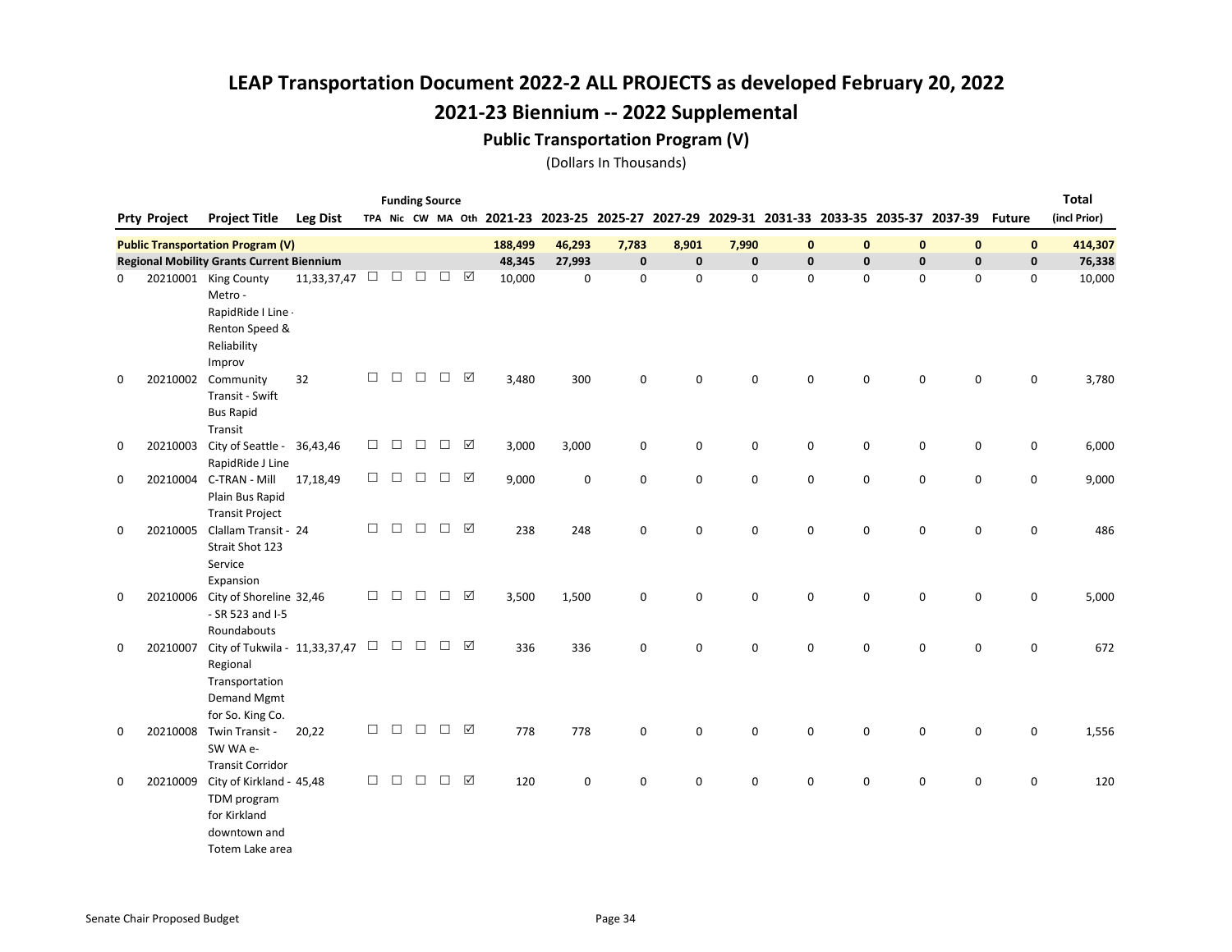#### Public Transportation Program (V)

|             |                     |                                                  |                    |        |        | <b>Funding Source</b> |        |           |         |                                           |             |             |       |              |              |              |                                                 |               | <b>Total</b> |
|-------------|---------------------|--------------------------------------------------|--------------------|--------|--------|-----------------------|--------|-----------|---------|-------------------------------------------|-------------|-------------|-------|--------------|--------------|--------------|-------------------------------------------------|---------------|--------------|
|             | <b>Prty Project</b> | <b>Project Title</b>                             | <b>Leg Dist</b>    |        |        |                       |        |           |         | TPA Nic CW MA Oth 2021-23 2023-25 2025-27 |             |             |       |              |              |              | 2027-29 2029-31 2031-33 2033-35 2035-37 2037-39 | <b>Future</b> | (incl Prior) |
|             |                     | <b>Public Transportation Program (V)</b>         |                    |        |        |                       |        |           | 188,499 | 46,293                                    | 7,783       | 8,901       | 7,990 | $\mathbf{0}$ | $\mathbf{0}$ | $\mathbf{0}$ | $\mathbf 0$                                     | $\mathbf{0}$  | 414,307      |
|             |                     | <b>Regional Mobility Grants Current Biennium</b> |                    |        |        |                       |        |           | 48,345  | 27,993                                    | $\mathbf 0$ | $\mathbf 0$ | 0     | 0            | $\pmb{0}$    | $\pmb{0}$    | $\mathbf 0$                                     | $\mathbf 0$   | 76,338       |
| 0           |                     | 20210001 King County                             | 11,33,37,47 $\Box$ |        | $\Box$ | $\Box$                | $\Box$ | ☑         | 10,000  | $\mathbf 0$                               | 0           | $\mathbf 0$ | 0     | 0            | 0            | $\mathsf 0$  | 0                                               | 0             | 10,000       |
|             |                     | Metro -                                          |                    |        |        |                       |        |           |         |                                           |             |             |       |              |              |              |                                                 |               |              |
|             |                     | RapidRide I Line -                               |                    |        |        |                       |        |           |         |                                           |             |             |       |              |              |              |                                                 |               |              |
|             |                     | Renton Speed &                                   |                    |        |        |                       |        |           |         |                                           |             |             |       |              |              |              |                                                 |               |              |
|             |                     | Reliability                                      |                    |        |        |                       |        |           |         |                                           |             |             |       |              |              |              |                                                 |               |              |
|             |                     | Improv                                           |                    | $\Box$ |        | $\Box$                | $\Box$ | ☑         |         |                                           |             |             |       |              |              |              |                                                 |               |              |
| 0           |                     | 20210002 Community<br>Transit - Swift            | 32                 |        | $\Box$ |                       |        |           | 3,480   | 300                                       | 0           | 0           | 0     | 0            | 0            | 0            | $\mathbf 0$                                     | 0             | 3,780        |
|             |                     | <b>Bus Rapid</b>                                 |                    |        |        |                       |        |           |         |                                           |             |             |       |              |              |              |                                                 |               |              |
|             |                     | Transit                                          |                    |        |        |                       |        |           |         |                                           |             |             |       |              |              |              |                                                 |               |              |
| $\mathbf 0$ | 20210003            | City of Seattle - 36,43,46                       |                    | $\Box$ | $\Box$ | $\Box$                | $\Box$ | ☑         | 3,000   | 3,000                                     | 0           | 0           | 0     | 0            | 0            | 0            | 0                                               | 0             | 6,000        |
|             |                     | RapidRide J Line                                 |                    |        |        |                       |        |           |         |                                           |             |             |       |              |              |              |                                                 |               |              |
| $\mathbf 0$ |                     | 20210004 C-TRAN - Mill                           | 17,18,49           | $\Box$ | $\Box$ | $\Box$                | $\Box$ | $\sqrt{}$ | 9,000   | $\mathbf 0$                               | 0           | $\mathbf 0$ | 0     | 0            | $\mathbf 0$  | 0            | $\mathbf 0$                                     | $\mathbf 0$   | 9,000        |
|             |                     | Plain Bus Rapid                                  |                    |        |        |                       |        |           |         |                                           |             |             |       |              |              |              |                                                 |               |              |
|             |                     | <b>Transit Project</b>                           |                    |        |        |                       |        |           |         |                                           |             |             |       |              |              |              |                                                 |               |              |
| 0           | 20210005            | Clallam Transit - 24                             |                    | $\Box$ | $\Box$ | $\Box$                | $\Box$ | ☑         | 238     | 248                                       | 0           | 0           | 0     | 0            | $\mathbf 0$  | $\mathsf 0$  | $\mathbf 0$                                     | 0             | 486          |
|             |                     | Strait Shot 123                                  |                    |        |        |                       |        |           |         |                                           |             |             |       |              |              |              |                                                 |               |              |
|             |                     | Service                                          |                    |        |        |                       |        |           |         |                                           |             |             |       |              |              |              |                                                 |               |              |
| $\mathbf 0$ | 20210006            | Expansion<br>City of Shoreline 32,46             |                    | $\Box$ | $\Box$ | $\Box$                | $\Box$ | ☑         | 3,500   | 1,500                                     | 0           | 0           | 0     | 0            | $\mathbf 0$  | $\mathsf 0$  | $\mathbf 0$                                     | 0             | 5,000        |
|             |                     | - SR 523 and I-5                                 |                    |        |        |                       |        |           |         |                                           |             |             |       |              |              |              |                                                 |               |              |
|             |                     | Roundabouts                                      |                    |        |        |                       |        |           |         |                                           |             |             |       |              |              |              |                                                 |               |              |
| 0           | 20210007            | City of Tukwila - 11,33,37,47 $\Box$             |                    |        | $\Box$ | $\Box$                | $\Box$ | ☑         | 336     | 336                                       | 0           | $\mathbf 0$ | 0     | 0            | 0            | 0            | 0                                               | 0             | 672          |
|             |                     | Regional                                         |                    |        |        |                       |        |           |         |                                           |             |             |       |              |              |              |                                                 |               |              |
|             |                     | Transportation                                   |                    |        |        |                       |        |           |         |                                           |             |             |       |              |              |              |                                                 |               |              |
|             |                     | Demand Mgmt                                      |                    |        |        |                       |        |           |         |                                           |             |             |       |              |              |              |                                                 |               |              |
|             |                     | for So. King Co.                                 |                    |        |        |                       |        |           |         |                                           |             |             |       |              |              |              |                                                 |               |              |
| 0           |                     | 20210008 Twin Transit -<br>SW WA e-              | 20,22              | $\Box$ | $\Box$ | $\Box$                | $\Box$ | ☑         | 778     | 778                                       | 0           | $\mathbf 0$ | 0     | 0            | 0            | 0            | 0                                               | 0             | 1,556        |
|             |                     | <b>Transit Corridor</b>                          |                    |        |        |                       |        |           |         |                                           |             |             |       |              |              |              |                                                 |               |              |
| 0           | 20210009            | City of Kirkland - 45,48                         |                    | $\Box$ | $\Box$ | $\Box$                | $\Box$ | ☑         | 120     | $\mathbf 0$                               | 0           | 0           | 0     | $\mathbf 0$  | 0            | 0            | 0                                               | 0             | 120          |
|             |                     | TDM program                                      |                    |        |        |                       |        |           |         |                                           |             |             |       |              |              |              |                                                 |               |              |
|             |                     | for Kirkland                                     |                    |        |        |                       |        |           |         |                                           |             |             |       |              |              |              |                                                 |               |              |
|             |                     | downtown and                                     |                    |        |        |                       |        |           |         |                                           |             |             |       |              |              |              |                                                 |               |              |
|             |                     | Totem Lake area                                  |                    |        |        |                       |        |           |         |                                           |             |             |       |              |              |              |                                                 |               |              |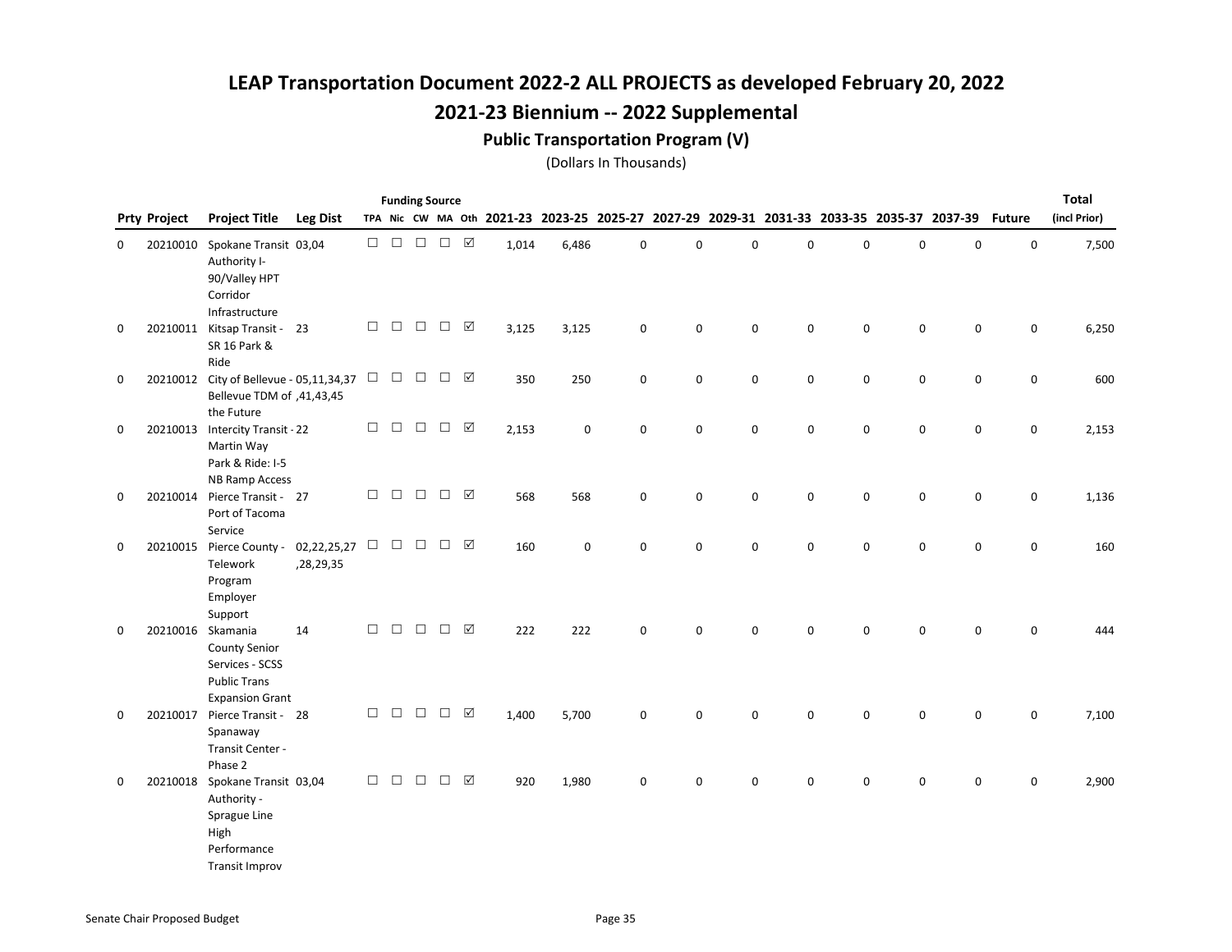#### Public Transportation Program (V)

|   |                     |                                                                                                               |                          |        |        | <b>Funding Source</b> |               |   |       |             |                                                                                           |             |             |             |             |             |             |               | <b>Total</b> |
|---|---------------------|---------------------------------------------------------------------------------------------------------------|--------------------------|--------|--------|-----------------------|---------------|---|-------|-------------|-------------------------------------------------------------------------------------------|-------------|-------------|-------------|-------------|-------------|-------------|---------------|--------------|
|   | <b>Prty Project</b> | <b>Project Title</b>                                                                                          | <b>Leg Dist</b>          |        |        |                       |               |   |       |             | TPA Nic CW MA Oth 2021-23 2023-25 2025-27 2027-29 2029-31 2031-33 2033-35 2035-37 2037-39 |             |             |             |             |             |             | <b>Future</b> | (incl Prior) |
| 0 | 20210010            | Spokane Transit 03,04<br>Authority I-<br>90/Valley HPT<br>Corridor<br>Infrastructure                          |                          | $\Box$ | $\Box$ | $\Box$                | $\Box$ $\Box$ |   | 1,014 | 6,486       | $\mathbf 0$                                                                               | $\mathbf 0$ | $\Omega$    | 0           | 0           | $\mathbf 0$ | $\mathbf 0$ | $\mathbf 0$   | 7,500        |
| 0 |                     | 20210011 Kitsap Transit - 23<br>SR 16 Park &<br>Ride                                                          |                          | $\Box$ | $\Box$ | $\Box$                | $\Box$        | ☑ | 3,125 | 3,125       | 0                                                                                         | 0           | 0           | $\mathbf 0$ | 0           | $\mathsf 0$ | 0           | $\mathbf 0$   | 6,250        |
| 0 |                     | 20210012 City of Bellevue - 05,11,34,37<br>Bellevue TDM of ,41,43,45<br>the Future                            |                          | $\Box$ |        | $\Box$ $\Box$         | $\Box$ $\Box$ |   | 350   | 250         | $\pmb{0}$                                                                                 | 0           | 0           | $\mathbf 0$ | 0           | $\pmb{0}$   | 0           | $\mathbf 0$   | 600          |
| 0 |                     | 20210013 Intercity Transit - 22<br>Martin Way<br>Park & Ride: I-5<br><b>NB Ramp Access</b>                    |                          | $\Box$ | $\Box$ | $\Box$                | $\Box$        | ☑ | 2,153 | 0           | 0                                                                                         | 0           | $\mathbf 0$ | 0           | $\mathbf 0$ | $\pmb{0}$   | $\pmb{0}$   | $\mathsf 0$   | 2,153        |
| 0 | 20210014            | Pierce Transit - 27<br>Port of Tacoma<br>Service                                                              |                          | $\Box$ | $\Box$ | $\Box$                | $\Box$        | ☑ | 568   | 568         | 0                                                                                         | 0           | 0           | 0           | 0           | $\pmb{0}$   | 0           | 0             | 1,136        |
| 0 |                     | 20210015 Pierce County -<br>Telework<br>Program<br>Employer<br>Support                                        | 02,22,25,27<br>,28,29,35 | $\Box$ | $\Box$ | $\Box$                | $\Box$ $\Box$ |   | 160   | $\mathbf 0$ | 0                                                                                         | 0           | $\mathbf 0$ | 0           | 0           | $\mathsf 0$ | 0           | $\mathsf 0$   | 160          |
| 0 |                     | 20210016 Skamania<br><b>County Senior</b><br>Services - SCSS<br><b>Public Trans</b><br><b>Expansion Grant</b> | 14                       | $\Box$ | $\Box$ | $\Box$                | $\Box$ $\Box$ |   | 222   | 222         | 0                                                                                         | 0           | $\mathbf 0$ | 0           | 0           | $\mathbf 0$ | $\mathbf 0$ | $\mathsf 0$   | 444          |
| 0 | 20210017            | Pierce Transit - 28<br>Spanaway<br>Transit Center -<br>Phase 2                                                |                          | $\Box$ | $\Box$ | $\Box$                | $\Box$        | ☑ | 1,400 | 5,700       | 0                                                                                         | 0           | $\mathbf 0$ | 0           | 0           | $\mathbf 0$ | $\mathbf 0$ | $\mathsf 0$   | 7,100        |
| 0 |                     | 20210018 Spokane Transit 03,04<br>Authority -<br>Sprague Line<br>High<br>Performance<br><b>Transit Improv</b> |                          | $\Box$ | $\Box$ | $\Box$                | $\Box$        | ☑ | 920   | 1,980       | 0                                                                                         | 0           | 0           | 0           | 0           | 0           | 0           | 0             | 2,900        |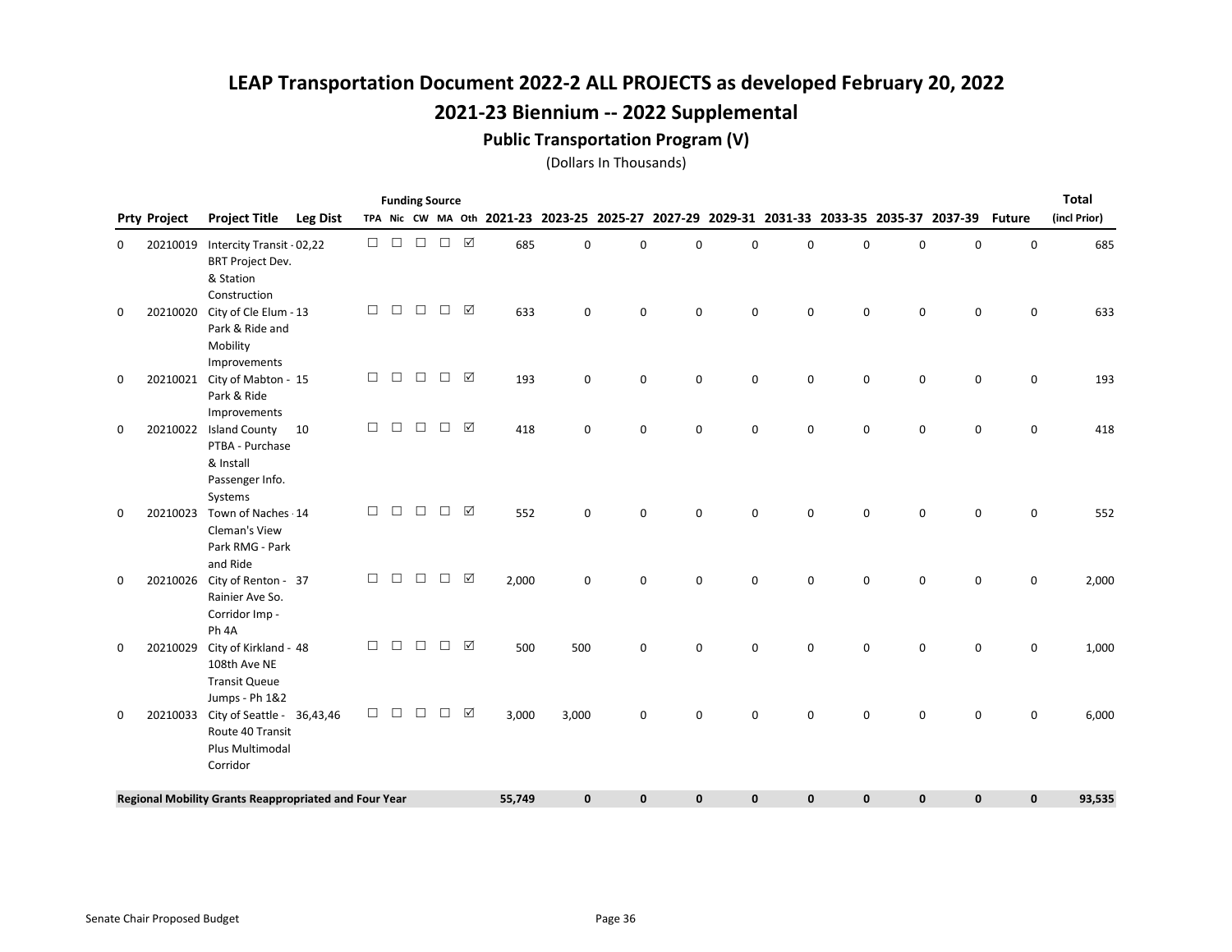#### Public Transportation Program (V)

|   |                     |                                                                                                     |                 |                  |        |        | <b>Funding Source</b> |                 |        |              |                                                                                           |              |              |              |             |             |              |               | <b>Total</b> |
|---|---------------------|-----------------------------------------------------------------------------------------------------|-----------------|------------------|--------|--------|-----------------------|-----------------|--------|--------------|-------------------------------------------------------------------------------------------|--------------|--------------|--------------|-------------|-------------|--------------|---------------|--------------|
|   | <b>Prty Project</b> | <b>Project Title</b>                                                                                | <b>Leg Dist</b> |                  |        |        |                       |                 |        |              | TPA Nic CW MA Oth 2021-23 2023-25 2025-27 2027-29 2029-31 2031-33 2033-35 2035-37 2037-39 |              |              |              |             |             |              | <b>Future</b> | (incl Prior) |
| 0 | 20210019            | Intercity Transit - 02,22<br><b>BRT Project Dev.</b><br>& Station                                   |                 | $\Box$<br>$\Box$ |        | $\Box$ | $\Box$                | ☑               | 685    | $\mathbf 0$  | 0                                                                                         | $\Omega$     | $\Omega$     | $\mathbf 0$  | 0           | $\mathbf 0$ | $\mathbf 0$  | 0             | 685          |
| 0 | 20210020            | Construction<br>City of Cle Elum - 13<br>Park & Ride and<br>Mobility                                |                 | $\Box$           | $\Box$ | $\Box$ | $\Box$                | ☑               | 633    | $\mathbf 0$  | 0                                                                                         | $\mathbf 0$  | 0            | $\Omega$     | 0           | $\mathbf 0$ | $\mathbf 0$  | $\mathbf 0$   | 633          |
| 0 |                     | Improvements<br>20210021 City of Mabton - 15<br>Park & Ride<br>Improvements                         |                 | $\Box$           | $\Box$ | $\Box$ | $\Box$                | $\triangledown$ | 193    | $\mathbf 0$  | 0                                                                                         | $\mathbf 0$  | 0            | $\mathbf 0$  | 0           | $\mathsf 0$ | $\mathbf 0$  | $\mathbf 0$   | 193          |
| 0 |                     | 20210022 Island County<br>PTBA - Purchase<br>& Install<br>Passenger Info.                           | 10              | $\Box$           | $\Box$ | $\Box$ | $\Box$                | ☑               | 418    | 0            | 0                                                                                         | $\mathbf 0$  | 0            | 0            | 0           | 0           | $\mathbf 0$  | $\mathbf 0$   | 418          |
| 0 | 20210023            | Systems<br>Town of Naches - 14<br>Cleman's View<br>Park RMG - Park                                  |                 | П                | П      | $\Box$ | $\Box$                | ☑               | 552    | $\mathbf 0$  | 0                                                                                         | $\Omega$     | $\Omega$     | $\Omega$     | 0           | $\mathsf 0$ | $\mathbf 0$  | $\mathbf 0$   | 552          |
| 0 |                     | and Ride<br>20210026 City of Renton - 37<br>Rainier Ave So.<br>Corridor Imp -                       |                 | $\Box$           | $\Box$ | $\Box$ | $\Box$                | ☑               | 2,000  | $\Omega$     | 0                                                                                         | $\Omega$     | $\Omega$     | $\Omega$     | $\Omega$    | $\Omega$    | $\Omega$     | $\mathbf 0$   | 2,000        |
| 0 | 20210029            | Ph <sub>4A</sub><br>City of Kirkland - 48<br>108th Ave NE<br><b>Transit Queue</b><br>Jumps - Ph 1&2 |                 | $\Box$           | $\Box$ | $\Box$ | $\Box$                | ☑               | 500    | 500          | 0                                                                                         | $\Omega$     | $\Omega$     | $\Omega$     | 0           | $\mathbf 0$ | $\mathbf 0$  | $\mathbf 0$   | 1,000        |
| 0 | 20210033            | City of Seattle - 36,43,46<br>Route 40 Transit<br>Plus Multimodal<br>Corridor                       |                 | $\Box$           | $\Box$ | $\Box$ | $\Box$                | $\sqrt{}$       | 3,000  | 3,000        | 0                                                                                         | $\Omega$     | $\Omega$     | $\Omega$     | 0           | $\mathbf 0$ | $\mathbf 0$  | $\mathbf 0$   | 6,000        |
|   |                     | Regional Mobility Grants Reappropriated and Four Year                                               |                 |                  |        |        |                       |                 | 55,749 | $\mathbf{0}$ | $\mathbf{0}$                                                                              | $\mathbf{0}$ | $\mathbf{0}$ | $\mathbf{0}$ | $\mathbf 0$ | $\mathbf 0$ | $\mathbf{0}$ | $\mathbf 0$   | 93,535       |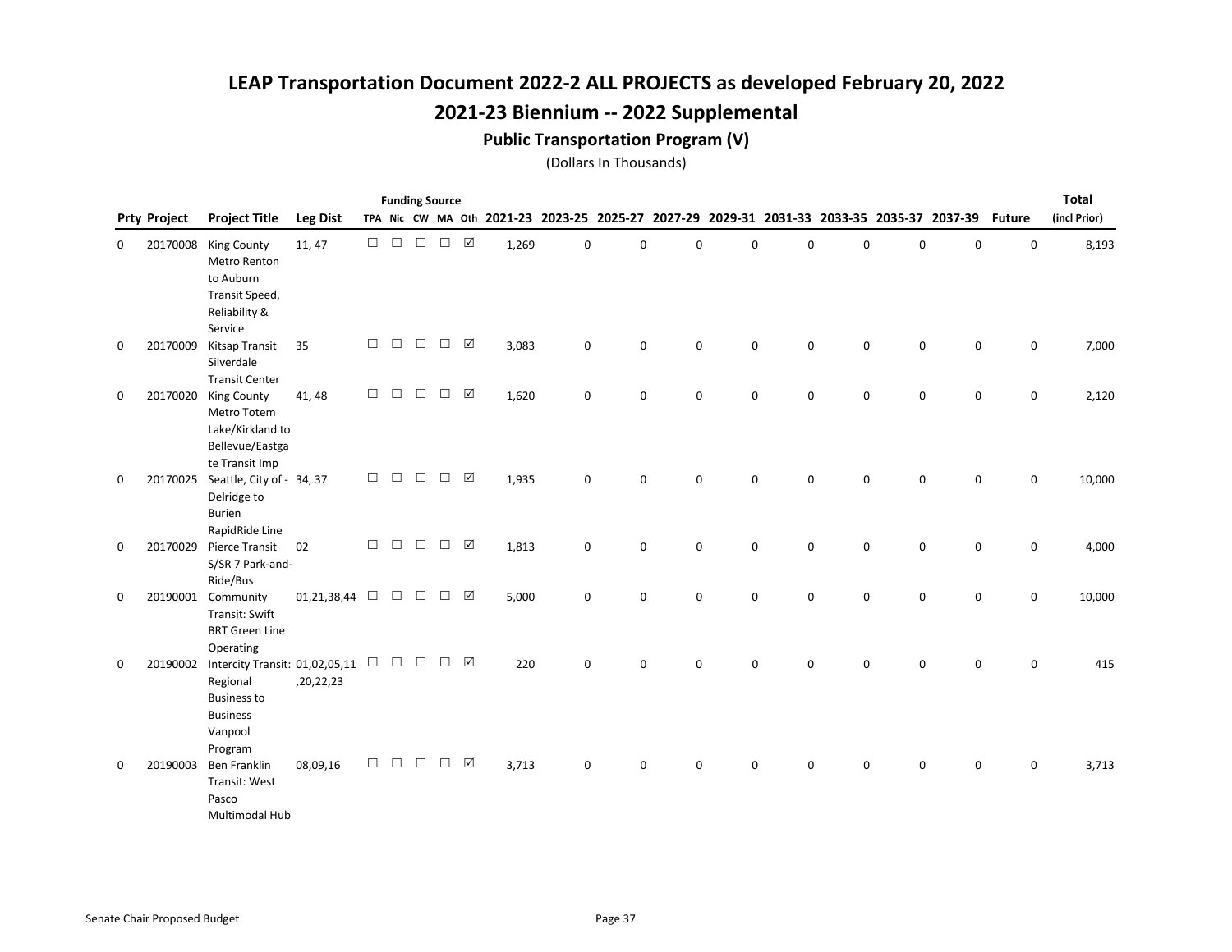#### Public Transportation Program (V)

|   |                     |                                                                                                                  |                 |        |        | <b>Funding Source</b> |        |                 |       |             |                                                                                           |             |   |             |   |             |             |               | <b>Total</b> |
|---|---------------------|------------------------------------------------------------------------------------------------------------------|-----------------|--------|--------|-----------------------|--------|-----------------|-------|-------------|-------------------------------------------------------------------------------------------|-------------|---|-------------|---|-------------|-------------|---------------|--------------|
|   | <b>Prty Project</b> | <b>Project Title</b>                                                                                             | <b>Leg Dist</b> |        |        |                       |        |                 |       |             | TPA Nic CW MA Oth 2021-23 2023-25 2025-27 2027-29 2029-31 2031-33 2033-35 2035-37 2037-39 |             |   |             |   |             |             | <b>Future</b> | (incl Prior) |
| 0 | 20170008            | <b>King County</b><br>Metro Renton<br>to Auburn<br>Transit Speed,<br>Reliability &<br>Service                    | 11, 47          | $\Box$ | $\Box$ | $\Box$                | $\Box$ | ☑               | 1,269 | 0           | 0                                                                                         | 0           | 0 | 0           | 0 | $\mathbf 0$ | 0           | 0             | 8,193        |
| 0 | 20170009            | Kitsap Transit<br>Silverdale<br><b>Transit Center</b>                                                            | 35              | $\Box$ | $\Box$ | $\Box$                | $\Box$ | ☑               | 3,083 | 0           | 0                                                                                         | 0           | 0 | 0           | 0 | 0           | 0           | 0             | 7,000        |
| 0 | 20170020            | <b>King County</b><br>Metro Totem<br>Lake/Kirkland to<br>Bellevue/Eastga<br>te Transit Imp                       | 41, 48          | $\Box$ | $\Box$ | $\Box$                | $\Box$ | ☑               | 1,620 | 0           | 0                                                                                         | 0           | 0 | 0           | 0 | 0           | 0           | 0             | 2,120        |
| 0 | 20170025            | Seattle, City of - 34, 37<br>Delridge to<br><b>Burien</b><br>RapidRide Line                                      |                 | $\Box$ | $\Box$ | $\Box$                | $\Box$ | ☑               | 1,935 | $\mathsf 0$ | 0                                                                                         | $\pmb{0}$   | 0 | $\mathbf 0$ | 0 | $\pmb{0}$   | 0           | 0             | 10,000       |
| 0 | 20170029            | Pierce Transit<br>S/SR 7 Park-and-<br>Ride/Bus                                                                   | 02              | $\Box$ | $\Box$ | $\Box$                | $\Box$ | ☑               | 1,813 | $\mathsf 0$ | 0                                                                                         | $\mathsf 0$ | 0 | $\mathbf 0$ | 0 | $\mathsf 0$ | 0           | 0             | 4,000        |
| 0 |                     | 20190001 Community<br>Transit: Swift<br><b>BRT Green Line</b><br>Operating                                       | 01,21,38,44     | $\Box$ | $\Box$ | $\Box$                | $\Box$ | ☑               | 5,000 | $\mathbf 0$ | 0                                                                                         | $\mathbf 0$ | 0 | $\mathbf 0$ | 0 | $\mathbf 0$ | $\mathbf 0$ | 0             | 10,000       |
| 0 | 20190002            | Intercity Transit: 01,02,05,11 $\Box$<br>Regional<br><b>Business to</b><br><b>Business</b><br>Vanpool<br>Program | ,20,22,23       |        | $\Box$ | $\Box$                | $\Box$ | ☑               | 220   | $\mathbf 0$ | 0                                                                                         | $\mathbf 0$ | 0 | $\mathbf 0$ | 0 | $\mathbf 0$ | $\mathbf 0$ | $\mathbf 0$   | 415          |
| 0 | 20190003            | Ben Franklin<br>Transit: West<br>Pasco<br>Multimodal Hub                                                         | 08,09,16        | $\Box$ | $\Box$ | □                     | $\Box$ | $\triangledown$ | 3,713 | $\mathbf 0$ | 0                                                                                         | $\mathbf 0$ | 0 | $\mathbf 0$ | 0 | 0           | 0           | 0             | 3,713        |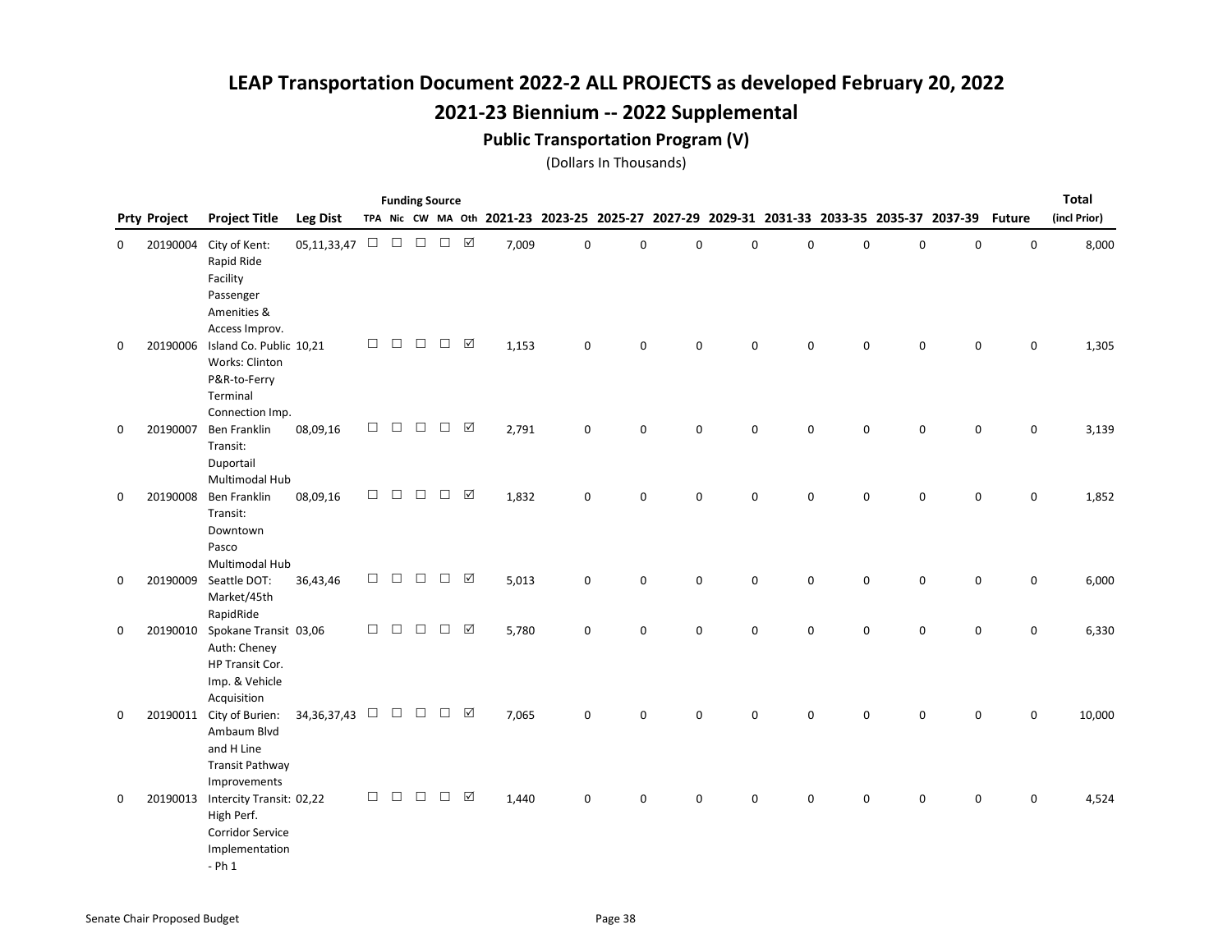### Public Transportation Program (V)

|   |                     |                                                                                                 |                         |        |        |        | <b>Funding Source</b> |                         |       |             |                                                                                           |             |             |             |   |             |             |               | <b>Total</b> |
|---|---------------------|-------------------------------------------------------------------------------------------------|-------------------------|--------|--------|--------|-----------------------|-------------------------|-------|-------------|-------------------------------------------------------------------------------------------|-------------|-------------|-------------|---|-------------|-------------|---------------|--------------|
|   | <b>Prty Project</b> | <b>Project Title</b>                                                                            | <b>Leg Dist</b>         |        |        |        |                       |                         |       |             | TPA Nic CW MA Oth 2021-23 2023-25 2025-27 2027-29 2029-31 2031-33 2033-35 2035-37 2037-39 |             |             |             |   |             |             | <b>Future</b> | (incl Prior) |
| 0 | 20190004            | City of Kent:<br>Rapid Ride<br>Facility<br>Passenger<br>Amenities &<br>Access Improv.           | $05, 11, 33, 47$ $\Box$ |        | $\Box$ | $\Box$ | $\Box$ $\Box$         |                         | 7,009 | 0           | 0                                                                                         | $\mathbf 0$ | $\mathbf 0$ | 0           | 0 | $\mathsf 0$ | 0           | $\pmb{0}$     | 8,000        |
| 0 | 20190006            | Island Co. Public 10,21<br>Works: Clinton<br>P&R-to-Ferry<br>Terminal<br>Connection Imp.        |                         | $\Box$ | $\Box$ | $\Box$ | $\Box$                | $\overline{\mathbf{M}}$ | 1,153 | $\mathbf 0$ | 0                                                                                         | 0           | 0           | $\mathbf 0$ | 0 | $\mathsf 0$ | $\mathsf 0$ | $\mathsf 0$   | 1,305        |
| 0 | 20190007            | <b>Ben Franklin</b><br>Transit:<br>Duportail<br>Multimodal Hub                                  | 08,09,16                | $\Box$ | $\Box$ | $\Box$ | $\Box$                | $\triangledown$         | 2,791 | $\mathbf 0$ | 0                                                                                         | 0           | $\mathbf 0$ | 0           | 0 | $\mathbf 0$ | $\mathbf 0$ | 0             | 3,139        |
| 0 | 20190008            | Ben Franklin<br>Transit:<br>Downtown<br>Pasco<br>Multimodal Hub                                 | 08,09,16                | $\Box$ | П      | $\Box$ | $\Box$                | ☑                       | 1,832 | $\mathbf 0$ | 0                                                                                         | $\mathbf 0$ | $\mathbf 0$ | 0           | 0 | $\mathbf 0$ | $\mathbf 0$ | $\mathbf 0$   | 1,852        |
| 0 | 20190009            | Seattle DOT:<br>Market/45th<br>RapidRide                                                        | 36,43,46                | $\Box$ | $\Box$ | $\Box$ | $\Box$                | ☑                       | 5,013 | $\mathsf 0$ | 0                                                                                         | $\pmb{0}$   | 0           | $\mathbf 0$ | 0 | $\pmb{0}$   | 0           | $\mathbf 0$   | 6,000        |
| 0 | 20190010            | Spokane Transit 03,06<br>Auth: Cheney<br>HP Transit Cor.<br>Imp. & Vehicle<br>Acquisition       |                         | $\Box$ | $\Box$ | $\Box$ | $\Box$                | ☑                       | 5,780 | 0           | 0                                                                                         | $\mathbf 0$ | 0           | 0           | 0 | 0           | 0           | 0             | 6,330        |
| 0 |                     | 20190011 City of Burien:<br>Ambaum Blvd<br>and H Line<br><b>Transit Pathway</b><br>Improvements | 34, 36, 37, 43          |        | $\Box$ | $\Box$ | $\Box$                | ☑                       | 7,065 | $\mathbf 0$ | 0                                                                                         | $\mathbf 0$ | $\mathbf 0$ | 0           | 0 | 0           | 0           | $\mathbf 0$   | 10,000       |
| 0 | 20190013            | Intercity Transit: 02,22<br>High Perf.<br>Corridor Service<br>Implementation<br>$-$ Ph $1$      |                         | $\Box$ | $\Box$ | $\Box$ | $\Box$                | $\triangledown$         | 1,440 | $\mathbf 0$ | 0                                                                                         | $\mathbf 0$ | $\Omega$    | 0           | 0 | $\mathbf 0$ | $\mathbf 0$ | $\mathbf 0$   | 4,524        |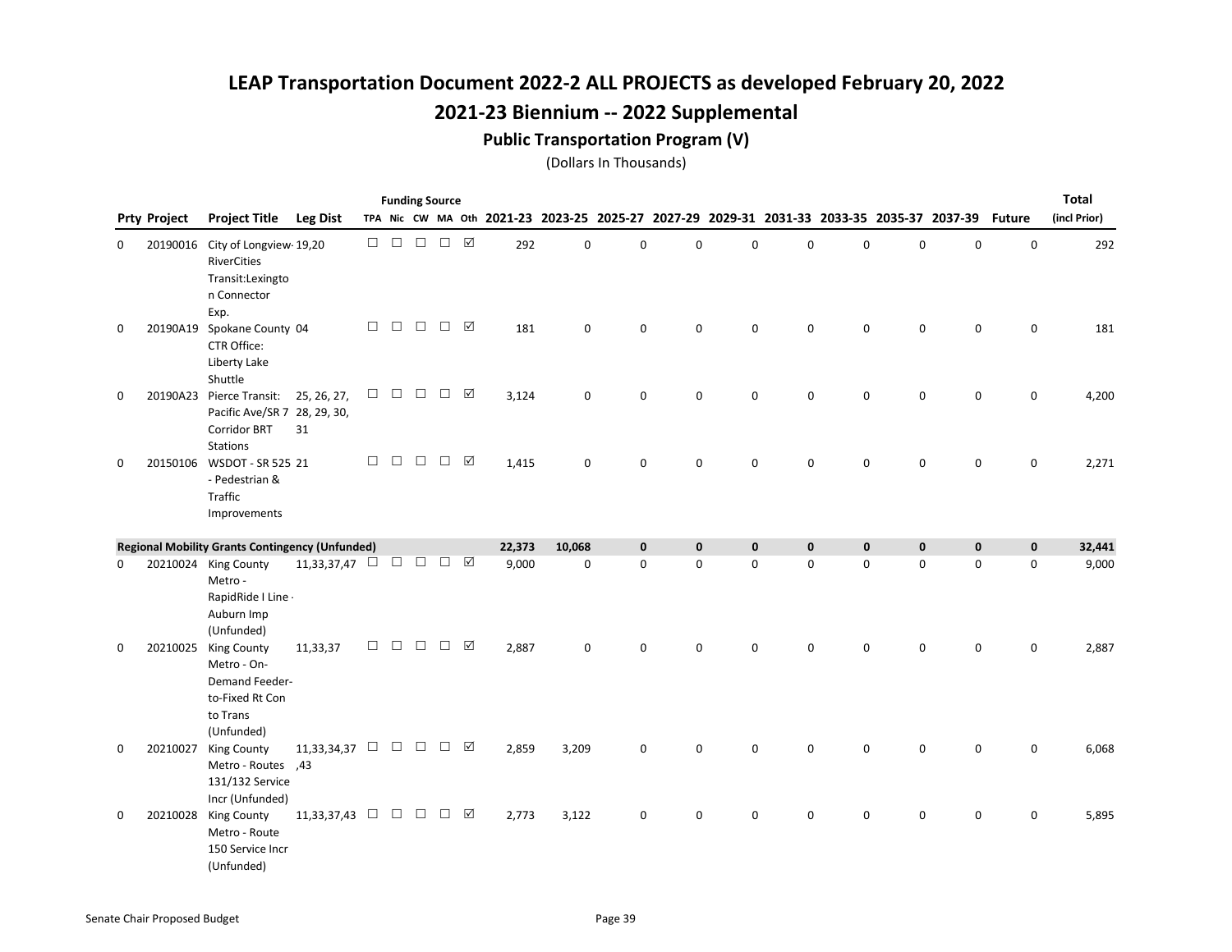### Public Transportation Program (V)

|   | <b>Funding Source</b><br>TPA Nic CW MA Oth 2021-23 2023-25 2025-27 2027-29 2029-31 2031-33 2033-35 2035-37 2037-39 |                                                                                                    |                           |        |        |        |        |                 |        |             |             |             |             |             | <b>Total</b> |             |             |               |              |
|---|--------------------------------------------------------------------------------------------------------------------|----------------------------------------------------------------------------------------------------|---------------------------|--------|--------|--------|--------|-----------------|--------|-------------|-------------|-------------|-------------|-------------|--------------|-------------|-------------|---------------|--------------|
|   | <b>Prty Project</b>                                                                                                | <b>Project Title</b>                                                                               | <b>Leg Dist</b>           |        |        |        |        |                 |        |             |             |             |             |             |              |             |             | <b>Future</b> | (incl Prior) |
| 0 |                                                                                                                    | 20190016 City of Longview-19,20<br><b>RiverCities</b><br>Transit:Lexingto<br>n Connector<br>Exp.   |                           | П.     | $\Box$ | $\Box$ | $\Box$ | $\triangledown$ | 292    | 0           | $\mathbf 0$ | $\mathbf 0$ | $\Omega$    | 0           | $\mathbf 0$  | $\mathbf 0$ | $\mathbf 0$ | $\mathsf 0$   | 292          |
| 0 |                                                                                                                    | 20190A19 Spokane County 04<br>CTR Office:<br>Liberty Lake<br>Shuttle                               |                           | $\Box$ | $\Box$ | $\Box$ | $\Box$ | ☑               | 181    | 0           | $\mathbf 0$ | $\mathbf 0$ | $\Omega$    | 0           | $\mathbf 0$  | $\mathbf 0$ | $\mathbf 0$ | $\mathbf 0$   | 181          |
| 0 | 20190A23                                                                                                           | Pierce Transit:<br>Pacific Ave/SR 7 28, 29, 30,<br><b>Corridor BRT</b><br><b>Stations</b>          | 25, 26, 27,<br>31         | $\Box$ | $\Box$ | $\Box$ | $\Box$ | ☑               | 3,124  | $\mathsf 0$ | $\mathbf 0$ | 0           | 0           | 0           | 0            | 0           | 0           | 0             | 4,200        |
| 0 |                                                                                                                    | 20150106 WSDOT - SR 525 21<br>- Pedestrian &<br>Traffic<br>Improvements                            |                           | $\Box$ | $\Box$ | $\Box$ | $\Box$ | ☑               | 1,415  | $\mathbf 0$ | $\Omega$    | $\Omega$    | 0           | $\Omega$    | $\Omega$     | 0           | $\Omega$    | 0             | 2,271        |
|   |                                                                                                                    | <b>Regional Mobility Grants Contingency (Unfunded)</b>                                             |                           |        |        |        |        |                 | 22,373 | 10,068      | $\mathbf 0$ | $\mathbf 0$ | $\mathbf 0$ | $\mathbf 0$ | $\mathbf 0$  | $\mathbf 0$ | $\mathbf 0$ | $\mathbf 0$   | 32,441       |
| 0 |                                                                                                                    | 20210024 King County<br>Metro -<br>RapidRide I Line -<br>Auburn Imp<br>(Unfunded)                  | 11,33,37,47 $\Box$        |        | $\Box$ | $\Box$ | $\Box$ | ☑               | 9,000  | 0           | $\mathbf 0$ | $\mathbf 0$ | $\mathbf 0$ | $\mathbf 0$ | $\pmb{0}$    | $\mathbf 0$ | $\mathbf 0$ | $\mathbf 0$   | 9,000        |
| 0 |                                                                                                                    | 20210025 King County<br>Metro - On-<br>Demand Feeder-<br>to-Fixed Rt Con<br>to Trans<br>(Unfunded) | 11,33,37                  | $\Box$ | $\Box$ | $\Box$ | $\Box$ | ☑               | 2,887  | $\mathsf 0$ | $\mathbf 0$ | $\mathbf 0$ | 0           | 0           | 0            | 0           | $\mathbf 0$ | 0             | 2,887        |
| 0 | 20210027                                                                                                           | <b>King County</b><br>A3, Metro - Routes<br>131/132 Service<br>Incr (Unfunded)                     | 11,33,34,37 $\Box$        |        |        | $\Box$ | $\Box$ | ☑               | 2,859  | 3,209       | $\mathbf 0$ | $\mathbf 0$ | 0           | $\mathbf 0$ | $\mathbf 0$  | 0           | $\mathbf 0$ | 0             | 6,068        |
| 0 |                                                                                                                    | 20210028 King County<br>Metro - Route<br>150 Service Incr<br>(Unfunded)                            | 11,33,37,43 $\Box$ $\Box$ |        |        |        | $\Box$ | ☑               | 2,773  | 3,122       | $\mathbf 0$ | 0           | 0           | 0           | 0            | 0           | 0           | 0             | 5,895        |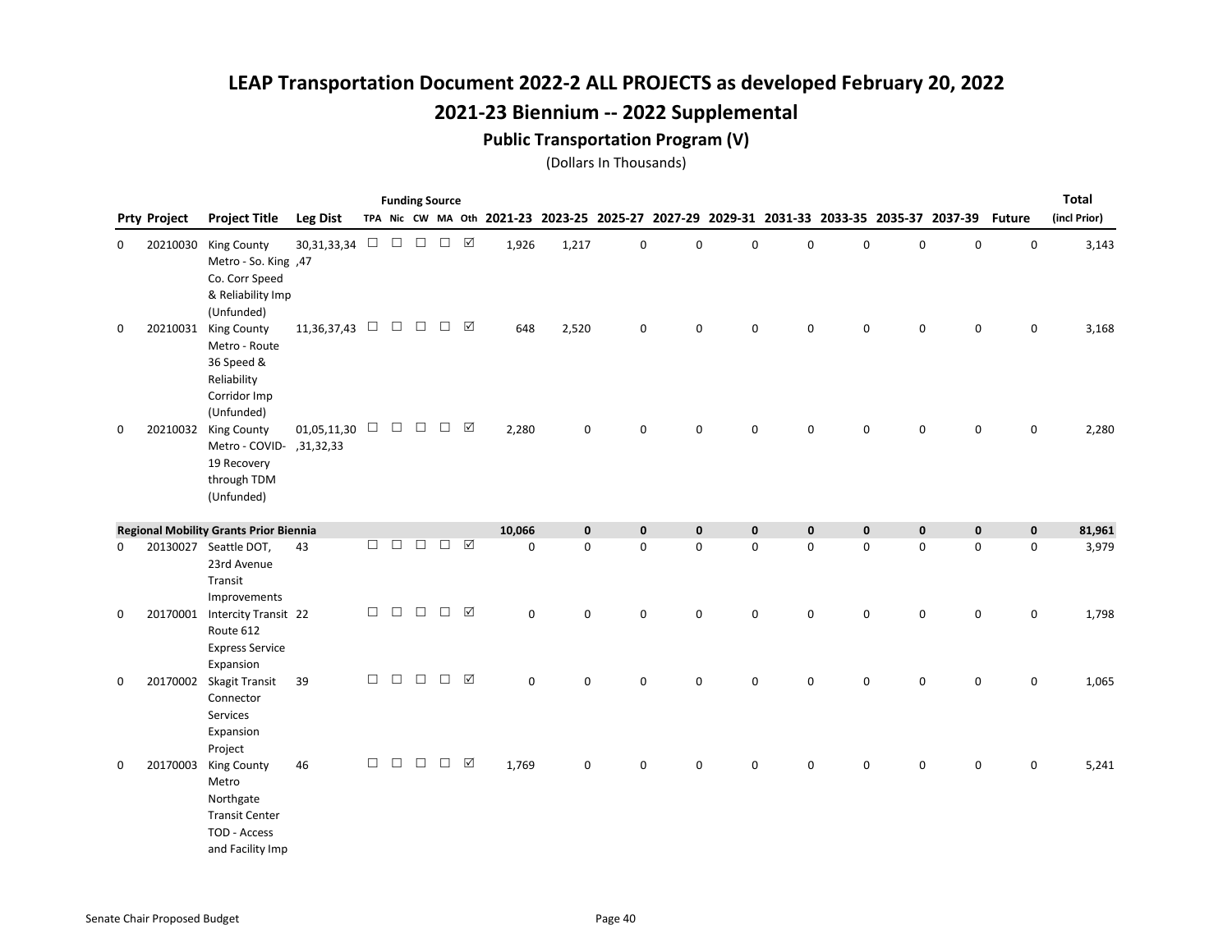### Public Transportation Program (V)

|   |                     |                                                                                                       |                    |        |               |               | <b>Funding Source</b> |                       |             |             |                                                                                                  |             |             |             |             |             |                     |             | <b>Total</b> |
|---|---------------------|-------------------------------------------------------------------------------------------------------|--------------------|--------|---------------|---------------|-----------------------|-----------------------|-------------|-------------|--------------------------------------------------------------------------------------------------|-------------|-------------|-------------|-------------|-------------|---------------------|-------------|--------------|
|   | <b>Prty Project</b> | <b>Project Title</b>                                                                                  | <b>Leg Dist</b>    |        |               |               |                       |                       |             |             | TPA Nic CW MA Oth 2021-23 2023-25 2025-27 2027-29 2029-31 2031-33 2033-35 2035-37 2037-39 Future |             |             |             |             |             |                     |             | (incl Prior) |
| 0 | 20210030            | <b>King County</b><br>Metro - So. King ,47<br>Co. Corr Speed<br>& Reliability Imp<br>(Unfunded)       | 30,31,33,34        |        |               | $\Box$ $\Box$ | $\Box$                | ☑                     | 1,926       | 1,217       | 0                                                                                                | $\mathsf 0$ | 0           | 0           | $\mathbf 0$ | 0           | $\mathsf{O}\xspace$ | $\mathsf 0$ | 3,143        |
| 0 | 20210031            | <b>King County</b><br>Metro - Route<br>36 Speed &<br>Reliability<br>Corridor Imp<br>(Unfunded)        | 11,36,37,43 $\Box$ |        | $\Box$ $\Box$ |               | $\Box$                | ☑                     | 648         | 2,520       | $\pmb{0}$                                                                                        | $\mathsf 0$ | 0           | 0           | $\mathbf 0$ | 0           | 0                   | 0           | 3,168        |
| 0 |                     | 20210032 King County<br>Aletro - COVID- , 31, 32, 33<br>19 Recovery<br>through TDM<br>(Unfunded)      | 01,05,11,30 $\Box$ |        | $\Box$        | $\Box$        | $\Box$                | ☑                     | 2,280       | $\mathbf 0$ | 0                                                                                                | 0           | 0           | 0           | $\mathbf 0$ | 0           | $\mathbf 0$         | 0           | 2,280        |
|   |                     | <b>Regional Mobility Grants Prior Biennia</b>                                                         |                    |        |               |               |                       |                       | 10,066      | $\mathbf 0$ | $\mathbf 0$                                                                                      | $\mathbf 0$ | $\mathbf 0$ | $\mathbf 0$ | $\mathbf 0$ | $\mathbf 0$ | $\mathbf 0$         | $\mathbf 0$ | 81,961       |
| 0 |                     | 20130027 Seattle DOT,<br>23rd Avenue<br>Transit<br>Improvements                                       | 43                 | $\Box$ | $\Box$        | $\Box$        | $\Box$                | ☑                     | $\mathbf 0$ | $\mathbf 0$ | 0                                                                                                | $\mathsf 0$ | 0           | 0           | 0           | $\mathsf 0$ | $\mathsf 0$         | 0           | 3,979        |
| 0 | 20170001            | Intercity Transit 22<br>Route 612<br><b>Express Service</b><br>Expansion                              |                    | $\Box$ |               | $\Box$ $\Box$ | $\Box$                | ☑                     | $\mathbf 0$ | 0           | 0                                                                                                | $\mathsf 0$ | 0           | 0           | 0           | 0           | 0                   | 0           | 1,798        |
| 0 |                     | 20170002 Skagit Transit<br>Connector<br>Services<br>Expansion<br>Project                              | 39                 | $\Box$ | $\Box$        | $\Box$        | $\Box$                | ☑                     | $\mathbf 0$ | $\pmb{0}$   | 0                                                                                                | $\mathsf 0$ | 0           | 0           | $\pmb{0}$   | 0           | $\pmb{0}$           | $\pmb{0}$   | 1,065        |
| 0 | 20170003            | <b>King County</b><br>Metro<br>Northgate<br><b>Transit Center</b><br>TOD - Access<br>and Facility Imp | 46                 | П      | $\Box$        | $\Box$        | $\Box$                | $\boxed{\mathcal{S}}$ | 1,769       | 0           | 0                                                                                                | $\mathbf 0$ | $\mathbf 0$ | 0           | $\mathbf 0$ | 0           | $\mathbf 0$         | 0           | 5,241        |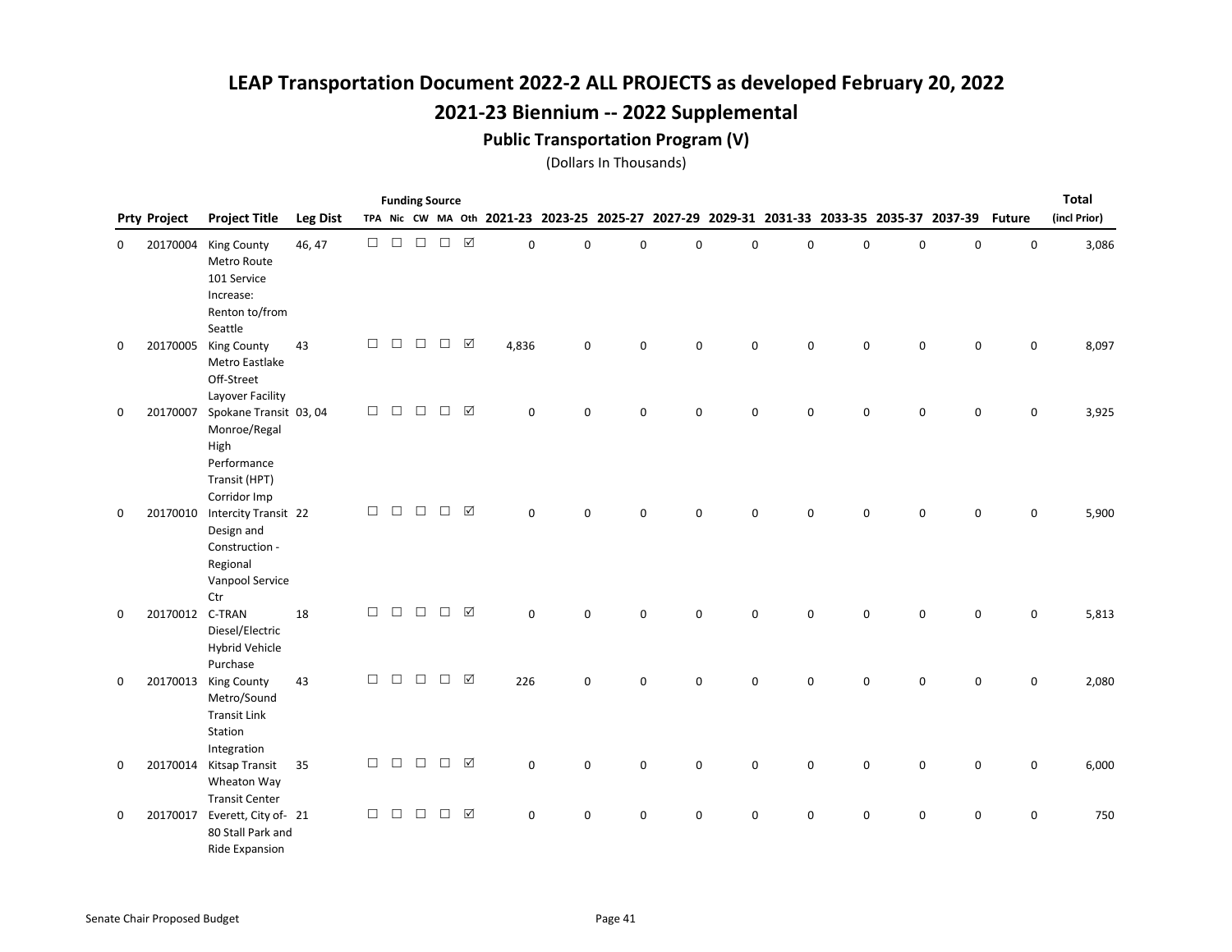#### Public Transportation Program (V)

|   |                     |                                                                                                |                 |        |        |        | <b>Funding Source</b> |                 |             |             |   |             |             |             |   |                                                                                           |             |               | <b>Total</b> |
|---|---------------------|------------------------------------------------------------------------------------------------|-----------------|--------|--------|--------|-----------------------|-----------------|-------------|-------------|---|-------------|-------------|-------------|---|-------------------------------------------------------------------------------------------|-------------|---------------|--------------|
|   | <b>Prty Project</b> | <b>Project Title</b>                                                                           | <b>Leg Dist</b> |        |        |        |                       |                 |             |             |   |             |             |             |   | TPA Nic CW MA Oth 2021-23 2023-25 2025-27 2027-29 2029-31 2031-33 2033-35 2035-37 2037-39 |             | <b>Future</b> | (incl Prior) |
| 0 | 20170004            | <b>King County</b><br>Metro Route<br>101 Service<br>Increase:<br>Renton to/from<br>Seattle     | 46, 47          | $\Box$ | $\Box$ | $\Box$ | $\Box$                | $\Delta$        | 0           | 0           | 0 | $\mathbf 0$ | $\mathbf 0$ | 0           | 0 | $\mathsf 0$                                                                               | 0           | $\pmb{0}$     | 3,086        |
| 0 | 20170005            | <b>King County</b><br>Metro Eastlake<br>Off-Street<br>Layover Facility                         | 43              | $\Box$ | $\Box$ | $\Box$ | $\Box$                | $\triangledown$ | 4,836       | $\mathbf 0$ | 0 | $\mathbf 0$ | $\mathbf 0$ | 0           | 0 | $\mathbf 0$                                                                               | $\mathbf 0$ | $\mathsf 0$   | 8,097        |
| 0 | 20170007            | Spokane Transit 03, 04<br>Monroe/Regal<br>High<br>Performance<br>Transit (HPT)<br>Corridor Imp |                 | $\Box$ | $\Box$ | $\Box$ | $\Box$                | ☑               | $\mathbf 0$ | $\mathbf 0$ | 0 | $\mathbf 0$ | $\mathbf 0$ | $\mathbf 0$ | 0 | $\mathbf 0$                                                                               | 0           | $\mathbf 0$   | 3,925        |
| 0 | 20170010            | Intercity Transit 22<br>Design and<br>Construction -<br>Regional<br>Vanpool Service<br>Ctr     |                 | $\Box$ | $\Box$ | $\Box$ | $\Box$                | ☑               | 0           | $\mathbf 0$ | 0 | 0           | 0           | 0           | 0 | $\mathsf 0$                                                                               | 0           | $\mathsf 0$   | 5,900        |
| 0 | 20170012 C-TRAN     | Diesel/Electric<br><b>Hybrid Vehicle</b><br>Purchase                                           | 18              | $\Box$ | $\Box$ | $\Box$ | $\Box$                | ☑               | 0           | $\mathbf 0$ | 0 | $\mathbf 0$ | $\Omega$    | 0           | 0 | $\mathbf 0$                                                                               | 0           | $\mathbf 0$   | 5,813        |
| 0 | 20170013            | <b>King County</b><br>Metro/Sound<br><b>Transit Link</b><br>Station<br>Integration             | 43              | $\Box$ | $\Box$ | $\Box$ | $\Box$                | ☑               | 226         | $\mathbf 0$ | 0 | $\mathbf 0$ | $\Omega$    | $\mathbf 0$ | 0 | $\mathbf 0$                                                                               | $\mathbf 0$ | $\mathbf 0$   | 2,080        |
| 0 | 20170014            | Kitsap Transit<br>Wheaton Way<br><b>Transit Center</b>                                         | 35              | $\Box$ | $\Box$ | $\Box$ | $\Box$                | ☑               | $\mathbf 0$ | $\mathbf 0$ | 0 | 0           | $\mathbf 0$ | 0           | 0 | $\mathsf 0$                                                                               | 0           | 0             | 6,000        |
| 0 | 20170017            | Everett, City of- 21<br>80 Stall Park and<br>Ride Expansion                                    |                 | $\Box$ | $\Box$ | $\Box$ | $\Box$                | ☑               | 0           | 0           | 0 | 0           | 0           | 0           | 0 | 0                                                                                         | 0           | 0             | 750          |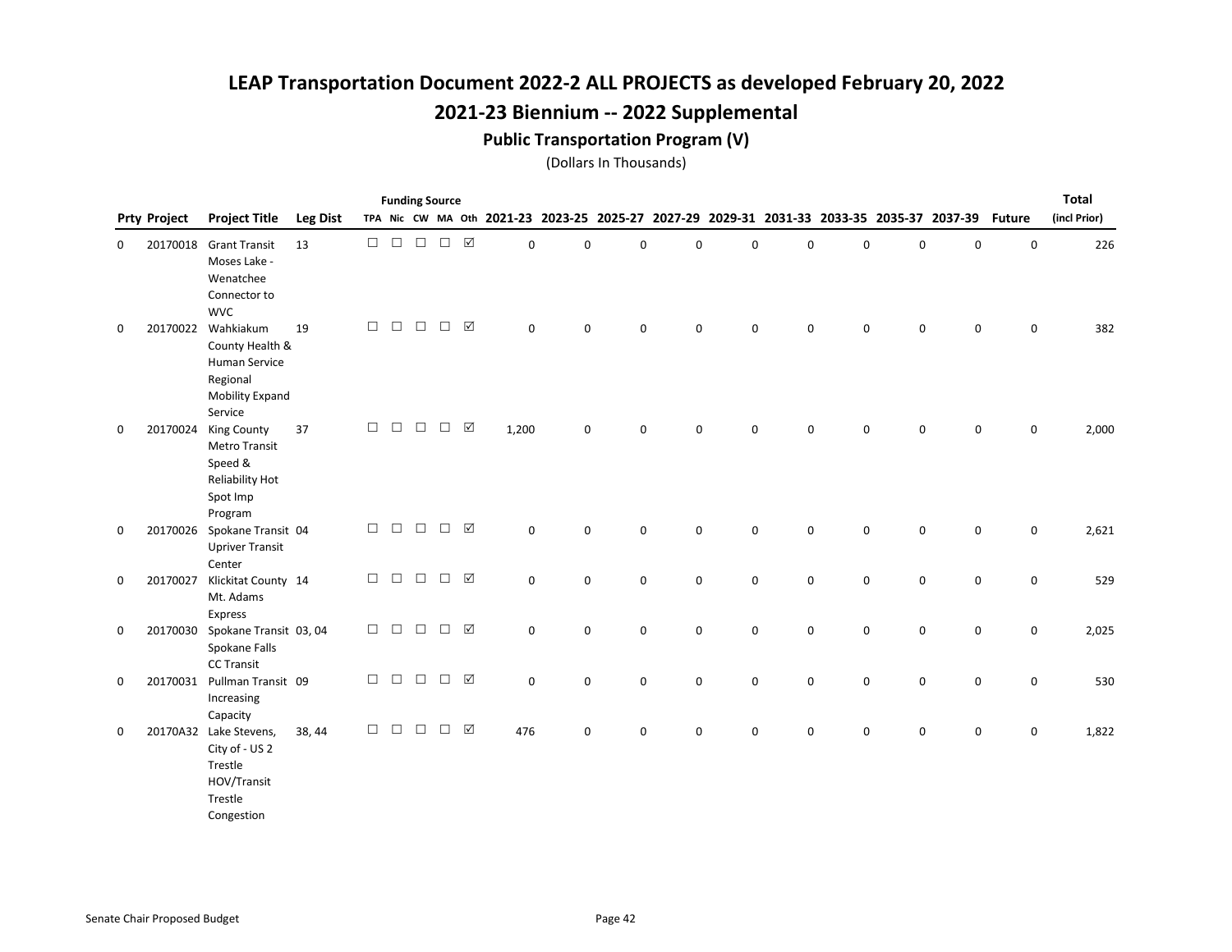#### Public Transportation Program (V)

|             |                     |                                                                                                | <b>Funding Source</b><br>TPA Nic CW MA Oth 2021-23 2023-25 2025-27 2027-29 2029-31 2031-33 2033-35 2035-37 2037-39 |        |        |        |        |                 |             |             |             |             |             |             |   |             |             |               | <b>Total</b> |
|-------------|---------------------|------------------------------------------------------------------------------------------------|--------------------------------------------------------------------------------------------------------------------|--------|--------|--------|--------|-----------------|-------------|-------------|-------------|-------------|-------------|-------------|---|-------------|-------------|---------------|--------------|
|             | <b>Prty Project</b> | <b>Project Title</b>                                                                           | <b>Leg Dist</b>                                                                                                    |        |        |        |        |                 |             |             |             |             |             |             |   |             |             | <b>Future</b> | (incl Prior) |
| 0           | 20170018            | <b>Grant Transit</b><br>Moses Lake -<br>Wenatchee<br>Connector to<br><b>WVC</b>                | 13                                                                                                                 | $\Box$ | $\Box$ | $\Box$ | $\Box$ | $\boxtimes$     | $\mathbf 0$ | $\mathbf 0$ | 0           | $\mathbf 0$ | 0           | 0           | 0 | $\mathsf 0$ | 0           | $\mathsf 0$   | 226          |
| $\mathbf 0$ | 20170022            | Wahkiakum<br>County Health &<br>Human Service<br>Regional<br><b>Mobility Expand</b><br>Service | 19                                                                                                                 | $\Box$ | $\Box$ | $\Box$ | $\Box$ | ☑               | $\mathbf 0$ | $\mathbf 0$ | $\mathbf 0$ | $\mathsf 0$ | $\mathbf 0$ | $\mathbf 0$ | 0 | $\mathbf 0$ | $\mathbf 0$ | $\mathbf 0$   | 382          |
| 0           | 20170024            | King County<br><b>Metro Transit</b><br>Speed &<br>Reliability Hot<br>Spot Imp<br>Program       | 37                                                                                                                 | $\Box$ | $\Box$ | $\Box$ | $\Box$ | ☑               | 1,200       | $\mathbf 0$ | 0           | $\mathsf 0$ | 0           | 0           | 0 | $\mathsf 0$ | 0           | $\mathbf 0$   | 2,000        |
| $\mathbf 0$ | 20170026            | Spokane Transit 04<br><b>Upriver Transit</b><br>Center                                         |                                                                                                                    | $\Box$ | $\Box$ | $\Box$ | $\Box$ | $\boxtimes$     | $\mathsf 0$ | $\mathbf 0$ | 0           | $\mathsf 0$ | 0           | 0           | 0 | $\mathsf 0$ | $\mathsf 0$ | $\mathsf 0$   | 2,621        |
| 0           | 20170027            | Klickitat County 14<br>Mt. Adams<br>Express                                                    |                                                                                                                    | $\Box$ | $\Box$ | $\Box$ | $\Box$ | $\boxtimes$     | $\mathsf 0$ | $\mathbf 0$ | 0           | $\mathsf 0$ | 0           | 0           | 0 | $\mathsf 0$ | $\mathsf 0$ | $\mathbf 0$   | 529          |
| 0           |                     | 20170030 Spokane Transit 03, 04<br>Spokane Falls<br><b>CC Transit</b>                          |                                                                                                                    | $\Box$ | $\Box$ | $\Box$ | $\Box$ | $\triangledown$ | $\mathsf 0$ | $\mathbf 0$ | 0           | $\mathsf 0$ | 0           | 0           | 0 | $\mathsf 0$ | 0           | $\mathbf 0$   | 2,025        |
| 0           |                     | 20170031 Pullman Transit 09<br>Increasing<br>Capacity                                          |                                                                                                                    | $\Box$ | $\Box$ | $\Box$ | $\Box$ | $\triangledown$ | $\mathsf 0$ | $\mathbf 0$ | 0           | $\mathsf 0$ | 0           | 0           | 0 | $\mathsf 0$ | 0           | $\mathsf 0$   | 530          |
| 0           |                     | 20170A32 Lake Stevens,<br>City of - US 2<br>Trestle<br>HOV/Transit<br>Trestle<br>Congestion    | 38, 44                                                                                                             | $\Box$ | $\Box$ | $\Box$ | $\Box$ | $\boxtimes$     | 476         | $\mathbf 0$ | 0           | $\mathbf 0$ | 0           | $\mathbf 0$ | 0 | $\mathsf 0$ | $\mathsf 0$ | 0             | 1,822        |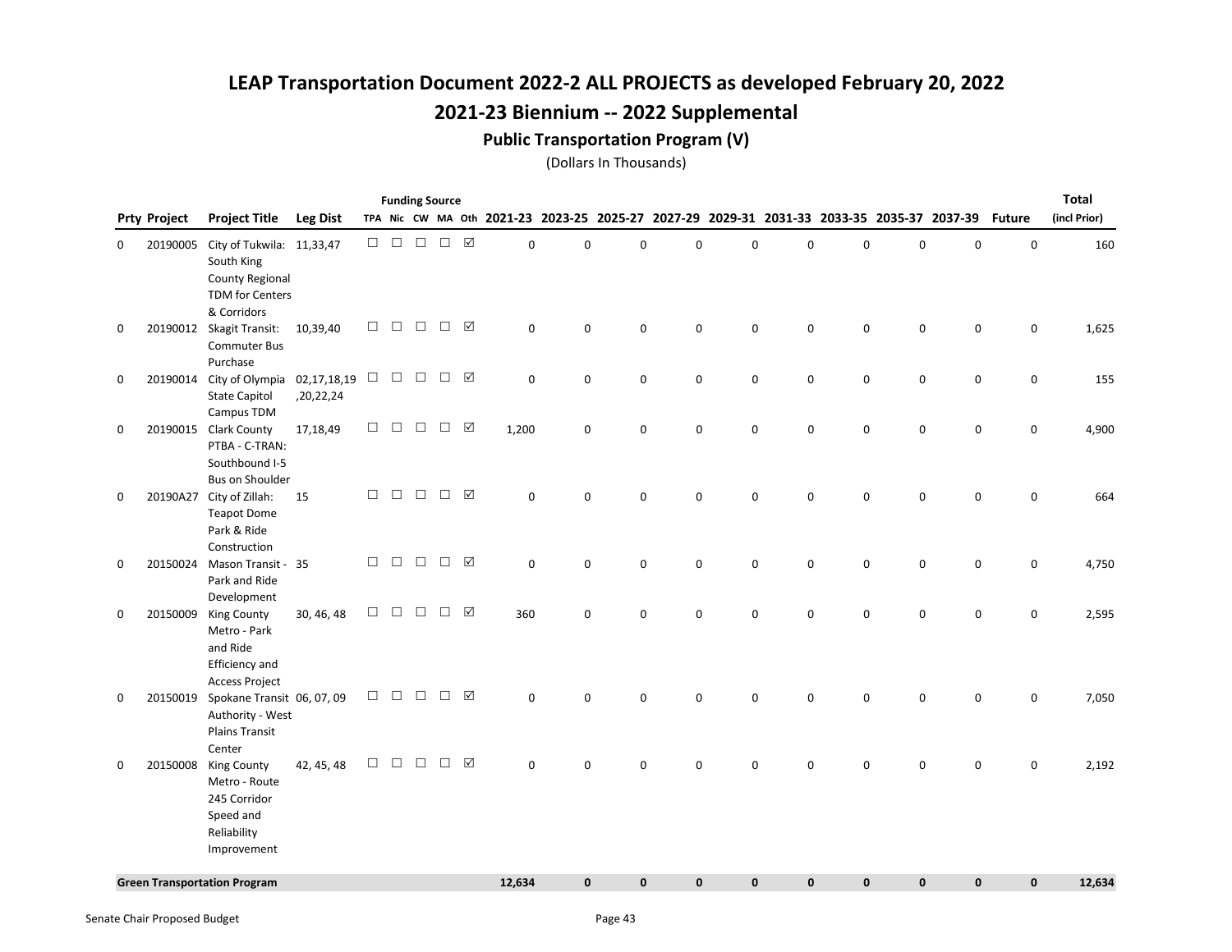### Public Transportation Program (V)

| TPA Nic CW MA Oth 2021-23 2023-25 2025-27 2027-29 2029-31 2031-33 2033-35 2035-37 2037-39 Future<br>(incl Prior)<br><b>Project Title</b><br><b>Leg Dist</b><br><b>Prty Project</b><br>$\Box$ $\Box$<br>$\begin{array}{ccc} \square & \square & \square & \square \end{array}$<br>City of Tukwila: 11,33,47<br>$\mathbf 0$<br>0<br>$\Omega$<br>$\Omega$<br>$\Omega$<br>0<br>$\mathbf 0$<br>$\mathbf 0$<br>$\Omega$<br>$\mathbf 0$<br>20190005<br>0<br>South King<br><b>County Regional</b><br>TDM for Centers<br>& Corridors<br>$\Box$<br>$\Box$<br>$\Box$<br>☑<br>$\Box$<br>20190012 Skagit Transit:<br>0<br>0<br>$\mathbf 0$<br>10,39,40<br>0<br>0<br>0<br>0<br>0<br>$\mathbf 0$<br>0<br>0<br><b>Commuter Bus</b><br>Purchase<br>$\Box$ $\Box$<br>$\triangledown$<br>$\Box$<br>$\Box$<br>20190014 City of Olympia 02,17,18,19<br>$\mathbf 0$<br>$\mathbf 0$<br>$\mathbf 0$<br>0<br>0<br>0<br>0<br>0<br>0<br>0<br>0<br><b>State Capitol</b><br>,20,22,24<br>Campus TDM<br>$\Box$<br>$\Box$<br>$\Box$<br>$\Box$<br>$\Delta$<br>20190015 Clark County<br>17,18,49<br>1,200<br>$\mathbf 0$<br>$\mathbf 0$<br>0<br>$\mathbf 0$<br>$\mathbf 0$<br>$\mathbf 0$<br>$\mathsf 0$<br>0<br>$\mathsf 0$<br>0<br>PTBA - C-TRAN:<br>Southbound I-5<br><b>Bus on Shoulder</b><br>$\Box$<br>$\Box$<br>$\Box$<br>$\Box$<br>☑<br>20190A27 City of Zillah:<br>$\pmb{0}$<br>0<br>$\mathbf 0$<br>$\Omega$<br>0<br>$\Omega$<br>$\mathbf 0$<br>$\mathbf 0$<br>$\mathbf 0$<br>15<br>$\Omega$<br>0<br><b>Teapot Dome</b><br>Park & Ride<br>Construction<br>$\Box$<br>$\Box$<br>☑<br>$\Box$<br>$\Box$<br>$\pmb{0}$<br>$\pmb{0}$<br>$\mathbf 0$<br>$\pmb{0}$<br>$\mathsf 0$<br>20150024 Mason Transit - 35<br>$\mathsf 0$<br>$\mathsf 0$<br>0<br>$\pmb{0}$<br>$\mathsf 0$<br>0<br>Park and Ride<br>Development<br>$\Box$<br>$\triangledown$<br>$\Box$<br>$\Box$<br>$\Box$<br>20150009<br>King County<br>30, 46, 48<br>360<br>0<br>$\mathbf 0$<br>0<br>0<br>0<br>0<br>0<br>0<br>0<br>0<br>Metro - Park<br>and Ride<br>Efficiency and<br><b>Access Project</b><br>☑<br>$\Box$<br>$\Box$<br>$\Box$<br>$\Box$<br>20150019<br>Spokane Transit 06, 07, 09<br>$\mathbf 0$<br>0<br>$\mathbf 0$<br>$\Omega$<br>0<br>$\mathbf 0$<br>0<br>$\Omega$<br>$\mathbf 0$<br>0<br>0<br>Authority - West<br><b>Plains Transit</b><br>Center<br>$\Box$<br>$\Box$<br>$\Box$<br>☑<br>$\Box$<br>42, 45, 48<br>$\mathbf 0$<br>0<br>20150008<br>King County<br>$\mathbf 0$<br>0<br>0<br>$\Omega$<br>$\Omega$<br>0<br>$\Omega$<br>0<br>0<br>Metro - Route<br>245 Corridor<br>Speed and<br>Reliability<br>Improvement<br>$\mathbf{0}$<br>$\mathbf{0}$<br>$\mathbf 0$<br><b>Green Transportation Program</b><br>12,634<br>$\mathbf{0}$<br>$\mathbf{0}$<br>0<br>$\mathbf 0$<br>$\mathbf 0$<br>$\mathbf{0}$ |  |  |  | <b>Funding Source</b> |  |  |  |  |  |  | <b>Total</b> |
|---------------------------------------------------------------------------------------------------------------------------------------------------------------------------------------------------------------------------------------------------------------------------------------------------------------------------------------------------------------------------------------------------------------------------------------------------------------------------------------------------------------------------------------------------------------------------------------------------------------------------------------------------------------------------------------------------------------------------------------------------------------------------------------------------------------------------------------------------------------------------------------------------------------------------------------------------------------------------------------------------------------------------------------------------------------------------------------------------------------------------------------------------------------------------------------------------------------------------------------------------------------------------------------------------------------------------------------------------------------------------------------------------------------------------------------------------------------------------------------------------------------------------------------------------------------------------------------------------------------------------------------------------------------------------------------------------------------------------------------------------------------------------------------------------------------------------------------------------------------------------------------------------------------------------------------------------------------------------------------------------------------------------------------------------------------------------------------------------------------------------------------------------------------------------------------------------------------------------------------------------------------------------------------------------------------------------------------------------------------------------------------------------------------------------------------------------------------------------------------------------------------------------------------------------------------------------------------------------------------------------------------------------------------------------------------------------------------------------------------------------|--|--|--|-----------------------|--|--|--|--|--|--|--------------|
|                                                                                                                                                                                                                                                                                                                                                                                                                                                                                                                                                                                                                                                                                                                                                                                                                                                                                                                                                                                                                                                                                                                                                                                                                                                                                                                                                                                                                                                                                                                                                                                                                                                                                                                                                                                                                                                                                                                                                                                                                                                                                                                                                                                                                                                                                                                                                                                                                                                                                                                                                                                                                                                                                                                                                   |  |  |  |                       |  |  |  |  |  |  |              |
|                                                                                                                                                                                                                                                                                                                                                                                                                                                                                                                                                                                                                                                                                                                                                                                                                                                                                                                                                                                                                                                                                                                                                                                                                                                                                                                                                                                                                                                                                                                                                                                                                                                                                                                                                                                                                                                                                                                                                                                                                                                                                                                                                                                                                                                                                                                                                                                                                                                                                                                                                                                                                                                                                                                                                   |  |  |  |                       |  |  |  |  |  |  | 160          |
|                                                                                                                                                                                                                                                                                                                                                                                                                                                                                                                                                                                                                                                                                                                                                                                                                                                                                                                                                                                                                                                                                                                                                                                                                                                                                                                                                                                                                                                                                                                                                                                                                                                                                                                                                                                                                                                                                                                                                                                                                                                                                                                                                                                                                                                                                                                                                                                                                                                                                                                                                                                                                                                                                                                                                   |  |  |  |                       |  |  |  |  |  |  |              |
|                                                                                                                                                                                                                                                                                                                                                                                                                                                                                                                                                                                                                                                                                                                                                                                                                                                                                                                                                                                                                                                                                                                                                                                                                                                                                                                                                                                                                                                                                                                                                                                                                                                                                                                                                                                                                                                                                                                                                                                                                                                                                                                                                                                                                                                                                                                                                                                                                                                                                                                                                                                                                                                                                                                                                   |  |  |  |                       |  |  |  |  |  |  | 1,625        |
|                                                                                                                                                                                                                                                                                                                                                                                                                                                                                                                                                                                                                                                                                                                                                                                                                                                                                                                                                                                                                                                                                                                                                                                                                                                                                                                                                                                                                                                                                                                                                                                                                                                                                                                                                                                                                                                                                                                                                                                                                                                                                                                                                                                                                                                                                                                                                                                                                                                                                                                                                                                                                                                                                                                                                   |  |  |  |                       |  |  |  |  |  |  | 155          |
|                                                                                                                                                                                                                                                                                                                                                                                                                                                                                                                                                                                                                                                                                                                                                                                                                                                                                                                                                                                                                                                                                                                                                                                                                                                                                                                                                                                                                                                                                                                                                                                                                                                                                                                                                                                                                                                                                                                                                                                                                                                                                                                                                                                                                                                                                                                                                                                                                                                                                                                                                                                                                                                                                                                                                   |  |  |  |                       |  |  |  |  |  |  | 4,900        |
|                                                                                                                                                                                                                                                                                                                                                                                                                                                                                                                                                                                                                                                                                                                                                                                                                                                                                                                                                                                                                                                                                                                                                                                                                                                                                                                                                                                                                                                                                                                                                                                                                                                                                                                                                                                                                                                                                                                                                                                                                                                                                                                                                                                                                                                                                                                                                                                                                                                                                                                                                                                                                                                                                                                                                   |  |  |  |                       |  |  |  |  |  |  | 664          |
|                                                                                                                                                                                                                                                                                                                                                                                                                                                                                                                                                                                                                                                                                                                                                                                                                                                                                                                                                                                                                                                                                                                                                                                                                                                                                                                                                                                                                                                                                                                                                                                                                                                                                                                                                                                                                                                                                                                                                                                                                                                                                                                                                                                                                                                                                                                                                                                                                                                                                                                                                                                                                                                                                                                                                   |  |  |  |                       |  |  |  |  |  |  | 4,750        |
|                                                                                                                                                                                                                                                                                                                                                                                                                                                                                                                                                                                                                                                                                                                                                                                                                                                                                                                                                                                                                                                                                                                                                                                                                                                                                                                                                                                                                                                                                                                                                                                                                                                                                                                                                                                                                                                                                                                                                                                                                                                                                                                                                                                                                                                                                                                                                                                                                                                                                                                                                                                                                                                                                                                                                   |  |  |  |                       |  |  |  |  |  |  | 2,595        |
|                                                                                                                                                                                                                                                                                                                                                                                                                                                                                                                                                                                                                                                                                                                                                                                                                                                                                                                                                                                                                                                                                                                                                                                                                                                                                                                                                                                                                                                                                                                                                                                                                                                                                                                                                                                                                                                                                                                                                                                                                                                                                                                                                                                                                                                                                                                                                                                                                                                                                                                                                                                                                                                                                                                                                   |  |  |  |                       |  |  |  |  |  |  |              |
|                                                                                                                                                                                                                                                                                                                                                                                                                                                                                                                                                                                                                                                                                                                                                                                                                                                                                                                                                                                                                                                                                                                                                                                                                                                                                                                                                                                                                                                                                                                                                                                                                                                                                                                                                                                                                                                                                                                                                                                                                                                                                                                                                                                                                                                                                                                                                                                                                                                                                                                                                                                                                                                                                                                                                   |  |  |  |                       |  |  |  |  |  |  | 7,050        |
|                                                                                                                                                                                                                                                                                                                                                                                                                                                                                                                                                                                                                                                                                                                                                                                                                                                                                                                                                                                                                                                                                                                                                                                                                                                                                                                                                                                                                                                                                                                                                                                                                                                                                                                                                                                                                                                                                                                                                                                                                                                                                                                                                                                                                                                                                                                                                                                                                                                                                                                                                                                                                                                                                                                                                   |  |  |  |                       |  |  |  |  |  |  | 2,192        |
|                                                                                                                                                                                                                                                                                                                                                                                                                                                                                                                                                                                                                                                                                                                                                                                                                                                                                                                                                                                                                                                                                                                                                                                                                                                                                                                                                                                                                                                                                                                                                                                                                                                                                                                                                                                                                                                                                                                                                                                                                                                                                                                                                                                                                                                                                                                                                                                                                                                                                                                                                                                                                                                                                                                                                   |  |  |  |                       |  |  |  |  |  |  | 12,634       |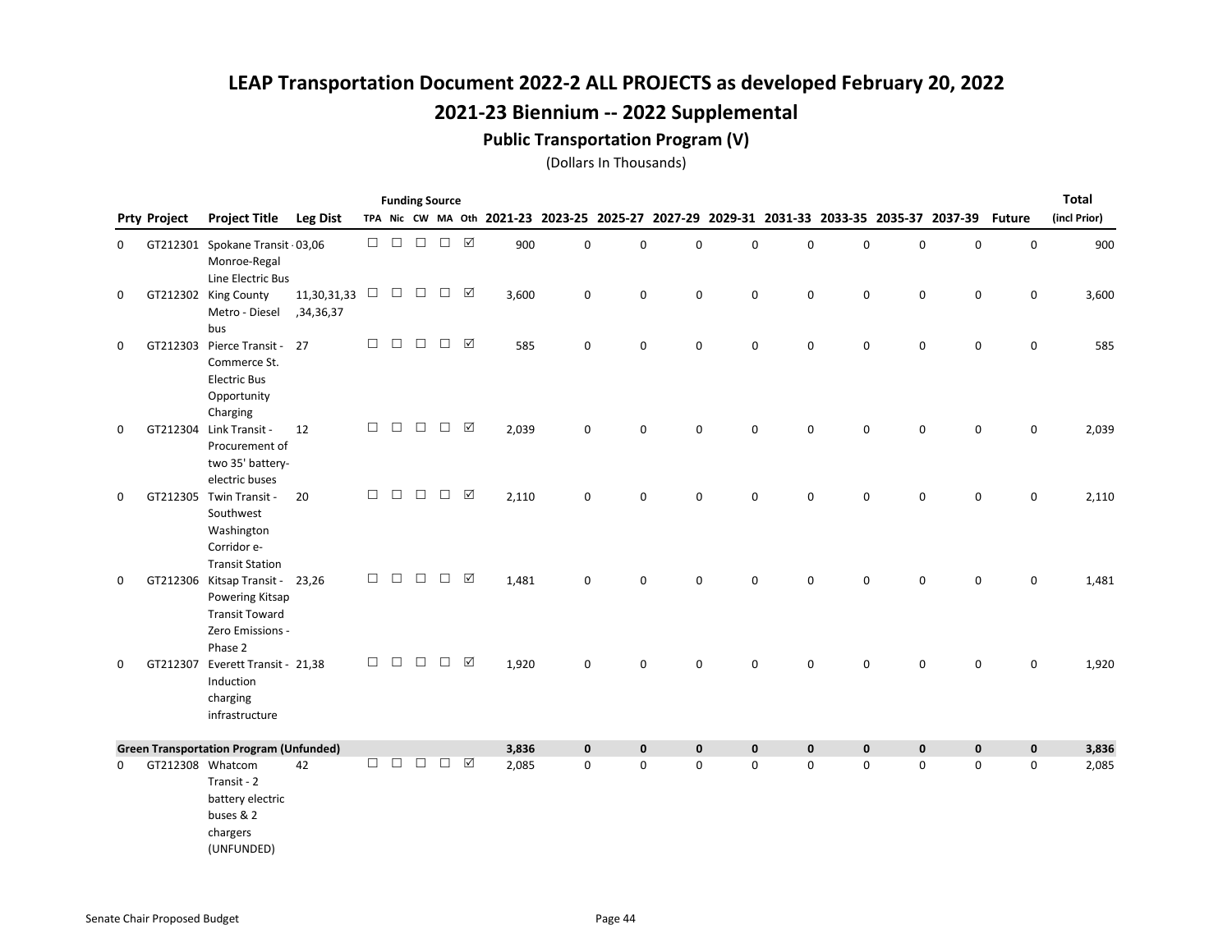### Public Transportation Program (V)

|   |                     |                                                                                                            |                          |        |        | <b>Funding Source</b>                              |        |                 |       |             |                                                                                           |             |             |             |           |             |             |               | <b>Total</b> |
|---|---------------------|------------------------------------------------------------------------------------------------------------|--------------------------|--------|--------|----------------------------------------------------|--------|-----------------|-------|-------------|-------------------------------------------------------------------------------------------|-------------|-------------|-------------|-----------|-------------|-------------|---------------|--------------|
|   | <b>Prty Project</b> | <b>Project Title</b>                                                                                       | <b>Leg Dist</b>          |        |        |                                                    |        |                 |       |             | TPA Nic CW MA Oth 2021-23 2023-25 2025-27 2027-29 2029-31 2031-33 2033-35 2035-37 2037-39 |             |             |             |           |             |             | <b>Future</b> | (incl Prior) |
| 0 |                     | GT212301 Spokane Transit 03,06<br>Monroe-Regal<br>Line Electric Bus                                        |                          | $\Box$ | $\Box$ | $\Box$                                             | $\Box$ |                 | 900   | $\mathbf 0$ | 0                                                                                         | $\pmb{0}$   | $\mathbf 0$ | $\mathbf 0$ | 0         | $\pmb{0}$   | $\pmb{0}$   | $\mathsf 0$   | 900          |
| 0 |                     | GT212302 King County<br>Metro - Diesel<br>bus                                                              | 11,30,31,33<br>,34,36,37 | $\Box$ |        | $\begin{array}{ccc} \square & \square \end{array}$ | $\Box$ |                 | 3,600 | 0           | 0                                                                                         | 0           | 0           | 0           | 0         | $\mathsf 0$ | 0           | 0             | 3,600        |
| 0 |                     | GT212303 Pierce Transit - 27<br>Commerce St.<br><b>Electric Bus</b><br>Opportunity<br>Charging             |                          | $\Box$ | $\Box$ | $\Box$                                             | $\Box$ | $\triangledown$ | 585   | $\mathbf 0$ | 0                                                                                         | $\mathbf 0$ | $\mathbf 0$ | $\mathbf 0$ | 0         | $\mathbf 0$ | $\mathbf 0$ | $\mathbf 0$   | 585          |
| 0 |                     | GT212304 Link Transit -<br>Procurement of<br>two 35' battery-<br>electric buses                            | 12                       | $\Box$ | $\Box$ | $\Box$                                             | $\Box$ | $\triangledown$ | 2,039 | $\mathbf 0$ | 0                                                                                         | $\mathbf 0$ | $\mathbf 0$ | 0           | 0         | 0           | 0           | 0             | 2,039        |
| 0 |                     | GT212305 Twin Transit -<br>Southwest<br>Washington<br>Corridor e-<br><b>Transit Station</b>                | 20                       | $\Box$ | $\Box$ | $\Box$                                             | $\Box$ | ☑               | 2,110 | 0           | 0                                                                                         | $\mathbf 0$ | $\mathbf 0$ | 0           | 0         | $\mathbf 0$ | 0           | 0             | 2,110        |
| 0 |                     | GT212306 Kitsap Transit - 23,26<br>Powering Kitsap<br><b>Transit Toward</b><br>Zero Emissions -<br>Phase 2 |                          | $\Box$ | $\Box$ | $\Box$                                             | $\Box$ | $\boxtimes$     | 1,481 | $\mathbf 0$ | 0                                                                                         | $\pmb{0}$   | $\mathbf 0$ | $\mathbf 0$ | 0         | $\mathsf 0$ | 0           | $\mathsf 0$   | 1,481        |
| 0 |                     | GT212307 Everett Transit - 21,38<br>Induction<br>charging<br>infrastructure                                |                          | $\Box$ | П      | □                                                  | $\Box$ | $\triangledown$ | 1,920 | $\mathbf 0$ | 0                                                                                         | $\mathbf 0$ | $\mathbf 0$ | 0           | 0         | $\mathbf 0$ | $\mathbf 0$ | $\mathbf 0$   | 1,920        |
|   |                     | <b>Green Transportation Program (Unfunded)</b>                                                             |                          |        |        |                                                    |        |                 | 3,836 | $\pmb{0}$   | $\pmb{0}$                                                                                 | $\pmb{0}$   | $\pmb{0}$   | $\pmb{0}$   | $\pmb{0}$ | $\pmb{0}$   | $\pmb{0}$   | $\mathbf 0$   | 3,836        |
| 0 |                     | GT212308 Whatcom<br>Transit - 2<br>battery electric<br>buses & 2<br>chargers<br>(UNFUNDED)                 | 42                       | П.     | $\Box$ | $\Box$                                             | $\Box$ | $\triangledown$ | 2,085 | $\mathbf 0$ | 0                                                                                         | $\mathbf 0$ | $\mathbf 0$ | 0           | 0         | $\mathbf 0$ | $\mathbf 0$ | $\mathbf 0$   | 2,085        |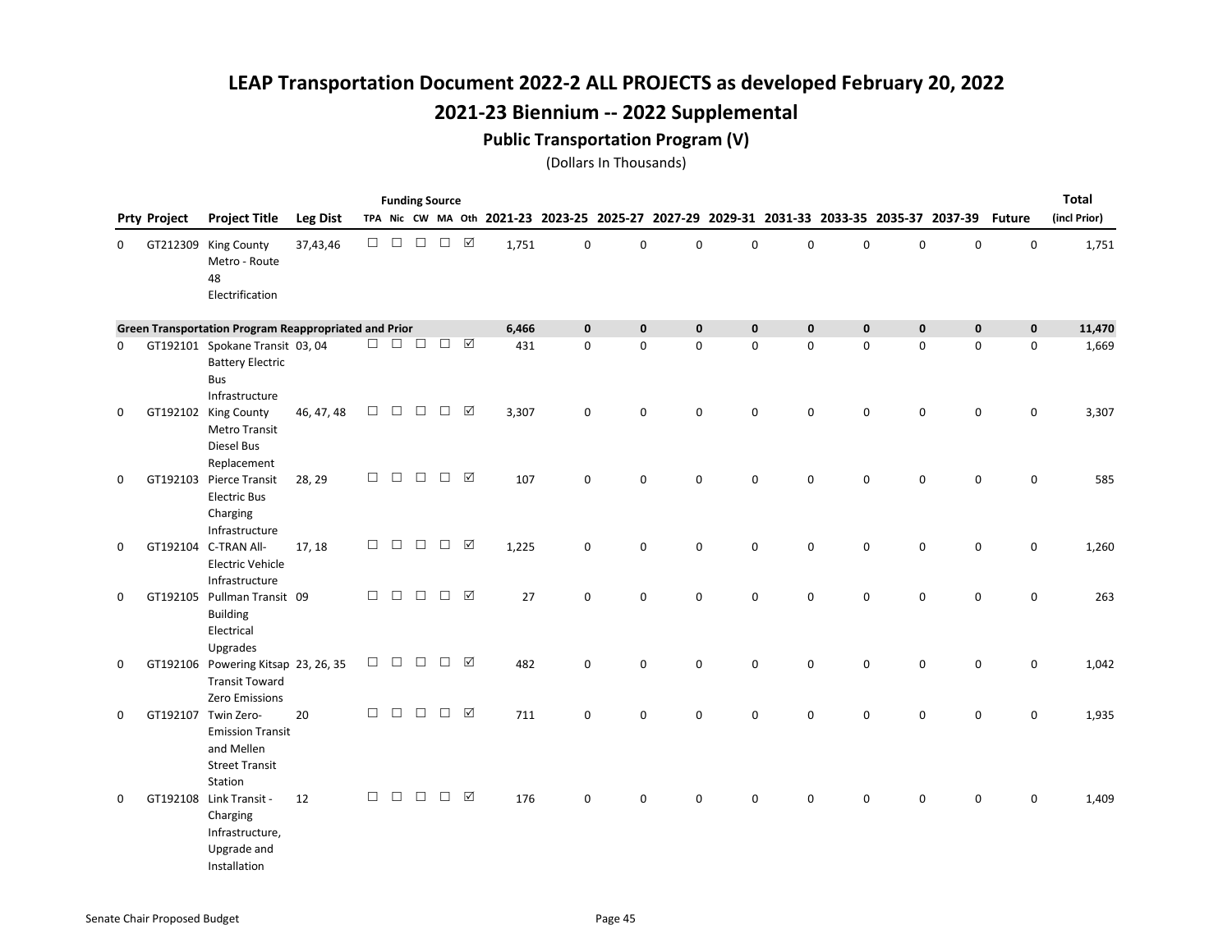#### Public Transportation Program (V)

|             |                     |                                                                                                  |                 |        |        | <b>Funding Source</b> |               |                     |       |             |                                                                                           |             |             |             |             |             |             |               | <b>Total</b> |
|-------------|---------------------|--------------------------------------------------------------------------------------------------|-----------------|--------|--------|-----------------------|---------------|---------------------|-------|-------------|-------------------------------------------------------------------------------------------|-------------|-------------|-------------|-------------|-------------|-------------|---------------|--------------|
|             | <b>Prty Project</b> | <b>Project Title</b>                                                                             | <b>Leg Dist</b> |        |        |                       |               |                     |       |             | TPA Nic CW MA Oth 2021-23 2023-25 2025-27 2027-29 2029-31 2031-33 2033-35 2035-37 2037-39 |             |             |             |             |             |             | <b>Future</b> | (incl Prior) |
| 0           |                     | GT212309 King County<br>Metro - Route<br>48<br>Electrification                                   | 37,43,46        | $\Box$ | $\Box$ | $\Box$                | $\Box$        | ☑                   | 1,751 | 0           | 0                                                                                         | $\mathbf 0$ | 0           | 0           | $\mathbf 0$ | $\mathsf 0$ | $\mathbf 0$ | $\mathsf 0$   | 1,751        |
|             |                     | Green Transportation Program Reappropriated and Prior                                            |                 |        |        |                       |               |                     | 6,466 | $\mathbf 0$ | $\mathbf 0$                                                                               | $\mathbf 0$ | $\mathbf 0$ | $\mathbf 0$ | $\mathbf 0$ | $\mathbf 0$ | $\mathbf 0$ | $\mathbf 0$   | 11,470       |
| 0           |                     | GT192101 Spokane Transit 03, 04<br><b>Battery Electric</b><br><b>Bus</b><br>Infrastructure       |                 | $\Box$ | $\Box$ | $\Box$                | $\Box$        | $\boxed{\triangle}$ | 431   | $\mathbf 0$ | $\mathsf 0$                                                                               | $\pmb{0}$   | $\mathbf 0$ | $\mathbf 0$ | 0           | $\mathsf 0$ | $\mathbf 0$ | $\mathsf 0$   | 1,669        |
| $\mathbf 0$ |                     | GT192102 King County<br><b>Metro Transit</b><br>Diesel Bus<br>Replacement                        | 46, 47, 48      | $\Box$ | $\Box$ | $\Box$                | $\Box$        | $\sqrt{}$           | 3,307 | $\mathbf 0$ | 0                                                                                         | $\mathbf 0$ | 0           | 0           | 0           | 0           | $\mathbf 0$ | 0             | 3,307        |
| $\mathbf 0$ |                     | GT192103 Pierce Transit<br><b>Electric Bus</b><br>Charging<br>Infrastructure                     | 28, 29          | $\Box$ | $\Box$ | $\Box$                | $\Box$        | ☑                   | 107   | $\mathbf 0$ | 0                                                                                         | $\mathbf 0$ | 0           | $\mathbf 0$ | $\mathbf 0$ | $\mathbf 0$ | $\mathbf 0$ | 0             | 585          |
| 0           |                     | GT192104 C-TRAN All-<br><b>Electric Vehicle</b><br>Infrastructure                                | 17, 18          | $\Box$ | $\Box$ | $\Box$                | $\Box$        | ☑                   | 1,225 | 0           | $\mathbf 0$                                                                               | 0           | 0           | $\mathbf 0$ | 0           | $\mathbf 0$ | 0           | 0             | 1,260        |
| $\mathbf 0$ |                     | GT192105 Pullman Transit 09<br><b>Building</b><br>Electrical<br>Upgrades                         |                 | $\Box$ | $\Box$ | $\Box$                | $\Box$        | ☑                   | 27    | 0           | $\mathbf 0$                                                                               | $\mathsf 0$ | 0           | $\mathbf 0$ | $\mathbf 0$ | $\mathsf 0$ | 0           | 0             | 263          |
| 0           |                     | GT192106 Powering Kitsap 23, 26, 35<br><b>Transit Toward</b><br>Zero Emissions                   |                 | $\Box$ | $\Box$ | $\Box$                | $\Box$        | ☑                   | 482   | $\mathbf 0$ | 0                                                                                         | 0           | 0           | 0           | 0           | 0           | $\mathbf 0$ | 0             | 1,042        |
| $\mathbf 0$ |                     | GT192107 Twin Zero-<br><b>Emission Transit</b><br>and Mellen<br><b>Street Transit</b><br>Station | 20              | $\Box$ | $\Box$ | $\Box$                | $\Box$        | ☑                   | 711   | 0           | 0                                                                                         | 0           | 0           | 0           | 0           | 0           | 0           | 0             | 1,935        |
| $\mathbf 0$ |                     | GT192108 Link Transit -<br>Charging<br>Infrastructure,<br>Upgrade and<br>Installation            | 12              | $\Box$ | $\Box$ | $\Box$                | $\Box$ $\Box$ |                     | 176   | $\Omega$    | 0                                                                                         | $\Omega$    | 0           | 0           | 0           | $\Omega$    | 0           | $\mathbf 0$   | 1,409        |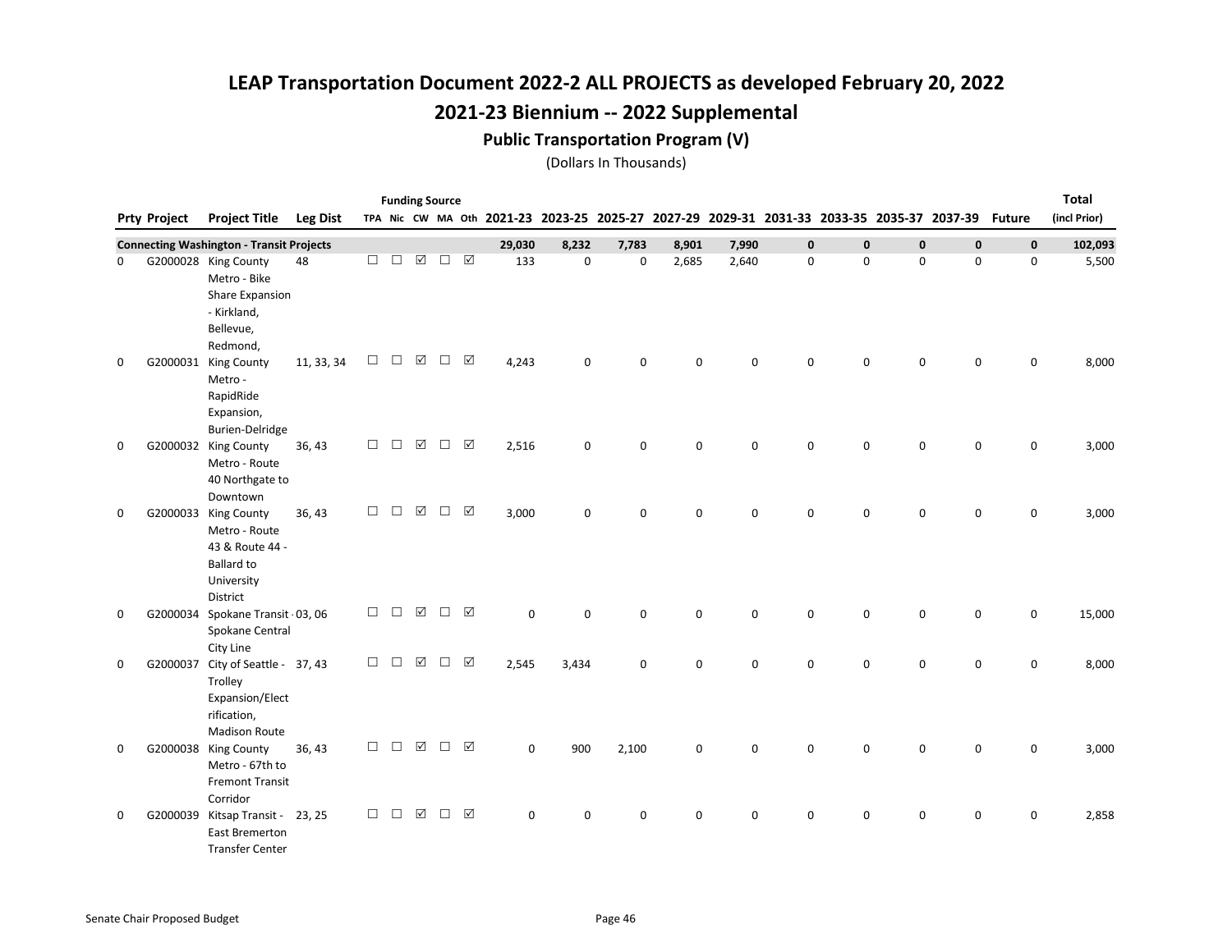#### Public Transportation Program (V)

|             |                     |                                                                                                         |                 |        | <b>Funding Source</b> |                             |        |                 |             |                                                                                           |       |             |          |             |             |             |             |               | <b>Total</b> |
|-------------|---------------------|---------------------------------------------------------------------------------------------------------|-----------------|--------|-----------------------|-----------------------------|--------|-----------------|-------------|-------------------------------------------------------------------------------------------|-------|-------------|----------|-------------|-------------|-------------|-------------|---------------|--------------|
|             | <b>Prty Project</b> | <b>Project Title</b>                                                                                    | <b>Leg Dist</b> |        |                       |                             |        |                 |             | TPA Nic CW MA Oth 2021-23 2023-25 2025-27 2027-29 2029-31 2031-33 2033-35 2035-37 2037-39 |       |             |          |             |             |             |             | <b>Future</b> | (incl Prior) |
|             |                     | <b>Connecting Washington - Transit Projects</b>                                                         |                 |        |                       |                             |        |                 | 29,030      | 8,232                                                                                     | 7,783 | 8,901       | 7,990    | $\mathbf 0$ | $\mathbf 0$ | $\mathbf 0$ | $\mathbf 0$ | $\mathbf 0$   | 102,093      |
| 0           |                     | G2000028 King County<br>Metro - Bike<br>Share Expansion<br>- Kirkland,<br>Bellevue,                     | 48              | $\Box$ | $\Box$                | $\boxed{\textstyle\diagup}$ | $\Box$ | ☑               | 133         | 0                                                                                         | 0     | 2,685       | 2,640    | 0           | 0           | $\mathsf 0$ | 0           | $\mathsf 0$   | 5,500        |
| 0           |                     | Redmond,<br>G2000031 King County<br>Metro -<br>RapidRide<br>Expansion,<br><b>Burien-Delridge</b>        | 11, 33, 34      | $\Box$ | $\Box$                | ☑                           | П      | ☑               | 4,243       | $\mathbf 0$                                                                               | 0     | $\Omega$    | $\Omega$ | $\Omega$    | 0           | $\mathbf 0$ | $\mathbf 0$ | $\mathsf 0$   | 8,000        |
| $\mathbf 0$ |                     | G2000032 King County<br>Metro - Route<br>40 Northgate to<br>Downtown                                    | 36, 43          | $\Box$ | $\Box$                | $\boxtimes$                 | $\Box$ | ☑               | 2,516       | $\mathbf 0$                                                                               | 0     | $\mathbf 0$ | 0        | $\mathbf 0$ | 0           | $\mathbf 0$ | $\mathbf 0$ | $\mathbf 0$   | 3,000        |
| 0           |                     | G2000033 King County<br>Metro - Route<br>43 & Route 44 -<br><b>Ballard to</b><br>University<br>District | 36, 43          | $\Box$ | $\Box$                | $\boxed{\checkmark}$        | $\Box$ | ☑               | 3,000       | $\mathbf 0$                                                                               | 0     | $\mathbf 0$ | 0        | $\mathbf 0$ | 0           | $\mathbf 0$ | $\mathbf 0$ | 0             | 3,000        |
| 0           |                     | G2000034 Spokane Transit · 03, 06<br>Spokane Central<br>City Line                                       |                 | $\Box$ | $\Box$                | ☑                           | $\Box$ | $\triangledown$ | 0           | $\mathbf 0$                                                                               | 0     | $\mathbf 0$ | 0        | 0           | 0           | 0           | 0           | 0             | 15,000       |
| 0           | G2000037            | City of Seattle - 37, 43<br>Trolley<br>Expansion/Elect<br>rification,<br><b>Madison Route</b>           |                 | $\Box$ | $\Box$                | ☑                           | $\Box$ | ☑               | 2,545       | 3,434                                                                                     | 0     | $\mathbf 0$ | 0        | 0           | 0           | $\mathbf 0$ | 0           | 0             | 8,000        |
| 0           |                     | G2000038 King County<br>Metro - 67th to<br><b>Fremont Transit</b><br>Corridor                           | 36, 43          | $\Box$ | $\Box$                | ☑                           | $\Box$ | ☑               | $\mathbf 0$ | 900                                                                                       | 2,100 | $\mathbf 0$ | 0        | $\mathbf 0$ | 0           | $\mathbf 0$ | $\mathbf 0$ | $\mathbf 0$   | 3,000        |
| 0           |                     | G2000039 Kitsap Transit - 23, 25<br><b>East Bremerton</b><br><b>Transfer Center</b>                     |                 | $\Box$ | $\Box$                | ☑                           | П      | ☑               | 0           | 0                                                                                         | 0     | $\mathbf 0$ | 0        | 0           | 0           | 0           | 0           | 0             | 2,858        |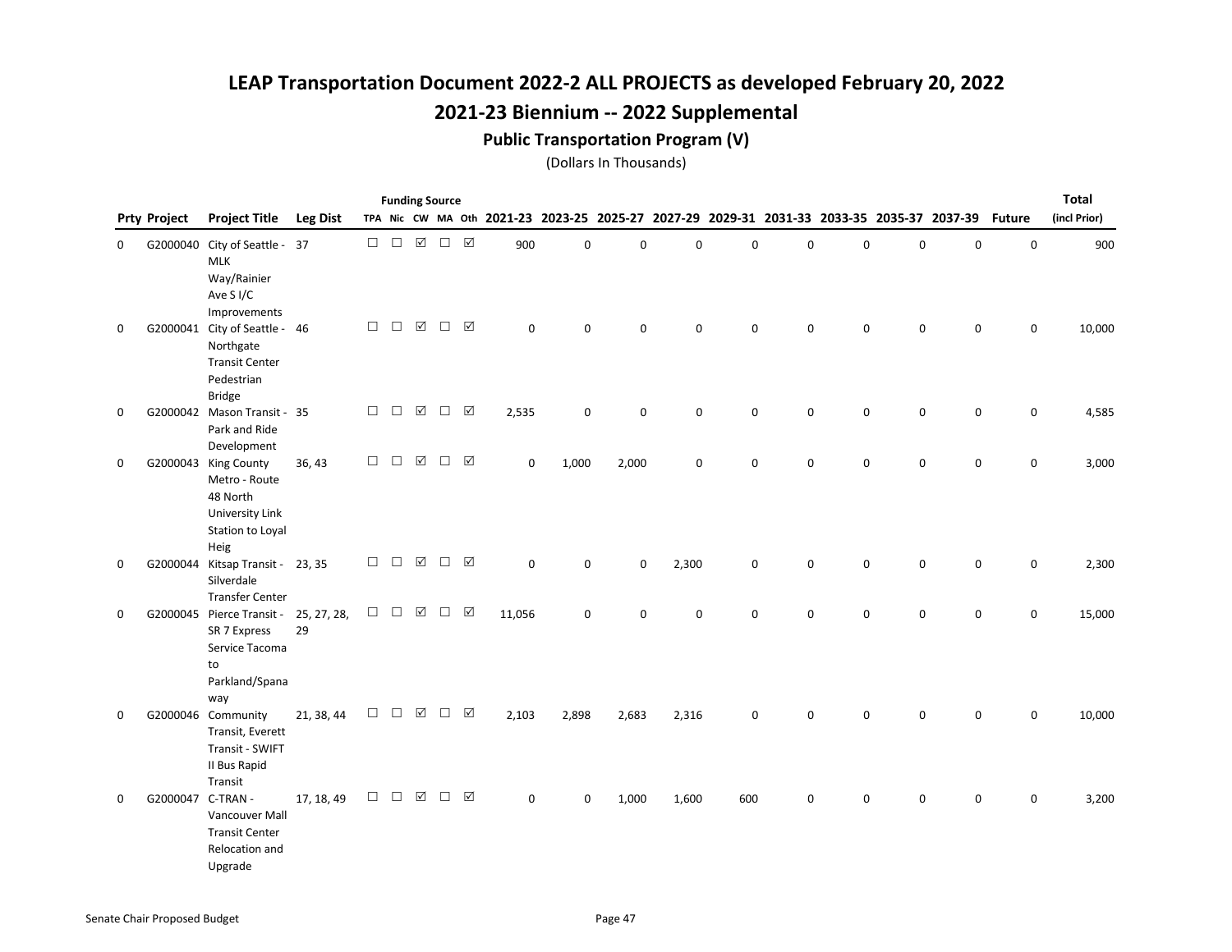#### Public Transportation Program (V)

|   |                     |                                                                                                        |                 |        |        | <b>Funding Source</b> |                     |                      |             |             |                                                                                           |             |             |             |   |             |             |               | <b>Total</b> |
|---|---------------------|--------------------------------------------------------------------------------------------------------|-----------------|--------|--------|-----------------------|---------------------|----------------------|-------------|-------------|-------------------------------------------------------------------------------------------|-------------|-------------|-------------|---|-------------|-------------|---------------|--------------|
|   | <b>Prty Project</b> | <b>Project Title</b>                                                                                   | <b>Leg Dist</b> |        |        |                       |                     |                      |             |             | TPA Nic CW MA Oth 2021-23 2023-25 2025-27 2027-29 2029-31 2031-33 2033-35 2035-37 2037-39 |             |             |             |   |             |             | <b>Future</b> | (incl Prior) |
| 0 |                     | G2000040 City of Seattle - 37<br><b>MLK</b><br>Way/Rainier<br>Ave S <sub>I/C</sub><br>Improvements     |                 | $\Box$ | $\Box$ | $\boxed{\checkmark}$  | $\Box$              | $\boxed{\checkmark}$ | 900         | $\mathbf 0$ | 0                                                                                         | $\mathbf 0$ | $\mathbf 0$ | 0           | 0 | $\pmb{0}$   | $\pmb{0}$   | $\pmb{0}$     | 900          |
| 0 |                     | G2000041 City of Seattle - 46<br>Northgate<br><b>Transit Center</b><br>Pedestrian<br><b>Bridge</b>     |                 | $\Box$ | $\Box$ | ☑                     | $\Box$              | ☑                    | $\mathbf 0$ | $\mathbf 0$ | 0                                                                                         | 0           | 0           | 0           | 0 | 0           | 0           | 0             | 10,000       |
| 0 |                     | G2000042 Mason Transit - 35<br>Park and Ride<br>Development                                            |                 | $\Box$ | $\Box$ | $\boxtimes$           | $\Box$              | $\triangledown$      | 2,535       | 0           | 0                                                                                         | $\pmb{0}$   | $\mathbf 0$ | 0           | 0 | $\mathbf 0$ | 0           | 0             | 4,585        |
| 0 |                     | G2000043 King County<br>Metro - Route<br>48 North<br>University Link<br>Station to Loyal<br>Heig       | 36, 43          | $\Box$ | $\Box$ | $\boxtimes$           | $\Box \quad \nabla$ |                      | 0           | 1,000       | 2,000                                                                                     | $\pmb{0}$   | $\mathbf 0$ | 0           | 0 | $\mathbf 0$ | $\mathbf 0$ | $\mathsf 0$   | 3,000        |
| 0 |                     | G2000044 Kitsap Transit - 23, 35<br>Silverdale<br><b>Transfer Center</b>                               |                 | $\Box$ | $\Box$ | $\boxtimes$           | $\Box$              | ☑                    | $\mathbf 0$ | $\mathbf 0$ | $\mathbf 0$                                                                               | 2,300       | 0           | $\mathbf 0$ | 0 | $\mathbf 0$ | 0           | $\mathbf 0$   | 2,300        |
| 0 |                     | G2000045 Pierce Transit - 25, 27, 28,<br>SR 7 Express<br>Service Tacoma<br>to<br>Parkland/Spana<br>way | 29              | $\Box$ | $\Box$ | ☑                     | $\Box$              | $\triangledown$      | 11,056      | $\mathbf 0$ | $\mathbf 0$                                                                               | 0           | $\mathbf 0$ | 0           | 0 | 0           | $\mathbf 0$ | 0             | 15,000       |
| 0 |                     | G2000046 Community<br>Transit, Everett<br>Transit - SWIFT<br>II Bus Rapid<br>Transit                   | 21, 38, 44      | □      | $\Box$ | ☑                     | $\Box$              | ☑                    | 2,103       | 2,898       | 2,683                                                                                     | 2,316       | $\mathbf 0$ | 0           | 0 | $\mathbf 0$ | 0           | $\mathbf 0$   | 10,000       |
| 0 | G2000047 C-TRAN -   | Vancouver Mall<br><b>Transit Center</b><br>Relocation and<br>Upgrade                                   | 17, 18, 49      | $\Box$ | $\Box$ | $\boxed{\text{V}}$    | $\Box$              | ☑                    | 0           | 0           | 1,000                                                                                     | 1,600       | 600         | 0           | 0 | 0           | 0           | 0             | 3,200        |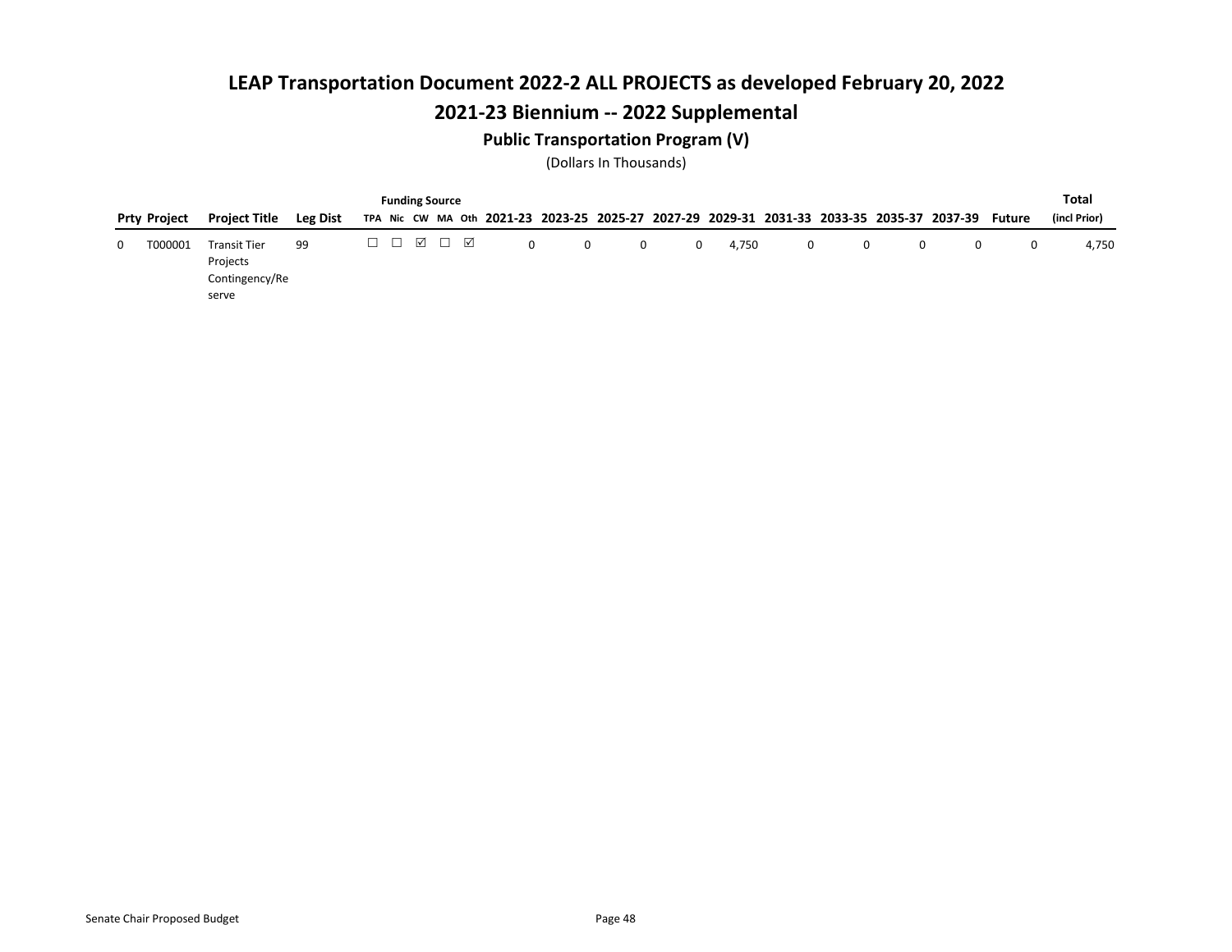### Public Transportation Program (V)

|   |                     |                                                   |          |  | <b>Funding Source</b>                     |   |             |              |   |       |   |   |   |                                                                                                  |   | Total        |
|---|---------------------|---------------------------------------------------|----------|--|-------------------------------------------|---|-------------|--------------|---|-------|---|---|---|--------------------------------------------------------------------------------------------------|---|--------------|
|   | <b>Prty Project</b> | Project Title                                     | Leg Dist |  |                                           |   |             |              |   |       |   |   |   | TPA Nic CW MA Oth 2021-23 2023-25 2025-27 2027-29 2029-31 2031-33 2033-35 2035-37 2037-39 Future |   | (incl Prior) |
| 0 | T000001             | <b>Transit Tier</b><br>Projects<br>Contingency/Re | 99       |  | $\Box$ $\Box$ $\Box$ $\Box$ $\Box$ $\Box$ | 0 | $\mathbf 0$ | $\mathbf{0}$ | 0 | 4.750 | 0 | 0 | 0 | 0                                                                                                | 0 | 4.750        |
|   |                     | serve                                             |          |  |                                           |   |             |              |   |       |   |   |   |                                                                                                  |   |              |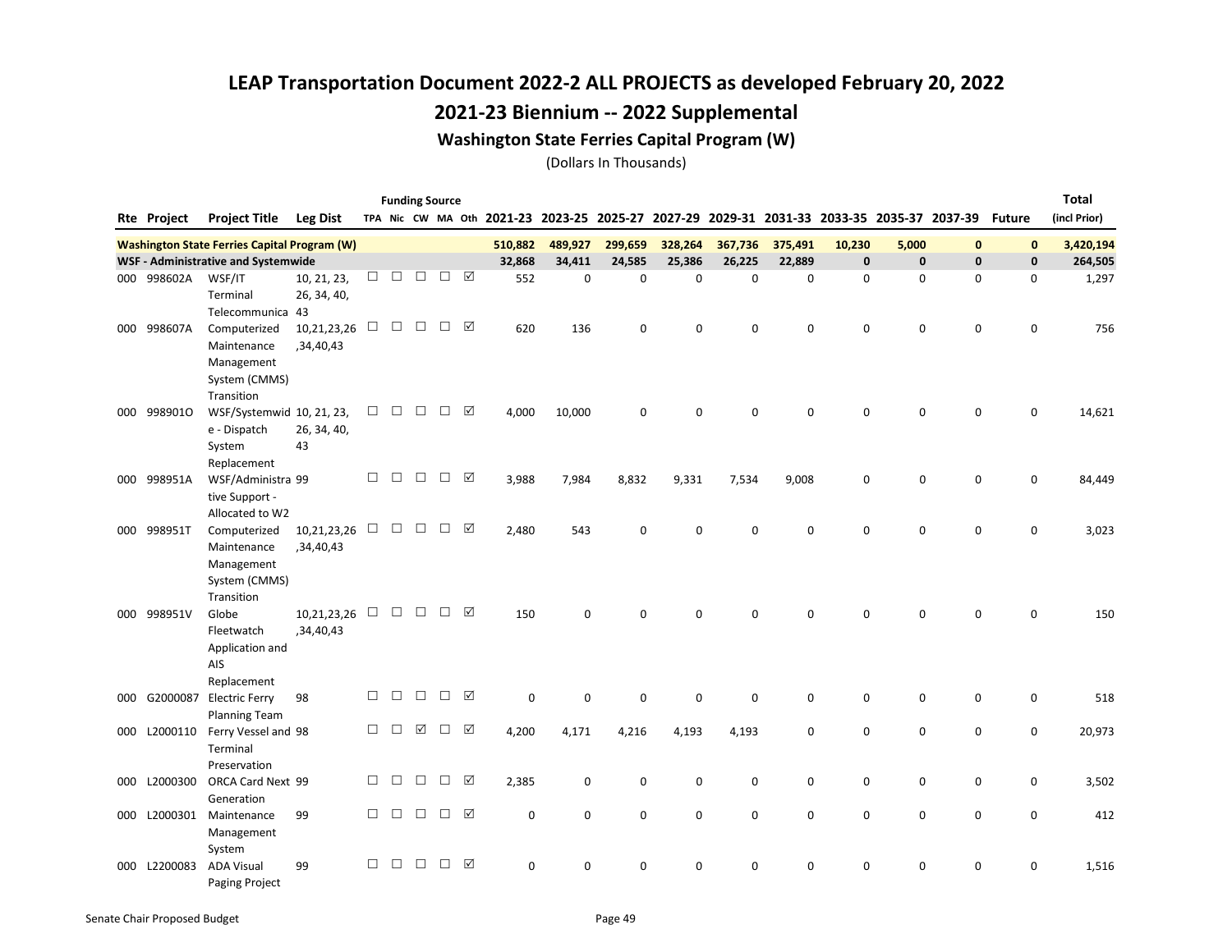### 2021-23 Biennium -- 2022 Supplemental

#### Washington State Ferries Capital Program (W)

|     |                    |                                                     |                 |        |        | <b>Funding Source</b> |        |                 |             |                                                                                           |             |             |             |             |             |             |              |               | <b>Total</b> |
|-----|--------------------|-----------------------------------------------------|-----------------|--------|--------|-----------------------|--------|-----------------|-------------|-------------------------------------------------------------------------------------------|-------------|-------------|-------------|-------------|-------------|-------------|--------------|---------------|--------------|
|     | <b>Rte Project</b> | <b>Project Title</b>                                | <b>Leg Dist</b> |        |        |                       |        |                 |             | TPA Nic CW MA Oth 2021-23 2023-25 2025-27 2027-29 2029-31 2031-33 2033-35 2035-37 2037-39 |             |             |             |             |             |             |              | <b>Future</b> | (incl Prior) |
|     |                    | <b>Washington State Ferries Capital Program (W)</b> |                 |        |        |                       |        |                 | 510,882     | 489,927                                                                                   | 299,659     | 328,264     | 367,736     | 375,491     | 10,230      | 5,000       | $\mathbf{0}$ | $\mathbf{0}$  | 3,420,194    |
|     |                    | <b>WSF - Administrative and Systemwide</b>          |                 |        |        |                       |        |                 | 32,868      | 34,411                                                                                    | 24,585      | 25,386      | 26,225      | 22,889      | $\mathbf 0$ | $\mathbf 0$ | $\mathbf{0}$ | $\mathbf{0}$  | 264,505      |
|     | 000 998602A        | WSF/IT                                              | 10, 21, 23,     | □      | $\Box$ | $\Box$                | $\Box$ | $\triangledown$ | 552         | $\mathbf 0$                                                                               | $\mathbf 0$ | $\mathbf 0$ | 0           | $\mathbf 0$ | 0           | 0           | $\mathbf 0$  | 0             | 1,297        |
|     |                    | Terminal                                            | 26, 34, 40,     |        |        |                       |        |                 |             |                                                                                           |             |             |             |             |             |             |              |               |              |
|     |                    | Telecommunica 43                                    |                 |        |        |                       |        |                 |             |                                                                                           |             |             |             |             |             |             |              |               |              |
| 000 | 998607A            | Computerized                                        | 10,21,23,26     | $\Box$ | $\Box$ | $\Box$                | $\Box$ | ☑               | 620         | 136                                                                                       | 0           | $\mathbf 0$ | 0           | 0           | 0           | $\mathbf 0$ | 0            | 0             | 756          |
|     |                    | Maintenance                                         | ,34,40,43       |        |        |                       |        |                 |             |                                                                                           |             |             |             |             |             |             |              |               |              |
|     |                    | Management                                          |                 |        |        |                       |        |                 |             |                                                                                           |             |             |             |             |             |             |              |               |              |
|     |                    | System (CMMS)                                       |                 |        |        |                       |        |                 |             |                                                                                           |             |             |             |             |             |             |              |               |              |
|     |                    | Transition                                          |                 |        |        |                       |        |                 |             |                                                                                           |             |             |             |             |             |             |              |               |              |
|     | 000 9989010        | WSF/Systemwid 10, 21, 23,                           |                 | $\Box$ | $\Box$ | $\Box$                | $\Box$ | ☑               | 4,000       | 10,000                                                                                    | $\mathbf 0$ | 0           | 0           | 0           | 0           | $\mathbf 0$ | $\mathbf 0$  | 0             | 14,621       |
|     |                    | e - Dispatch                                        | 26, 34, 40,     |        |        |                       |        |                 |             |                                                                                           |             |             |             |             |             |             |              |               |              |
|     |                    | System                                              | 43              |        |        |                       |        |                 |             |                                                                                           |             |             |             |             |             |             |              |               |              |
|     |                    | Replacement                                         |                 |        |        |                       |        |                 |             |                                                                                           |             |             |             |             |             |             |              |               |              |
| 000 | 998951A            | WSF/Administra 99                                   |                 | $\Box$ | $\Box$ | $\Box$                | $\Box$ | ☑               | 3,988       | 7,984                                                                                     | 8,832       | 9,331       | 7,534       | 9,008       | 0           | $\mathbf 0$ | $\mathbf 0$  | $\mathbf 0$   | 84,449       |
|     |                    | tive Support -                                      |                 |        |        |                       |        |                 |             |                                                                                           |             |             |             |             |             |             |              |               |              |
|     |                    | Allocated to W2                                     |                 |        |        |                       |        |                 |             |                                                                                           |             |             |             |             |             |             |              |               |              |
|     | 000 998951T        | Computerized                                        | 10,21,23,26     | $\Box$ | $\Box$ | $\Box$                | $\Box$ | ☑               | 2,480       | 543                                                                                       | 0           | $\mathbf 0$ | 0           | 0           | 0           | $\mathbf 0$ | 0            | 0             | 3,023        |
|     |                    | Maintenance                                         | ,34,40,43       |        |        |                       |        |                 |             |                                                                                           |             |             |             |             |             |             |              |               |              |
|     |                    | Management                                          |                 |        |        |                       |        |                 |             |                                                                                           |             |             |             |             |             |             |              |               |              |
|     |                    | System (CMMS)                                       |                 |        |        |                       |        |                 |             |                                                                                           |             |             |             |             |             |             |              |               |              |
|     |                    | Transition                                          |                 |        |        |                       |        |                 |             |                                                                                           |             |             |             |             |             |             |              |               |              |
|     | 000 998951V        | Globe                                               | 10,21,23,26     | $\Box$ | $\Box$ | $\Box$                | $\Box$ | ☑               | 150         | 0                                                                                         | 0           | $\Omega$    | 0           | 0           | $\Omega$    | $\Omega$    | $\Omega$     | $\Omega$      | 150          |
|     |                    | Fleetwatch                                          | ,34,40,43       |        |        |                       |        |                 |             |                                                                                           |             |             |             |             |             |             |              |               |              |
|     |                    | Application and                                     |                 |        |        |                       |        |                 |             |                                                                                           |             |             |             |             |             |             |              |               |              |
|     |                    | AIS                                                 |                 |        |        |                       |        |                 |             |                                                                                           |             |             |             |             |             |             |              |               |              |
|     |                    | Replacement                                         |                 |        |        |                       |        |                 |             |                                                                                           |             |             |             |             |             |             |              |               |              |
|     | 000 G2000087       | <b>Electric Ferry</b>                               | 98              | $\Box$ | $\Box$ | $\Box$                | □      | ☑               | $\mathbf 0$ | 0                                                                                         | 0           | $\mathbf 0$ | $\mathbf 0$ | 0           | 0           | 0           | 0            | 0             | 518          |
|     |                    | <b>Planning Team</b>                                |                 | $\Box$ | $\Box$ | ☑                     | □      | ☑               |             |                                                                                           |             |             |             |             |             |             |              |               |              |
| 000 | L2000110           | Ferry Vessel and 98                                 |                 |        |        |                       |        |                 | 4,200       | 4,171                                                                                     | 4,216       | 4,193       | 4,193       | 0           | 0           | 0           | 0            | 0             | 20,973       |
|     |                    | Terminal<br>Preservation                            |                 |        |        |                       |        |                 |             |                                                                                           |             |             |             |             |             |             |              |               |              |
|     | 000 L2000300       | ORCA Card Next 99                                   |                 | □      | □      | $\Box$                | □      | ☑               | 2,385       | $\mathbf 0$                                                                               | $\mathbf 0$ | $\mathbf 0$ | $\mathbf 0$ | $\mathbf 0$ | 0           | 0           | $\mathbf 0$  | $\mathbf 0$   | 3,502        |
|     |                    | Generation                                          |                 |        |        |                       |        |                 |             |                                                                                           |             |             |             |             |             |             |              |               |              |
|     | 000 L2000301       | Maintenance                                         | 99              | $\Box$ | $\Box$ | $\Box$                | □      | ☑               | $\Omega$    | $\mathbf 0$                                                                               | 0           | $\Omega$    | $\mathbf 0$ | $\Omega$    | 0           | $\mathbf 0$ | 0            | $\mathbf 0$   | 412          |
|     |                    | Management                                          |                 |        |        |                       |        |                 |             |                                                                                           |             |             |             |             |             |             |              |               |              |
|     |                    | System                                              |                 |        |        |                       |        |                 |             |                                                                                           |             |             |             |             |             |             |              |               |              |
|     | 000 L2200083       | <b>ADA Visual</b>                                   | 99              | □      | □      | $\Box$                | □      | ☑               | $\mathbf 0$ | 0                                                                                         | 0           | 0           | 0           | 0           | 0           | 0           | 0            | $\mathbf 0$   | 1,516        |
|     |                    | <b>Paging Project</b>                               |                 |        |        |                       |        |                 |             |                                                                                           |             |             |             |             |             |             |              |               |              |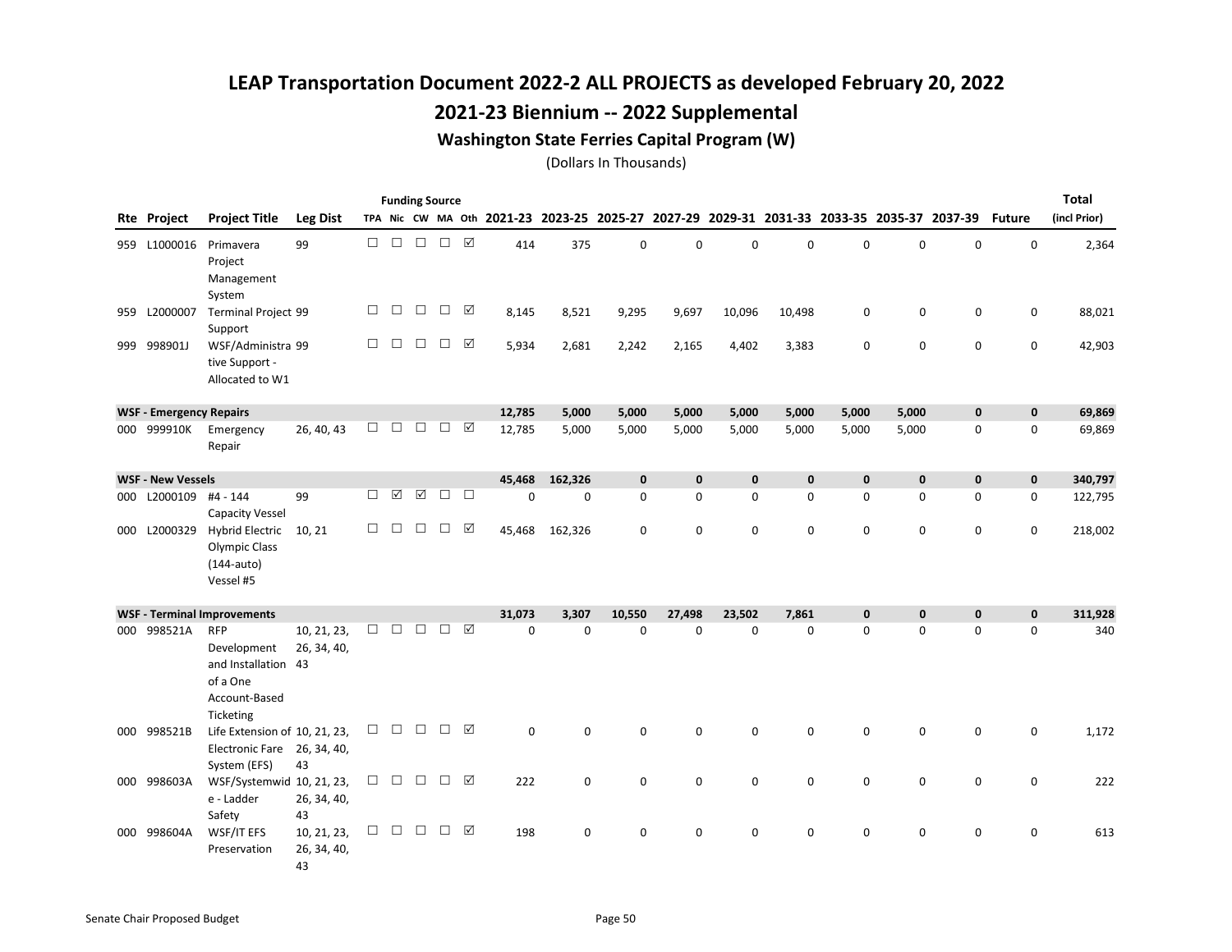### 2021-23 Biennium -- 2022 Supplemental

#### Washington State Ferries Capital Program (W)

|     |                                |                                                                                            |                                  |        | <b>Funding Source</b> |        |        |                 |                                                                                           |             |             |              |              |              |              |              |              |               | <b>Total</b> |
|-----|--------------------------------|--------------------------------------------------------------------------------------------|----------------------------------|--------|-----------------------|--------|--------|-----------------|-------------------------------------------------------------------------------------------|-------------|-------------|--------------|--------------|--------------|--------------|--------------|--------------|---------------|--------------|
|     | <b>Rte Project</b>             | <b>Project Title</b>                                                                       | <b>Leg Dist</b>                  |        |                       |        |        |                 | TPA Nic CW MA Oth 2021-23 2023-25 2025-27 2027-29 2029-31 2031-33 2033-35 2035-37 2037-39 |             |             |              |              |              |              |              |              | <b>Future</b> | (incl Prior) |
|     | 959 L1000016                   | Primavera<br>Project<br>Management<br>System                                               | 99                               | П      | $\Box$                | $\Box$ | $\Box$ | $\triangledown$ | 414                                                                                       | 375         | $\mathbf 0$ | $\Omega$     | $\Omega$     | 0            | 0            | 0            | $\mathbf 0$  | 0             | 2,364        |
|     | 959 L2000007                   | <b>Terminal Project 99</b><br>Support                                                      |                                  | $\Box$ | $\Box$                | $\Box$ | $\Box$ | $\triangledown$ | 8,145                                                                                     | 8,521       | 9,295       | 9,697        | 10,096       | 10,498       | 0            | 0            | $\mathbf 0$  | 0             | 88,021       |
|     | 999 998901J                    | WSF/Administra 99<br>tive Support -<br>Allocated to W1                                     |                                  | П      | П                     | $\Box$ | $\Box$ | ⊠               | 5,934                                                                                     | 2,681       | 2,242       | 2,165        | 4,402        | 3,383        | 0            | 0            | $\mathbf 0$  | 0             | 42,903       |
|     | <b>WSF - Emergency Repairs</b> |                                                                                            |                                  |        |                       |        |        |                 | 12,785                                                                                    | 5,000       | 5,000       | 5,000        | 5,000        | 5,000        | 5,000        | 5,000        | $\mathbf 0$  | $\mathbf{0}$  | 69,869       |
|     | 000 999910K                    | Emergency<br>Repair                                                                        | 26, 40, 43                       | п      | П                     | $\Box$ | $\Box$ | ☑               | 12,785                                                                                    | 5,000       | 5,000       | 5,000        | 5,000        | 5,000        | 5,000        | 5,000        | 0            | 0             | 69,869       |
|     | <b>WSF - New Vessels</b>       |                                                                                            |                                  |        |                       |        |        |                 | 45.468                                                                                    | 162,326     | $\mathbf 0$ | $\mathbf{0}$ | $\mathbf{0}$ | $\mathbf{0}$ | $\mathbf{0}$ | $\mathbf{0}$ | $\mathbf{0}$ | $\mathbf{0}$  | 340,797      |
| 000 | L2000109                       | #4 - 144<br><b>Capacity Vessel</b>                                                         | 99                               | $\Box$ | $\boxtimes$           | ☑      | $\Box$ | $\Box$          | 0                                                                                         | $\mathbf 0$ | $\mathbf 0$ | 0            | 0            | 0            | 0            | 0            | 0            | 0             | 122,795      |
|     | 000 L2000329                   | <b>Hybrid Electric</b><br>Olympic Class<br>$(144$ -auto)<br>Vessel #5                      | 10, 21                           | П      | П                     | П      | $\Box$ | ☑               | 45,468                                                                                    | 162,326     | $\Omega$    | $\Omega$     | $\Omega$     | 0            | $\Omega$     | 0            | $\Omega$     | 0             | 218,002      |
|     |                                | <b>WSF - Terminal Improvements</b>                                                         |                                  |        |                       |        |        |                 | 31,073                                                                                    | 3,307       | 10,550      | 27.498       | 23,502       | 7.861        | 0            | $\mathbf{0}$ | $\mathbf 0$  | $\mathbf{0}$  | 311,928      |
| 000 | 998521A                        | <b>RFP</b><br>Development<br>and Installation 43<br>of a One<br>Account-Based<br>Ticketing | 10, 21, 23,<br>26, 34, 40,       | □      | П                     | $\Box$ | □      | ☑               | $\Omega$                                                                                  | $\Omega$    | $\Omega$    | $\mathbf 0$  | $\mathbf 0$  | 0            | 0            | $\mathbf 0$  | $\mathbf 0$  | 0             | 340          |
|     | 000 998521B                    | Life Extension of 10, 21, 23,<br><b>Electronic Fare</b><br>System (EFS)                    | 26, 34, 40,<br>43                | $\Box$ | $\Box$                | $\Box$ | $\Box$ | ☑               | 0                                                                                         | 0           | $\mathbf 0$ | 0            | 0            | 0            | 0            | 0            | $\mathbf 0$  | 0             | 1,172        |
|     | 000 998603A                    | WSF/Systemwid 10, 21, 23,<br>e - Ladder<br>Safety                                          | 26, 34, 40,<br>43                | $\Box$ | $\Box$                | $\Box$ | □ ☑    |                 | 222                                                                                       | $\mathbf 0$ | $\mathbf 0$ | $\mathbf 0$  | $\mathbf 0$  | 0            | 0            | 0            | $\mathbf 0$  | 0             | 222          |
|     | 000 998604A                    | WSF/IT EFS<br>Preservation                                                                 | 10, 21, 23,<br>26, 34, 40,<br>43 | □      | $\Box$                | $\Box$ | $\Box$ | ☑               | 198                                                                                       | $\mathbf 0$ | $\mathbf 0$ | 0            | $\Omega$     | 0            | 0            | 0            | $\mathbf 0$  | 0             | 613          |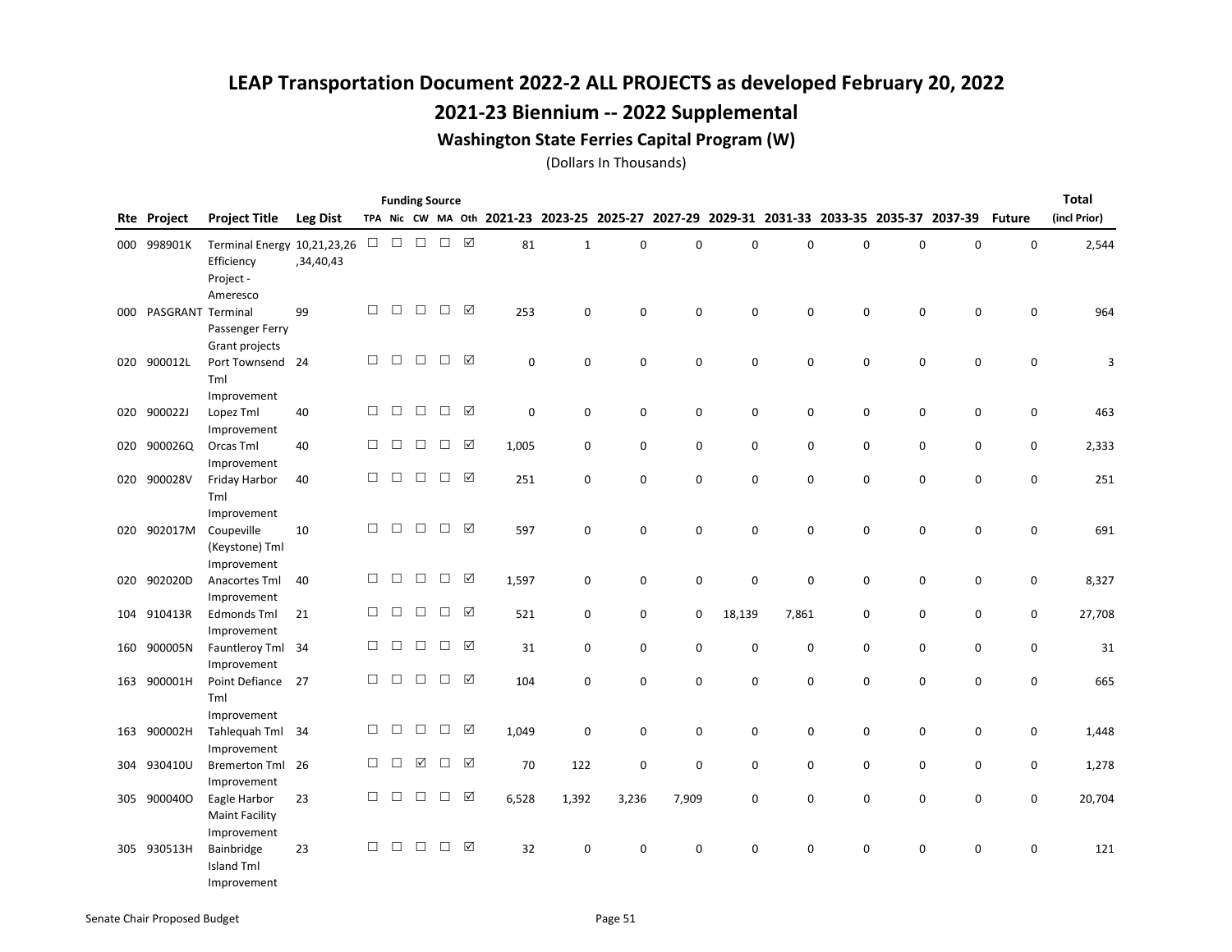### 2021-23 Biennium -- 2022 Supplemental

#### Washington State Ferries Capital Program (W)

|     | <b>Funding Source</b><br>TPA Nic CW MA Oth 2021-23 2023-25 2025-27 2027-29 2029-31 2031-33 2033-35 2035-37 2037-39 |                              |                 |        |        |        |        |                 |       |              |             |             |             |             | <b>Total</b> |             |   |               |              |
|-----|--------------------------------------------------------------------------------------------------------------------|------------------------------|-----------------|--------|--------|--------|--------|-----------------|-------|--------------|-------------|-------------|-------------|-------------|--------------|-------------|---|---------------|--------------|
|     | <b>Rte Project</b>                                                                                                 | <b>Project Title</b>         | <b>Leg Dist</b> |        |        |        |        |                 |       |              |             |             |             |             |              |             |   | <b>Future</b> | (incl Prior) |
|     | 000 998901K                                                                                                        | Terminal Energy 10,21,23,26  |                 | □      | $\Box$ | $\Box$ | $\Box$ | ☑               | 81    | $\mathbf{1}$ | 0           | 0           | $\mathbf 0$ | $\mathbf 0$ | $\Omega$     | $\mathbf 0$ | 0 | 0             | 2,544        |
|     |                                                                                                                    | Efficiency                   | ,34,40,43       |        |        |        |        |                 |       |              |             |             |             |             |              |             |   |               |              |
|     |                                                                                                                    | Project -                    |                 |        |        |        |        |                 |       |              |             |             |             |             |              |             |   |               |              |
|     |                                                                                                                    | Ameresco                     |                 |        |        |        |        |                 |       |              |             |             |             |             |              |             |   |               |              |
| 000 | PASGRANT Terminal                                                                                                  |                              | 99              | $\Box$ | $\Box$ | $\Box$ | $\Box$ | $\triangledown$ | 253   | 0            | $\mathsf 0$ | $\mathsf 0$ | $\mathbf 0$ | $\mathbf 0$ | $\mathbf 0$  | 0           | 0 | 0             | 964          |
|     |                                                                                                                    | Passenger Ferry              |                 |        |        |        |        |                 |       |              |             |             |             |             |              |             |   |               |              |
|     |                                                                                                                    | Grant projects               |                 |        |        |        |        |                 |       |              |             |             |             |             |              |             |   |               |              |
| 020 | 900012L                                                                                                            | Port Townsend 24             |                 | $\Box$ | $\Box$ | $\Box$ | $\Box$ | ☑               | 0     | 0            | 0           | 0           | $\mathbf 0$ | 0           | 0            | 0           | 0 | 0             | 3            |
|     |                                                                                                                    | Tml                          |                 |        |        |        |        |                 |       |              |             |             |             |             |              |             |   |               |              |
|     |                                                                                                                    | Improvement                  |                 |        |        |        |        |                 |       |              |             |             |             |             |              |             |   |               |              |
|     | 020 900022J                                                                                                        | Lopez Tml                    | 40              | $\Box$ | $\Box$ | $\Box$ | $\Box$ | ☑               | 0     | 0            | 0           | $\mathsf 0$ | $\mathbf 0$ | $\mathsf 0$ | $\mathbf 0$  | 0           | 0 | 0             | 463          |
|     |                                                                                                                    | Improvement                  |                 |        |        |        |        |                 |       |              |             |             |             |             |              |             |   |               |              |
|     | 020 900026Q                                                                                                        | Orcas Tml                    | 40              | $\Box$ | $\Box$ | $\Box$ | $\Box$ | ☑               | 1,005 | 0            | 0           | 0           | $\mathbf 0$ | $\mathbf 0$ | 0            | 0           | 0 | 0             | 2,333        |
|     |                                                                                                                    | Improvement                  |                 |        |        |        |        |                 |       |              |             |             |             |             |              |             |   |               |              |
| 020 | 900028V                                                                                                            | Friday Harbor                | 40              | $\Box$ | $\Box$ | $\Box$ | $\Box$ | $\triangledown$ | 251   | 0            | 0           | 0           | $\mathbf 0$ | 0           | 0            | 0           | 0 | 0             | 251          |
|     |                                                                                                                    | Tml                          |                 |        |        |        |        |                 |       |              |             |             |             |             |              |             |   |               |              |
|     |                                                                                                                    | Improvement                  |                 | $\Box$ | $\Box$ | $\Box$ | $\Box$ | $\triangledown$ |       |              |             |             |             |             |              |             |   |               |              |
| 020 | 902017M                                                                                                            | Coupeville                   | 10              |        |        |        |        |                 | 597   | 0            | 0           | 0           | $\mathbf 0$ | $\mathbf 0$ | $\mathbf 0$  | $\mathbf 0$ | 0 | $\mathbf 0$   | 691          |
|     |                                                                                                                    | (Keystone) Tml               |                 |        |        |        |        |                 |       |              |             |             |             |             |              |             |   |               |              |
| 020 | 902020D                                                                                                            | Improvement<br>Anacortes Tml | 40              | $\Box$ | $\Box$ | $\Box$ | $\Box$ | ☑               | 1,597 | 0            | 0           | $\pmb{0}$   | $\pmb{0}$   | $\mathbf 0$ | 0            | 0           | 0 | 0             | 8,327        |
|     |                                                                                                                    | Improvement                  |                 |        |        |        |        |                 |       |              |             |             |             |             |              |             |   |               |              |
|     | 104 910413R                                                                                                        | <b>Edmonds Tml</b>           | 21              | $\Box$ | $\Box$ | $\Box$ | □      | ☑               | 521   | 0            | 0           | 0           | 18,139      | 7,861       | $\mathbf 0$  | 0           | 0 | 0             | 27,708       |
|     |                                                                                                                    | Improvement                  |                 |        |        |        |        |                 |       |              |             |             |             |             |              |             |   |               |              |
|     | 160 900005N                                                                                                        | Fauntleroy Tml 34            |                 | $\Box$ | $\Box$ | $\Box$ | $\Box$ | $\triangledown$ | 31    | 0            | 0           | $\mathbf 0$ | $\mathbf 0$ | $\mathbf 0$ | $\mathbf 0$  | 0           | 0 | 0             | 31           |
|     |                                                                                                                    | Improvement                  |                 |        |        |        |        |                 |       |              |             |             |             |             |              |             |   |               |              |
|     | 163 900001H                                                                                                        | Point Defiance               | 27              | $\Box$ | $\Box$ | $\Box$ | $\Box$ | $\triangledown$ | 104   | 0            | 0           | 0           | $\mathbf 0$ | 0           | $\mathbf 0$  | 0           | 0 | 0             | 665          |
|     |                                                                                                                    | Tml                          |                 |        |        |        |        |                 |       |              |             |             |             |             |              |             |   |               |              |
|     |                                                                                                                    | Improvement                  |                 |        |        |        |        |                 |       |              |             |             |             |             |              |             |   |               |              |
| 163 | 900002H                                                                                                            | Tahlequah Tml                | 34              | $\Box$ | $\Box$ | $\Box$ | $\Box$ | ☑               | 1,049 | 0            | $\mathsf 0$ | 0           | $\mathbf 0$ | $\mathbf 0$ | $\mathbf 0$  | 0           | 0 | 0             | 1,448        |
|     |                                                                                                                    | Improvement                  |                 |        |        |        |        |                 |       |              |             |             |             |             |              |             |   |               |              |
| 304 | 930410U                                                                                                            | <b>Bremerton Tml</b>         | 26              | $\Box$ | $\Box$ | ☑      | $\Box$ | ☑               | 70    | 122          | $\pmb{0}$   | 0           | $\pmb{0}$   | 0           | 0            | 0           | 0 | 0             | 1,278        |
|     |                                                                                                                    | Improvement                  |                 |        |        |        |        |                 |       |              |             |             |             |             |              |             |   |               |              |
|     | 305 9000400                                                                                                        | Eagle Harbor                 | 23              | $\Box$ | $\Box$ | $\Box$ | $\Box$ | ☑               | 6,528 | 1,392        | 3,236       | 7,909       | $\mathbf 0$ | $\Omega$    | $\Omega$     | 0           | 0 | 0             | 20,704       |
|     |                                                                                                                    | <b>Maint Facility</b>        |                 |        |        |        |        |                 |       |              |             |             |             |             |              |             |   |               |              |
|     |                                                                                                                    | Improvement                  |                 |        |        |        |        |                 |       |              |             |             |             |             |              |             |   |               |              |
|     | 305 930513H                                                                                                        | Bainbridge                   | 23              | $\Box$ | $\Box$ | $\Box$ | $\Box$ | $\sqrt{ }$      | 32    | 0            | $\mathbf 0$ | $\mathsf 0$ | $\mathbf 0$ | 0           | $\mathbf 0$  | 0           | 0 | $\pmb{0}$     | 121          |
|     |                                                                                                                    | <b>Island Tml</b>            |                 |        |        |        |        |                 |       |              |             |             |             |             |              |             |   |               |              |
|     |                                                                                                                    | Improvement                  |                 |        |        |        |        |                 |       |              |             |             |             |             |              |             |   |               |              |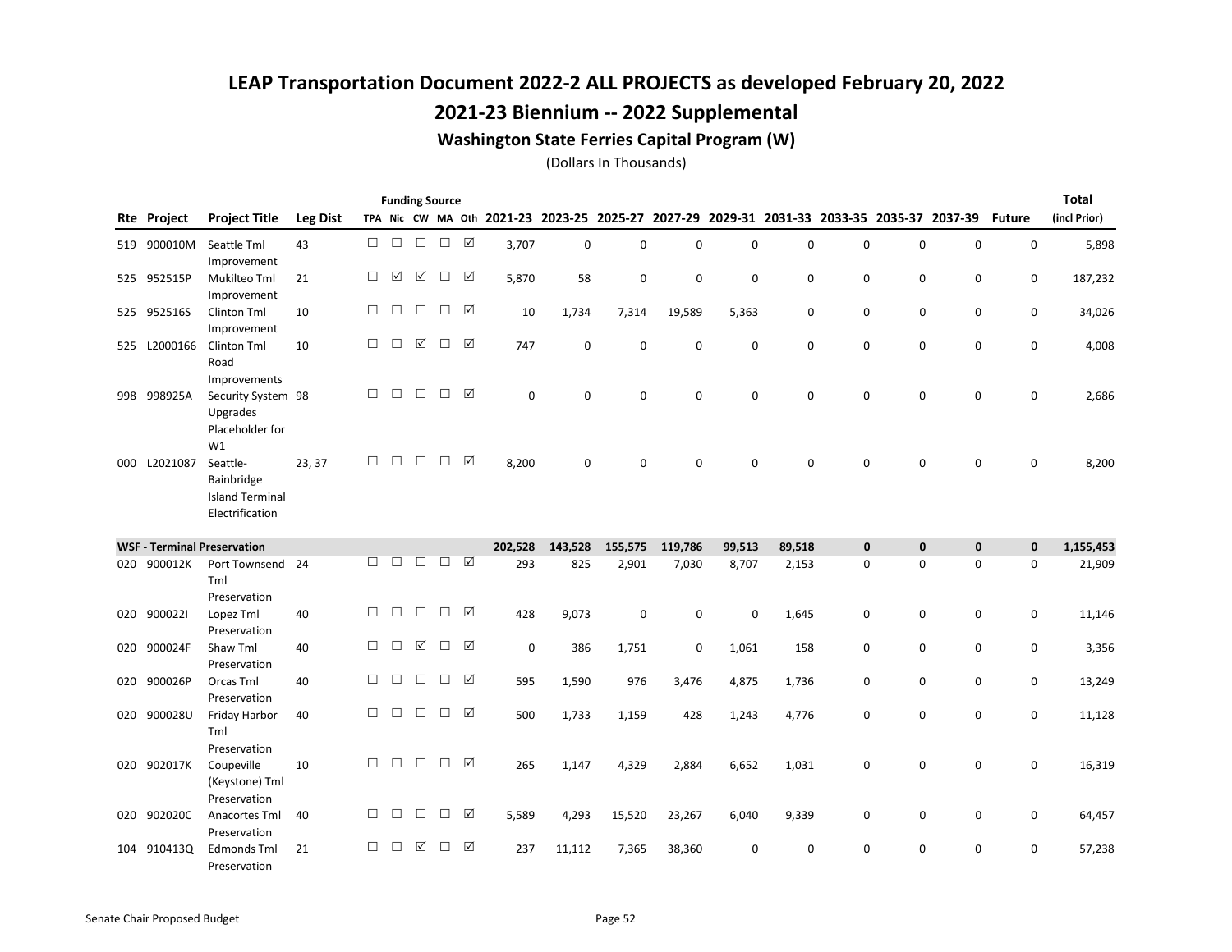### 2021-23 Biennium -- 2022 Supplemental

#### Washington State Ferries Capital Program (W)

|     |             |                                                                         |                 |        |        | <b>Funding Source</b> |        |                 |             |             |             |             |          |        |             |                                                                                           |             |               | <b>Total</b> |
|-----|-------------|-------------------------------------------------------------------------|-----------------|--------|--------|-----------------------|--------|-----------------|-------------|-------------|-------------|-------------|----------|--------|-------------|-------------------------------------------------------------------------------------------|-------------|---------------|--------------|
| Rte | Project     | <b>Project Title</b>                                                    | <b>Leg Dist</b> |        |        |                       |        |                 |             |             |             |             |          |        |             | TPA Nic CW MA Oth 2021-23 2023-25 2025-27 2027-29 2029-31 2031-33 2033-35 2035-37 2037-39 |             | <b>Future</b> | (incl Prior) |
| 519 | 900010M     | Seattle Tml<br>Improvement                                              | 43              | □      | $\Box$ | $\Box$                | $\Box$ | $\Delta$        | 3,707       | $\mathbf 0$ | $\mathbf 0$ | $\mathbf 0$ | 0        | 0      | $\mathbf 0$ | 0                                                                                         | $\mathbf 0$ | 0             | 5,898        |
|     | 525 952515P | Mukilteo Tml<br>Improvement                                             | 21              | $\Box$ | ☑      | ☑                     | $\Box$ | ☑               | 5,870       | 58          | $\mathbf 0$ | 0           | $\Omega$ | 0      | $\mathbf 0$ | $\mathbf 0$                                                                               | 0           | $\mathbf 0$   | 187,232      |
|     | 525 952516S | Clinton Tml<br>Improvement                                              | 10              | $\Box$ | П      | $\Box$                | $\Box$ | ☑               | 10          | 1,734       | 7,314       | 19,589      | 5,363    | 0      | 0           | 0                                                                                         | 0           | 0             | 34,026       |
| 525 | L2000166    | Clinton Tml<br>Road                                                     | 10              | $\Box$ | П      | ☑                     | $\Box$ | ☑               | 747         | $\mathbf 0$ | 0           | 0           | 0        | 0      | 0           | 0                                                                                         | 0           | $\mathbf 0$   | 4,008        |
| 998 | 998925A     | Improvements<br>Security System 98<br>Upgrades<br>Placeholder for<br>W1 |                 | □      | П      | $\Box$                | $\Box$ | $\triangledown$ | $\mathbf 0$ | 0           | $\mathbf 0$ | 0           | 0        | 0      | $\mathbf 0$ | 0                                                                                         | 0           | 0             | 2,686        |
| 000 | L2021087    | Seattle-<br>Bainbridge<br><b>Island Terminal</b><br>Electrification     | 23, 37          | $\Box$ | $\Box$ | $\Box$                | $\Box$ | ☑               | 8,200       | 0           | 0           | $\Omega$    | 0        | 0      | 0           | 0                                                                                         | 0           | 0             | 8,200        |
|     |             | <b>WSF - Terminal Preservation</b>                                      |                 |        |        |                       |        |                 | 202,528     | 143,528     | 155,575     | 119,786     | 99,513   | 89,518 | $\mathbf 0$ | $\mathbf 0$                                                                               | $\mathbf 0$ | $\mathbf 0$   | 1,155,453    |
| 020 | 900012K     | Port Townsend 24<br>Tml                                                 |                 | П      | П      | $\Box$                | $\Box$ | ☑               | 293         | 825         | 2,901       | 7,030       | 8,707    | 2,153  | $\mathbf 0$ | $\mathbf 0$                                                                               | $\mathbf 0$ | $\mathbf 0$   | 21,909       |
| 020 | 9000221     | Preservation<br>Lopez Tml<br>Preservation                               | 40              | □      | $\Box$ | $\Box$                | □      | ☑               | 428         | 9,073       | $\mathbf 0$ | 0           | $\Omega$ | 1,645  | 0           | 0                                                                                         | 0           | 0             | 11,146       |
| 020 | 900024F     | Shaw Tml<br>Preservation                                                | 40              | П      | П      | ☑                     | □      | $\triangledown$ | $\mathbf 0$ | 386         | 1,751       | 0           | 1,061    | 158    | 0           | 0                                                                                         | 0           | 0             | 3,356        |
| 020 | 900026P     | Orcas Tml<br>Preservation                                               | 40              | $\Box$ | П      | $\Box$                | $\Box$ | ☑               | 595         | 1,590       | 976         | 3,476       | 4,875    | 1,736  | 0           | 0                                                                                         | 0           | 0             | 13,249       |
| 020 | 900028U     | Friday Harbor<br>Tml                                                    | 40              | $\Box$ | $\Box$ | $\Box$                | $\Box$ | ☑               | 500         | 1,733       | 1,159       | 428         | 1,243    | 4,776  | 0           | 0                                                                                         | 0           | 0             | 11,128       |
| 020 | 902017K     | Preservation<br>Coupeville<br>(Keystone) Tml<br>Preservation            | 10              | П      | П      | $\Box$                | $\Box$ | ☑               | 265         | 1,147       | 4,329       | 2,884       | 6,652    | 1,031  | 0           | $\mathbf 0$                                                                               | $\mathbf 0$ | $\mathbf 0$   | 16,319       |
| 020 | 902020C     | Anacortes Tml<br>Preservation                                           | 40              | $\Box$ | П      | $\Box$                | $\Box$ | ☑               | 5,589       | 4,293       | 15,520      | 23,267      | 6,040    | 9,339  | 0           | $\mathbf 0$                                                                               | $\mathbf 0$ | 0             | 64,457       |
| 104 | 9104130     | <b>Edmonds Tml</b><br>Preservation                                      | 21              | П      | П      | ☑                     | $\Box$ | $\triangledown$ | 237         | 11,112      | 7,365       | 38,360      | $\Omega$ | 0      | $\Omega$    | 0                                                                                         | 0           | 0             | 57,238       |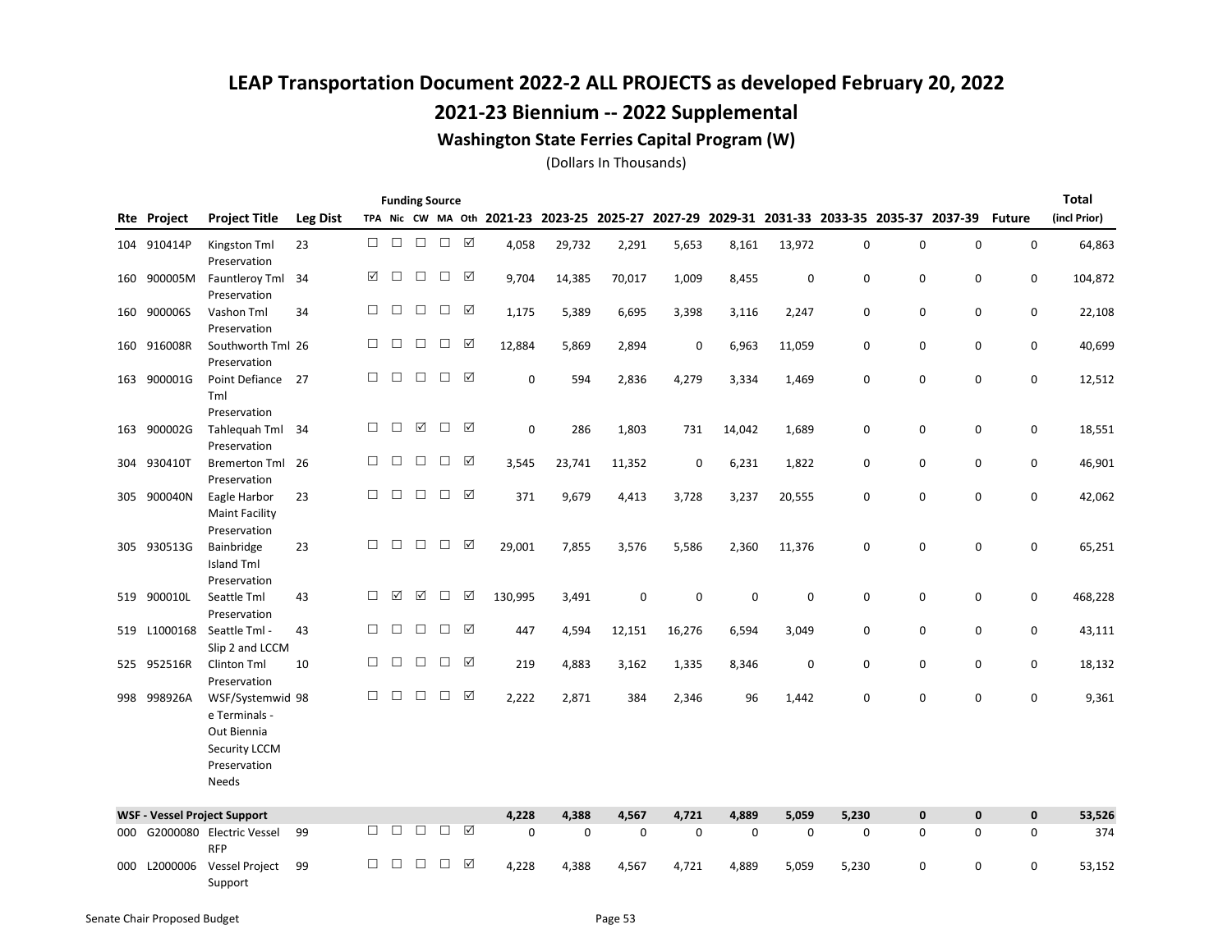### 2021-23 Biennium -- 2022 Supplemental

#### Washington State Ferries Capital Program (W)

|     |                    |                                                                                   |                 |        |        | <b>Funding Source</b> |               |                 |         |        |        |             |             |                                                                                           |             |             |             |                    | <b>Total</b> |
|-----|--------------------|-----------------------------------------------------------------------------------|-----------------|--------|--------|-----------------------|---------------|-----------------|---------|--------|--------|-------------|-------------|-------------------------------------------------------------------------------------------|-------------|-------------|-------------|--------------------|--------------|
|     | <b>Rte Project</b> | <b>Project Title</b>                                                              | <b>Leg Dist</b> |        |        |                       |               |                 |         |        |        |             |             | TPA Nic CW MA Oth 2021-23 2023-25 2025-27 2027-29 2029-31 2031-33 2033-35 2035-37 2037-39 |             |             |             | <b>Future</b>      | (incl Prior) |
|     | 104 910414P        | Kingston Tml<br>Preservation                                                      | 23              | П.     | $\Box$ | $\Box$                | $\Box$ $\Box$ |                 | 4,058   | 29,732 | 2,291  | 5,653       | 8,161       | 13,972                                                                                    | 0           | $\mathbf 0$ | 0           | $\mathbf 0$        | 64,863       |
| 160 | 900005M            | Fauntleroy Tml<br>Preservation                                                    | 34              | ☑      | П      | $\Box$                | $\Box$        | ☑               | 9,704   | 14,385 | 70,017 | 1,009       | 8,455       | 0                                                                                         | $\mathbf 0$ | $\mathbf 0$ | $\mathbf 0$ | 0                  | 104,872      |
| 160 | 900006S            | Vashon Tml<br>Preservation                                                        | 34              | П      | $\Box$ | $\Box$                | $\Box$        | ☑               | 1,175   | 5,389  | 6,695  | 3,398       | 3,116       | 2,247                                                                                     | $\mathbf 0$ | 0           | 0           | 0                  | 22,108       |
| 160 | 916008R            | Southworth Tml 26<br>Preservation                                                 |                 | $\Box$ | $\Box$ | $\Box$                | $\Box$        | ☑               | 12,884  | 5,869  | 2,894  | $\mathbf 0$ | 6,963       | 11,059                                                                                    | 0           | 0           | 0           | $\mathbf 0$        | 40,699       |
| 163 | 900001G            | Point Defiance 27<br>Tml                                                          |                 | $\Box$ | $\Box$ | $\Box$                | $\Box$        | ☑               | 0       | 594    | 2,836  | 4,279       | 3,334       | 1,469                                                                                     | 0           | $\mathbf 0$ | $\mathbf 0$ | $\mathbf 0$        | 12,512       |
|     | 163 900002G        | Preservation<br>Tahlequah Tml 34<br>Preservation                                  |                 | □      | $\Box$ | ☑                     | $\Box$        | ☑               | 0       | 286    | 1,803  | 731         | 14,042      | 1,689                                                                                     | 0           | 0           | 0           | 0                  | 18,551       |
| 304 | 930410T            | Bremerton Tml 26<br>Preservation                                                  |                 | □      | $\Box$ | $\Box$                | П             | ☑               | 3,545   | 23,741 | 11,352 | $\mathbf 0$ | 6,231       | 1,822                                                                                     | 0           | 0           | $\mathbf 0$ | 0                  | 46,901       |
| 305 | 900040N            | Eagle Harbor<br><b>Maint Facility</b>                                             | 23              | $\Box$ | $\Box$ | $\Box$                | $\Box$        | $\triangledown$ | 371     | 9,679  | 4,413  | 3,728       | 3,237       | 20,555                                                                                    | 0           | 0           | 0           | $\mathbf 0$        | 42,062       |
|     | 305 930513G        | Preservation<br>Bainbridge<br><b>Island Tml</b>                                   | 23              | $\Box$ | $\Box$ | $\Box$                | $\Box$        | ☑               | 29,001  | 7,855  | 3,576  | 5,586       | 2,360       | 11,376                                                                                    | 0           | $\mathbf 0$ | 0           | 0                  | 65,251       |
| 519 | 900010L            | Preservation<br>Seattle Tml<br>Preservation                                       | 43              | □      | ☑      | ☑                     | $\Box$        | ☑               | 130,995 | 3,491  | 0      | $\mathbf 0$ | $\mathbf 0$ | $\mathbf 0$                                                                               | 0           | 0           | 0           | 0                  | 468,228      |
| 519 |                    | L1000168 Seattle Tml -<br>Slip 2 and LCCM                                         | 43              | □      | $\Box$ | $\Box$                | $\Box$        | ☑               | 447     | 4,594  | 12,151 | 16,276      | 6,594       | 3,049                                                                                     | 0           | 0           | 0           | 0                  | 43,111       |
| 525 | 952516R            | Clinton Tml<br>Preservation                                                       | 10              | $\Box$ | $\Box$ | $\Box$                | $\Box$        | ☑               | 219     | 4,883  | 3,162  | 1,335       | 8,346       | 0                                                                                         | 0           | 0           | $\mathbf 0$ | 0                  | 18,132       |
| 998 | 998926A            | WSF/Systemwid 98<br>e Terminals -<br>Out Biennia<br>Security LCCM<br>Preservation |                 | □      | □      | $\Box$                | $\Box$        | ☑               | 2,222   | 2,871  | 384    | 2,346       | 96          | 1,442                                                                                     | $\mathbf 0$ | 0           | $\mathbf 0$ | 0                  | 9,361        |
|     |                    | Needs                                                                             |                 |        |        |                       |               |                 |         |        |        |             |             |                                                                                           |             |             |             |                    |              |
|     |                    | <b>WSF - Vessel Project Support</b>                                               |                 |        |        |                       |               |                 | 4,228   | 4,388  | 4,567  | 4,721       | 4,889       | 5,059                                                                                     | 5,230       | $\pmb{0}$   | $\pmb{0}$   | $\pmb{\mathsf{o}}$ | 53,526       |
| 000 |                    | G2000080 Electric Vessel<br><b>RFP</b>                                            | 99              | $\Box$ | П      | $\Box$                | $\Box$        | ☑               | 0       | 0      | 0      | 0           | 0           | 0                                                                                         | 0           | 0           | 0           | 0                  | 374          |
| 000 | L2000006           | <b>Vessel Project</b><br>Support                                                  | 99              | □      | □      | □                     | □             | ☑               | 4,228   | 4,388  | 4,567  | 4,721       | 4,889       | 5,059                                                                                     | 5,230       | 0           | 0           | 0                  | 53,152       |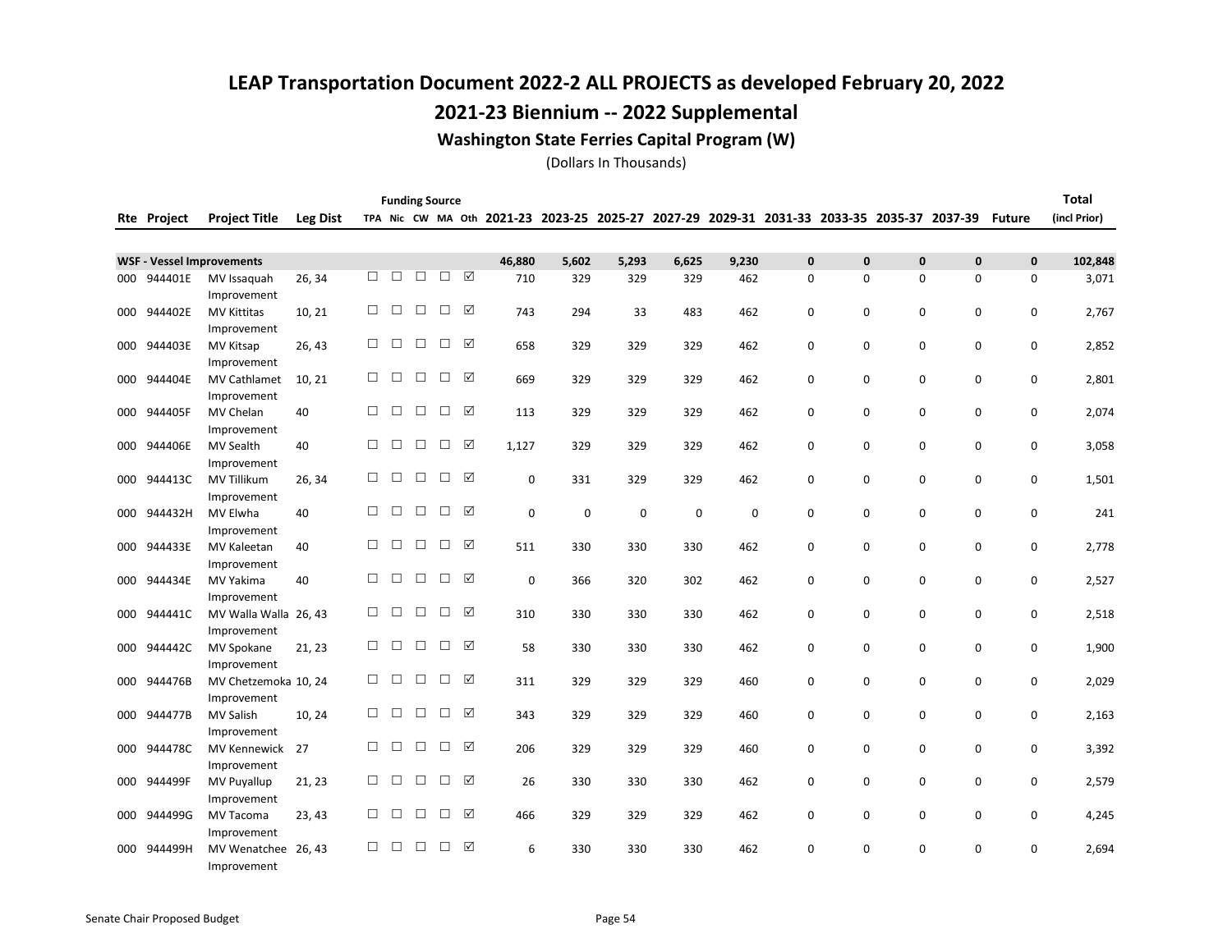### 2021-23 Biennium -- 2022 Supplemental

#### Washington State Ferries Capital Program (W)

|     |                    |                                                   |                 |        |        | <b>Funding Source</b> |        |   |             |                                                   |             |             |             |              |              |                                         |              |               | <b>Total</b> |
|-----|--------------------|---------------------------------------------------|-----------------|--------|--------|-----------------------|--------|---|-------------|---------------------------------------------------|-------------|-------------|-------------|--------------|--------------|-----------------------------------------|--------------|---------------|--------------|
|     | <b>Rte Project</b> | <b>Project Title</b>                              | <b>Leg Dist</b> |        |        |                       |        |   |             | TPA Nic CW MA Oth 2021-23 2023-25 2025-27 2027-29 |             |             |             |              |              | 2029-31 2031-33 2033-35 2035-37 2037-39 |              | <b>Future</b> | (incl Prior) |
|     |                    |                                                   |                 |        |        |                       |        |   |             |                                                   |             |             |             |              |              |                                         |              |               |              |
|     |                    | <b>WSF - Vessel Improvements</b>                  |                 |        |        |                       |        |   | 46,880      | 5,602                                             | 5,293       | 6,625       | 9,230       | $\mathbf{0}$ | $\mathbf{0}$ | 0                                       | $\mathbf{0}$ | $\mathbf{0}$  | 102,848      |
| 000 | 944401E            | MV Issaquah<br>Improvement                        | 26, 34          | п      | П      | П                     | П      | ☑ | 710         | 329                                               | 329         | 329         | 462         | 0            | 0            | $\mathbf 0$                             | $\mathbf 0$  | 0             | 3,071        |
| 000 | 944402E            | <b>MV Kittitas</b><br>Improvement                 | 10, 21          | □      | □      | $\Box$                | □      | ☑ | 743         | 294                                               | 33          | 483         | 462         | 0            | 0            | 0                                       | 0            | 0             | 2,767        |
| 000 | 944403E            | MV Kitsap                                         | 26, 43          | □      | □      | $\Box$                | □      | ☑ | 658         | 329                                               | 329         | 329         | 462         | $\mathbf 0$  | 0            | 0                                       | 0            | 0             | 2,852        |
| 000 | 944404E            | Improvement<br><b>MV Cathlamet</b><br>Improvement | 10, 21          | □      | □      | □                     | □      | ☑ | 669         | 329                                               | 329         | 329         | 462         | 0            | 0            | $\mathbf 0$                             | 0            | 0             | 2,801        |
| 000 | 944405F            | MV Chelan<br>Improvement                          | 40              | □      | □      | $\Box$                | $\Box$ | ☑ | 113         | 329                                               | 329         | 329         | 462         | $\mathbf 0$  | 0            | 0                                       | 0            | 0             | 2,074        |
| 000 | 944406E            | MV Sealth                                         | 40              | □      | □      | □                     | □      | ☑ | 1,127       | 329                                               | 329         | 329         | 462         | $\mathbf 0$  | 0            | 0                                       | 0            | 0             | 3,058        |
| 000 | 944413C            | Improvement<br><b>MV Tillikum</b><br>Improvement  | 26, 34          | □      | П      | $\Box$                | □      | ☑ | $\mathbf 0$ | 331                                               | 329         | 329         | 462         | 0            | 0            | $\mathbf 0$                             | $\mathbf 0$  | 0             | 1,501        |
|     | 000 944432H        | MV Elwha<br>Improvement                           | 40              | □      | □      | $\Box$                | □      | ☑ | $\mathbf 0$ | $\mathbf 0$                                       | $\mathbf 0$ | $\mathbf 0$ | $\mathbf 0$ | 0            | 0            | 0                                       | 0            | 0             | 241          |
| 000 | 944433E            | MV Kaleetan<br>Improvement                        | 40              | □      | □      | $\Box$                | □      | ☑ | 511         | 330                                               | 330         | 330         | 462         | 0            | 0            | $\mathbf 0$                             | $\mathbf 0$  | 0             | 2,778        |
| 000 | 944434E            | MV Yakima                                         | 40              | □      | $\Box$ | $\Box$                | $\Box$ | ☑ | $\Omega$    | 366                                               | 320         | 302         | 462         | $\Omega$     | 0            | $\mathbf 0$                             | $\mathbf 0$  | 0             | 2,527        |
| 000 | 944441C            | Improvement<br>MV Walla Walla 26, 43              |                 | $\Box$ | □      | $\Box$                | □      | ☑ | 310         | 330                                               | 330         | 330         | 462         | $\mathbf 0$  | 0            | $\mathbf 0$                             | 0            | 0             | 2,518        |
| 000 | 944442C            | Improvement<br>MV Spokane<br>Improvement          | 21, 23          | П      | П      | □                     | □      | ☑ | 58          | 330                                               | 330         | 330         | 462         | 0            | 0            | 0                                       | 0            | 0             | 1,900        |
| 000 | 944476B            | MV Chetzemoka 10, 24<br>Improvement               |                 | $\Box$ | $\Box$ | $\Box$                | $\Box$ | ☑ | 311         | 329                                               | 329         | 329         | 460         | 0            | 0            | 0                                       | 0            | 0             | 2,029        |
| 000 | 944477B            | MV Salish                                         | 10, 24          | $\Box$ | □      | $\Box$                | $\Box$ | ☑ | 343         | 329                                               | 329         | 329         | 460         | $\mathbf 0$  | 0            | 0                                       | 0            | 0             | 2,163        |
| 000 | 944478C            | Improvement<br>MV Kennewick<br>Improvement        | 27              | П      | П      | П                     | П      | ☑ | 206         | 329                                               | 329         | 329         | 460         | 0            | 0            | $\mathbf 0$                             | $\mathbf 0$  | 0             | 3,392        |
| 000 | 944499F            | <b>MV Puyallup</b><br>Improvement                 | 21, 23          | □      | □      | $\Box$                | □      | ☑ | 26          | 330                                               | 330         | 330         | 462         | $\mathbf 0$  | 0            | 0                                       | 0            | 0             | 2,579        |
| 000 | 944499G            | MV Tacoma                                         | 23, 43          | □      | П      | $\Box$                | □      | ☑ | 466         | 329                                               | 329         | 329         | 462         | 0            | 0            | 0                                       | $\mathbf 0$  | 0             | 4,245        |
| 000 | 944499H            | Improvement<br>MV Wenatchee 26, 43<br>Improvement |                 | □      | □      | □                     | □      | ☑ | 6           | 330                                               | 330         | 330         | 462         | $\Omega$     | 0            | $\Omega$                                | $\Omega$     | 0             | 2,694        |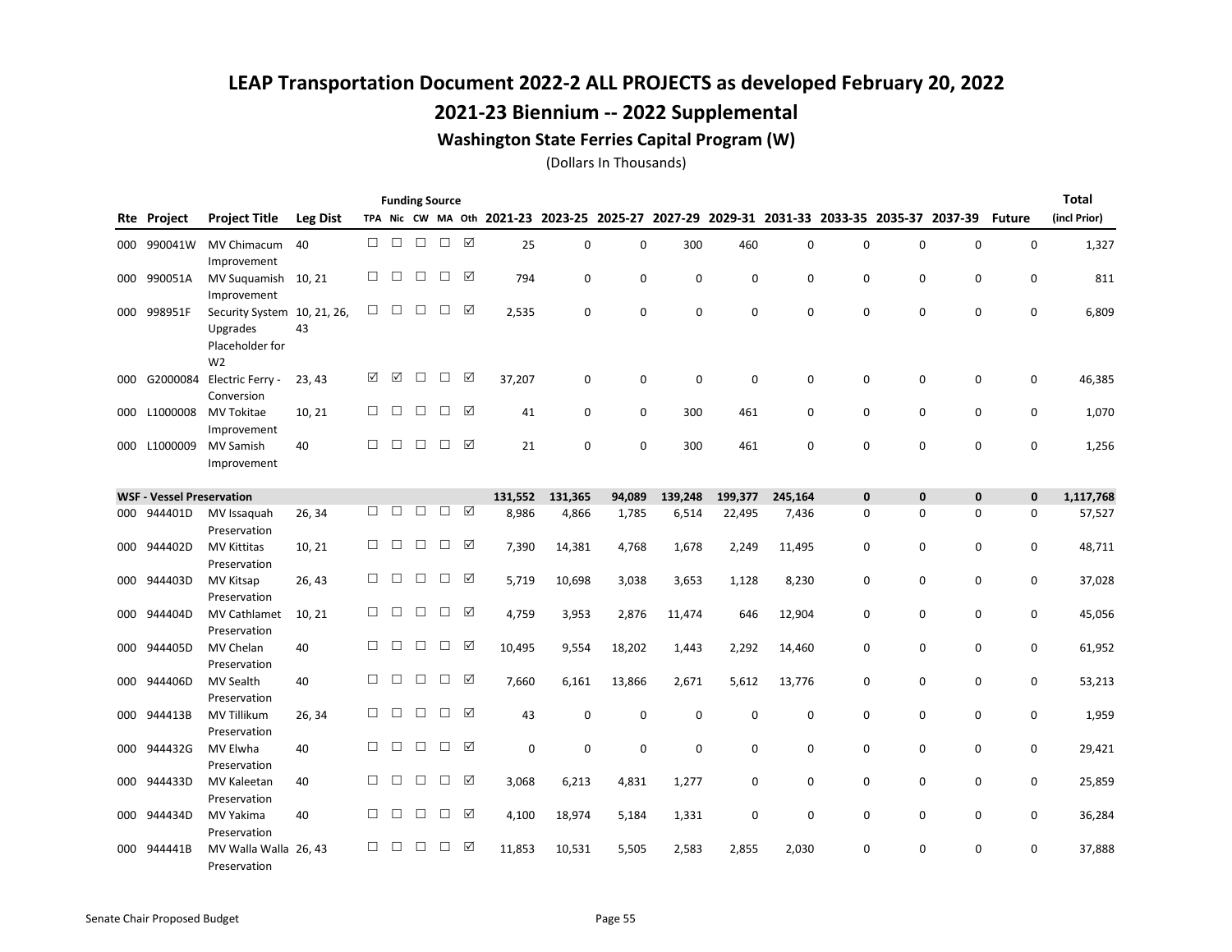### 2021-23 Biennium -- 2022 Supplemental

#### Washington State Ferries Capital Program (W)

|     |                                  |                                                                              |                 |        |        |        | <b>Funding Source</b> |   |         |             |             |             |                                                                                           |             |          |             |             |               | <b>Total</b> |
|-----|----------------------------------|------------------------------------------------------------------------------|-----------------|--------|--------|--------|-----------------------|---|---------|-------------|-------------|-------------|-------------------------------------------------------------------------------------------|-------------|----------|-------------|-------------|---------------|--------------|
| Rte | Project                          | <b>Project Title</b>                                                         | <b>Leg Dist</b> |        |        |        |                       |   |         |             |             |             | TPA Nic CW MA Oth 2021-23 2023-25 2025-27 2027-29 2029-31 2031-33 2033-35 2035-37 2037-39 |             |          |             |             | <b>Future</b> | (incl Prior) |
| 000 | 990041W                          | MV Chimacum<br>Improvement                                                   | 40              | $\Box$ | $\Box$ | $\Box$ | $\Box$                | ☑ | 25      | $\mathbf 0$ | 0           | 300         | 460                                                                                       | 0           | 0        | $\mathbf 0$ | $\mathbf 0$ | 0             | 1,327        |
|     | 000 990051A                      | MV Suguamish<br>Improvement                                                  | 10, 21          | П      | П      | □      | □                     | ☑ | 794     | $\mathbf 0$ | 0           | $\Omega$    | 0                                                                                         | 0           | 0        | $\mathbf 0$ | $\mathbf 0$ | $\mathbf 0$   | 811          |
| 000 | 998951F                          | Security System 10, 21, 26,<br>Upgrades<br>Placeholder for<br>W <sub>2</sub> | 43              | $\Box$ | □      | $\Box$ | □                     | ☑ | 2,535   | 0           | 0           | $\mathbf 0$ | 0                                                                                         | 0           | 0        | 0           | $\mathbf 0$ | 0             | 6,809        |
| 000 | G2000084                         | Electric Ferry -<br>Conversion                                               | 23, 43          | ☑      | ☑      | □      | □                     | ☑ | 37,207  | 0           | $\mathbf 0$ | $\mathbf 0$ | 0                                                                                         | 0           | 0        | 0           | 0           | 0             | 46,385       |
| 000 | L1000008                         | <b>MV Tokitae</b><br>Improvement                                             | 10, 21          | □      | □      | $\Box$ | $\Box$                | ☑ | 41      | 0           | 0           | 300         | 461                                                                                       | 0           | 0        | 0           | 0           | 0             | 1,070        |
| 000 | L1000009                         | <b>MV Samish</b><br>Improvement                                              | 40              | □      | $\Box$ | $\Box$ | $\Box$                | ☑ | 21      | $\mathbf 0$ | $\mathbf 0$ | 300         | 461                                                                                       | $\mathbf 0$ | 0        | $\mathbf 0$ | $\mathbf 0$ | $\mathbf 0$   | 1,256        |
|     | <b>WSF - Vessel Preservation</b> |                                                                              |                 |        |        |        |                       |   | 131,552 | 131,365     | 94,089      | 139,248     | 199,377                                                                                   | 245,164     | 0        | $\bf{0}$    | $\pmb{0}$   | $\mathbf{0}$  | 1,117,768    |
| 000 | 944401D                          | MV Issaquah<br>Preservation                                                  | 26, 34          | □      | П      | $\Box$ | $\Box$                | ☑ | 8,986   | 4,866       | 1,785       | 6,514       | 22,495                                                                                    | 7,436       | 0        | 0           | 0           | 0             | 57,527       |
| 000 | 944402D                          | <b>MV Kittitas</b><br>Preservation                                           | 10, 21          | □      | □      | □      | □                     | ☑ | 7,390   | 14,381      | 4,768       | 1,678       | 2,249                                                                                     | 11,495      | 0        | 0           | $\mathbf 0$ | 0             | 48,711       |
| 000 | 944403D                          | MV Kitsap<br>Preservation                                                    | 26, 43          | □      | □      | $\Box$ | $\Box$                | ☑ | 5,719   | 10,698      | 3,038       | 3,653       | 1,128                                                                                     | 8,230       | 0        | $\mathbf 0$ | $\mathbf 0$ | $\mathbf 0$   | 37,028       |
| 000 | 944404D                          | <b>MV Cathlamet</b><br>Preservation                                          | 10, 21          | □      | □      | $\Box$ | $\Box$                | ☑ | 4,759   | 3,953       | 2,876       | 11,474      | 646                                                                                       | 12,904      | 0        | 0           | $\mathbf 0$ | 0             | 45,056       |
| 000 | 944405D                          | MV Chelan<br>Preservation                                                    | 40              | □      | $\Box$ | $\Box$ | □                     | ☑ | 10,495  | 9,554       | 18,202      | 1,443       | 2,292                                                                                     | 14,460      | 0        | 0           | $\mathbf 0$ | 0             | 61,952       |
| 000 | 944406D                          | MV Sealth<br>Preservation                                                    | 40              | $\Box$ | $\Box$ | $\Box$ | $\Box$                | ☑ | 7,660   | 6,161       | 13,866      | 2,671       | 5,612                                                                                     | 13,776      | 0        | 0           | 0           | 0             | 53,213       |
| 000 | 944413B                          | <b>MV Tillikum</b><br>Preservation                                           | 26, 34          | □      | $\Box$ | $\Box$ | $\Box$                | ☑ | 43      | $\mathbf 0$ | $\mathbf 0$ | $\mathbf 0$ | 0                                                                                         | 0           | 0        | 0           | 0           | 0             | 1,959        |
| 000 | 944432G                          | MV Elwha<br>Preservation                                                     | 40              | П      | $\Box$ | $\Box$ | П                     | ☑ | 0       | $\mathbf 0$ | $\mathbf 0$ | $\Omega$    | $\Omega$                                                                                  | 0           | 0        | $\mathbf 0$ | 0           | 0             | 29,421       |
| 000 | 944433D                          | <b>MV Kaleetan</b><br>Preservation                                           | 40              | □      | □      | $\Box$ | □                     | ☑ | 3,068   | 6,213       | 4,831       | 1,277       | 0                                                                                         | $\mathbf 0$ | 0        | 0           | 0           | 0             | 25,859       |
| 000 | 944434D                          | MV Yakima<br>Preservation                                                    | 40              | □      | $\Box$ | $\Box$ | $\Box$                | ☑ | 4,100   | 18,974      | 5,184       | 1,331       | 0                                                                                         | 0           | 0        | 0           | 0           | 0             | 36,284       |
| 000 | 944441B                          | MV Walla Walla 26, 43<br>Preservation                                        |                 | □      | □      | □      | $\Box$                | ☑ | 11,853  | 10,531      | 5,505       | 2,583       | 2,855                                                                                     | 2,030       | $\Omega$ | $\Omega$    | $\Omega$    | 0             | 37,888       |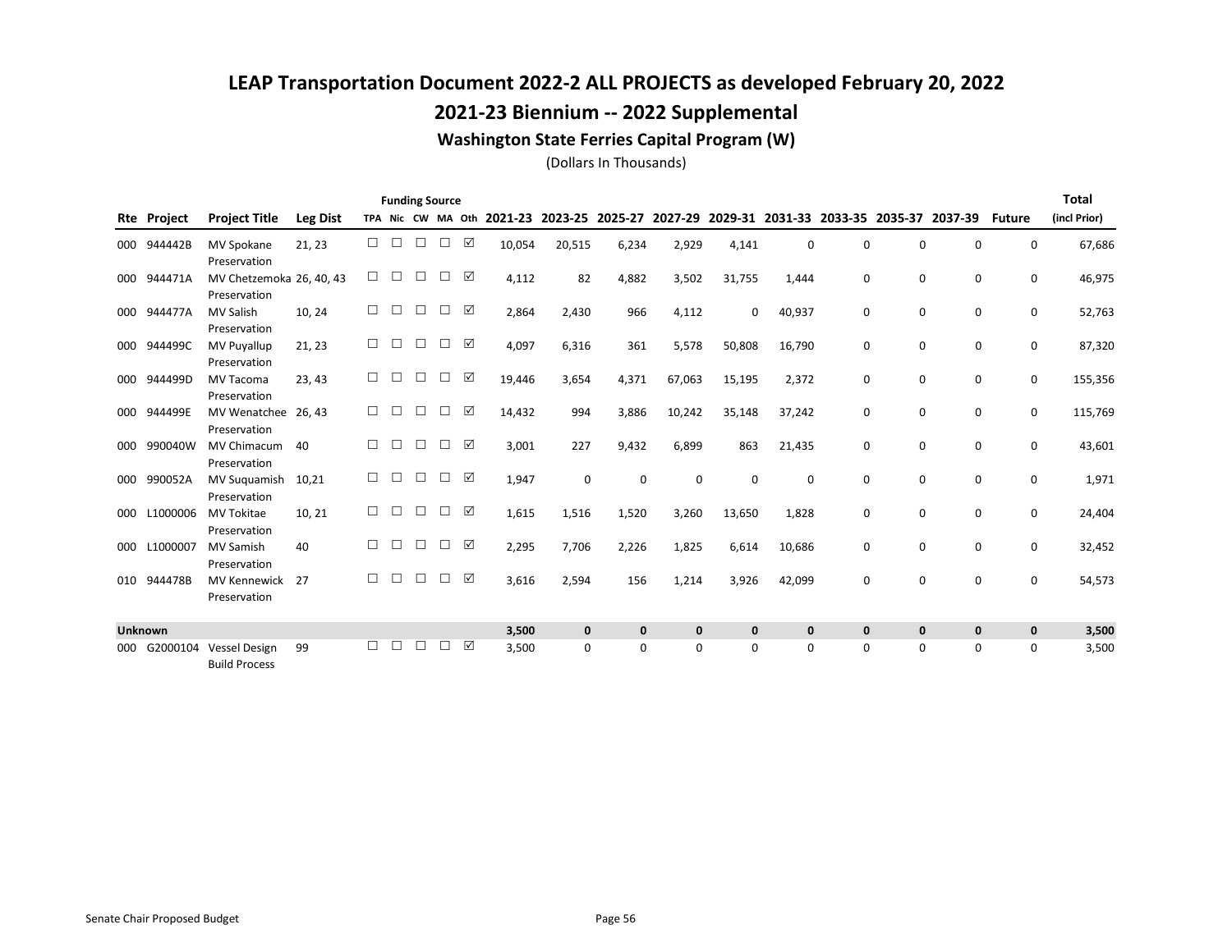### 2021-23 Biennium -- 2022 Supplemental

#### Washington State Ferries Capital Program (W)

|     |                    |                                              |          |        |        | <b>Funding Source</b> |        |   |                           |                 |             |              |              |             |              |             |                                         |               | <b>Total</b> |
|-----|--------------------|----------------------------------------------|----------|--------|--------|-----------------------|--------|---|---------------------------|-----------------|-------------|--------------|--------------|-------------|--------------|-------------|-----------------------------------------|---------------|--------------|
|     | <b>Rte Project</b> | <b>Project Title</b>                         | Leg Dist |        |        |                       |        |   | TPA Nic CW MA Oth 2021-23 | 2023-25 2025-27 |             | 2027-29      |              |             |              |             | 2029-31 2031-33 2033-35 2035-37 2037-39 | <b>Future</b> | (incl Prior) |
| 000 | 944442B            | <b>MV Spokane</b><br>Preservation            | 21, 23   | П      | $\Box$ | $\Box$                | $\Box$ | ☑ | 10,054                    | 20,515          | 6,234       | 2,929        | 4,141        | $\Omega$    | 0            | $\Omega$    | 0                                       | 0             | 67,686       |
| 000 | 944471A            | MV Chetzemoka 26, 40, 43<br>Preservation     |          | □      | □      | $\Box$                | $\Box$ | ☑ | 4,112                     | 82              | 4,882       | 3,502        | 31,755       | 1,444       | 0            | $\mathbf 0$ | 0                                       | 0             | 46,975       |
| 000 | 944477A            | <b>MV Salish</b><br>Preservation             | 10, 24   | П      | $\Box$ | $\Box$                | $\Box$ | ☑ | 2,864                     | 2,430           | 966         | 4,112        | 0            | 40,937      | 0            | 0           | 0                                       | 0             | 52,763       |
| 000 | 944499C            | <b>MV Puyallup</b><br>Preservation           | 21, 23   | П      | □      | □                     | $\Box$ | ☑ | 4,097                     | 6,316           | 361         | 5,578        | 50,808       | 16,790      | 0            | 0           | 0                                       | 0             | 87,320       |
| 000 | 944499D            | <b>MV Tacoma</b><br>Preservation             | 23, 43   | П      | П      | П                     | П      | ☑ | 19,446                    | 3,654           | 4,371       | 67,063       | 15,195       | 2,372       | 0            | 0           | 0                                       | 0             | 155,356      |
| 000 | 944499E            | MV Wenatchee 26, 43<br>Preservation          |          | $\Box$ | □      | □                     | $\Box$ | ☑ | 14,432                    | 994             | 3,886       | 10,242       | 35,148       | 37,242      | 0            | 0           | 0                                       | 0             | 115,769      |
| 000 | 990040W            | <b>MV Chimacum</b><br>Preservation           | 40       | П      | $\Box$ | $\Box$                | $\Box$ | ☑ | 3,001                     | 227             | 9,432       | 6,899        | 863          | 21,435      | 0            | 0           | 0                                       | 0             | 43,601       |
| 000 | 990052A            | <b>MV Suguamish</b><br>Preservation          | 10.21    | $\Box$ | □      | □                     | П      | ☑ | 1,947                     | $\mathbf 0$     | 0           | $\mathbf 0$  | $\Omega$     | 0           | 0            | $\mathbf 0$ | 0                                       | 0             | 1,971        |
| 000 | L1000006           | <b>MV Tokitae</b><br>Preservation            | 10, 21   | П      | П      | □                     | $\Box$ | ☑ | 1,615                     | 1,516           | 1,520       | 3,260        | 13,650       | 1,828       | 0            | $\mathbf 0$ | 0                                       | $\mathbf 0$   | 24,404       |
| 000 | L1000007           | <b>MV Samish</b><br>Preservation             | 40       | П      | $\Box$ | П                     | $\Box$ | ☑ | 2,295                     | 7,706           | 2,226       | 1,825        | 6,614        | 10,686      | 0            | 0           | 0                                       | 0             | 32,452       |
| 010 | 944478B            | <b>MV Kennewick</b><br>Preservation          | 27       | П      | П      | П                     | П      | ☑ | 3,616                     | 2,594           | 156         | 1,214        | 3,926        | 42,099      | 0            | $\mathbf 0$ | 0                                       | 0             | 54,573       |
|     | Unknown            |                                              |          |        |        |                       |        |   | 3,500                     | $\mathbf 0$     | $\mathbf 0$ | $\mathbf{0}$ | $\mathbf{0}$ | $\mathbf 0$ | $\mathbf{0}$ | $\mathbf 0$ | $\mathbf 0$                             | $\mathbf 0$   | 3,500        |
| 000 | G2000104           | <b>Vessel Design</b><br><b>Build Process</b> | 99       | П      | П      | П                     |        | ☑ | 3,500                     | $\mathbf 0$     | $\Omega$    | $\Omega$     | $\Omega$     | $\Omega$    | 0            | 0           | 0                                       | $\Omega$      | 3,500        |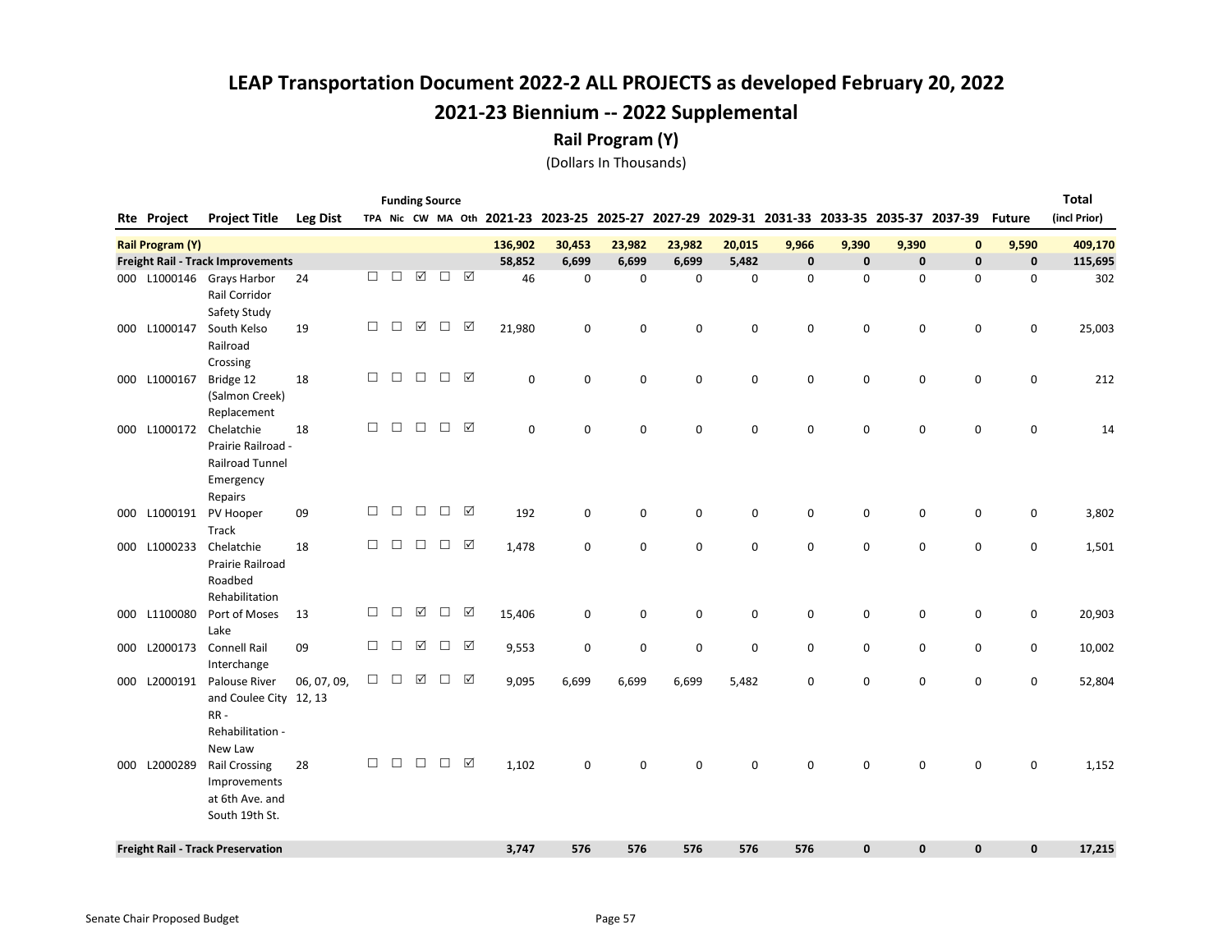Rail Program (Y)

|                         |                                                                                    |                 |        |        |                       | <b>Funding Source</b> |   |           |                         |             |             |             |             |             |                                 |              |               | <b>Total</b> |
|-------------------------|------------------------------------------------------------------------------------|-----------------|--------|--------|-----------------------|-----------------------|---|-----------|-------------------------|-------------|-------------|-------------|-------------|-------------|---------------------------------|--------------|---------------|--------------|
| Rte Project             | <b>Project Title</b>                                                               | <b>Leg Dist</b> |        |        |                       | TPA Nic CW MA Oth     |   |           | 2021-23 2023-25 2025-27 |             | 2027-29     |             |             |             | 2029-31 2031-33 2033-35 2035-37 | 2037-39      | <b>Future</b> | (incl Prior) |
| <b>Rail Program (Y)</b> |                                                                                    |                 |        |        |                       |                       |   | 136,902   | 30,453                  | 23,982      | 23,982      | 20,015      | 9,966       | 9,390       | 9,390                           | $\mathbf{0}$ | 9,590         | 409,170      |
|                         | Freight Rail - Track Improvements                                                  |                 |        |        |                       |                       |   | 58,852    | 6,699                   | 6,699       | 6,699       | 5,482       | $\mathbf 0$ | $\pmb{0}$   | $\pmb{0}$                       | $\mathbf 0$  | $\mathbf 0$   | 115,695      |
| 000 L1000146            | Grays Harbor<br>Rail Corridor<br>Safety Study                                      | 24              | П      | $\Box$ | $\boxed{\mathcal{S}}$ | $\Box$                | ☑ | 46        | $\mathbf 0$             | $\mathbf 0$ | $\mathbf 0$ | 0           | $\mathbf 0$ | 0           | 0                               | 0            | $\mathbf 0$   | 302          |
| 000 L1000147            | South Kelso<br>Railroad<br>Crossing                                                | 19              | $\Box$ | □      | ☑                     | □                     | ☑ | 21,980    | 0                       | 0           | $\mathbf 0$ | 0           | 0           | 0           | 0                               | 0            | 0             | 25,003       |
| 000 L1000167            | Bridge 12<br>(Salmon Creek)<br>Replacement                                         | 18              | $\Box$ | $\Box$ | $\Box$                | $\Box$                | ☑ | $\pmb{0}$ | $\mathbf 0$             | 0           | $\mathbf 0$ | 0           | 0           | 0           | 0                               | 0            | 0             | 212          |
| 000 L1000172            | Chelatchie<br>Prairie Railroad -<br><b>Railroad Tunnel</b><br>Emergency<br>Repairs | 18              | $\Box$ | $\Box$ | $\Box$                | $\Box$                | ☑ | $\pmb{0}$ | $\mathbf 0$             | $\mathsf 0$ | $\mathbf 0$ | 0           | $\mathbf 0$ | 0           | 0                               | 0            | $\mathbf 0$   | 14           |
| 000 L1000191            | PV Hooper<br><b>Track</b>                                                          | 09              | $\Box$ | $\Box$ | $\Box$                | $\Box$                | ☑ | 192       | 0                       | 0           | $\mathbf 0$ | 0           | 0           | 0           | 0                               | 0            | 0             | 3,802        |
| 000 L1000233            | Chelatchie<br>Prairie Railroad<br>Roadbed<br>Rehabilitation                        | 18              | $\Box$ | $\Box$ | $\Box$                | $\Box$                | ☑ | 1,478     | 0                       | 0           | $\mathbf 0$ | 0           | $\mathbf 0$ | 0           | $\pmb{0}$                       | 0            | $\mathsf 0$   | 1,501        |
| 000 L1100080            | Port of Moses<br>Lake                                                              | 13              | $\Box$ | $\Box$ | $\boxed{\checkmark}$  | $\Box$                | ☑ | 15,406    | $\mathbf 0$             | 0           | $\mathbf 0$ | 0           | 0           | 0           | 0                               | 0            | 0             | 20,903       |
| 000 L2000173            | <b>Connell Rail</b><br>Interchange                                                 | 09              | $\Box$ | $\Box$ | ☑                     | П                     | ☑ | 9,553     | $\mathbf 0$             | $\mathbf 0$ | $\mathbf 0$ | $\mathbf 0$ | 0           | 0           | 0                               | $\mathbf 0$  | $\mathbf 0$   | 10,002       |
| 000 L2000191            | Palouse River<br>and Coulee City 12, 13<br>$RR -$<br>Rehabilitation -<br>New Law   | 06, 07, 09,     | $\Box$ | $\Box$ | ☑                     | $\Box$                | ☑ | 9,095     | 6,699                   | 6,699       | 6,699       | 5,482       | 0           | 0           | $\mathbf 0$                     | $\mathbf 0$  | $\mathbf 0$   | 52,804       |
| 000 L2000289            | <b>Rail Crossing</b><br>Improvements<br>at 6th Ave. and<br>South 19th St.          | 28              | $\Box$ | $\Box$ | $\Box$                | $\Box$                | ☑ | 1,102     | $\mathbf 0$             | $\mathbf 0$ | $\mathbf 0$ | 0           | $\mathbf 0$ | 0           | 0                               | $\mathbf 0$  | $\mathbf 0$   | 1,152        |
|                         | <b>Freight Rail - Track Preservation</b>                                           |                 |        |        |                       |                       |   | 3,747     | 576                     | 576         | 576         | 576         | 576         | $\mathbf 0$ | $\mathbf{0}$                    | $\mathbf{0}$ | $\mathbf{0}$  | 17,215       |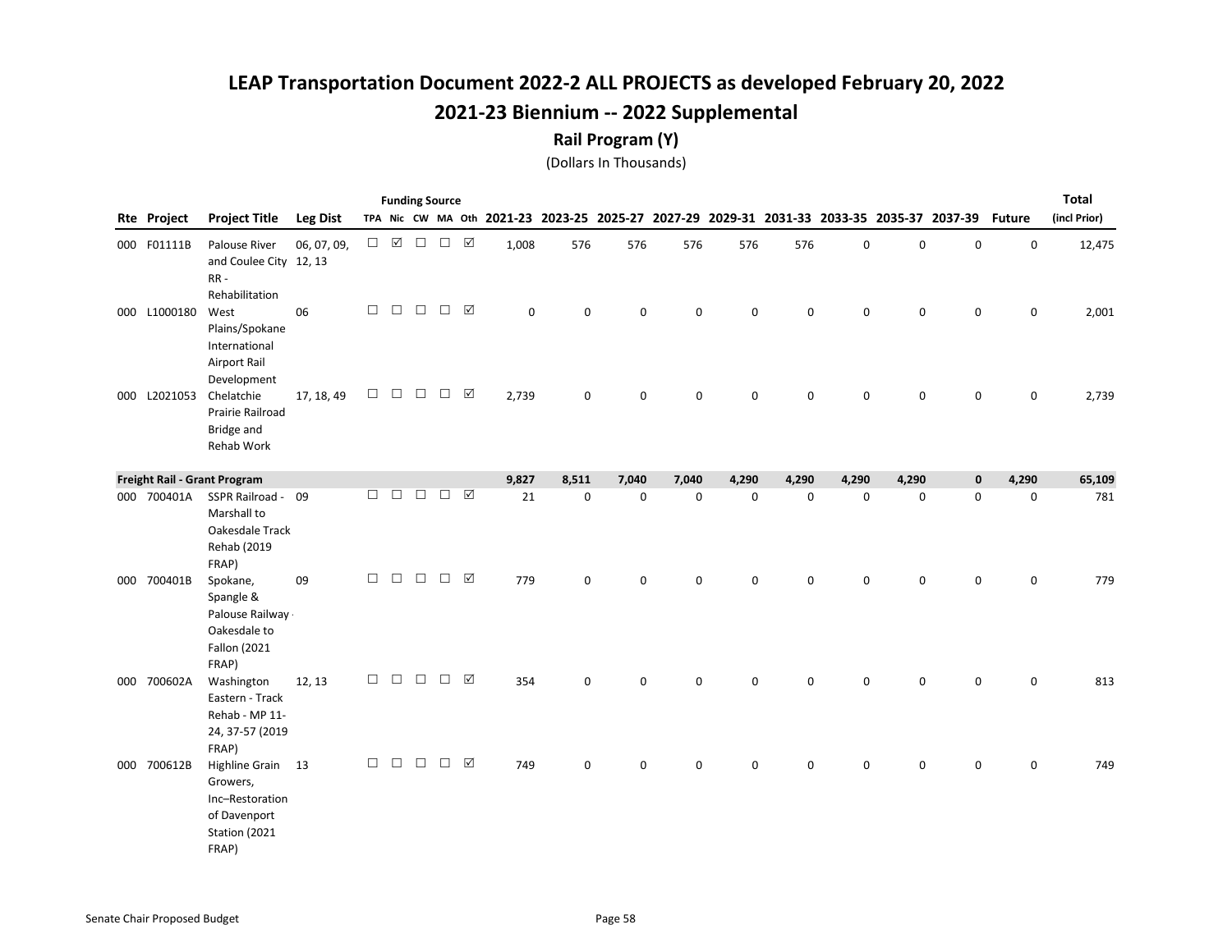#### Rail Program (Y)

|              |                                                                                            |                 |        | <b>Funding Source</b> |        |               |   |       |             |                                                                                           |             |       |       |             |             |                     |               | <b>Total</b> |
|--------------|--------------------------------------------------------------------------------------------|-----------------|--------|-----------------------|--------|---------------|---|-------|-------------|-------------------------------------------------------------------------------------------|-------------|-------|-------|-------------|-------------|---------------------|---------------|--------------|
| Rte Project  | <b>Project Title</b>                                                                       | <b>Leg Dist</b> |        |                       |        |               |   |       |             | TPA Nic CW MA Oth 2021-23 2023-25 2025-27 2027-29 2029-31 2031-33 2033-35 2035-37 2037-39 |             |       |       |             |             |                     | <b>Future</b> | (incl Prior) |
| 000 F01111B  | Palouse River<br>and Coulee City 12, 13<br>RR-<br>Rehabilitation                           | 06, 07, 09,     | $\Box$ | ☑                     | $\Box$ | $\Box$ $\Box$ |   | 1,008 | 576         | 576                                                                                       | 576         | 576   | 576   | 0           | 0           | $\mathsf{O}\xspace$ | 0             | 12,475       |
| 000 L1000180 | West<br>Plains/Spokane<br>International<br>Airport Rail<br>Development                     | 06              | $\Box$ | $\Box$                | $\Box$ | $\Box$        | ☑ | 0     | $\mathbf 0$ | 0                                                                                         | $\mathsf 0$ | 0     | 0     | 0           | 0           | $\mathbf 0$         | 0             | 2,001        |
| 000 L2021053 | Chelatchie<br>Prairie Railroad<br>Bridge and<br>Rehab Work                                 | 17, 18, 49      | $\Box$ | $\Box$                | $\Box$ | $\Box$        | ☑ | 2,739 | $\mathbf 0$ | 0                                                                                         | 0           | 0     | 0     | 0           | 0           | 0                   | 0             | 2,739        |
|              | Freight Rail - Grant Program                                                               |                 |        |                       |        |               |   | 9,827 | 8,511       | 7,040                                                                                     | 7,040       | 4,290 | 4,290 | 4,290       | 4,290       | $\mathbf 0$         | 4,290         | 65,109       |
| 000 700401A  | SSPR Railroad - 09<br>Marshall to<br>Oakesdale Track<br>Rehab (2019<br>FRAP)               |                 | □      | $\Box$                | $\Box$ | $\Box$        | ☑ | 21    | 0           | 0                                                                                         | $\mathbf 0$ | 0     | 0     | $\pmb{0}$   | 0           | 0                   | 0             | 781          |
| 000 700401B  | Spokane,<br>Spangle &<br>Palouse Railway ·<br>Oakesdale to<br><b>Fallon (2021</b><br>FRAP) | 09              | $\Box$ | $\Box$                | $\Box$ | $\Box$ $\Box$ |   | 779   | $\mathsf 0$ | 0                                                                                         | $\mathsf 0$ | 0     | 0     | 0           | $\mathbf 0$ | $\mathbf 0$         | 0             | 779          |
| 000 700602A  | Washington<br>Eastern - Track<br>Rehab - MP 11-<br>24, 37-57 (2019<br>FRAP)                | 12, 13          | $\Box$ | $\Box$                | $\Box$ | $\Box$        | ☑ | 354   | $\mathbf 0$ | 0                                                                                         | $\mathbf 0$ | 0     | 0     | $\mathbf 0$ | $\mathbf 0$ | $\mathbf 0$         | $\mathbf 0$   | 813          |
| 000 700612B  | Highline Grain 13<br>Growers,<br>Inc-Restoration<br>of Davenport<br>Station (2021<br>FRAP) |                 | $\Box$ | $\Box$                | $\Box$ | $\Box$        | ☑ | 749   | $\mathsf 0$ | 0                                                                                         | $\mathsf 0$ | 0     | 0     | 0           | 0           | $\mathbf 0$         | $\mathbf 0$   | 749          |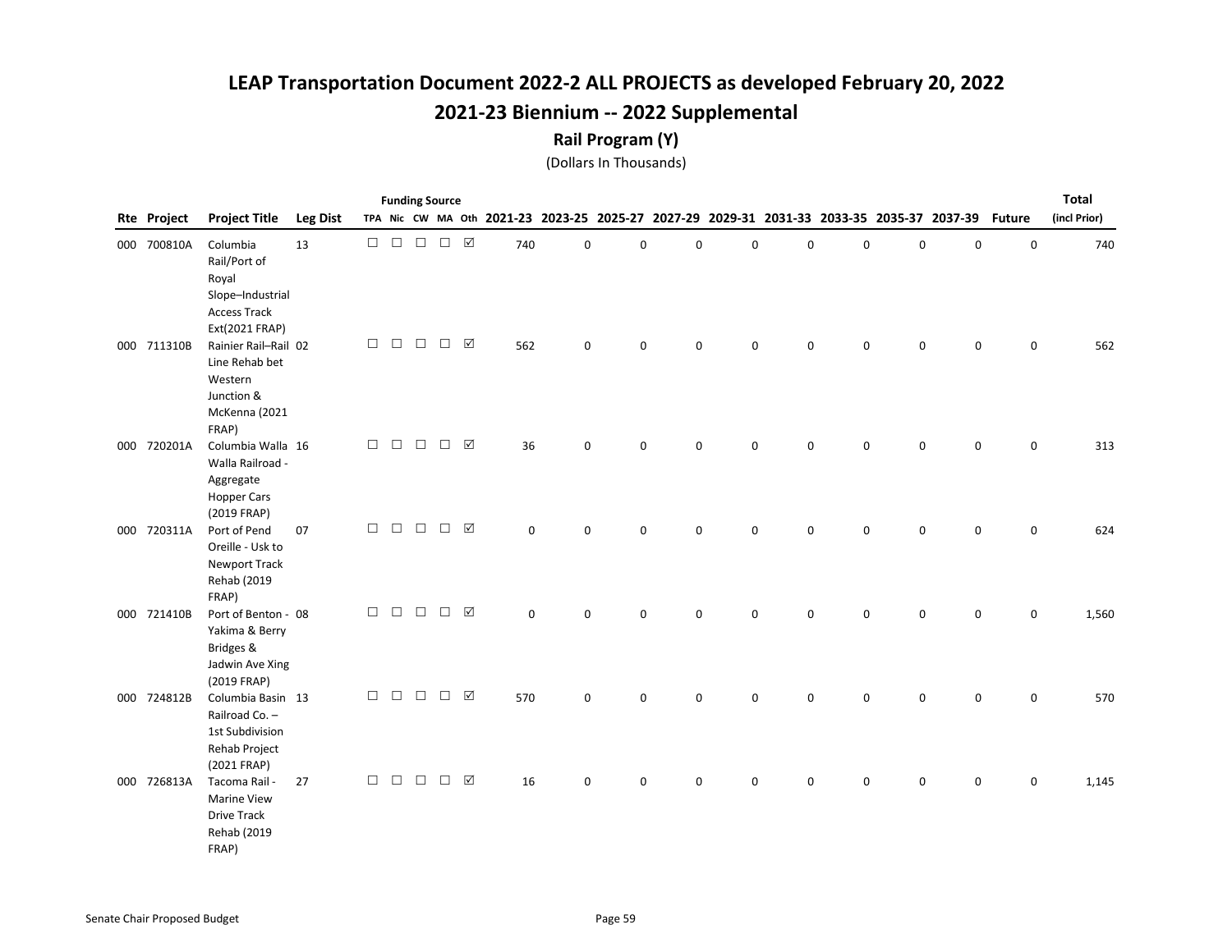#### Rail Program (Y)

|                    |                                                                                                             |                 |        | <b>Funding Source</b> |               |                   |                 |             |             |             |             |             |             |   |             |                                                                                           |               | <b>Total</b> |
|--------------------|-------------------------------------------------------------------------------------------------------------|-----------------|--------|-----------------------|---------------|-------------------|-----------------|-------------|-------------|-------------|-------------|-------------|-------------|---|-------------|-------------------------------------------------------------------------------------------|---------------|--------------|
| <b>Rte Project</b> | <b>Project Title</b>                                                                                        | <b>Leg Dist</b> |        |                       |               |                   |                 |             |             |             |             |             |             |   |             | TPA Nic CW MA Oth 2021-23 2023-25 2025-27 2027-29 2029-31 2031-33 2033-35 2035-37 2037-39 | <b>Future</b> | (incl Prior) |
| 000 700810A        | Columbia<br>Rail/Port of<br>Royal<br>Slope-Industrial<br><b>Access Track</b>                                | 13              | $\Box$ |                       | $\Box$ $\Box$ | $\Box$ \  \, \Box |                 | 740         | $\mathsf 0$ | 0           | $\mathbf 0$ | 0           | 0           | 0 | $\mathsf 0$ | $\mathsf 0$                                                                               | $\mathsf 0$   | 740          |
| 000 711310B        | Ext(2021 FRAP)<br>Rainier Rail-Rail 02<br>Line Rehab bet<br>Western<br>Junction &<br>McKenna (2021<br>FRAP) |                 | $\Box$ | $\Box$                | $\Box$        | $\Box$            | $\boxtimes$     | 562         | $\mathsf 0$ | $\mathbf 0$ | $\mathsf 0$ | 0           | 0           | 0 | $\mathsf 0$ | $\mathsf 0$                                                                               | $\mathbf 0$   | 562          |
| 000 720201A        | Columbia Walla 16<br>Walla Railroad -<br>Aggregate<br><b>Hopper Cars</b><br>(2019 FRAP)                     |                 | $\Box$ | $\Box$                | $\Box$        | $\Box$            | $\triangledown$ | 36          | $\mathbf 0$ | 0           | $\mathbf 0$ | 0           | $\mathbf 0$ | 0 | $\mathbf 0$ | 0                                                                                         | $\mathbf 0$   | 313          |
| 000 720311A        | Port of Pend<br>Oreille - Usk to<br><b>Newport Track</b><br>Rehab (2019                                     | 07              | $\Box$ | $\Box$                | $\Box$        | П                 | $\boxed{\sqrt}$ | $\mathbf 0$ | $\Omega$    | 0           | $\mathbf 0$ | 0           | $\mathbf 0$ | 0 | 0           | 0                                                                                         | $\mathbf 0$   | 624          |
| 000 721410B        | FRAP)<br>Port of Benton - 08<br>Yakima & Berry<br>Bridges &<br>Jadwin Ave Xing                              |                 | $\Box$ | $\Box$                | $\Box$        | $\Box$            | ☑               | $\Omega$    | $\Omega$    | $\Omega$    | $\Omega$    | $\Omega$    | $\mathbf 0$ | 0 | $\mathbf 0$ | $\Omega$                                                                                  | $\mathbf 0$   | 1,560        |
| 000 724812B        | (2019 FRAP)<br>Columbia Basin 13<br>Railroad Co. -<br>1st Subdivision<br>Rehab Project                      |                 | $\Box$ | $\Box$                | $\Box$        | $\Box$ $\Box$     |                 | 570         | $\mathbf 0$ | $\mathbf 0$ | $\mathbf 0$ | $\mathbf 0$ | $\mathbf 0$ | 0 | $\mathsf 0$ | $\mathbf 0$                                                                               | $\mathbf 0$   | 570          |
| 000 726813A        | (2021 FRAP)<br>Tacoma Rail -<br><b>Marine View</b><br><b>Drive Track</b><br>Rehab (2019<br>FRAP)            | 27              | $\Box$ | $\Box$                | $\Box$        | $\Box$            | ☑               | 16          | 0           | 0           | $\mathsf 0$ | 0           | 0           | 0 | 0           | 0                                                                                         | $\mathsf 0$   | 1,145        |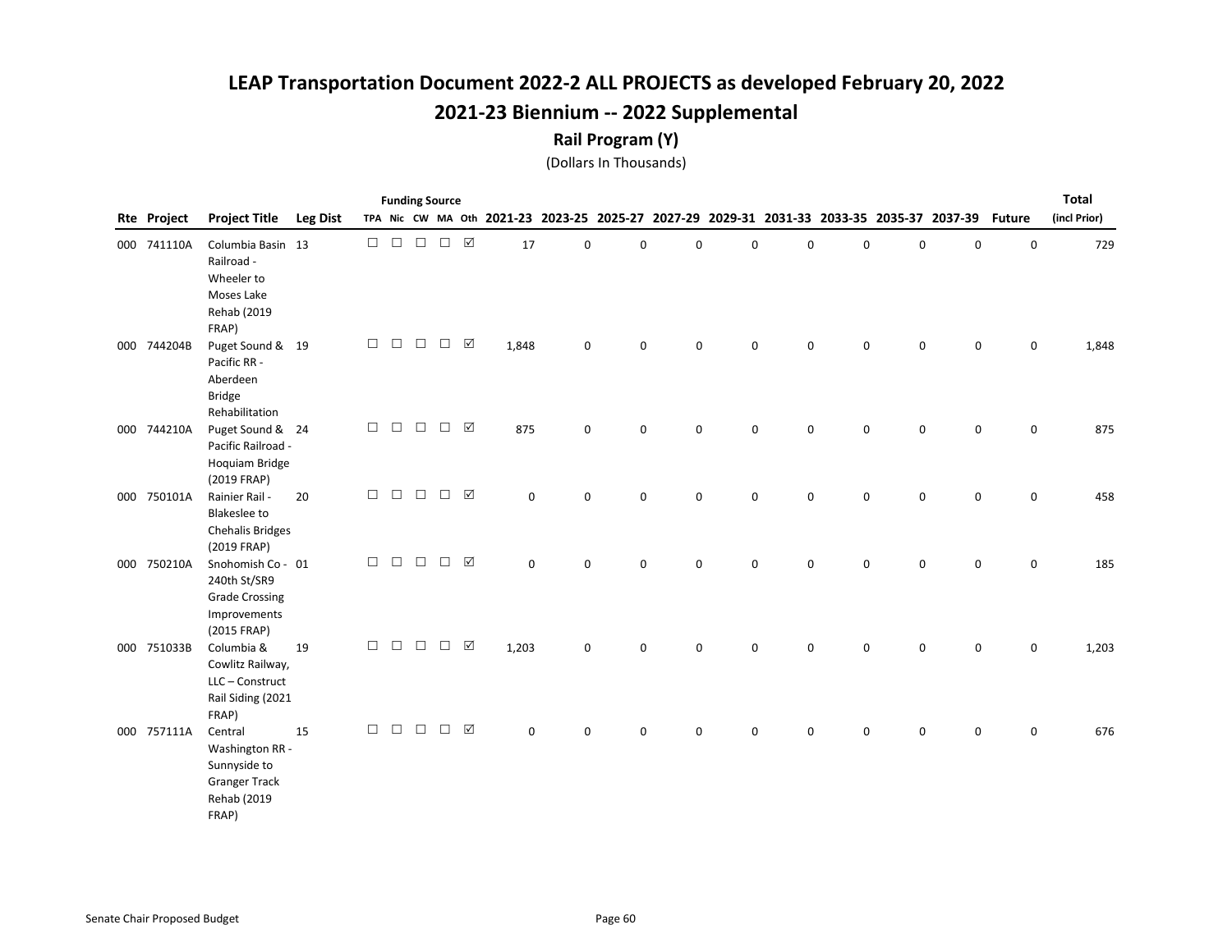#### Rail Program (Y)

|             |                                                                                            |                 |        |        |        | <b>Funding Source</b> |                       |             |             |                                                                                           |             |   |   |   |   |           |               | <b>Total</b> |
|-------------|--------------------------------------------------------------------------------------------|-----------------|--------|--------|--------|-----------------------|-----------------------|-------------|-------------|-------------------------------------------------------------------------------------------|-------------|---|---|---|---|-----------|---------------|--------------|
| Rte Project | <b>Project Title</b>                                                                       | <b>Leg Dist</b> |        |        |        |                       |                       |             |             | TPA Nic CW MA Oth 2021-23 2023-25 2025-27 2027-29 2029-31 2031-33 2033-35 2035-37 2037-39 |             |   |   |   |   |           | <b>Future</b> | (incl Prior) |
| 000 741110A | Columbia Basin 13<br>Railroad -<br>Wheeler to<br>Moses Lake<br>Rehab (2019<br>FRAP)        |                 | $\Box$ | $\Box$ | $\Box$ | $\Box$                | $\triangledown$       | $17\,$      | $\mathbf 0$ | 0                                                                                         | $\pmb{0}$   | 0 | 0 | 0 | 0 | $\pmb{0}$ | $\mathsf 0$   | 729          |
| 000 744204B | Puget Sound & 19<br>Pacific RR -<br>Aberdeen<br><b>Bridge</b><br>Rehabilitation            |                 | $\Box$ | $\Box$ | $\Box$ | $\Box$                | ☑                     | 1,848       | 0           | 0                                                                                         | $\mathsf 0$ | 0 | 0 | 0 | 0 | 0         | $\mathsf 0$   | 1,848        |
| 000 744210A | Puget Sound & 24<br>Pacific Railroad -<br>Hoquiam Bridge<br>(2019 FRAP)                    |                 | $\Box$ | $\Box$ | $\Box$ | $\Box$                | ☑                     | 875         | 0           | 0                                                                                         | $\mathbf 0$ | 0 | 0 | 0 | 0 | 0         | 0             | 875          |
| 000 750101A | Rainier Rail -<br><b>Blakeslee to</b><br><b>Chehalis Bridges</b><br>(2019 FRAP)            | 20              | $\Box$ | $\Box$ | $\Box$ | $\Box$                | ☑                     | $\mathsf 0$ | $\mathbf 0$ | 0                                                                                         | $\mathbf 0$ | 0 | 0 | 0 | 0 | 0         | $\mathbf 0$   | 458          |
| 000 750210A | Snohomish Co - 01<br>240th St/SR9<br><b>Grade Crossing</b><br>Improvements<br>(2015 FRAP)  |                 | $\Box$ | $\Box$ | $\Box$ | $\Box$                | ☑                     | $\mathsf 0$ | $\mathbf 0$ | 0                                                                                         | $\mathbf 0$ | 0 | 0 | 0 | 0 | 0         | 0             | 185          |
| 000 751033B | Columbia &<br>Cowlitz Railway,<br>LLC - Construct<br>Rail Siding (2021<br>FRAP)            | 19              | $\Box$ | $\Box$ | $\Box$ | $\Box$                | ☑                     | 1,203       | $\mathbf 0$ | 0                                                                                         | $\mathsf 0$ | 0 | 0 | 0 | 0 | 0         | $\mathsf 0$   | 1,203        |
| 000 757111A | Central<br>Washington RR -<br>Sunnyside to<br><b>Granger Track</b><br>Rehab (2019<br>FRAP) | 15              | $\Box$ | $\Box$ | $\Box$ | $\Box$                | $\boxed{\mathcal{S}}$ | 0           | $\mathbf 0$ | 0                                                                                         | $\mathbf 0$ | 0 | 0 | 0 | 0 | 0         | 0             | 676          |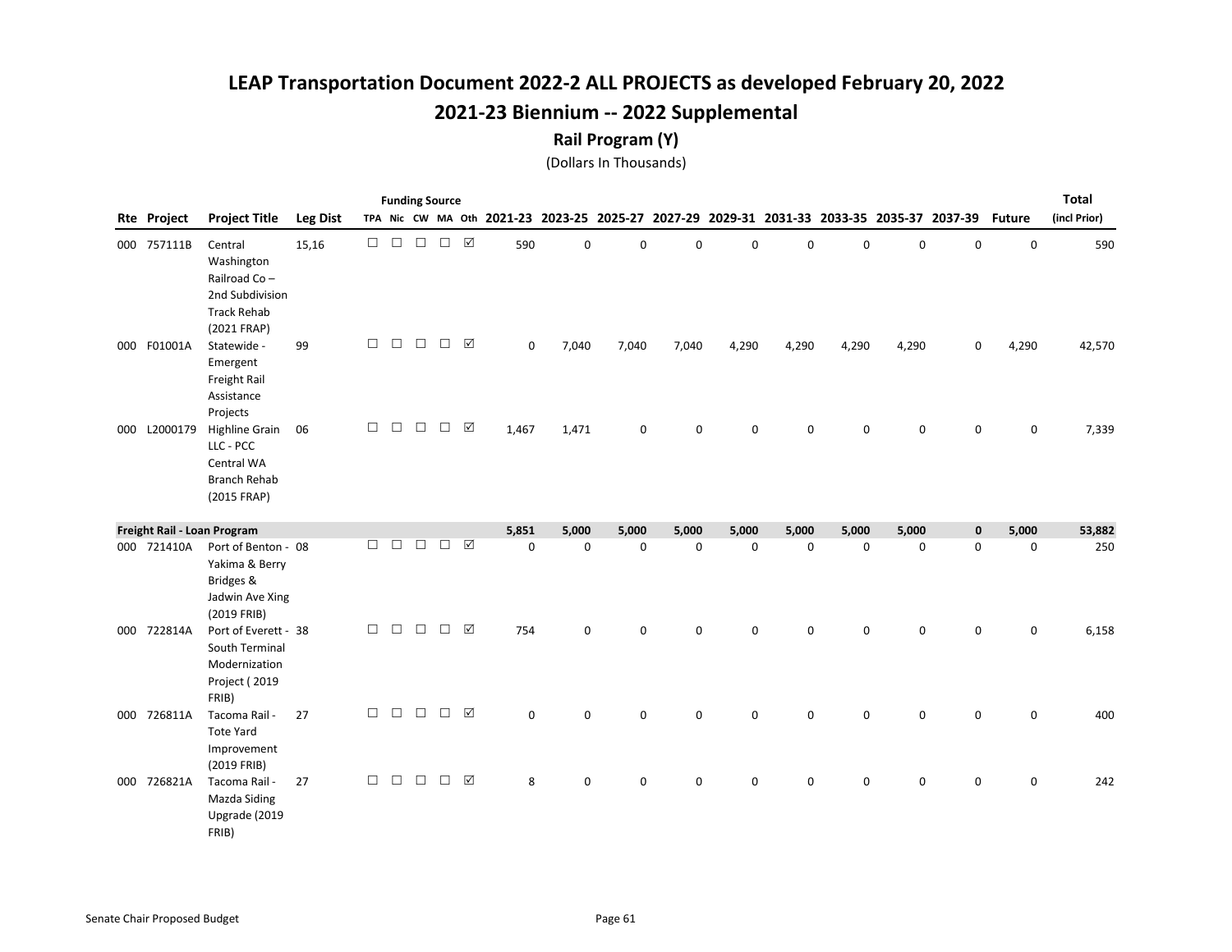#### Rail Program (Y)

|     |             |                                                                                               |                 |        |        |        | <b>Funding Source</b> |             |                                           |             |             |             |             |             |             |             |                                                 |               | <b>Total</b> |
|-----|-------------|-----------------------------------------------------------------------------------------------|-----------------|--------|--------|--------|-----------------------|-------------|-------------------------------------------|-------------|-------------|-------------|-------------|-------------|-------------|-------------|-------------------------------------------------|---------------|--------------|
|     | Rte Project | <b>Project Title</b>                                                                          | <b>Leg Dist</b> |        |        |        |                       |             | TPA Nic CW MA Oth 2021-23 2023-25 2025-27 |             |             |             |             |             |             |             | 2027-29 2029-31 2031-33 2033-35 2035-37 2037-39 | <b>Future</b> | (incl Prior) |
|     | 000 757111B | Central<br>Washington<br>Railroad Co-<br>2nd Subdivision<br><b>Track Rehab</b><br>(2021 FRAP) | 15,16           | $\Box$ | $\Box$ | $\Box$ | $\Box$                | $\boxtimes$ | 590                                       | $\mathsf 0$ | 0           | $\mathbf 0$ | 0           | 0           | 0           | $\mathsf 0$ | $\mathsf 0$                                     | $\mathsf 0$   | 590          |
| 000 | F01001A     | Statewide -<br>Emergent<br>Freight Rail<br>Assistance<br>Projects                             | 99              | $\Box$ | $\Box$ | $\Box$ | $\Box$                | ☑           | 0                                         | 7,040       | 7,040       | 7,040       | 4,290       | 4,290       | 4,290       | 4,290       | 0                                               | 4,290         | 42,570       |
| 000 | L2000179    | <b>Highline Grain</b><br>LLC - PCC<br>Central WA<br><b>Branch Rehab</b><br>(2015 FRAP)        | 06              | □      | $\Box$ | $\Box$ | $\Box$                | ☑           | 1,467                                     | 1,471       | 0           | $\Omega$    | 0           | 0           | $\Omega$    | $\mathbf 0$ | $\Omega$                                        | $\mathbf 0$   | 7,339        |
|     |             | Freight Rail - Loan Program                                                                   |                 |        |        |        |                       |             | 5,851                                     | 5,000       | 5,000       | 5,000       | 5,000       | 5,000       | 5,000       | 5,000       | $\mathbf 0$                                     | 5,000         | 53,882       |
|     | 000 721410A | Port of Benton - 08<br>Yakima & Berry<br>Bridges &<br>Jadwin Ave Xing<br>(2019 FRIB)          |                 | П      | $\Box$ | □      | $\Box$                | ☑           | $\mathbf 0$                               | $\mathbf 0$ | $\mathbf 0$ | $\mathbf 0$ | $\mathbf 0$ | $\mathbf 0$ | $\mathbf 0$ | 0           | $\mathbf 0$                                     | $\mathbf 0$   | 250          |
| 000 | 722814A     | Port of Everett - 38<br>South Terminal<br>Modernization<br>Project (2019<br>FRIB)             |                 | $\Box$ | $\Box$ | $\Box$ | $\Box$                | ☑           | 754                                       | $\mathsf 0$ | 0           | $\mathsf 0$ | 0           | 0           | 0           | 0           | 0                                               | $\mathbf 0$   | 6,158        |
| 000 | 726811A     | Tacoma Rail -<br><b>Tote Yard</b><br>Improvement<br>(2019 FRIB)                               | 27              | $\Box$ | $\Box$ | $\Box$ | П                     | ☑           | $\mathbf 0$                               | $\mathbf 0$ | 0           | $\mathbf 0$ | 0           | $\mathbf 0$ | 0           | $\mathbf 0$ | 0                                               | $\mathbf 0$   | 400          |
|     | 000 726821A | Tacoma Rail -<br>Mazda Siding<br>Upgrade (2019<br>FRIB)                                       | 27              | $\Box$ | $\Box$ | $\Box$ | $\Box$                | ☑           | 8                                         | $\mathbf 0$ | 0           | $\mathbf 0$ | 0           | 0           | 0           | 0           | 0                                               | $\mathsf 0$   | 242          |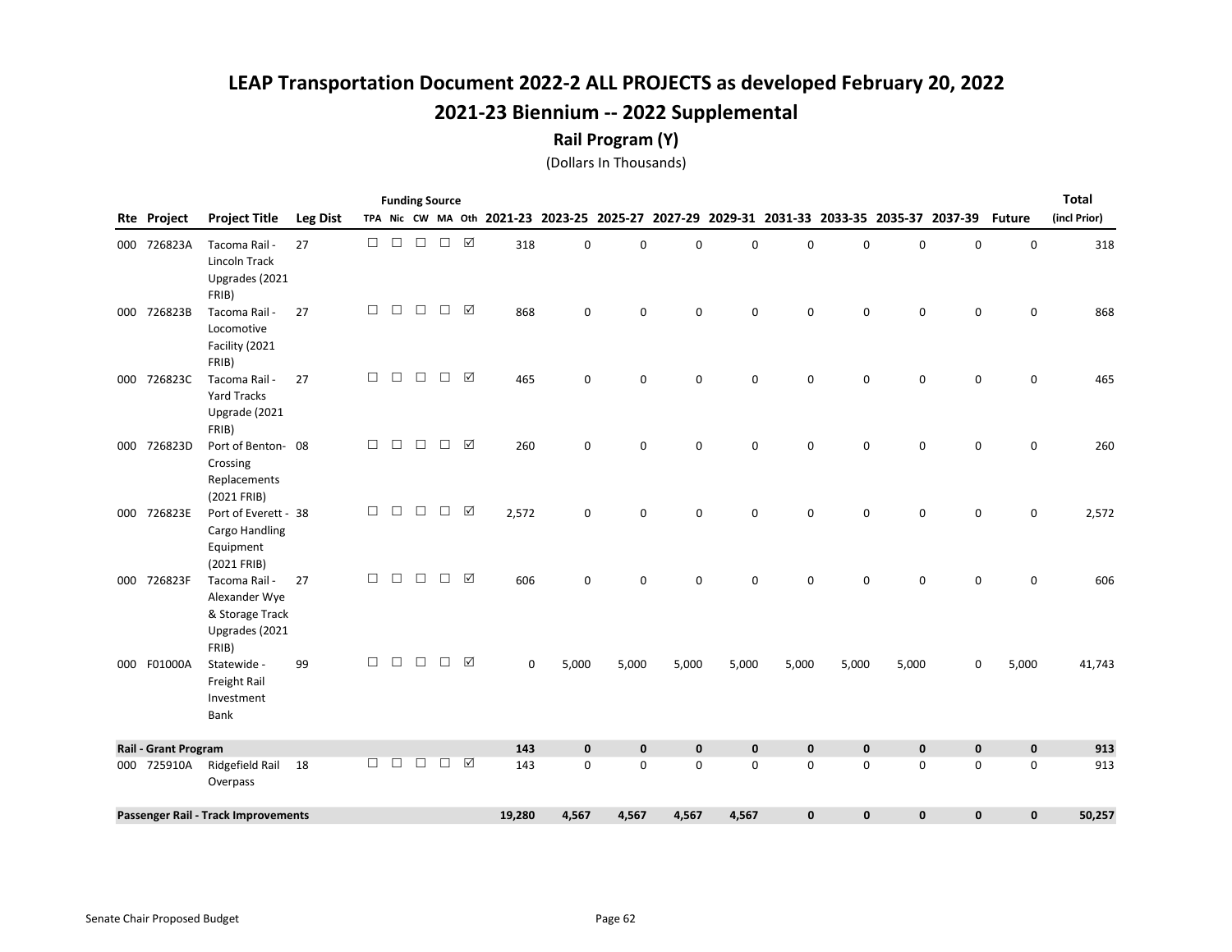#### Rail Program (Y)

|                             |                                                                              |                 |        |        |        | <b>Funding Source</b> |   |             |             |                                                                                           |             |             |              |           |             |              |               | <b>Total</b> |
|-----------------------------|------------------------------------------------------------------------------|-----------------|--------|--------|--------|-----------------------|---|-------------|-------------|-------------------------------------------------------------------------------------------|-------------|-------------|--------------|-----------|-------------|--------------|---------------|--------------|
| <b>Rte Project</b>          | <b>Project Title</b>                                                         | <b>Leg Dist</b> |        |        |        |                       |   |             |             | TPA Nic CW MA Oth 2021-23 2023-25 2025-27 2027-29 2029-31 2031-33 2033-35 2035-37 2037-39 |             |             |              |           |             |              | <b>Future</b> | (incl Prior) |
| 000 726823A                 | Tacoma Rail -<br>Lincoln Track<br>Upgrades (2021<br>FRIB)                    | 27              | $\Box$ | $\Box$ | $\Box$ | $\Box$ $\Box$         |   | 318         | $\mathbf 0$ | 0                                                                                         | $\mathbf 0$ | $\mathbf 0$ | 0            | 0         | 0           | 0            | $\mathbf 0$   | 318          |
| 000 726823B                 | Tacoma Rail -<br>Locomotive<br>Facility (2021<br>FRIB)                       | 27              | $\Box$ | $\Box$ | $\Box$ | $\Box$                | ☑ | 868         | $\mathbf 0$ | 0                                                                                         | $\mathbf 0$ | $\Omega$    | $\mathbf 0$  | 0         | $\mathbf 0$ | $\mathbf 0$  | $\mathbf 0$   | 868          |
| 000 726823C                 | Tacoma Rail -<br><b>Yard Tracks</b><br>Upgrade (2021<br>FRIB)                | 27              | $\Box$ | $\Box$ | $\Box$ | $\Box$                | ☑ | 465         | 0           | 0                                                                                         | 0           | $\mathbf 0$ | $\mathbf 0$  | 0         | 0           | 0            | 0             | 465          |
| 000 726823D                 | Port of Benton-08<br>Crossing<br>Replacements<br>(2021 FRIB)                 |                 | $\Box$ | $\Box$ | $\Box$ | $\Box$                | ☑ | 260         | $\mathbf 0$ | 0                                                                                         | $\mathbf 0$ | $\Omega$    | $\mathbf 0$  | 0         | $\mathbf 0$ | $\mathbf 0$  | 0             | 260          |
| 000 726823E                 | Port of Everett - 38<br>Cargo Handling<br>Equipment<br>(2021 FRIB)           |                 | $\Box$ | $\Box$ | $\Box$ | $\Box$                | ☑ | 2,572       | 0           | 0                                                                                         | $\mathbf 0$ | $\mathbf 0$ | 0            | 0         | 0           | 0            | 0             | 2,572        |
| 000 726823F                 | Tacoma Rail -<br>Alexander Wye<br>& Storage Track<br>Upgrades (2021<br>FRIB) | 27              | $\Box$ | $\Box$ | $\Box$ | $\Box$                | ☑ | 606         | $\mathbf 0$ | 0                                                                                         | $\mathbf 0$ | 0           | 0            | 0         | $\mathbf 0$ | $\mathbf 0$  | $\mathbf 0$   | 606          |
| 000 F01000A                 | Statewide -<br>Freight Rail<br>Investment<br>Bank                            | 99              | $\Box$ | $\Box$ | $\Box$ | $\Box$                | ☑ | $\mathbf 0$ | 5,000       | 5,000                                                                                     | 5,000       | 5,000       | 5,000        | 5,000     | 5,000       | 0            | 5,000         | 41,743       |
| <b>Rail - Grant Program</b> |                                                                              |                 |        |        |        |                       |   | 143         | $\mathbf 0$ | $\mathbf 0$                                                                               | $\pmb{0}$   | $\mathbf 0$ | $\mathbf 0$  | 0         | $\mathbf 0$ | $\mathbf 0$  | $\mathbf 0$   | 913          |
| 000 725910A                 | Ridgefield Rail<br>Overpass                                                  | 18              | $\Box$ | $\Box$ | $\Box$ | $\Box$                | ☑ | 143         | $\mathsf 0$ | 0                                                                                         | $\mathbf 0$ | 0           | 0            | 0         | $\mathsf 0$ | $\mathsf 0$  | $\mathsf 0$   | 913          |
|                             | Passenger Rail - Track Improvements                                          |                 |        |        |        |                       |   | 19,280      | 4,567       | 4,567                                                                                     | 4,567       | 4,567       | $\mathbf{0}$ | $\pmb{0}$ | $\mathbf 0$ | $\mathbf{0}$ | $\mathbf 0$   | 50,257       |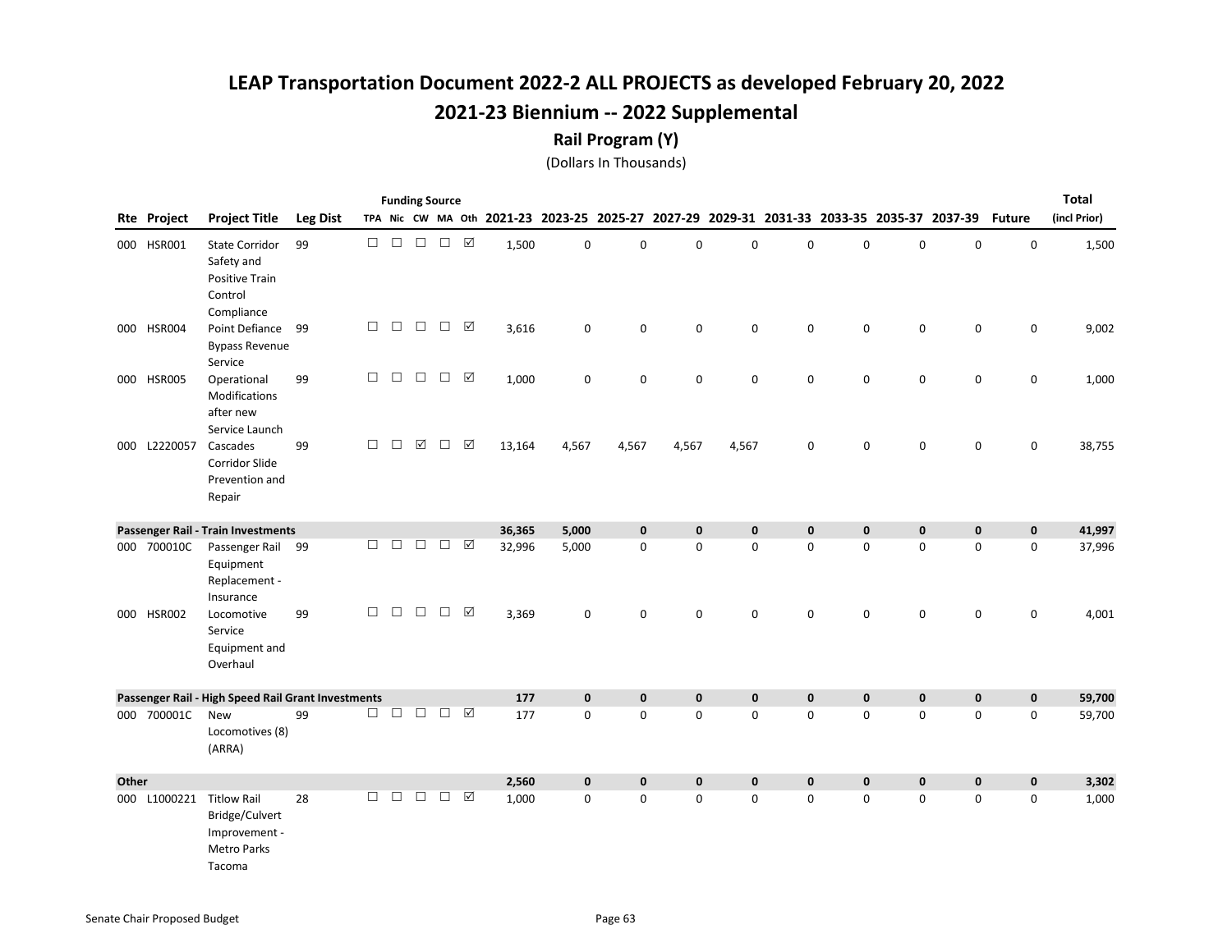#### Rail Program (Y)

|       |              |                                                                                       |                 |        | <b>Funding Source</b> |                      |                   |                 |        |             |             |                                                                                           |             |             |             |             |             |                     | <b>Total</b> |
|-------|--------------|---------------------------------------------------------------------------------------|-----------------|--------|-----------------------|----------------------|-------------------|-----------------|--------|-------------|-------------|-------------------------------------------------------------------------------------------|-------------|-------------|-------------|-------------|-------------|---------------------|--------------|
|       | Rte Project  | <b>Project Title</b>                                                                  | <b>Leg Dist</b> |        |                       |                      |                   |                 |        |             |             | TPA Nic CW MA Oth 2021-23 2023-25 2025-27 2027-29 2029-31 2031-33 2033-35 2035-37 2037-39 |             |             |             |             |             | <b>Future</b>       | (incl Prior) |
|       | 000 HSR001   | <b>State Corridor</b><br>Safety and<br><b>Positive Train</b><br>Control<br>Compliance | 99              | $\Box$ |                       | $\Box$ $\Box$        | $\Box$ \  \, \Box |                 | 1,500  | $\mathbf 0$ | 0           | $\pmb{0}$                                                                                 | 0           | 0           | $\pmb{0}$   | $\pmb{0}$   | $\mathbf 0$ | $\mathsf 0$         | 1,500        |
|       | 000 HSR004   | Point Defiance 99<br><b>Bypass Revenue</b><br>Service                                 |                 | $\Box$ | $\Box$                | $\Box$               | $\Box$            | ☑               | 3,616  | $\mathbf 0$ | $\pmb{0}$   | $\mathsf 0$                                                                               | $\mathbf 0$ | $\mathbf 0$ | 0           | $\mathsf 0$ | 0           | $\mathsf 0$         | 9,002        |
|       | 000 HSR005   | Operational<br>Modifications<br>after new<br>Service Launch                           | 99              | $\Box$ | $\Box$                | $\Box$               | $\Box$            | ☑               | 1,000  | $\mathbf 0$ | $\pmb{0}$   | 0                                                                                         | $\mathbf 0$ | $\mathbf 0$ | $\pmb{0}$   | $\pmb{0}$   | $\mathbf 0$ | $\mathsf{O}\xspace$ | 1,000        |
|       | 000 L2220057 | Cascades<br>Corridor Slide<br>Prevention and<br>Repair                                | 99              | $\Box$ | $\Box$                | $\boxed{\checkmark}$ | $\Box$            | $\Delta$        | 13,164 | 4,567       | 4,567       | 4,567                                                                                     | 4,567       | 0           | $\pmb{0}$   | $\pmb{0}$   | $\mathbf 0$ | $\mathsf{O}\xspace$ | 38,755       |
|       |              | Passenger Rail - Train Investments                                                    |                 |        |                       |                      |                   |                 | 36,365 | 5,000       | $\mathbf 0$ | $\mathbf 0$                                                                               | 0           | $\mathbf 0$ | $\mathbf 0$ | $\mathbf 0$ | $\mathbf 0$ | $\mathbf 0$         | 41,997       |
|       | 000 700010C  | Passenger Rail 99<br>Equipment<br>Replacement -<br>Insurance                          |                 | $\Box$ | $\Box$                | $\Box$               | $\Box$            | $\triangledown$ | 32,996 | 5,000       | $\pmb{0}$   | $\mathsf 0$                                                                               | $\mathbf 0$ | $\mathbf 0$ | 0           | $\mathsf 0$ | $\mathsf 0$ | $\mathsf 0$         | 37,996       |
|       | 000 HSR002   | Locomotive<br>Service<br>Equipment and<br>Overhaul                                    | 99              | $\Box$ | $\Box$                | $\Box$               | $\Box$            | ☑               | 3,369  | $\mathbf 0$ | 0           | 0                                                                                         | 0           | $\mathbf 0$ | $\mathbf 0$ | 0           | $\mathbf 0$ | $\mathsf 0$         | 4,001        |
|       |              | Passenger Rail - High Speed Rail Grant Investments                                    |                 |        |                       |                      |                   |                 | 177    | $\mathbf 0$ | $\pmb{0}$   | $\pmb{0}$                                                                                 | 0           | $\mathbf 0$ | $\mathbf 0$ | $\pmb{0}$   | $\pmb{0}$   | $\pmb{0}$           | 59,700       |
|       | 000 700001C  | <b>New</b><br>Locomotives (8)<br>(ARRA)                                               | 99              | $\Box$ |                       |                      | $\Box$ $\Box$     |                 | 177    | 0           | 0           | 0                                                                                         | 0           | 0           | 0           | 0           | 0           | 0                   | 59,700       |
| Other |              |                                                                                       |                 |        |                       |                      |                   |                 | 2,560  | $\pmb{0}$   | $\mathbf 0$ | $\pmb{0}$                                                                                 | 0           | $\pmb{0}$   | $\pmb{0}$   | $\pmb{0}$   | $\pmb{0}$   | $\mathbf 0$         | 3,302        |
|       | 000 L1000221 | <b>Titlow Rail</b><br>Bridge/Culvert<br>Improvement -<br><b>Metro Parks</b><br>Tacoma | 28              | $\Box$ | П                     | $\Box$               | $\Box$            | ☑               | 1,000  | $\mathbf 0$ | 0           | $\mathbf 0$                                                                               | 0           | $\mathbf 0$ | $\pmb{0}$   | $\mathsf 0$ | 0           | $\mathsf 0$         | 1,000        |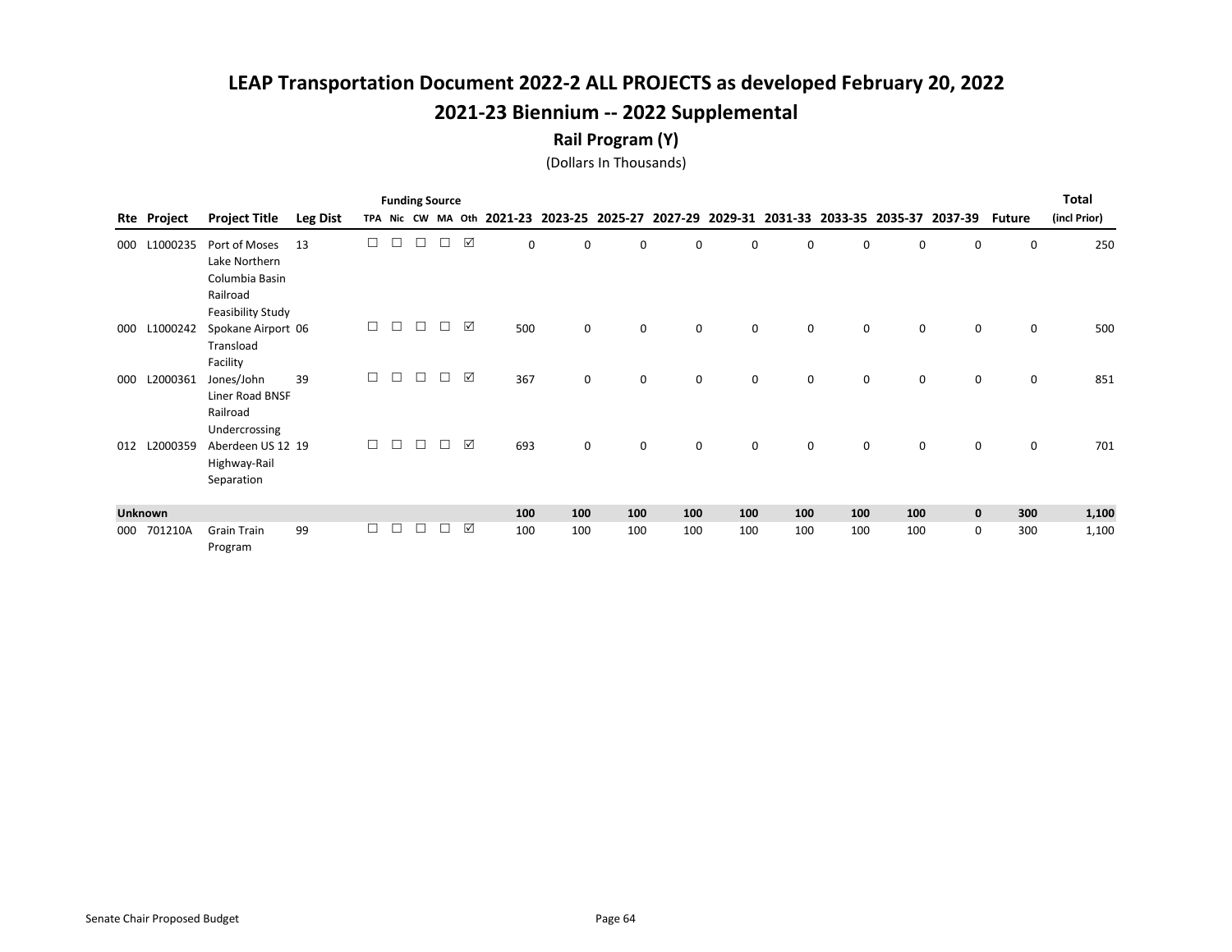#### Rail Program (Y)

|     |                |                                                                  |                 |        |        | <b>Funding Source</b> |        |                 |                                                                                           |             |             |             |          |          |     |     |             |               | <b>Total</b> |
|-----|----------------|------------------------------------------------------------------|-----------------|--------|--------|-----------------------|--------|-----------------|-------------------------------------------------------------------------------------------|-------------|-------------|-------------|----------|----------|-----|-----|-------------|---------------|--------------|
| Rte | Project        | <b>Project Title</b>                                             | <b>Leg Dist</b> |        |        |                       |        |                 | TPA Nic CW MA Oth 2021-23 2023-25 2025-27 2027-29 2029-31 2031-33 2033-35 2035-37 2037-39 |             |             |             |          |          |     |     |             | <b>Future</b> | (incl Prior) |
| 000 | L1000235       | Port of Moses<br>Lake Northern<br>Columbia Basin<br>Railroad     | 13              | □      | П      | □                     |        | ☑               | 0                                                                                         | $\Omega$    | 0           | 0           | $\Omega$ | 0        | 0   | 0   | 0           | 0             | 250          |
| 000 | L1000242       | Feasibility Study<br>Spokane Airport 06<br>Transload<br>Facility |                 | $\Box$ | $\Box$ | $\Box$                |        | ☑               | 500                                                                                       | 0           | 0           | 0           | 0        | 0        | 0   | 0   | $\mathbf 0$ | 0             | 500          |
| 000 | L2000361       | Jones/John<br>Liner Road BNSF<br>Railroad<br>Undercrossing       | 39              | $\Box$ | П      | $\Box$                |        | ☑               | 367                                                                                       | $\mathbf 0$ | $\mathbf 0$ | $\mathbf 0$ | 0        | 0        | 0   | 0   | $\mathbf 0$ | 0             | 851          |
| 012 | L2000359       | Aberdeen US 12 19<br>Highway-Rail<br>Separation                  |                 | $\Box$ | $\Box$ | $\Box$                | $\Box$ | ☑               | 693                                                                                       | $\mathbf 0$ | $\mathbf 0$ | $\mathbf 0$ | $\Omega$ | $\Omega$ | 0   | 0   | $\mathbf 0$ | 0             | 701          |
|     | <b>Unknown</b> |                                                                  |                 |        |        |                       |        |                 | 100                                                                                       | 100         | 100         | 100         | 100      | 100      | 100 | 100 | $\mathbf 0$ | 300           | 1,100        |
| 000 | 701210A        | <b>Grain Train</b><br>Program                                    | 99              | □      | П      | $\Box$                |        | $\triangledown$ | 100                                                                                       | 100         | 100         | 100         | 100      | 100      | 100 | 100 | $\mathbf 0$ | 300           | 1,100        |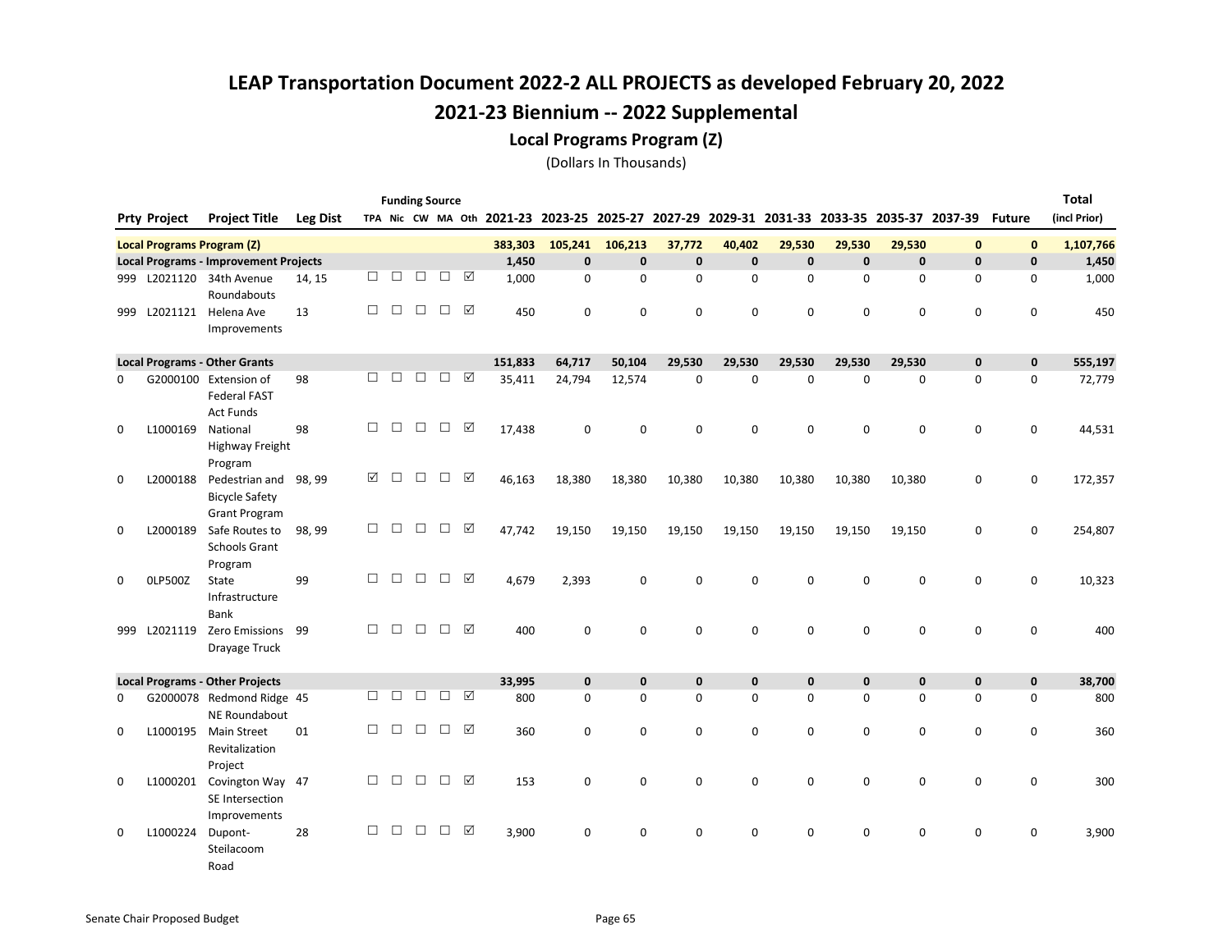#### Local Programs Program (Z)

|     |                                   |                                                                  |                 |        |        | <b>Funding Source</b> |        |                 |                                           |              |              |              |              |              |              |                                                 |              |                     | <b>Total</b> |
|-----|-----------------------------------|------------------------------------------------------------------|-----------------|--------|--------|-----------------------|--------|-----------------|-------------------------------------------|--------------|--------------|--------------|--------------|--------------|--------------|-------------------------------------------------|--------------|---------------------|--------------|
|     | <b>Prty Project</b>               | <b>Project Title</b>                                             | <b>Leg Dist</b> |        |        |                       |        |                 | TPA Nic CW MA Oth 2021-23 2023-25 2025-27 |              |              |              |              |              |              | 2027-29 2029-31 2031-33 2033-35 2035-37 2037-39 |              | <b>Future</b>       | (incl Prior) |
|     | <b>Local Programs Program (Z)</b> |                                                                  |                 |        |        |                       |        |                 | 383,303                                   | 105,241      | 106,213      | 37,772       | 40,402       | 29,530       | 29,530       | 29,530                                          | $\mathbf{0}$ | $\mathbf 0$         | 1,107,766    |
|     |                                   | <b>Local Programs - Improvement Projects</b>                     |                 |        |        |                       |        |                 | 1,450                                     | $\mathbf{0}$ | $\mathbf{0}$ | $\mathbf{0}$ | $\mathbf{0}$ | $\mathbf{0}$ | $\mathbf{0}$ | $\mathbf{0}$                                    | $\mathbf{0}$ | $\mathbf{0}$        | 1,450        |
| 999 |                                   | L2021120 34th Avenue<br>Roundabouts                              | 14, 15          | □      | П      | $\Box$                | □      | ☑               | 1,000                                     | $\mathbf 0$  | $\Omega$     | $\Omega$     | $\Omega$     | $\Omega$     | $\Omega$     | $\mathbf 0$                                     | 0            | $\mathbf 0$         | 1,000        |
| 999 |                                   | L2021121 Helena Ave<br>Improvements                              | 13              | $\Box$ | $\Box$ | $\Box$                | $\Box$ | ☑               | 450                                       | $\mathbf 0$  | 0            | $\mathbf 0$  | 0            | $\mathbf 0$  | 0            | $\mathbf 0$                                     | $\mathbf 0$  | $\mathbf 0$         | 450          |
|     |                                   | <b>Local Programs - Other Grants</b>                             |                 |        |        |                       |        |                 | 151,833                                   | 64,717       | 50,104       | 29,530       | 29,530       | 29,530       | 29,530       | 29,530                                          | $\mathbf 0$  | $\mathbf 0$         | 555,197      |
| 0   |                                   | G2000100 Extension of<br><b>Federal FAST</b><br><b>Act Funds</b> | 98              | □      | $\Box$ | $\Box$                | $\Box$ | ☑               | 35,411                                    | 24,794       | 12,574       | $\mathbf 0$  | $\mathbf 0$  | $\mathbf 0$  | 0            | $\mathbf 0$                                     | $\mathbf 0$  | $\mathbf 0$         | 72,779       |
| 0   | L1000169                          | National<br>Highway Freight                                      | 98              | $\Box$ | $\Box$ | $\Box$                | $\Box$ | ☑               | 17,438                                    | 0            | 0            | $\mathbf 0$  | $\mathbf 0$  | $\mathbf 0$  | 0            | $\mathsf 0$                                     | $\mathbf 0$  | $\mathsf 0$         | 44,531       |
| 0   | L2000188                          | Program<br>Pedestrian and<br><b>Bicycle Safety</b>               | 98, 99          | ☑      | $\Box$ | $\Box$                | П.     | ⊠               | 46,163                                    | 18,380       | 18,380       | 10,380       | 10,380       | 10,380       | 10,380       | 10,380                                          | $\mathbf 0$  | $\mathbf 0$         | 172,357      |
| 0   | L2000189                          | <b>Grant Program</b><br>Safe Routes to<br><b>Schools Grant</b>   | 98, 99          | $\Box$ | $\Box$ | $\Box$                | $\Box$ | $\triangledown$ | 47,742                                    | 19,150       | 19,150       | 19,150       | 19,150       | 19,150       | 19,150       | 19,150                                          | 0            | $\mathsf{O}\xspace$ | 254,807      |
| 0   | <b>OLP500Z</b>                    | Program<br>State<br>Infrastructure<br><b>Bank</b>                | 99              | $\Box$ | $\Box$ | $\Box$                | $\Box$ | ☑               | 4,679                                     | 2,393        | 0            | $\mathbf 0$  | 0            | $\mathbf 0$  | 0            | $\mathsf 0$                                     | 0            | $\mathbf 0$         | 10,323       |
| 999 | L2021119                          | Zero Emissions<br>Drayage Truck                                  | 99              | П      | П      | $\Box$                | $\Box$ | ☑               | 400                                       | $\mathbf 0$  | 0            | $\Omega$     | $\Omega$     | $\mathbf 0$  | 0            | $\mathbf 0$                                     | $\mathbf 0$  | $\mathbf 0$         | 400          |
|     |                                   | <b>Local Programs - Other Projects</b>                           |                 |        |        |                       |        |                 | 33,995                                    | $\mathbf{0}$ | $\mathbf{0}$ | $\mathbf{0}$ | $\mathbf{0}$ | $\mathbf 0$  | $\mathbf{0}$ | $\mathbf 0$                                     | $\pmb{0}$    | $\mathbf 0$         | 38,700       |
| 0   |                                   | G2000078 Redmond Ridge 45<br><b>NE Roundabout</b>                |                 | $\Box$ | $\Box$ | $\Box$                | $\Box$ | ☑               | 800                                       | $\Omega$     | $\Omega$     | $\Omega$     | $\Omega$     | $\mathbf 0$  | 0            | $\mathbf 0$                                     | $\mathbf 0$  | $\mathbf 0$         | 800          |
| 0   | L1000195                          | <b>Main Street</b><br>Revitalization<br>Project                  | 01              | $\Box$ | $\Box$ | $\Box$                | $\Box$ | ☑               | 360                                       | 0            | 0            | $\mathbf 0$  | 0            | 0            | 0            | $\mathsf 0$                                     | $\mathbf 0$  | $\mathsf 0$         | 360          |
| 0   |                                   | L1000201 Covington Way 47<br>SE Intersection<br>Improvements     |                 | $\Box$ | $\Box$ | $\Box$                | $\Box$ | ☑               | 153                                       | 0            | 0            | $\mathbf 0$  | 0            | $\mathbf 0$  | 0            | $\mathbf 0$                                     | $\mathbf 0$  | $\mathbf 0$         | 300          |
| 0   | L1000224                          | Dupont-<br>Steilacoom<br>Road                                    | 28              | П      | П      | $\Box$                | $\Box$ | ☑               | 3,900                                     | $\Omega$     | 0            | $\Omega$     | 0            | 0            | 0            | $\mathbf 0$                                     | 0            | 0                   | 3,900        |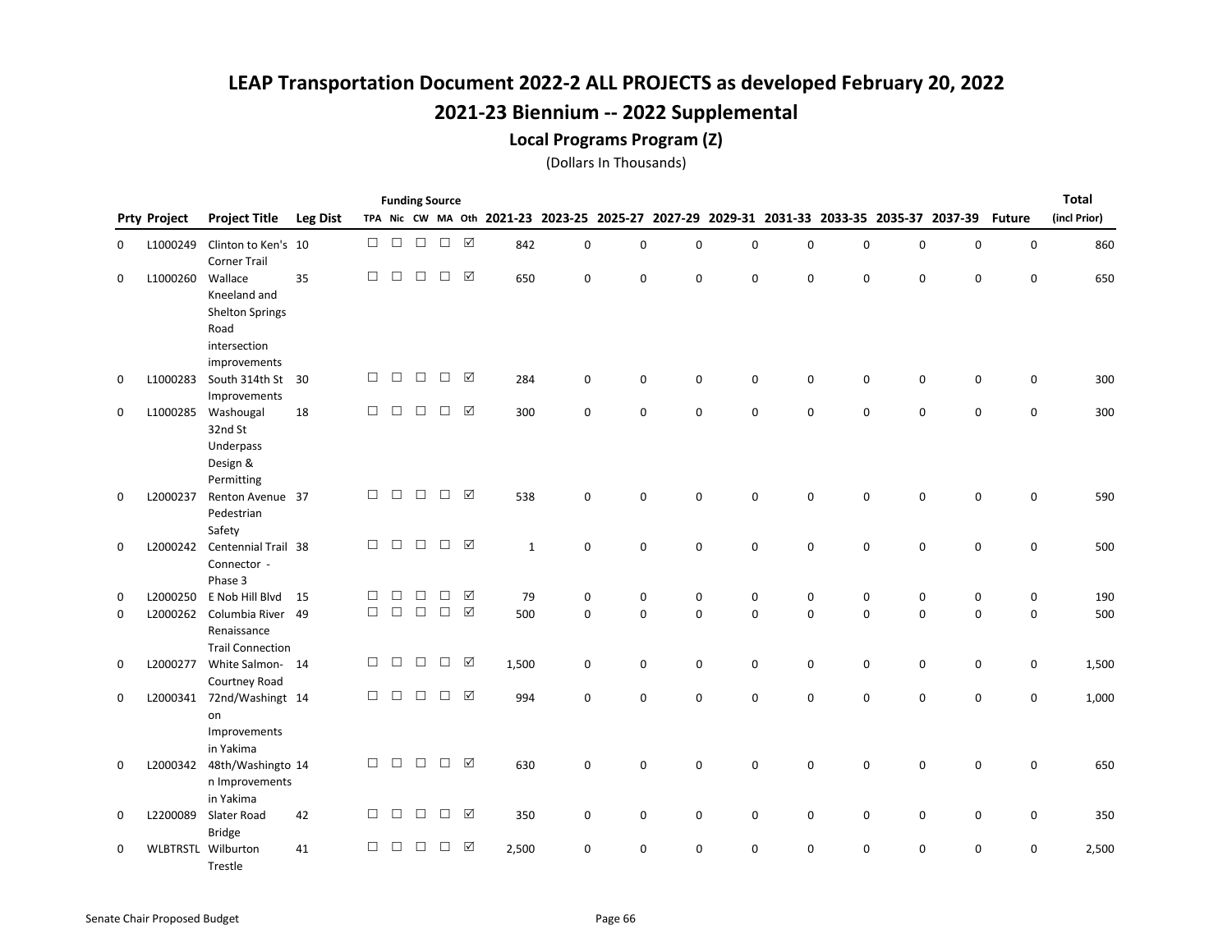#### Local Programs Program (Z)

|             |                     |                                                             |                 |        |        | <b>Funding Source</b> |        |                      |              |                     |              |             |             |             |             |                     |                                                                                           |               | <b>Total</b> |
|-------------|---------------------|-------------------------------------------------------------|-----------------|--------|--------|-----------------------|--------|----------------------|--------------|---------------------|--------------|-------------|-------------|-------------|-------------|---------------------|-------------------------------------------------------------------------------------------|---------------|--------------|
|             | <b>Prty Project</b> | <b>Project Title</b>                                        | <b>Leg Dist</b> |        |        |                       |        |                      |              |                     |              |             |             |             |             |                     | TPA Nic CW MA Oth 2021-23 2023-25 2025-27 2027-29 2029-31 2031-33 2033-35 2035-37 2037-39 | <b>Future</b> | (incl Prior) |
| 0           | L1000249            | Clinton to Ken's 10<br><b>Corner Trail</b>                  |                 | $\Box$ | $\Box$ | $\Box$                | $\Box$ | $\boxed{\checkmark}$ | 842          | $\mathbf 0$         | 0            | 0           | $\mathbf 0$ | 0           | 0           | $\mathsf 0$         | 0                                                                                         | $\mathbf 0$   | 860          |
| 0           | L1000260            | Wallace<br>Kneeland and<br><b>Shelton Springs</b>           | 35              | П      | $\Box$ | $\Box$                | $\Box$ | ☑                    | 650          | $\Omega$            | 0            | $\Omega$    | $\Omega$    | $\mathbf 0$ | 0           | $\mathbf 0$         | $\mathbf 0$                                                                               | $\mathbf 0$   | 650          |
|             |                     | Road<br>intersection<br>improvements                        |                 |        |        |                       |        |                      |              |                     |              |             |             |             |             |                     |                                                                                           |               |              |
| 0           | L1000283            | South 314th St<br>Improvements                              | -30             | $\Box$ | $\Box$ | $\Box$                | $\Box$ | ☑                    | 284          | $\mathbf 0$         | 0            | 0           | 0           | 0           | 0           | 0                   | 0                                                                                         | 0             | 300          |
| 0           | L1000285            | Washougal<br>32nd St<br>Underpass<br>Design &<br>Permitting | 18              | $\Box$ | $\Box$ | $\Box$                | $\Box$ | ☑                    | 300          | $\mathbf 0$         | 0            | 0           | 0           | 0           | 0           | $\mathsf 0$         | 0                                                                                         | 0             | 300          |
| 0           | L2000237            | Renton Avenue 37<br>Pedestrian<br>Safety                    |                 | $\Box$ | $\Box$ | $\Box$                | $\Box$ | $\triangledown$      | 538          | $\mathbf 0$         | 0            | $\mathbf 0$ | $\mathbf 0$ | 0           | 0           | $\mathbf 0$         | $\mathbf 0$                                                                               | 0             | 590          |
| 0           |                     | L2000242 Centennial Trail 38<br>Connector -<br>Phase 3      |                 | $\Box$ | $\Box$ | $\Box$                | $\Box$ | ☑                    | $\mathbf{1}$ | $\mathbf 0$         | 0            | $\mathbf 0$ | $\mathbf 0$ | $\mathbf 0$ | 0           | $\mathbf 0$         | 0                                                                                         | $\mathbf 0$   | 500          |
| 0           | L2000250            | E Nob Hill Blvd                                             | 15              | □      | $\Box$ | $\Box$                | $\Box$ | ☑                    | 79           | $\mathsf{O}\xspace$ | 0            | 0           | 0           | 0           | 0           | $\mathsf{O}\xspace$ | 0                                                                                         | 0             | 190          |
| $\mathbf 0$ | L2000262            | Columbia River 49<br>Renaissance<br><b>Trail Connection</b> |                 | $\Box$ | $\Box$ | $\Box$                | $\Box$ | $\boxed{\checkmark}$ | 500          | $\Omega$            | $\mathbf{0}$ | $\Omega$    | $\Omega$    | $\mathbf 0$ | $\mathbf 0$ | $\mathbf 0$         | $\mathbf 0$                                                                               | $\mathbf 0$   | 500          |
| 0           | L2000277            | White Salmon-14<br>Courtney Road                            |                 | $\Box$ | $\Box$ | $\Box$                | $\Box$ | $\triangledown$      | 1,500        | $\mathbf 0$         | 0            | $\mathbf 0$ | 0           | $\mathbf 0$ | 0           | $\mathsf 0$         | 0                                                                                         | $\mathsf 0$   | 1,500        |
| 0           | L2000341            | 72nd/Washingt 14<br>on<br>Improvements<br>in Yakima         |                 | $\Box$ | $\Box$ | $\Box$                | $\Box$ | ☑                    | 994          | $\mathbf 0$         | 0            | $\mathbf 0$ | $\mathbf 0$ | $\mathbf 0$ | 0           | $\mathsf 0$         | 0                                                                                         | $\mathbf 0$   | 1,000        |
| 0           | L2000342            | 48th/Washingto 14<br>n Improvements<br>in Yakima            |                 | $\Box$ | $\Box$ | $\Box$                | $\Box$ | ☑                    | 630          | $\mathbf 0$         | 0            | $\pmb{0}$   | $\mathbf 0$ | 0           | 0           | $\mathsf 0$         | $\mathsf 0$                                                                               | $\mathsf 0$   | 650          |
| 0           | L2200089            | Slater Road<br><b>Bridge</b>                                | 42              | $\Box$ | $\Box$ | $\Box$                | $\Box$ | ☑                    | 350          | 0                   | 0            | 0           | 0           | 0           | 0           | 0                   | 0                                                                                         | 0             | 350          |
| 0           |                     | <b>WLBTRSTL Wilburton</b><br>Trestle                        | 41              | $\Box$ | □      | □                     | $\Box$ | $\triangledown$      | 2,500        | $\mathbf 0$         | $\Omega$     | $\Omega$    | $\Omega$    | 0           | 0           | 0                   | 0                                                                                         | 0             | 2,500        |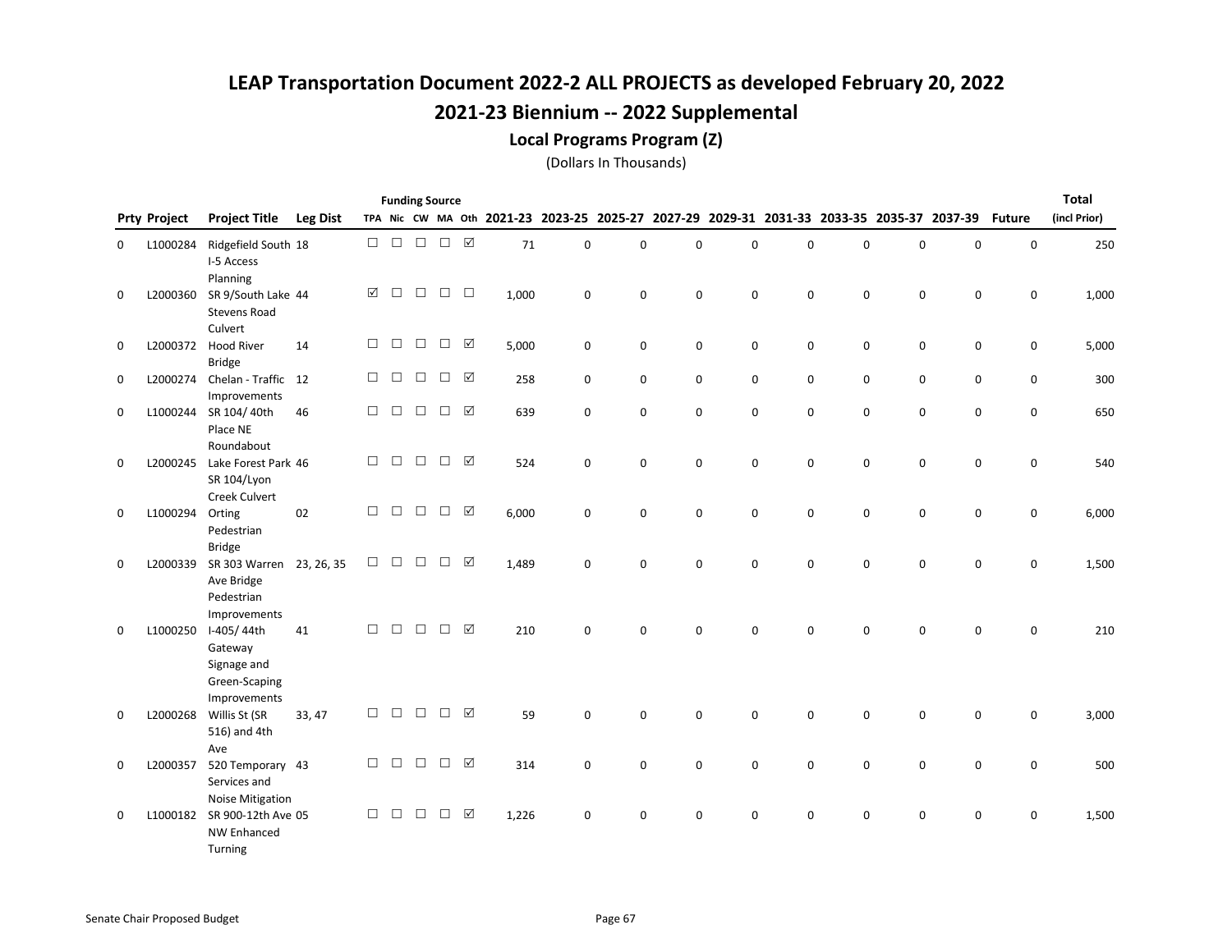#### Local Programs Program (Z)

|          |                     |                                                                                |                 |        |        |        | <b>Funding Source</b> |                 |                                           |             |             |             |             |          |          |             |                                         |               | Total        |
|----------|---------------------|--------------------------------------------------------------------------------|-----------------|--------|--------|--------|-----------------------|-----------------|-------------------------------------------|-------------|-------------|-------------|-------------|----------|----------|-------------|-----------------------------------------|---------------|--------------|
|          | <b>Prty Project</b> | <b>Project Title</b>                                                           | <b>Leg Dist</b> |        |        |        |                       |                 | TPA Nic CW MA Oth 2021-23 2023-25 2025-27 |             |             | 2027-29     |             |          |          |             | 2029-31 2031-33 2033-35 2035-37 2037-39 | <b>Future</b> | (incl Prior) |
| 0        | L1000284            | Ridgefield South 18<br>I-5 Access                                              |                 | $\Box$ | $\Box$ | $\Box$ | $\Box$                | $\triangledown$ | 71                                        | $\mathbf 0$ | $\mathbf 0$ | $\mathbf 0$ | $\mathbf 0$ | 0        | 0        | $\mathbf 0$ | $\mathbf 0$                             | $\pmb{0}$     | 250          |
| 0        | L2000360            | Planning<br>SR 9/South Lake 44<br><b>Stevens Road</b><br>Culvert               |                 | ☑      | $\Box$ | $\Box$ | $\Box$                | $\Box$          | 1,000                                     | $\mathbf 0$ | 0           | 0           | $\mathbf 0$ | 0        | 0        | $\mathbf 0$ | 0                                       | 0             | 1,000        |
| 0        | L2000372            | <b>Hood River</b><br><b>Bridge</b>                                             | 14              | $\Box$ | $\Box$ | $\Box$ | $\Box$                | ☑               | 5,000                                     | 0           | 0           | 0           | 0           | 0        | 0        | 0           | 0                                       | 0             | 5,000        |
| 0        |                     | L2000274 Chelan - Traffic<br>Improvements                                      | 12              | $\Box$ | $\Box$ | □      | $\Box$                | $\triangledown$ | 258                                       | $\mathsf 0$ | 0           | $\mathbf 0$ | 0           | 0        | 0        | 0           | 0                                       | $\mathsf 0$   | 300          |
| 0        | L1000244            | SR 104/40th<br>Place NE                                                        | 46              | $\Box$ | $\Box$ | $\Box$ | $\Box$                | ☑               | 639                                       | 0           | 0           | $\mathbf 0$ | $\mathbf 0$ | 0        | 0        | 0           | 0                                       | $\mathsf 0$   | 650          |
| 0        | L2000245            | Roundabout<br>Lake Forest Park 46<br>SR 104/Lyon                               |                 | $\Box$ | $\Box$ | $\Box$ | $\Box$                | $\boxtimes$     | 524                                       | $\mathbf 0$ | 0           | $\mathbf 0$ | 0           | 0        | 0        | 0           | 0                                       | 0             | 540          |
| 0        | L1000294            | Creek Culvert<br>Orting<br>Pedestrian                                          | 02              | $\Box$ | $\Box$ | $\Box$ | $\Box$                | ☑               | 6,000                                     | $\mathbf 0$ | 0           | $\mathbf 0$ | $\Omega$    | 0        | 0        | 0           | 0                                       | 0             | 6,000        |
| $\Omega$ | L2000339            | <b>Bridge</b><br>SR 303 Warren<br>Ave Bridge<br>Pedestrian                     | 23, 26, 35      | $\Box$ | $\Box$ | $\Box$ | $\Box$                | ☑               | 1,489                                     | $\Omega$    | $\Omega$    | $\Omega$    | $\Omega$    | $\Omega$ | $\Omega$ | $\Omega$    | 0                                       | $\mathbf 0$   | 1,500        |
| 0        | L1000250            | Improvements<br>I-405/44th<br>Gateway<br>Signage and<br>Green-Scaping          | 41              | $\Box$ | $\Box$ | $\Box$ | $\Box$                | ☑               | 210                                       | $\Omega$    | 0           | $\Omega$    | 0           | $\Omega$ | 0        | $\Omega$    | $\mathbf 0$                             | $\Omega$      | 210          |
| 0        | L2000268            | Improvements<br>Willis St (SR<br>516) and 4th                                  | 33, 47          | П      | $\Box$ | $\Box$ | $\Box$                | ☑               | 59                                        | $\Omega$    | 0           | $\Omega$    | $\Omega$    | $\Omega$ | 0        | $\mathbf 0$ | $\mathbf 0$                             | $\mathbf 0$   | 3,000        |
| 0        | L2000357            | Ave<br>520 Temporary 43<br>Services and                                        |                 | $\Box$ | $\Box$ | $\Box$ | $\Box$                | ☑               | 314                                       | $\mathsf 0$ | 0           | $\mathbf 0$ | 0           | 0        | 0        | $\mathsf 0$ | 0                                       | $\mathsf 0$   | 500          |
| 0        | L1000182            | <b>Noise Mitigation</b><br>SR 900-12th Ave 05<br><b>NW Enhanced</b><br>Turning |                 | $\Box$ | $\Box$ | $\Box$ | $\Box$                | ☑               | 1,226                                     | 0           | 0           | 0           | 0           | 0        | 0        | 0           | 0                                       | 0             | 1,500        |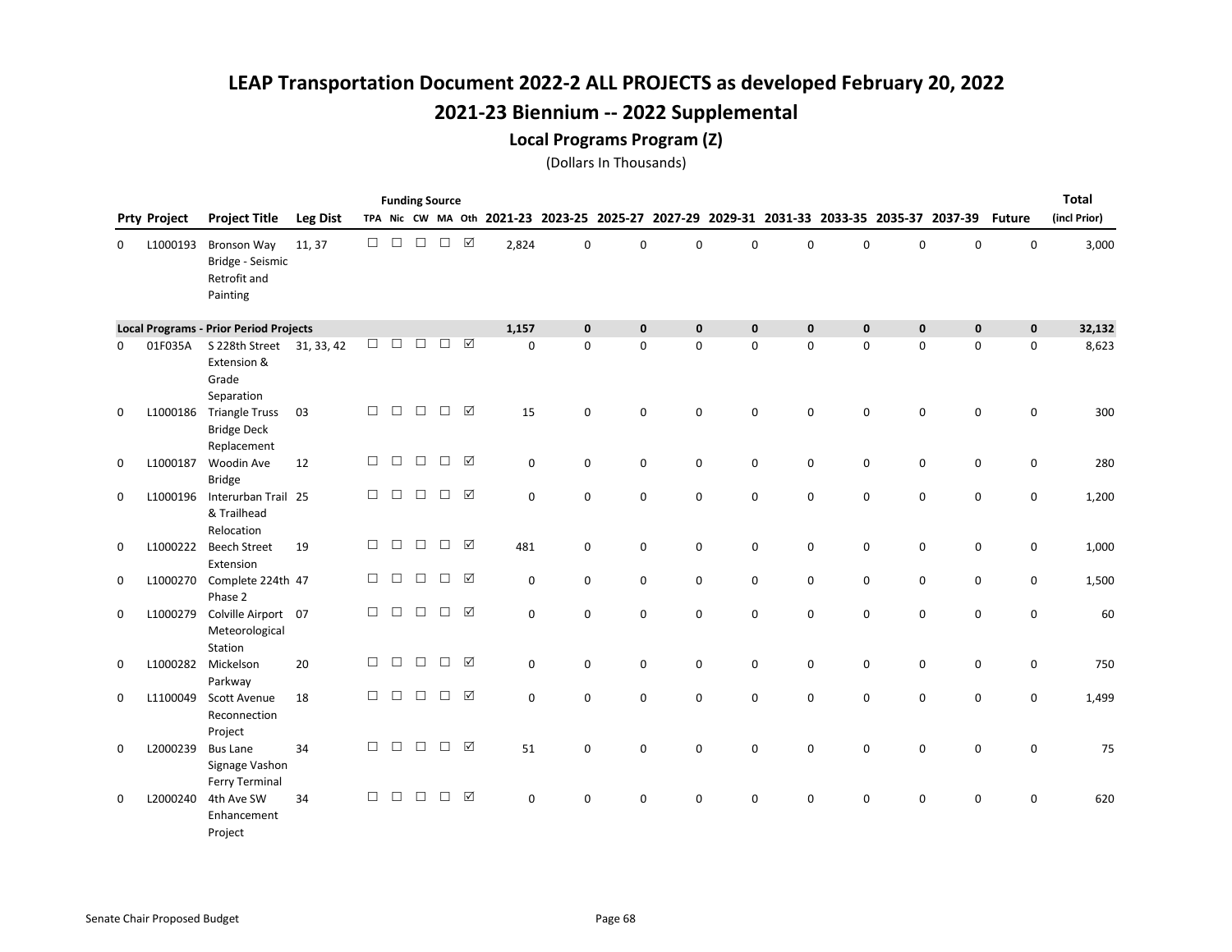Local Programs Program (Z)

|             |                     |                                                                    |                 |        |        |        | <b>Funding Source</b> |                 |             |              |              |              |              |              |             |                                                                                           |             |               | Total        |
|-------------|---------------------|--------------------------------------------------------------------|-----------------|--------|--------|--------|-----------------------|-----------------|-------------|--------------|--------------|--------------|--------------|--------------|-------------|-------------------------------------------------------------------------------------------|-------------|---------------|--------------|
|             | <b>Prty Project</b> | <b>Project Title</b>                                               | <b>Leg Dist</b> |        |        |        |                       |                 |             |              |              |              |              |              |             | TPA Nic CW MA Oth 2021-23 2023-25 2025-27 2027-29 2029-31 2031-33 2033-35 2035-37 2037-39 |             | <b>Future</b> | (incl Prior) |
| 0           | L1000193            | <b>Bronson Way</b><br>Bridge - Seismic<br>Retrofit and<br>Painting | 11, 37          | $\Box$ | $\Box$ | $\Box$ | $\Box$                | $\Delta$        | 2,824       | $\mathbf 0$  | 0            | $\mathbf 0$  | $\mathbf 0$  | $\mathbf 0$  | 0           | $\mathbf 0$                                                                               | $\mathbf 0$ | $\mathbf 0$   | 3,000        |
|             |                     | <b>Local Programs - Prior Period Projects</b>                      |                 |        |        |        |                       |                 | 1,157       | $\mathbf{0}$ | $\mathbf{0}$ | $\mathbf{0}$ | $\mathbf{0}$ | $\mathbf{0}$ | $\mathbf 0$ | $\mathbf 0$                                                                               | $\mathbf 0$ | $\mathbf 0$   | 32,132       |
| 0           | 01F035A             | S 228th Street 31, 33, 42<br>Extension &<br>Grade<br>Separation    |                 | $\Box$ | $\Box$ | $\Box$ | $\Box$                | ☑               | $\mathbf 0$ | $\Omega$     | 0            | $\Omega$     | 0            | $\mathbf 0$  | 0           | $\mathsf 0$                                                                               | $\mathbf 0$ | 0             | 8,623        |
| $\mathbf 0$ | L1000186            | <b>Triangle Truss</b><br><b>Bridge Deck</b><br>Replacement         | 03              | $\Box$ | $\Box$ | $\Box$ | $\Box$                | ☑               | 15          | $\Omega$     | 0            | $\Omega$     | $\Omega$     | 0            | 0           | $\mathbf 0$                                                                               | $\mathbf 0$ | 0             | 300          |
| $\mathbf 0$ | L1000187            | Woodin Ave<br><b>Bridge</b>                                        | 12              | П      | П      | $\Box$ | $\Box$                | ⊠               | $\mathbf 0$ | $\mathbf 0$  | $\mathbf 0$  | $\mathbf 0$  | $\mathbf 0$  | $\mathbf 0$  | 0           | $\mathbf 0$                                                                               | $\mathbf 0$ | $\mathbf 0$   | 280          |
| 0           | L1000196            | Interurban Trail 25<br>& Trailhead<br>Relocation                   |                 | П      | $\Box$ | $\Box$ | $\Box$                | ☑               | $\mathbf 0$ | $\mathbf 0$  | $\mathbf 0$  | $\mathbf 0$  | $\mathbf 0$  | $\mathbf 0$  | 0           | 0                                                                                         | 0           | 0             | 1,200        |
| 0           | L1000222            | <b>Beech Street</b><br>Extension                                   | 19              | $\Box$ | $\Box$ | $\Box$ | $\Box$                | $\triangledown$ | 481         | 0            | $\mathsf 0$  | $\mathbf 0$  | 0            | 0            | 0           | $\pmb{0}$                                                                                 | $\mathbf 0$ | $\pmb{0}$     | 1,000        |
| 0           | L1000270            | Complete 224th 47<br>Phase 2                                       |                 | П      | □      | $\Box$ | □                     | ☑               | $\mathbf 0$ | $\mathbf 0$  | $\mathbf 0$  | $\mathbf 0$  | $\mathbf 0$  | $\mathbf 0$  | 0           | 0                                                                                         | $\mathbf 0$ | 0             | 1,500        |
| 0           | L1000279            | Colville Airport 07<br>Meteorological<br>Station                   |                 | $\Box$ | $\Box$ | $\Box$ | $\Box$                | $\triangledown$ | $\mathbf 0$ | $\mathbf 0$  | $\mathbf 0$  | $\mathbf 0$  | $\mathbf 0$  | $\mathbf 0$  | 0           | $\mathbf 0$                                                                               | 0           | $\mathsf 0$   | 60           |
| 0           | L1000282            | Mickelson<br>Parkway                                               | 20              | $\Box$ | $\Box$ | $\Box$ | $\Box$                | ☑               | $\mathsf 0$ | $\mathsf 0$  | $\mathsf 0$  | $\mathbf 0$  | 0            | 0            | 0           | 0                                                                                         | 0           | 0             | 750          |
| $\mathbf 0$ | L1100049            | Scott Avenue<br>Reconnection<br>Project                            | 18              | $\Box$ | $\Box$ | $\Box$ | $\Box$                | ☑               | $\Omega$    | $\mathbf 0$  | $\mathbf 0$  | $\mathbf 0$  | $\mathbf 0$  | $\mathbf 0$  | 0           | $\mathbf 0$                                                                               | $\mathbf 0$ | 0             | 1,499        |
| 0           | L2000239            | <b>Bus Lane</b><br>Signage Vashon<br>Ferry Terminal                | 34              | $\Box$ | $\Box$ | $\Box$ | $\Box$                | ☑               | 51          | $\mathbf 0$  | 0            | $\Omega$     | $\Omega$     | 0            | 0           | 0                                                                                         | $\Omega$    | 0             | 75           |
| 0           | L2000240            | 4th Ave SW<br>Enhancement<br>Project                               | 34              | $\Box$ | $\Box$ | $\Box$ | $\Box$                | ☑               | $\mathbf 0$ | $\mathbf 0$  | $\mathbf 0$  | $\mathbf 0$  | $\mathbf 0$  | 0            | 0           | 0                                                                                         | 0           | $\mathbf 0$   | 620          |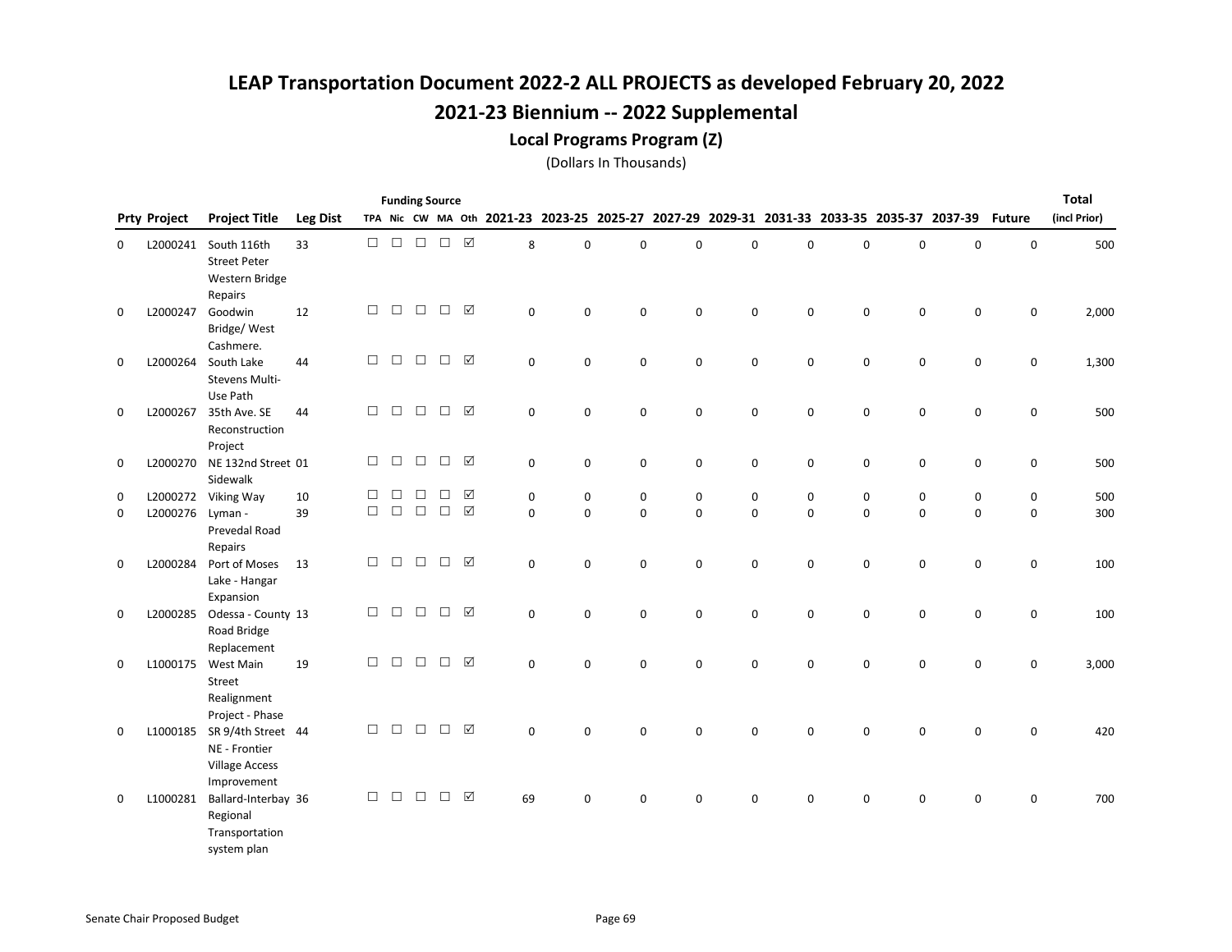#### Local Programs Program (Z)

|   |                     |                                                                                 |                 |        |        |        | <b>Funding Source</b>                                                                                                                                 |                 |             |             |             |             |             |             |   |             |                                                                                           |               | Total        |
|---|---------------------|---------------------------------------------------------------------------------|-----------------|--------|--------|--------|-------------------------------------------------------------------------------------------------------------------------------------------------------|-----------------|-------------|-------------|-------------|-------------|-------------|-------------|---|-------------|-------------------------------------------------------------------------------------------|---------------|--------------|
|   | <b>Prty Project</b> | <b>Project Title</b>                                                            | <b>Leg Dist</b> |        |        |        |                                                                                                                                                       |                 |             |             |             |             |             |             |   |             | TPA Nic CW MA Oth 2021-23 2023-25 2025-27 2027-29 2029-31 2031-33 2033-35 2035-37 2037-39 | <b>Future</b> | (incl Prior) |
| 0 | L2000241            | South 116th<br><b>Street Peter</b><br>Western Bridge                            | 33              | $\Box$ |        |        | $\begin{array}{c} \square \end{array} \begin{array}{c} \square \end{array} \begin{array}{c} \square \end{array} \begin{array}{c} \square \end{array}$ |                 | 8           | $\mathbf 0$ | 0           | $\mathbf 0$ | $\mathbf 0$ | 0           | 0 | 0           | 0                                                                                         | $\mathsf 0$   | 500          |
| 0 | L2000247            | Repairs<br>Goodwin<br>Bridge/West<br>Cashmere.                                  | 12              | $\Box$ | П      | $\Box$ | $\Box$                                                                                                                                                | ☑               | $\Omega$    | $\Omega$    | 0           | $\Omega$    | 0           | 0           | 0 | $\mathbf 0$ | 0                                                                                         | 0             | 2,000        |
| 0 | L2000264            | South Lake<br>Stevens Multi-<br>Use Path                                        | 44              | $\Box$ | $\Box$ | $\Box$ | $\Box$                                                                                                                                                | $\boxtimes$     | $\mathbf 0$ | $\mathbf 0$ | $\mathbf 0$ | $\mathbf 0$ | $\mathbf 0$ | $\mathbf 0$ | 0 | 0           | $\mathbf 0$                                                                               | $\mathsf 0$   | 1,300        |
| 0 | L2000267            | 35th Ave. SE<br>Reconstruction<br>Project                                       | 44              | $\Box$ | $\Box$ | $\Box$ | $\Box$                                                                                                                                                | ☑               | 0           | 0           | 0           | 0           | 0           | 0           | 0 | 0           | 0                                                                                         | 0             | 500          |
| 0 | L2000270            | NE 132nd Street 01<br>Sidewalk                                                  |                 | $\Box$ | $\Box$ | $\Box$ | $\Box$                                                                                                                                                | ☑               | 0           | 0           | 0           | 0           | 0           | 0           | 0 | 0           | 0                                                                                         | 0             | 500          |
| 0 | L2000272            | Viking Way                                                                      | 10              | П      | П      | П      | П                                                                                                                                                     | ☑               | 0           | 0           | 0           | 0           | 0           | 0           | 0 | $\mathbf 0$ | 0                                                                                         | 0             | 500          |
| 0 | L2000276            | Lyman -<br>Prevedal Road<br>Repairs                                             | 39              | $\Box$ | $\Box$ | $\Box$ | $\Box$                                                                                                                                                | $\Delta$        | $\mathbf 0$ | $\mathbf 0$ | 0           | $\mathbf 0$ | 0           | $\mathbf 0$ | 0 | 0           | $\mathsf 0$                                                                               | $\mathsf 0$   | 300          |
| 0 | L2000284            | Port of Moses<br>Lake - Hangar<br>Expansion                                     | 13              | $\Box$ | $\Box$ | $\Box$ | $\Box$                                                                                                                                                | $\triangledown$ | $\mathbf 0$ | 0           | 0           | $\mathbf 0$ | 0           | 0           | 0 | $\pmb{0}$   | 0                                                                                         | $\mathsf 0$   | 100          |
| 0 | L2000285            | Odessa - County 13<br>Road Bridge<br>Replacement                                |                 | $\Box$ | $\Box$ | $\Box$ | $\Box$                                                                                                                                                | $\triangledown$ | $\Omega$    | $\Omega$    | 0           | $\Omega$    | 0           | 0           | 0 | $\mathbf 0$ | 0                                                                                         | 0             | 100          |
| 0 | L1000175            | West Main<br>Street<br>Realignment                                              | 19              | $\Box$ | $\Box$ | $\Box$ | $\Box$                                                                                                                                                | $\triangledown$ | $\mathbf 0$ | $\Omega$    | 0           | $\Omega$    | $\Omega$    | $\Omega$    | 0 | $\mathbf 0$ | 0                                                                                         | $\mathbf 0$   | 3,000        |
| 0 | L1000185            | Project - Phase<br>SR 9/4th Street 44<br>NE - Frontier<br><b>Village Access</b> |                 | $\Box$ | $\Box$ | $\Box$ | $\Box$                                                                                                                                                | $\boxtimes$     | 0           | $\Omega$    | 0           | $\mathbf 0$ | 0           | 0           | 0 | 0           | 0                                                                                         | 0             | 420          |
| 0 | L1000281            | Improvement<br>Ballard-Interbay 36<br>Regional<br>Transportation<br>system plan |                 | $\Box$ | $\Box$ | $\Box$ | $\Box$                                                                                                                                                | $\boxtimes$     | 69          | $\Omega$    | 0           | 0           | 0           | $\Omega$    | 0 | 0           | 0                                                                                         | 0             | 700          |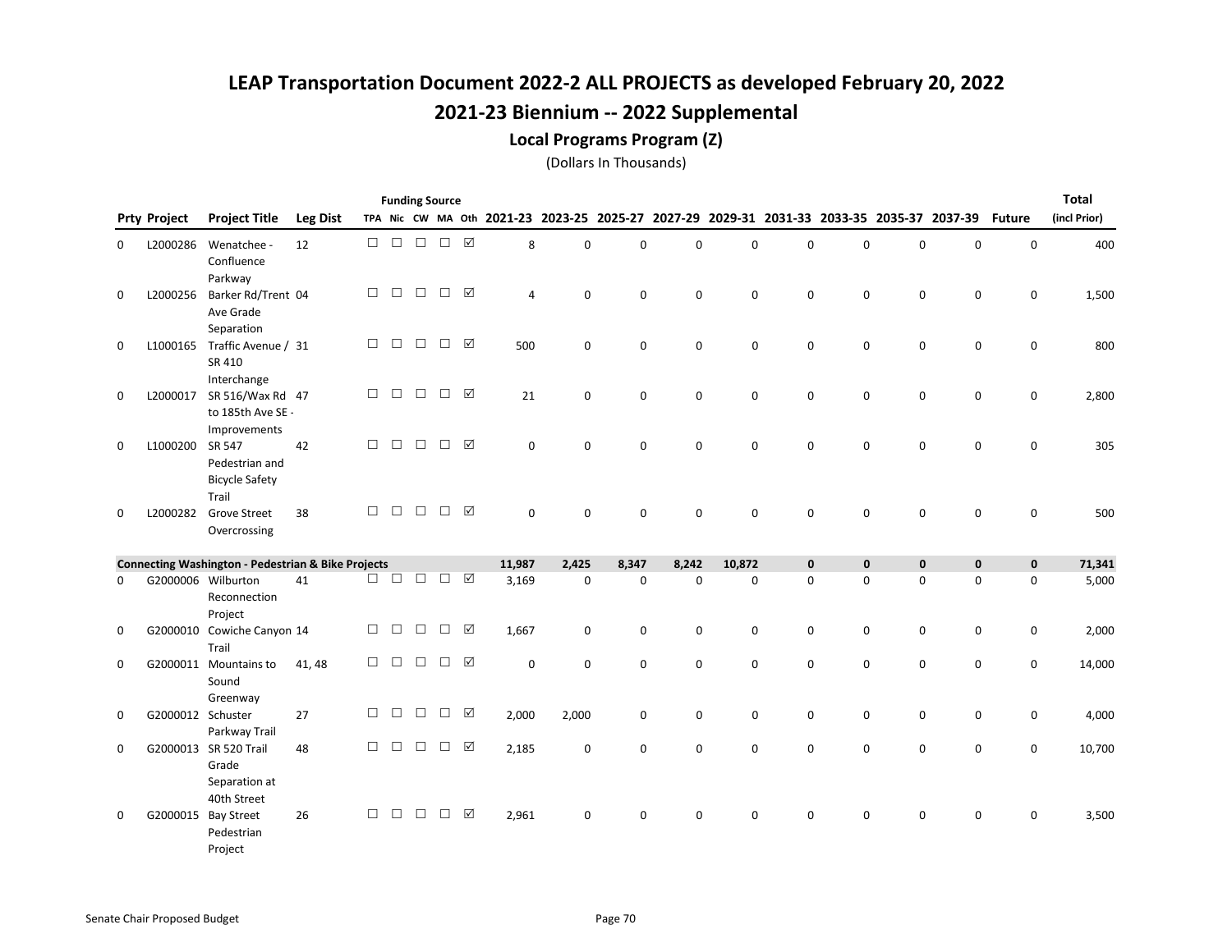Local Programs Program (Z)

|             |                     |                                                                |                 |        |        |        | <b>Funding Source</b> |                 |                                           |             |             |             |             |              |   |             |                                                 |               | <b>Total</b> |
|-------------|---------------------|----------------------------------------------------------------|-----------------|--------|--------|--------|-----------------------|-----------------|-------------------------------------------|-------------|-------------|-------------|-------------|--------------|---|-------------|-------------------------------------------------|---------------|--------------|
|             | <b>Prty Project</b> | <b>Project Title</b>                                           | <b>Leg Dist</b> |        |        |        |                       |                 | TPA Nic CW MA Oth 2021-23 2023-25 2025-27 |             |             |             |             |              |   |             | 2027-29 2029-31 2031-33 2033-35 2035-37 2037-39 | <b>Future</b> | (incl Prior) |
| 0           | L2000286            | Wenatchee -<br>Confluence<br>Parkway                           | 12              | $\Box$ | $\Box$ | $\Box$ | $\Box$                | ☑               | 8                                         | $\Omega$    | $\mathbf 0$ | $\Omega$    | $\Omega$    | 0            | 0 | $\mathbf 0$ | 0                                               | $\mathbf 0$   | 400          |
| 0           | L2000256            | Barker Rd/Trent 04<br>Ave Grade<br>Separation                  |                 | □      | $\Box$ | $\Box$ | $\Box$                | ☑               | 4                                         | $\Omega$    | 0           | $\mathbf 0$ | 0           | 0            | 0 | 0           | 0                                               | 0             | 1,500        |
| $\mathbf 0$ |                     | L1000165 Traffic Avenue / 31<br>SR 410<br>Interchange          |                 | П      | $\Box$ | $\Box$ | $\Box$                | ☑               | 500                                       | $\mathbf 0$ | 0           | $\mathbf 0$ | $\mathbf 0$ | 0            | 0 | 0           | 0                                               | $\mathbf 0$   | 800          |
| $\mathbf 0$ | L2000017            | SR 516/Wax Rd 47<br>to 185th Ave SE -<br>Improvements          |                 | $\Box$ | $\Box$ | $\Box$ | $\Box$                | ☑               | 21                                        | $\mathbf 0$ | $\mathbf 0$ | $\Omega$    | $\mathbf 0$ | 0            | 0 | $\mathbf 0$ | $\mathbf 0$                                     | $\mathbf 0$   | 2,800        |
| 0           | L1000200            | SR 547<br>Pedestrian and<br><b>Bicycle Safety</b>              | 42              | □      | $\Box$ | $\Box$ | $\Box$                | ☑               | $\mathbf 0$                               | $\mathbf 0$ | 0           | $\mathbf 0$ | 0           | 0            | 0 | $\mathbf 0$ | 0                                               | $\mathbf 0$   | 305          |
| 0           | L2000282            | Trail<br><b>Grove Street</b><br>Overcrossing                   | 38              | $\Box$ | $\Box$ | $\Box$ | $\Box$                | ☑               | $\mathbf 0$                               | $\Omega$    | 0           | $\Omega$    | $\Omega$    | $\Omega$     | 0 | $\mathbf 0$ | 0                                               | 0             | 500          |
|             |                     | <b>Connecting Washington - Pedestrian &amp; Bike Projects</b>  |                 |        |        |        |                       |                 | 11,987                                    | 2,425       | 8,347       | 8,242       | 10,872      | $\mathbf{0}$ | 0 | $\pmb{0}$   | $\mathbf{0}$                                    | $\mathbf 0$   | 71,341       |
| 0           |                     | G2000006 Wilburton<br>Reconnection<br>Project                  | 41              | $\Box$ |        | $\Box$ | $\Box$                | $\boxdot$       | 3,169                                     | $\mathbf 0$ | 0           | $\mathbf 0$ | 0           | $\mathbf 0$  | 0 | $\mathbf 0$ | 0                                               | $\mathbf 0$   | 5,000        |
| 0           |                     | G2000010 Cowiche Canyon 14<br>Trail                            |                 | □      | □      | $\Box$ | $\Box$                | $\triangledown$ | 1,667                                     | $\mathbf 0$ | 0           | 0           | 0           | 0            | 0 | 0           | 0                                               | 0             | 2,000        |
| 0           |                     | G2000011 Mountains to<br>Sound<br>Greenway                     | 41, 48          | П      | $\Box$ | $\Box$ | $\Box$                | ☑               | $\mathbf 0$                               | $\mathbf 0$ | 0           | $\mathbf 0$ | 0           | 0            | 0 | 0           | 0                                               | 0             | 14,000       |
| 0           | G2000012 Schuster   | Parkway Trail                                                  | 27              | $\Box$ | $\Box$ | $\Box$ | $\Box$                | ☑               | 2,000                                     | 2,000       | 0           | $\mathbf 0$ | $\mathbf 0$ | 0            | 0 | 0           | 0                                               | 0             | 4,000        |
| 0           |                     | G2000013 SR 520 Trail<br>Grade<br>Separation at<br>40th Street | 48              | $\Box$ | $\Box$ | $\Box$ | $\Box$                | $\triangledown$ | 2,185                                     | $\mathbf 0$ | 0           | $\Omega$    | $\Omega$    | 0            | 0 | $\mathbf 0$ | 0                                               | $\mathbf 0$   | 10,700       |
| 0           |                     | G2000015 Bay Street<br>Pedestrian<br>Project                   | 26              | П      | □      | $\Box$ | $\Box$                | ☑               | 2,961                                     | $\Omega$    | 0           | 0           | $\Omega$    | 0            | 0 | 0           | 0                                               | 0             | 3,500        |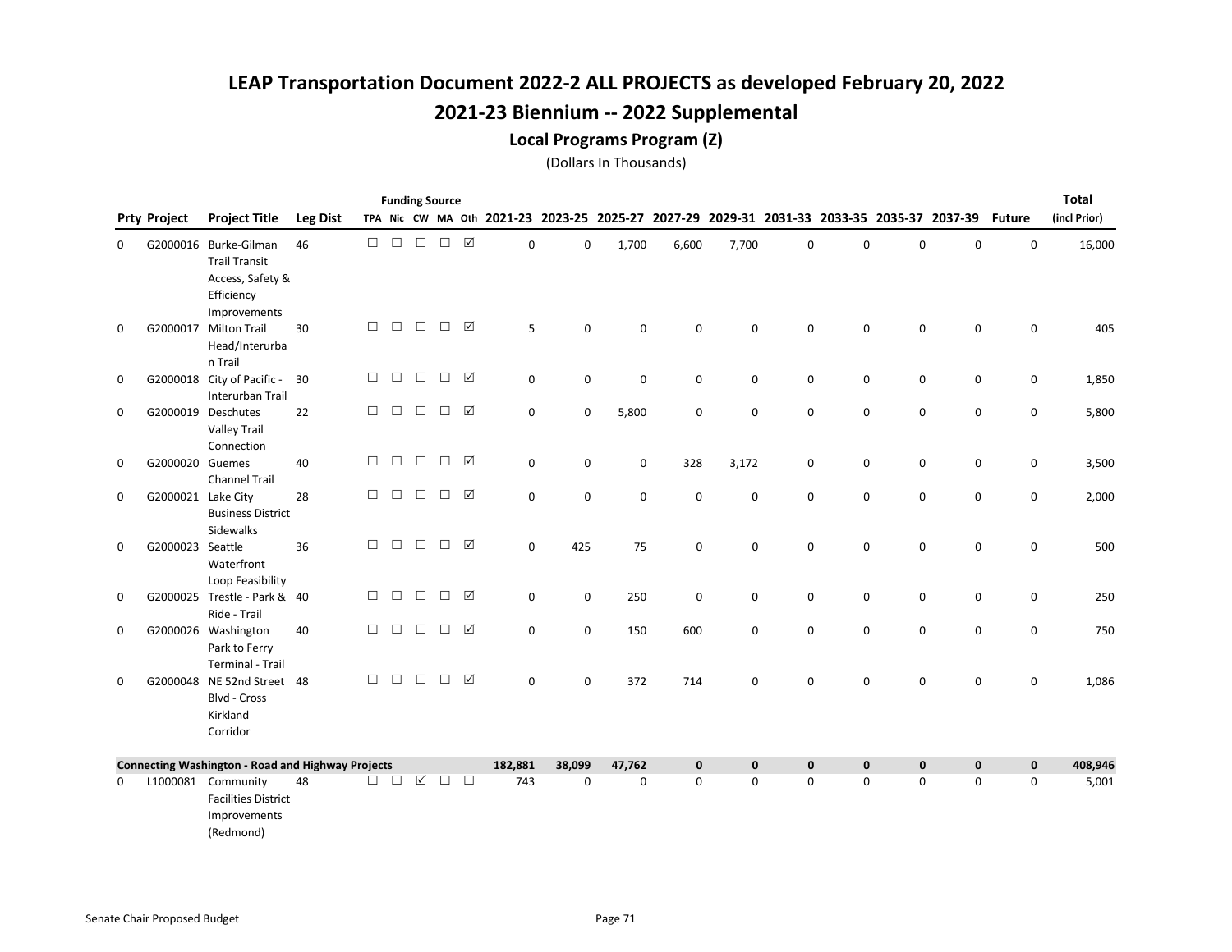#### Local Programs Program (Z)

|   |                     |                                                                                                 |                 |        | <b>Funding Source</b> |                     |        |                 |                                                                                           |             |             |             |             |             |             |             |             |               | <b>Total</b> |
|---|---------------------|-------------------------------------------------------------------------------------------------|-----------------|--------|-----------------------|---------------------|--------|-----------------|-------------------------------------------------------------------------------------------|-------------|-------------|-------------|-------------|-------------|-------------|-------------|-------------|---------------|--------------|
|   | <b>Prty Project</b> | <b>Project Title</b>                                                                            | <b>Leg Dist</b> |        |                       |                     |        |                 | TPA Nic CW MA Oth 2021-23 2023-25 2025-27 2027-29 2029-31 2031-33 2033-35 2035-37 2037-39 |             |             |             |             |             |             |             |             | <b>Future</b> | (incl Prior) |
| 0 |                     | G2000016 Burke-Gilman<br><b>Trail Transit</b><br>Access, Safety &<br>Efficiency<br>Improvements | 46              | П.     | $\Box$                | $\Box$              | $\Box$ | $\triangledown$ | 0                                                                                         | $\mathbf 0$ | 1,700       | 6,600       | 7,700       | 0           | $\pmb{0}$   | 0           | 0           | $\mathsf 0$   | 16,000       |
| 0 | G2000017            | <b>Milton Trail</b><br>Head/Interurba<br>n Trail                                                | 30              | $\Box$ | $\Box$                | $\Box$              | $\Box$ | $\triangledown$ | 5                                                                                         | $\mathbf 0$ | 0           | $\mathbf 0$ | $\Omega$    | 0           | $\mathbf 0$ | $\mathbf 0$ | $\mathbf 0$ | 0             | 405          |
| 0 |                     | G2000018 City of Pacific -<br>Interurban Trail                                                  | 30              | $\Box$ | $\Box$                | $\Box$              | $\Box$ | $\triangledown$ | 0                                                                                         | $\mathbf 0$ | 0           | 0           | 0           | 0           | $\mathbf 0$ | 0           | $\mathbf 0$ | 0             | 1,850        |
| 0 |                     | G2000019 Deschutes<br><b>Valley Trail</b><br>Connection                                         | 22              | П      | $\Box$                | $\Box$              | $\Box$ | ☑               | 0                                                                                         | $\mathbf 0$ | 5,800       | 0           | $\mathbf 0$ | 0           | 0           | $\mathsf 0$ | 0           | $\mathsf 0$   | 5,800        |
| 0 | G2000020 Guemes     | <b>Channel Trail</b>                                                                            | 40              | $\Box$ | $\Box$                | $\Box$              | $\Box$ | $\triangledown$ | 0                                                                                         | $\mathbf 0$ | 0           | 328         | 3,172       | 0           | $\mathbf 0$ | 0           | 0           | $\mathsf 0$   | 3,500        |
| 0 | G2000021 Lake City  | <b>Business District</b><br>Sidewalks                                                           | 28              | П      | $\Box$                | $\Box$              | $\Box$ | ⊠               | 0                                                                                         | $\mathbf 0$ | 0           | $\mathbf 0$ | $\mathbf 0$ | 0           | $\mathbf 0$ | $\mathbf 0$ | $\mathbf 0$ | $\mathbf 0$   | 2,000        |
| 0 | G2000023 Seattle    | Waterfront<br>Loop Feasibility                                                                  | 36              | П      | $\Box$                | $\Box$              | $\Box$ | ⊠               | 0                                                                                         | 425         | 75          | $\mathbf 0$ | $\mathbf 0$ | 0           | $\pmb{0}$   | $\mathsf 0$ | 0           | $\mathsf 0$   | 500          |
| 0 |                     | G2000025 Trestle - Park & 40<br>Ride - Trail                                                    |                 | $\Box$ | $\Box$                | $\Box$              | $\Box$ | $\triangledown$ | 0                                                                                         | $\mathbf 0$ | 250         | $\mathbf 0$ | $\mathbf 0$ | 0           | 0           | $\mathsf 0$ | 0           | $\mathsf 0$   | 250          |
| 0 |                     | G2000026 Washington<br>Park to Ferry<br><b>Terminal - Trail</b>                                 | 40              | $\Box$ | $\Box$                | $\Box$              | $\Box$ | ☑               | 0                                                                                         | $\mathbf 0$ | 150         | 600         | $\mathbf 0$ | 0           | $\mathbf 0$ | 0           | 0           | 0             | 750          |
| 0 |                     | G2000048 NE 52nd Street 48<br>Blvd - Cross<br>Kirkland<br>Corridor                              |                 | П      | $\Box$                | $\Box$              | $\Box$ | $\triangledown$ | 0                                                                                         | $\mathbf 0$ | 372         | 714         | 0           | $\mathbf 0$ | $\mathbf 0$ | $\mathsf 0$ | $\mathbf 0$ | $\mathsf 0$   | 1,086        |
|   |                     | <b>Connecting Washington - Road and Highway Projects</b>                                        |                 |        |                       |                     |        |                 | 182,881                                                                                   | 38,099      | 47,762      | $\mathbf 0$ | $\mathbf 0$ | $\mathbf 0$ | $\mathbf 0$ | $\mathbf 0$ | $\mathbf 0$ | $\mathbf 0$   | 408,946      |
| 0 |                     | L1000081 Community<br><b>Facilities District</b><br>Improvements<br>(Redmond)                   | 48              | □      | $\Box$                | $\boxed{\triangle}$ | $\Box$ | $\Box$          | 743                                                                                       | 0           | $\mathbf 0$ | $\mathbf 0$ | 0           | 0           | $\mathbf 0$ | 0           | $\mathbf 0$ | 0             | 5,001        |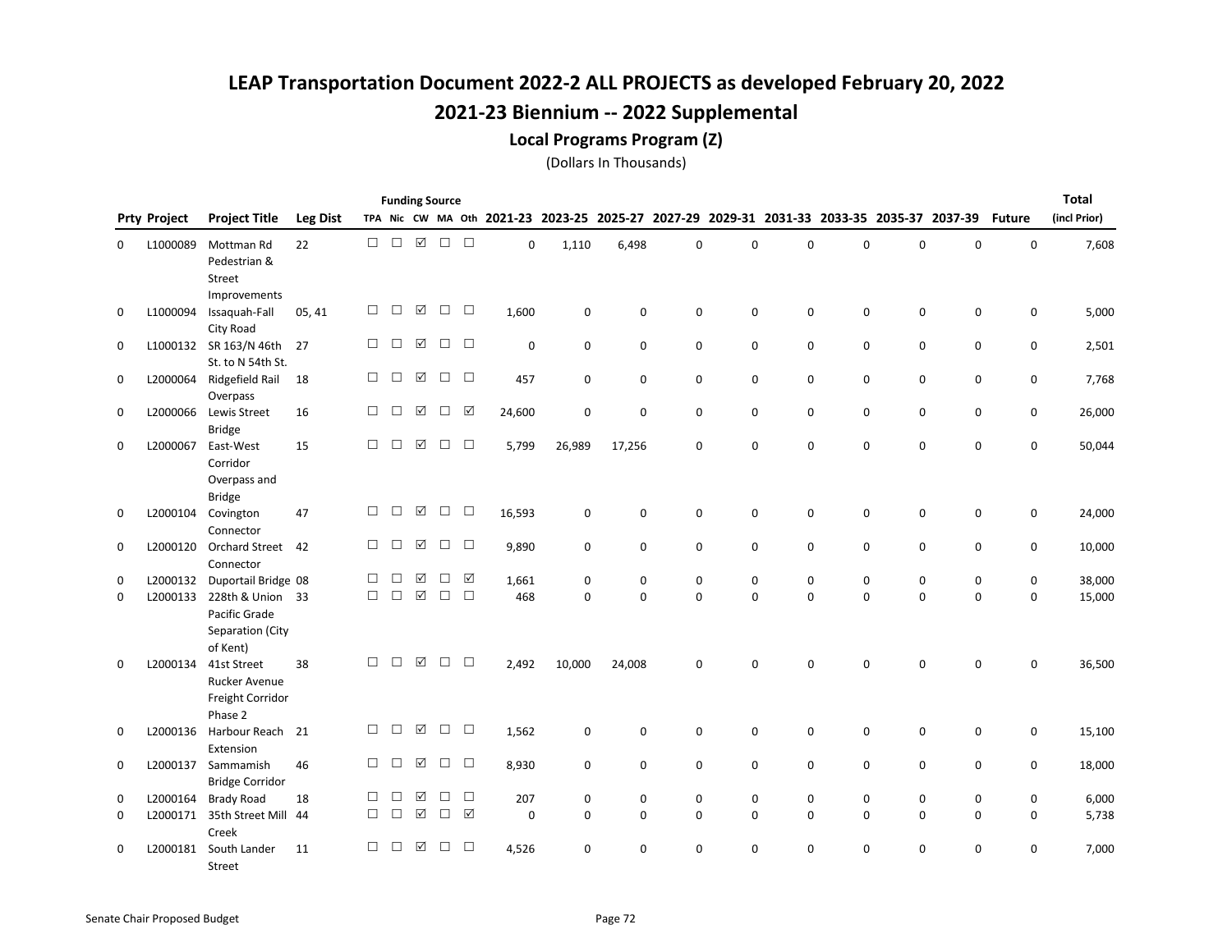Local Programs Program (Z)

|               |                      |                                                          |                 |             |             |                      | <b>Funding Source</b> |             |              |                         |               |                            |                         |               |               |               |                                                                                           |               | Total            |
|---------------|----------------------|----------------------------------------------------------|-----------------|-------------|-------------|----------------------|-----------------------|-------------|--------------|-------------------------|---------------|----------------------------|-------------------------|---------------|---------------|---------------|-------------------------------------------------------------------------------------------|---------------|------------------|
|               | <b>Prty Project</b>  | <b>Project Title</b>                                     | <b>Leg Dist</b> |             |             |                      |                       |             |              |                         |               |                            |                         |               |               |               | TPA Nic CW MA Oth 2021-23 2023-25 2025-27 2027-29 2029-31 2031-33 2033-35 2035-37 2037-39 | <b>Future</b> | (incl Prior)     |
| 0             | L1000089             | Mottman Rd<br>Pedestrian &<br>Street                     | 22              | $\Box$      | $\Box$      | $\triangledown$      | $\Box$                | $\Box$      | 0            | 1,110                   | 6,498         | $\mathbf 0$                | $\mathbf 0$             | 0             | 0             | $\mathbf 0$   | 0                                                                                         | $\mathsf 0$   | 7,608            |
| 0             | L1000094             | Improvements<br>Issaquah-Fall<br>City Road               | 05, 41          | $\Box$      | □           | ☑                    | $\Box$                | $\Box$      | 1,600        | $\mathbf 0$             | 0             | $\mathbf 0$                | $\mathbf 0$             | 0             | 0             | 0             | 0                                                                                         | 0             | 5,000            |
| 0             |                      | L1000132 SR 163/N 46th<br>St. to N 54th St.              | 27              | $\Box$      | $\Box$      | ☑                    | $\Box$                | $\Box$      | $\Omega$     | $\mathbf 0$             | $\mathbf 0$   | $\mathbf 0$                | $\mathbf 0$             | 0             | 0             | $\mathbf 0$   | 0                                                                                         | 0             | 2,501            |
| 0             | L2000064             | Ridgefield Rail<br>Overpass                              | 18              | $\Box$      | $\Box$      | $\boxed{\checkmark}$ | $\Box$                | $\Box$      | 457          | $\mathbf 0$             | 0             | $\mathbf 0$                | 0                       | 0             | 0             | 0             | 0                                                                                         | 0             | 7,768            |
| 0             | L2000066             | Lewis Street<br><b>Bridge</b>                            | 16              | $\Box$      | $\Box$      | ☑                    | $\Box$                | ☑           | 24,600       | $\mathbf 0$             | $\mathsf 0$   | $\mathbf 0$                | 0                       | 0             | 0             | 0             | 0                                                                                         | $\mathsf 0$   | 26,000           |
| 0             | L2000067             | East-West<br>Corridor<br>Overpass and<br><b>Bridge</b>   | 15              | $\Box$      | $\Box$      | ☑                    | $\Box$                | $\Box$      | 5,799        | 26,989                  | 17,256        | $\mathbf 0$                | 0                       | $\Omega$      | 0             | $\mathbf 0$   | 0                                                                                         | 0             | 50,044           |
| 0             | L2000104             | Covington<br>Connector                                   | 47              | $\Box$      | □           | ☑                    | $\Box$                | $\Box$      | 16,593       | $\mathbf 0$             | 0             | $\mathbf 0$                | $\mathbf 0$             | 0             | 0             | 0             | 0                                                                                         | 0             | 24,000           |
| 0             | L2000120             | <b>Orchard Street</b><br>Connector                       | 42              | $\Box$      | □           | ☑                    | $\Box$                | $\Box$      | 9,890        | $\mathbf 0$             | $\mathbf 0$   | $\mathbf 0$                | $\mathbf 0$             | 0             | 0             | 0             | 0                                                                                         | 0             | 10,000           |
| 0<br>$\Omega$ | L2000132<br>L2000133 | Duportail Bridge 08<br>228th & Union 33<br>Pacific Grade |                 | П<br>$\Box$ | □<br>$\Box$ | ☑<br>$\boxtimes$     | $\Box$<br>$\Box$      | ☑<br>$\Box$ | 1,661<br>468 | $\mathbf 0$<br>$\Omega$ | 0<br>$\Omega$ | $\mathbf 0$<br>$\mathbf 0$ | $\mathbf 0$<br>$\Omega$ | 0<br>$\Omega$ | 0<br>$\Omega$ | 0<br>$\Omega$ | 0<br>$\Omega$                                                                             | 0<br>0        | 38,000<br>15,000 |
| 0             | L2000134             | Separation (City<br>of Kent)<br>41st Street              | 38              | $\Box$      | $\Box$      | $\boxed{\checkmark}$ | $\Box$                | $\Box$      | 2,492        | 10,000                  | 24,008        | $\mathbf 0$                | 0                       | $\Omega$      | $\Omega$      | $\Omega$      | 0                                                                                         | 0             | 36,500           |
|               |                      | <b>Rucker Avenue</b><br>Freight Corridor<br>Phase 2      |                 |             |             |                      |                       |             |              |                         |               |                            |                         |               |               |               |                                                                                           |               |                  |
| 0             | L2000136             | Harbour Reach<br>Extension                               | 21              | $\Box$      | □           | ☑                    | $\Box$                | $\Box$      | 1,562        | 0                       | 0             | $\mathbf 0$                | $\mathbf 0$             | 0             | 0             | 0             | 0                                                                                         | 0             | 15,100           |
| 0             |                      | L2000137 Sammamish<br><b>Bridge Corridor</b>             | 46              | $\Box$      | $\Box$      | ☑                    | $\Box$                | $\Box$      | 8,930        | $\mathbf 0$             | $\mathbf 0$   | $\mathbf 0$                | $\mathbf 0$             | 0             | 0             | 0             | 0                                                                                         | 0             | 18,000           |
| 0             | L2000164             | <b>Brady Road</b>                                        | 18              | $\Box$      | □           | ☑                    | □                     | $\Box$      | 207          | 0                       | 0             | $\mathbf 0$                | 0                       | 0             | 0             | 0             | 0                                                                                         | 0             | 6,000            |
| 0             | L2000171             | 35th Street Mill<br>Creek                                | 44              | $\Box$      | $\Box$      | $\boxed{\checkmark}$ | $\Box$                | ☑           | 0            | $\Omega$                | $\Omega$      | $\Omega$                   | $\Omega$                | 0             | 0             | $\mathbf 0$   | 0                                                                                         | 0             | 5,738            |
| 0             | L2000181             | South Lander<br>Street                                   | 11              | $\Box$      | □           | ☑                    | $\Box$                | $\Box$      | 4,526        | $\Omega$                | $\Omega$      | $\Omega$                   | $\Omega$                | $\Omega$      | 0             | $\mathbf 0$   | 0                                                                                         | 0             | 7,000            |